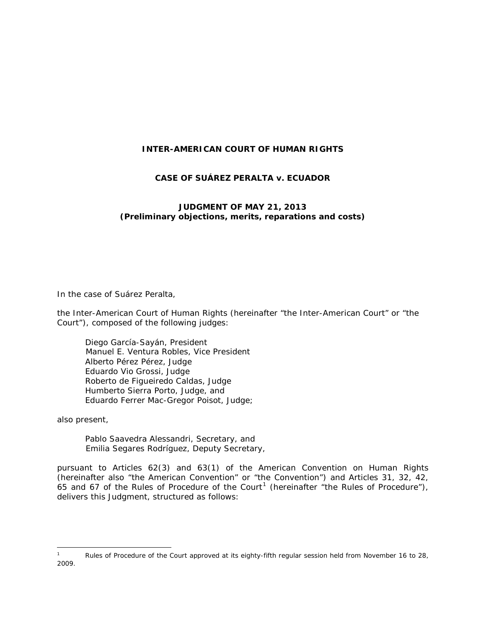### **INTER-AMERICAN COURT OF HUMAN RIGHTS**

#### **CASE OF SUÁREZ PERALTA** *v.* **ECUADOR**

#### **JUDGMENT OF MAY 21, 2013** *(Preliminary objections, merits, reparations and costs)*

In the case of *Suárez Peralta*,

the Inter-American Court of Human Rights (hereinafter "the Inter-American Court" or "the Court"), composed of the following judges:

Diego García-Sayán, President Manuel E. Ventura Robles, Vice President Alberto Pérez Pérez, Judge Eduardo Vio Grossi, Judge Roberto de Figueiredo Caldas, Judge Humberto Sierra Porto, Judge, and Eduardo Ferrer Mac-Gregor Poisot, Judge;

also present,

Pablo Saavedra Alessandri, Secretary, and Emilia Segares Rodríguez, Deputy Secretary,

pursuant to Articles 62(3) and 63(1) of the American Convention on Human Rights (hereinafter also "the American Convention" or "the Convention") and Articles 31, 32, 42, 65 and 67 of the Rules of Procedure of the Court<sup>[1](#page-0-0)</sup> (hereinafter "the Rules of Procedure"), delivers this Judgment, structured as follows:

<span id="page-0-0"></span>Rules of Procedure of the Court approved at its eighty-fifth regular session held from November 16 to 28, 2009.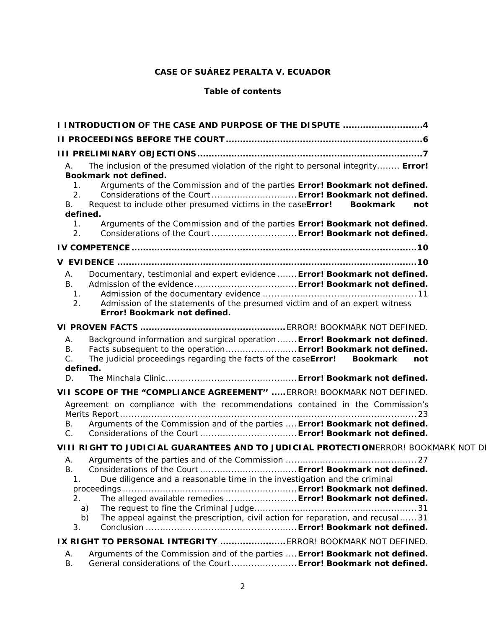# **CASE OF SUÁREZ PERALTA** *V***. ECUADOR**

#### **Table of contents**

| I INTRODUCTION OF THE CASE AND PURPOSE OF THE DISPUTE 4                                                                                                                                                                                                                 |
|-------------------------------------------------------------------------------------------------------------------------------------------------------------------------------------------------------------------------------------------------------------------------|
|                                                                                                                                                                                                                                                                         |
|                                                                                                                                                                                                                                                                         |
| The inclusion of the presumed violation of the right to personal integrity Error!<br>Α.<br>Bookmark not defined.                                                                                                                                                        |
| Arguments of the Commission and of the parties Error! Bookmark not defined.<br>1.<br>Considerations of the Court  Error! Bookmark not defined.<br>2.<br>Request to include other presumed victims in the caseError!<br><b>Bookmark</b><br>В.<br>not<br>defined.         |
| Arguments of the Commission and of the parties Error! Bookmark not defined.<br>1.<br>Considerations of the Court  Error! Bookmark not defined.<br>2.                                                                                                                    |
|                                                                                                                                                                                                                                                                         |
|                                                                                                                                                                                                                                                                         |
| Documentary, testimonial and expert evidence  Error! Bookmark not defined.<br>А.<br>В.<br>1.<br>2.<br>Admission of the statements of the presumed victim and of an expert witness<br>Error! Bookmark not defined.                                                       |
|                                                                                                                                                                                                                                                                         |
| Background information and surgical operation Error! Bookmark not defined.<br>А.<br>Facts subsequent to the operation Error! Bookmark not defined.<br>В.<br>The judicial proceedings regarding the facts of the caseError! Bookmark<br>$C$ .<br>not<br>defined.         |
| D.                                                                                                                                                                                                                                                                      |
| VII SCOPE OF THE "COMPLIANCE AGREEMENT"  ERROR! BOOKMARK NOT DEFINED.                                                                                                                                                                                                   |
| Agreement on compliance with the recommendations contained in the Commission's                                                                                                                                                                                          |
| Arguments of the Commission and of the parties  Error! Bookmark not defined.<br>В.<br>C.                                                                                                                                                                                |
| VIII RIGHT TO JUDICIAL GUARANTEES AND TO JUDICIAL PROTECTIONERROR! BOOKMARK NOT DI                                                                                                                                                                                      |
| А.<br>В.<br>Due diligence and a reasonable time in the investigation and the criminal<br>1.<br>The alleged available remedies  Error! Bookmark not defined.<br>2.<br>a)<br>The appeal against the prescription, civil action for reparation, and recusal 31<br>b)<br>3. |
| IX RIGHT TO PERSONAL INTEGRITY  ERROR! BOOKMARK NOT DEFINED.                                                                                                                                                                                                            |
| Arguments of the Commission and of the parties  Error! Bookmark not defined.<br>А.<br>В.<br>General considerations of the Court Error! Bookmark not defined.                                                                                                            |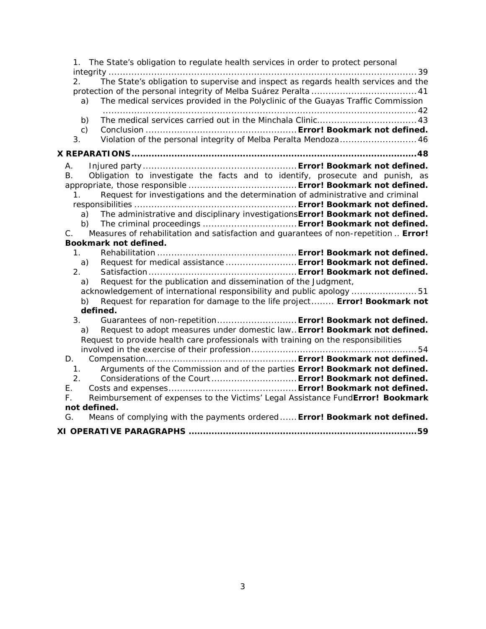| The State's obligation to regulate health services in order to protect personal<br>1.                                                                                                                                                                                                                                                                                                                                                                                                                                                                                                                                                                                                                                                                                                                 |
|-------------------------------------------------------------------------------------------------------------------------------------------------------------------------------------------------------------------------------------------------------------------------------------------------------------------------------------------------------------------------------------------------------------------------------------------------------------------------------------------------------------------------------------------------------------------------------------------------------------------------------------------------------------------------------------------------------------------------------------------------------------------------------------------------------|
| The State's obligation to supervise and inspect as regards health services and the<br>2.<br>The medical services provided in the Polyclinic of the Guayas Traffic Commission<br>a)                                                                                                                                                                                                                                                                                                                                                                                                                                                                                                                                                                                                                    |
| b)<br>$\mathsf{C}$ )<br>Violation of the personal integrity of Melba Peralta Mendoza 46<br>3.                                                                                                                                                                                                                                                                                                                                                                                                                                                                                                                                                                                                                                                                                                         |
|                                                                                                                                                                                                                                                                                                                                                                                                                                                                                                                                                                                                                                                                                                                                                                                                       |
| А.                                                                                                                                                                                                                                                                                                                                                                                                                                                                                                                                                                                                                                                                                                                                                                                                    |
| Obligation to investigate the facts and to identify, prosecute and punish, as<br>В.<br>Request for investigations and the determination of administrative and criminal<br>1.<br>The administrative and disciplinary investigations Error! Bookmark not defined.<br>a)<br>The criminal proceedings  Error! Bookmark not defined.<br>b)<br>Measures of rehabilitation and satisfaction and quarantees of non-repetition  Error!<br>$C_{\cdot}$<br>Bookmark not defined.<br>$1_{\ldots}$<br>Request for medical assistance  Error! Bookmark not defined.<br>a)<br>2.<br>Request for the publication and dissemination of the Judgment,<br>a)<br>acknowledgement of international responsibility and public apology 51<br>Request for reparation for damage to the life project Error! Bookmark not<br>b) |
| defined.<br>Guarantees of non-repetition Error! Bookmark not defined.<br>3 <sub>1</sub>                                                                                                                                                                                                                                                                                                                                                                                                                                                                                                                                                                                                                                                                                                               |
| Request to adopt measures under domestic law Error! Bookmark not defined.<br>a)<br>Request to provide health care professionals with training on the responsibilities                                                                                                                                                                                                                                                                                                                                                                                                                                                                                                                                                                                                                                 |
| D.                                                                                                                                                                                                                                                                                                                                                                                                                                                                                                                                                                                                                                                                                                                                                                                                    |
| Arguments of the Commission and of the parties Error! Bookmark not defined.<br>1.<br>2.<br>Considerations of the Court Error! Bookmark not defined.<br>E.                                                                                                                                                                                                                                                                                                                                                                                                                                                                                                                                                                                                                                             |
| Reimbursement of expenses to the Victims' Legal Assistance FundError! Bookmark<br>F.<br>not defined.                                                                                                                                                                                                                                                                                                                                                                                                                                                                                                                                                                                                                                                                                                  |
| Means of complying with the payments ordered Error! Bookmark not defined.<br>G.                                                                                                                                                                                                                                                                                                                                                                                                                                                                                                                                                                                                                                                                                                                       |
|                                                                                                                                                                                                                                                                                                                                                                                                                                                                                                                                                                                                                                                                                                                                                                                                       |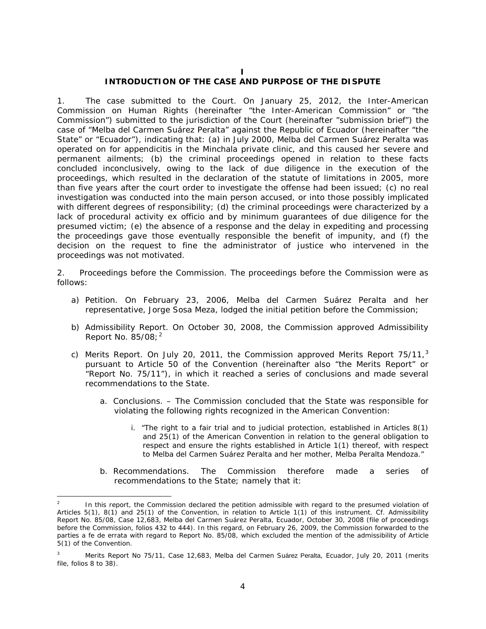#### **I**

#### **INTRODUCTION OF THE CASE AND PURPOSE OF THE DISPUTE**

<span id="page-3-0"></span>1. *The case submitted to the Court.* On January 25, 2012, the Inter-American Commission on Human Rights (hereinafter "the Inter-American Commission" or "the Commission") submitted to the jurisdiction of the Court (hereinafter "submission brief") the case of "Melba del Carmen Suárez Peralta" against the Republic of Ecuador (hereinafter "the State" or "Ecuador"), indicating that: (a) in July 2000, Melba del Carmen Suárez Peralta was operated on for appendicitis in the Minchala private clinic, and this caused her severe and permanent ailments; (b) the criminal proceedings opened in relation to these facts concluded inconclusively, owing to the lack of due diligence in the execution of the proceedings, which resulted in the declaration of the statute of limitations in 2005, more than five years after the court order to investigate the offense had been issued; (c) no real investigation was conducted into the main person accused, or into those possibly implicated with different degrees of responsibility; (d) the criminal proceedings were characterized by a lack of procedural activity *ex officio* and by minimum guarantees of due diligence for the presumed victim; (e) the absence of a response and the delay in expediting and processing the proceedings gave those eventually responsible the benefit of impunity, and (f) the decision on the request to fine the administrator of justice who intervened in the proceedings was not motivated.

2. *Proceedings before the Commission.* The proceedings before the Commission were as follows:

- a) *Petition.* On February 23, 2006, Melba del Carmen Suárez Peralta and her representative, Jorge Sosa Meza, lodged the initial petition before the Commission;
- b) *Admissibility Report.* On October 30, 2008, the Commission approved Admissibility Report No.  $85/08$ ;  $^2$  $^2$
- c) *Merits Report.* On July 20, 2011, the Commission approved Merits Report 75/11, [3](#page-3-2) pursuant to Article 50 of the Convention (hereinafter also "the Merits Report" or "Report No. 75/11"), in which it reached a series of conclusions and made several recommendations to the State.
	- a. *Conclusions. –* The Commission concluded that the State was responsible for violating the following rights recognized in the American Convention:
		- i. "The right to a fair trial and to judicial protection, established in Articles 8(1) and 25(1) of the American Convention in relation to the general obligation to respect and ensure the rights established in Article 1(1) thereof, with respect to Melba del Carmen Suárez Peralta and her mother, Melba Peralta Mendoza."
	- b. *Recommendations.* The Commission therefore made a series of recommendations to the State; namely that it:

<span id="page-3-1"></span>In this report, the Commission declared the petition admissible with regard to the presumed violation of Articles 5(1), 8(1) and 25(1) of the Convention, in relation to Article 1(1) of this instrument. *Cf.* Admissibility Report No. 85/08, Case 12,683, Melba del Carmen Suárez Peralta, Ecuador, October 30, 2008 (file of proceedings before the Commission, folios 432 to 444). In this regard, on February 26, 2009, the Commission forwarded to the parties a *fe de errata* with regard to Report No. 85/08, which excluded the mention of the admissibility of Article 5(1) of the Convention.

<span id="page-3-2"></span><sup>3</sup> Merits Report No 75/11, Case 12,683, Melba del Carmen Suárez Peralta, Ecuador, July 20, 2011 (merits file, folios 8 to 38).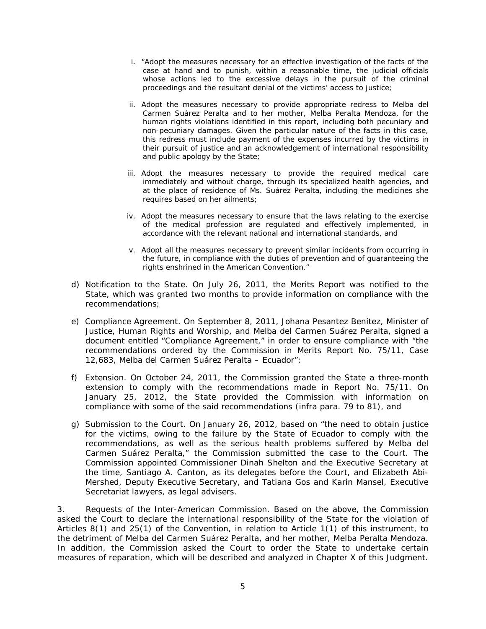- i. "Adopt the measures necessary for an effective investigation of the facts of the case at hand and to punish, within a reasonable time, the judicial officials whose actions led to the excessive delays in the pursuit of the criminal proceedings and the resultant denial of the victims' access to justice;
- ii. Adopt the measures necessary to provide appropriate redress to Melba del Carmen Suárez Peralta and to her mother, Melba Peralta Mendoza, for the human rights violations identified in this report, including both pecuniary and non-pecuniary damages. Given the particular nature of the facts in this case, this redress must include payment of the expenses incurred by the victims in their pursuit of justice and an acknowledgement of international responsibility and public apology by the State;
- iii. Adopt the measures necessary to provide the required medical care immediately and without charge, through its specialized health agencies, and at the place of residence of Ms. Suárez Peralta, including the medicines she requires based on her ailments;
- iv. Adopt the measures necessary to ensure that the laws relating to the exercise of the medical profession are regulated and effectively implemented, in accordance with the relevant national and international standards, and
- v. Adopt all the measures necessary to prevent similar incidents from occurring in the future, in compliance with the duties of prevention and of guaranteeing the rights enshrined in the American Convention."
- d) *Notification to the State.* On July 26, 2011, the Merits Report was notified to the State, which was granted two months to provide information on compliance with the recommendations;
- e) *Compliance Agreement.* On September 8, 2011, Johana Pesantez Benítez, Minister of Justice, Human Rights and Worship, and Melba del Carmen Suárez Peralta, signed a document entitled "Compliance Agreement," in order to ensure compliance with "the recommendations ordered by the Commission in Merits Report No. 75/11, Case 12,683, Melba del Carmen Suárez Peralta – Ecuador";
- f) *Extension.* On October 24, 2011, the Commission granted the State a three-month extension to comply with the recommendations made in Report No. 75/11. On January 25, 2012, the State provided the Commission with information on compliance with some of the said recommendations (*infra* para. 79 to 81), and
- g) *Submission to the Court.* On January 26, 2012, based on "the need to obtain justice for the victims, owing to the failure by the State of Ecuador to comply with the recommendations, as well as the serious health problems suffered by Melba del Carmen Suárez Peralta," the Commission submitted the case to the Court. The Commission appointed Commissioner Dinah Shelton and the Executive Secretary at the time, Santiago A. Canton, as its delegates before the Court, and Elizabeth Abi-Mershed, Deputy Executive Secretary, and Tatiana Gos and Karin Mansel, Executive Secretariat lawyers, as legal advisers.

3. *Requests of the Inter-American Commission.* Based on the above, the Commission asked the Court to declare the international responsibility of the State for the violation of Articles 8(1) and 25(1) of the Convention, in relation to Article 1(1) of this instrument, to the detriment of Melba del Carmen Suárez Peralta, and her mother, Melba Peralta Mendoza. In addition, the Commission asked the Court to order the State to undertake certain measures of reparation, which will be described and analyzed in Chapter X of this Judgment.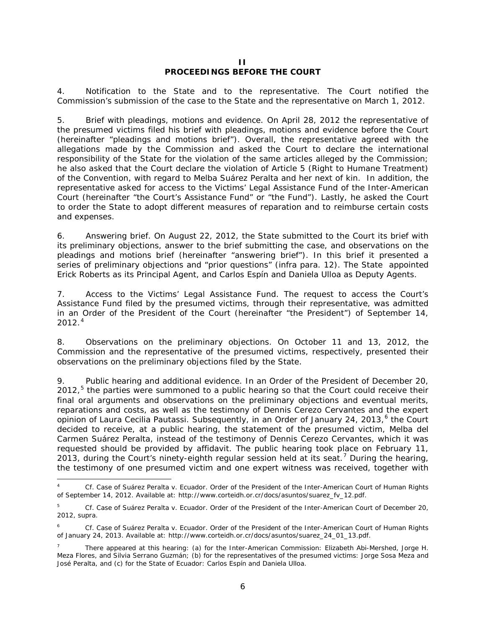#### **II PROCEEDINGS BEFORE THE COURT**

<span id="page-5-0"></span>4. *Notification to the State and to the representative.* The Court notified the Commission's submission of the case to the State and the representative on March 1, 2012.

5. *Brief with pleadings, motions and evidence.* On April 28, 2012 the representative of the presumed victims filed his brief with pleadings, motions and evidence before the Court (hereinafter "pleadings and motions brief"). Overall, the representative agreed with the allegations made by the Commission and asked the Court to declare the international responsibility of the State for the violation of the same articles alleged by the Commission; he also asked that the Court declare the violation of Article 5 (Right to Humane Treatment) of the Convention, with regard to Melba Suárez Peralta and her next of kin. In addition, the representative asked for access to the Victims' Legal Assistance Fund of the Inter-American Court (hereinafter "the Court's Assistance Fund" or "the Fund"). Lastly, he asked the Court to order the State to adopt different measures of reparation and to reimburse certain costs and expenses.

6. *Answering brief.* On August 22, 2012, the State submitted to the Court its brief with its preliminary objections, answer to the brief submitting the case, and observations on the pleadings and motions brief (hereinafter "answering brief"). In this brief it presented a series of preliminary objections and "prior questions" (*infra* para. 12). The State appointed Erick Roberts as its Principal Agent, and Carlos Espín and Daniela Ulloa as Deputy Agents.

7. *Access to the Victims' Legal Assistance Fund.* The request to access the Court's Assistance Fund filed by the presumed victims, through their representative, was admitted in an Order of the President of the Court (hereinafter "the President") of September 14, 2012.[4](#page-5-1)

8. *Observations on the preliminary objections.* On October 11 and 13, 2012, the Commission and the representative of the presumed victims, respectively, presented their observations on the preliminary objections filed by the State.

9. *Public hearing and additional evidence.* In an Order of the President of December 20, 2012,<sup>[5](#page-5-2)</sup> the parties were summoned to a public hearing so that the Court could receive their final oral arguments and observations on the preliminary objections and eventual merits, reparations and costs, as well as the testimony of Dennis Cerezo Cervantes and the expert opinion of Laura Cecilia Pautassi. Subsequently, in an Order of January 24, 2013,<sup>[6](#page-5-3)</sup> the Court decided to receive, at a public hearing, the statement of the presumed victim, Melba del Carmen Suárez Peralta, instead of the testimony of Dennis Cerezo Cervantes, which it was requested should be provided by affidavit. The public hearing took place on February 11, 2013, during the Court's ninety-eighth regular session held at its seat.<sup>[7](#page-5-4)</sup> During the hearing, the testimony of one presumed victim and one expert witness was received, together with

<span id="page-5-1"></span> <sup>4</sup> *Cf. Case of Suárez Peralta v. Ecuador.* Order of the President of the Inter-American Court of Human Rights of September 14, 2012. Available at: http://www.corteidh.or.cr/docs/asuntos/suarez\_fv\_12.pdf.

<span id="page-5-2"></span><sup>5</sup> *Cf. Case of Suárez Peralta v. Ecuador.* Order of the President of the Inter-American Court of December 20, 2012, *supra*.

<span id="page-5-3"></span><sup>6</sup> *Cf. Case of Suárez Peralta v. Ecuador.* Order of the President of the Inter-American Court of Human Rights of January 24, 2013. Available at: http://www.corteidh.or.cr/docs/asuntos/suarez\_24\_01\_13.pdf.

<span id="page-5-4"></span><sup>7</sup> There appeared at this hearing: (a) for the Inter-American Commission: Elizabeth Abi-Mershed, Jorge H. Meza Flores, and Silvia Serrano Guzmán; (b) for the representatives of the presumed victims: Jorge Sosa Meza and José Peralta, and (c) for the State of Ecuador: Carlos Espín and Daniela Ulloa.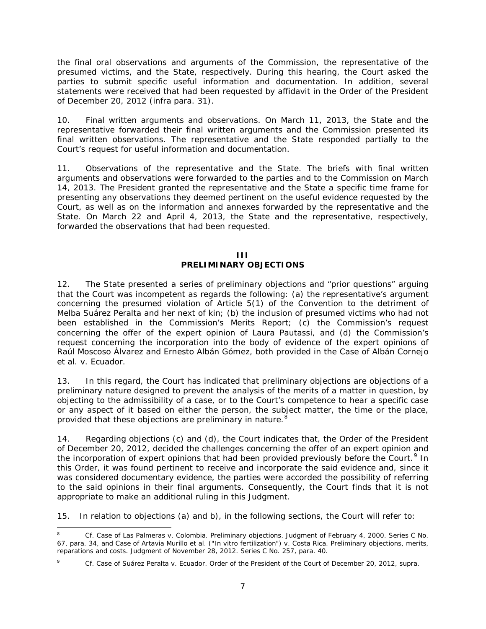the final oral observations and arguments of the Commission, the representative of the presumed victims, and the State, respectively. During this hearing, the Court asked the parties to submit specific useful information and documentation. In addition, several statements were received that had been requested by affidavit in the Order of the President of December 20, 2012 (*infra* para. 31).

10. *Final written arguments and observations.* On March 11, 2013, the State and the representative forwarded their final written arguments and the Commission presented its final written observations. The representative and the State responded partially to the Court's request for useful information and documentation.

11. *Observations of the representative and the State.* The briefs with final written arguments and observations were forwarded to the parties and to the Commission on March 14, 2013. The President granted the representative and the State a specific time frame for presenting any observations they deemed pertinent on the useful evidence requested by the Court, as well as on the information and annexes forwarded by the representative and the State. On March 22 and April 4, 2013, the State and the representative, respectively, forwarded the observations that had been requested.

#### **III PRELIMINARY OBJECTIONS**

<span id="page-6-0"></span>12. The State presented a series of preliminary objections and "prior questions" arguing that the Court was incompetent as regards the following: (a) the representative's argument concerning the presumed violation of Article 5(1) of the Convention to the detriment of Melba Suárez Peralta and her next of kin; (b) the inclusion of presumed victims who had not been established in the Commission's Merits Report; (c) the Commission's request concerning the offer of the expert opinion of Laura Pautassi, and (d) the Commission's request concerning the incorporation into the body of evidence of the expert opinions of Raúl Moscoso Álvarez and Ernesto Albán Gómez, both provided in the Case of *Albán Cornejo et al. v. Ecuador*.

13. In this regard, the Court has indicated that preliminary objections are objections of a preliminary nature designed to prevent the analysis of the merits of a matter in question, by objecting to the admissibility of a case, or to the Court's competence to hear a specific case or any aspect of it based on either the person, the subject matter, the time or the place, provided that these objections are preliminary in nature.<sup>[8](#page-6-1)</sup>

14. Regarding objections (c) and (d), the Court indicates that, the Order of the President of December 20, 2012, decided the challenges concerning the offer of an expert opinion and the incorporation of expert opinions that had been provided previously before the Court.<sup>[9](#page-6-2)</sup> In this Order, it was found pertinent to receive and incorporate the said evidence and, since it was considered documentary evidence, the parties were accorded the possibility of referring to the said opinions in their final arguments. Consequently, the Court finds that it is not appropriate to make an additional ruling in this Judgment.

15. In relation to objections (a) and b), in the following sections, the Court will refer to:

<span id="page-6-1"></span> <sup>8</sup> *Cf. Case of Las Palmeras v. Colombia. Preliminary objections*. Judgment of February 4, 2000. Series C No. 67, para. 34*, and Case of Artavia Murillo et al. ("In vitro fertilization") v. Costa Rica. Preliminary objections, merits, reparations and costs.* Judgment of November 28, 2012. Series C No. 257, para. 40.

<span id="page-6-2"></span><sup>9</sup> *Cf. Case of Suárez Peralta v. Ecuador.* Order of the President of the Court of December 20, 2012, *supra*.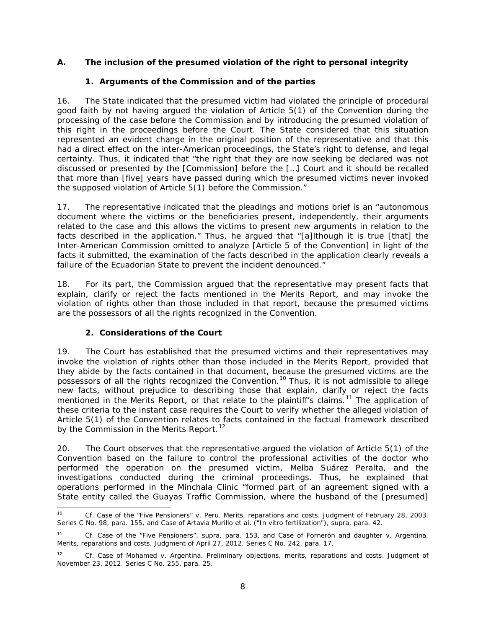## *A. The inclusion of the presumed violation of the right to personal integrity*

## *1. Arguments of the Commission and of the parties*

16. The State indicated that the presumed victim had violated the principle of procedural good faith by not having argued the violation of Article 5(1) of the Convention during the processing of the case before the Commission and by introducing the presumed violation of this right in the proceedings before the Court. The State considered that this situation represented an evident change in the original position of the representative and that this had a direct effect on the inter-American proceedings, the State's right to defense, and legal certainty. Thus, it indicated that "the right that they are now seeking be declared was not discussed or presented by the [Commission] before the […] Court and it should be recalled that more than [five] years have passed during which the presumed victims never invoked the supposed violation of Article 5(1) before the Commission."

17. The representative indicated that the pleadings and motions brief is an "autonomous document where the victims or the beneficiaries present, independently, their arguments related to the case and this allows the victims to present new arguments in relation to the facts described in the application." Thus, he argued that "[a]lthough it is true [that] the Inter-American Commission omitted to analyze [Article 5 of the Convention] in light of the facts it submitted, the examination of the facts described in the application clearly reveals a failure of the Ecuadorian State to prevent the incident denounced."

18. For its part, the Commission argued that the representative may present facts that explain, clarify or reject the facts mentioned in the Merits Report, and may invoke the violation of rights other than those included in that report, because the presumed victims are the possessors of all the rights recognized in the Convention.

## *2. Considerations of the Court*

19. The Court has established that the presumed victims and their representatives may invoke the violation of rights other than those included in the Merits Report, provided that they abide by the facts contained in that document, because the presumed victims are the possessors of all the rights recognized the Convention. [10](#page-7-0) Thus, it is not admissible to allege new facts, without prejudice to describing those that explain, clarify or reject the facts mentioned in the Merits Report, or that relate to the plaintiff's claims.<sup>[11](#page-7-1)</sup> The application of these criteria to the instant case requires the Court to verify whether the alleged violation of Article 5(1) of the Convention relates to facts contained in the factual framework described by the Commission in the Merits Report.<sup>[12](#page-7-2)</sup>

20. The Court observes that the representative argued the violation of Article 5(1) of the Convention based on the failure to control the professional activities of the doctor who performed the operation on the presumed victim, Melba Suárez Peralta, and the investigations conducted during the criminal proceedings. Thus, he explained that operations performed in the Minchala Clinic "formed part of an agreement signed with a State entity called the Guayas Traffic Commission, where the husband of the [presumed]

<span id="page-7-0"></span> <sup>10</sup> *Cf. Case of the "Five Pensioners" v. Peru. Merits, reparations and costs.* Judgment of February 28, 2003. Series C No. 98, para. 155, and *Case of Artavia Murillo et al. ("In vitro fertilization"), supra, para. 42.* 

<span id="page-7-1"></span><sup>11</sup> *Cf. Case of the "Five Pensioners", supra*, para. 153, and *Case of Fornerón and daughter v. Argentina. Merits, reparations and costs.* Judgment of April 27, 2012. Series C No. 242, para. 17.

<span id="page-7-2"></span><sup>12</sup> *Cf. Case of Mohamed v. Argentina. Preliminary objections, merits, reparations and costs*. Judgment of November 23, 2012. Series C No. 255, para. 25.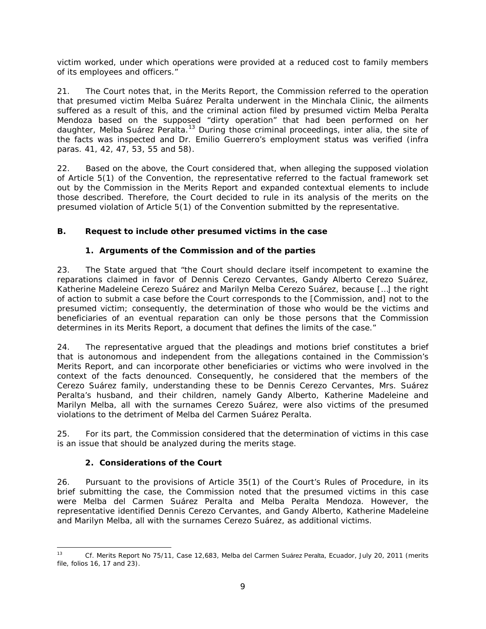victim worked, under which operations were provided at a reduced cost to family members of its employees and officers."

21. The Court notes that, in the Merits Report, the Commission referred to the operation that presumed victim Melba Suárez Peralta underwent in the Minchala Clinic, the ailments suffered as a result of this, and the criminal action filed by presumed victim Melba Peralta Mendoza based on the supposed "dirty operation" that had been performed on her daughter, Melba Suárez Peralta. [13](#page-8-0) During those criminal proceedings, *inter alia*, the site of the facts was inspected and Dr. Emilio Guerrero's employment status was verified (*infra* paras. 41, 42, 47, 53, 55 and 58).

22. Based on the above, the Court considered that, when alleging the supposed violation of Article 5(1) of the Convention, the representative referred to the factual framework set out by the Commission in the Merits Report and expanded contextual elements to include those described. Therefore, the Court decided to rule in its analysis of the merits on the presumed violation of Article 5(1) of the Convention submitted by the representative.

# *B. Request to include other presumed victims in the case*

# *1. Arguments of the Commission and of the parties*

23. The State argued that "the Court should declare itself incompetent to examine the reparations claimed in favor of Dennis Cerezo Cervantes, Gandy Alberto Cerezo Suárez, Katherine Madeleine Cerezo Suárez and Marilyn Melba Cerezo Suárez, because […] the right of action to submit a case before the Court corresponds to the [Commission, and] not to the presumed victim; consequently, the determination of those who would be the victims and beneficiaries of an eventual reparation can only be those persons that the Commission determines in its Merits Report, a document that defines the limits of the case."

24. The representative argued that the pleadings and motions brief constitutes a brief that is autonomous and independent from the allegations contained in the Commission's Merits Report, and can incorporate other beneficiaries or victims who were involved in the context of the facts denounced. Consequently, he considered that the members of the Cerezo Suárez family, understanding these to be Dennis Cerezo Cervantes, Mrs. Suárez Peralta's husband, and their children, namely Gandy Alberto, Katherine Madeleine and Marilyn Melba, all with the surnames Cerezo Suárez, were also victims of the presumed violations to the detriment of Melba del Carmen Suárez Peralta.

25. For its part, the Commission considered that the determination of victims in this case is an issue that should be analyzed during the merits stage.

## *2. Considerations of the Court*

26. Pursuant to the provisions of Article 35(1) of the Court's Rules of Procedure, in its brief submitting the case, the Commission noted that the presumed victims in this case were Melba del Carmen Suárez Peralta and Melba Peralta Mendoza. However, the representative identified Dennis Cerezo Cervantes, and Gandy Alberto, Katherine Madeleine and Marilyn Melba, all with the surnames Cerezo Suárez, as additional victims.

<span id="page-8-0"></span> <sup>13</sup> *Cf.* Merits Report No 75/11, Case 12,683, Melba del Carmen Suárez Peralta, Ecuador, July 20, 2011 (merits file, folios 16, 17 and 23).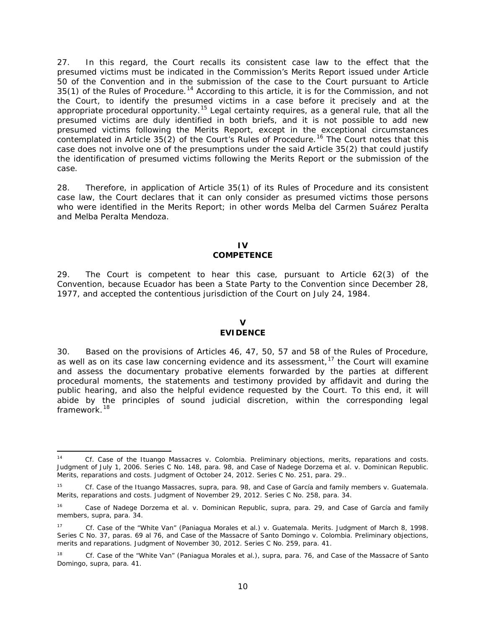27. In this regard, the Court recalls its consistent case law to the effect that the presumed victims must be indicated in the Commission's Merits Report issued under Article 50 of the Convention and in the submission of the case to the Court pursuant to Article 35(1) of the Rules of Procedure.<sup>[14](#page-9-2)</sup> According to this article, it is for the Commission, and not the Court, to identify the presumed victims in a case before it precisely and at the appropriate procedural opportunity.<sup>[15](#page-9-3)</sup> Legal certainty requires, as a general rule, that all the presumed victims are duly identified in both briefs, and it is not possible to add new presumed victims following the Merits Report, except in the exceptional circumstances contemplated in Article  $35(2)$  of the Court's Rules of Procedure.<sup>[16](#page-9-4)</sup> The Court notes that this case does not involve one of the presumptions under the said Article 35(2) that could justify the identification of presumed victims following the Merits Report or the submission of the case.

28. Therefore, in application of Article 35(1) of its Rules of Procedure and its consistent case law, the Court declares that it can only consider as presumed victims those persons who were identified in the Merits Report; in other words Melba del Carmen Suárez Peralta and Melba Peralta Mendoza.

#### **IV COMPETENCE**

<span id="page-9-0"></span>29. The Court is competent to hear this case, pursuant to Article 62(3) of the Convention, because Ecuador has been a State Party to the Convention since December 28, 1977, and accepted the contentious jurisdiction of the Court on July 24, 1984.

#### **V EVIDENCE**

<span id="page-9-1"></span>30. Based on the provisions of Articles 46, 47, 50, 57 and 58 of the Rules of Procedure, as well as on its case law concerning evidence and its assessment,<sup>[17](#page-9-5)</sup> the Court will examine and assess the documentary probative elements forwarded by the parties at different procedural moments, the statements and testimony provided by affidavit and during the public hearing, and also the helpful evidence requested by the Court. To this end, it will abide by the principles of sound judicial discretion, within the corresponding legal framework.<sup>[18](#page-9-6)</sup>

<span id="page-9-2"></span> <sup>14</sup> *Cf. Case of the Ituango Massacres v. Colombia. Preliminary objections, merits, reparations and costs.*  Judgment of July 1, 2006. Series C No. 148, para. 98, and *Case of Nadege Dorzema et al. v. Dominican Republic. Merits, reparations and costs.* Judgment of October 24, 2012. Series C No. 251, para. 29..

<span id="page-9-3"></span><sup>15</sup> *Cf. Case of the Ituango Massacres, supra*, para. 98, and *Case of García and family members v. Guatemala. Merits, reparations and costs*. Judgment of November 29, 2012. Series C No. 258, para. 34.

<span id="page-9-4"></span><sup>16</sup> *Case of Nadege Dorzema et al. v. Dominican Republic, supra*, para. 29, and *Case of García and family members, supra,* para. 34.

<span id="page-9-5"></span><sup>17</sup> *Cf. Case of the "White Van" (Paniagua Morales et al.) v. Guatemala. Merits.* Judgment of March 8, 1998. Series C No. 37, paras. 69 al 76, and *Case of the Massacre of Santo Domingo v. Colombia. Preliminary objections, merits and reparations.* Judgment of November 30, 2012. Series C No. 259, para. 41.

<span id="page-9-6"></span><sup>18</sup> *Cf. Case of the "White Van" (Paniagua Morales et al.), supra*, para. 76, and *Case of the Massacre of Santo Domingo, supra*, para. 41.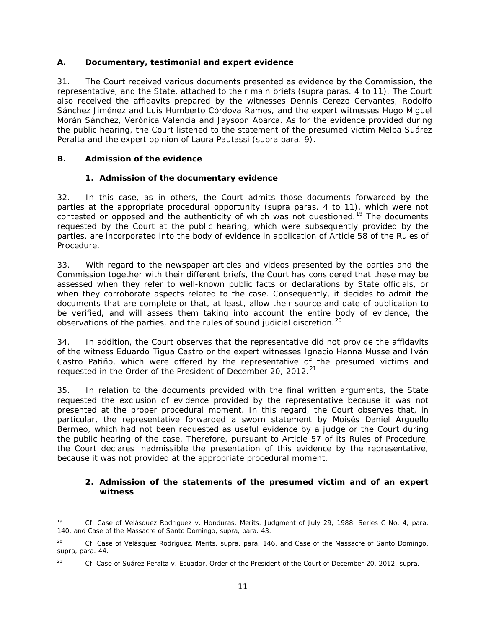## *A. Documentary, testimonial and expert evidence*

31. The Court received various documents presented as evidence by the Commission, the representative, and the State, attached to their main briefs (*supra* paras. 4 to 11). The Court also received the affidavits prepared by the witnesses Dennis Cerezo Cervantes, Rodolfo Sánchez Jiménez and Luis Humberto Córdova Ramos, and the expert witnesses Hugo Miguel Morán Sánchez, Verónica Valencia and Jaysoon Abarca. As for the evidence provided during the public hearing, the Court listened to the statement of the presumed victim Melba Suárez Peralta and the expert opinion of Laura Pautassi (*supra* para. 9).

## <span id="page-10-0"></span>*B. Admission of the evidence*

## *1. Admission of the documentary evidence*

32. In this case, as in others, the Court admits those documents forwarded by the parties at the appropriate procedural opportunity (*supra* paras. 4 to 11), which were not contested or opposed and the authenticity of which was not questioned.<sup>[19](#page-10-1)</sup> The documents requested by the Court at the public hearing, which were subsequently provided by the parties, are incorporated into the body of evidence in application of Article 58 of the Rules of Procedure.

33. With regard to the newspaper articles and videos presented by the parties and the Commission together with their different briefs, the Court has considered that these may be assessed when they refer to well-known public facts or declarations by State officials, or when they corroborate aspects related to the case. Consequently, it decides to admit the documents that are complete or that, at least, allow their source and date of publication to be verified, and will assess them taking into account the entire body of evidence, the observations of the parties, and the rules of sound judicial discretion.<sup>[20](#page-10-2)</sup>

34. In addition, the Court observes that the representative did not provide the affidavits of the witness Eduardo Tigua Castro or the expert witnesses Ignacio Hanna Musse and Iván Castro Patiño, which were offered by the representative of the presumed victims and requested in the Order of the President of December 20, 2012.<sup>[21](#page-10-3)</sup>

35. In relation to the documents provided with the final written arguments, the State requested the exclusion of evidence provided by the representative because it was not presented at the proper procedural moment. In this regard, the Court observes that, in particular, the representative forwarded a sworn statement by Moisés Daniel Arguello Bermeo, which had not been requested as useful evidence by a judge or the Court during the public hearing of the case. Therefore, pursuant to Article 57 of its Rules of Procedure, the Court declares inadmissible the presentation of this evidence by the representative, because it was not provided at the appropriate procedural moment.

## *2. Admission of the statements of the presumed victim and of an expert witness*

<span id="page-10-1"></span> <sup>19</sup> *Cf. Case of Velásquez Rodríguez v. Honduras. Merits.* Judgment of July 29, 1988. Series C No. 4, para. 140, and *Case of the Massacre of Santo Domingo*, *supra*, para. 43.

<span id="page-10-2"></span><sup>20</sup> *Cf. Case of Velásquez Rodríguez, Merits, supra*, para. 146, and *Case of the Massacre of Santo Domingo, supra*, para. 44.

<span id="page-10-3"></span><sup>21</sup> *Cf. Case of Suárez Peralta v. Ecuador.* Order of the President of the Court of December 20, 2012, *supra*.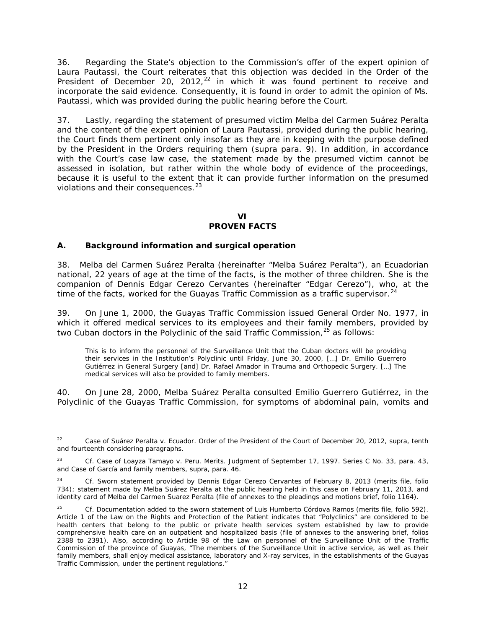36. Regarding the State's objection to the Commission's offer of the expert opinion of Laura Pautassi, the Court reiterates that this objection was decided in the Order of the President of December 20, 2012, $^{22}$  $^{22}$  $^{22}$  in which it was found pertinent to receive and incorporate the said evidence. Consequently, it is found in order to admit the opinion of Ms. Pautassi, which was provided during the public hearing before the Court.

37. Lastly, regarding the statement of presumed victim Melba del Carmen Suárez Peralta and the content of the expert opinion of Laura Pautassi, provided during the public hearing, the Court finds them pertinent only insofar as they are in keeping with the purpose defined by the President in the Orders requiring them (*supra* para. 9). In addition, in accordance with the Court's case law case, the statement made by the presumed victim cannot be assessed in isolation, but rather within the whole body of evidence of the proceedings, because it is useful to the extent that it can provide further information on the presumed violations and their consequences.<sup>[23](#page-11-1)</sup>

# **VI**

# **PROVEN FACTS**

## *A. Background information and surgical operation*

38. Melba del Carmen Suárez Peralta (hereinafter "Melba Suárez Peralta"), an Ecuadorian national, 22 years of age at the time of the facts, is the mother of three children. She is the companion of Dennis Edgar Cerezo Cervantes (hereinafter "Edgar Cerezo"), who, at the time of the facts, worked for the Guayas Traffic Commission as a traffic supervisor.<sup>[24](#page-11-2)</sup>

39. On June 1, 2000, the Guayas Traffic Commission issued General Order No. 1977, in which it offered medical services to its employees and their family members, provided by two Cuban doctors in the Polyclinic of the said Traffic Commission,  $25$  as follows:

This is to inform the personnel of the Surveillance Unit that the Cuban doctors will be providing their services in the Institution's Polyclinic until Friday, June 30, 2000, […] Dr. Emilio Guerrero Gutiérrez in General Surgery [and] Dr. Rafael Amador in Trauma and Orthopedic Surgery. […] The medical services will also be provided to family members.

40. On June 28, 2000, Melba Suárez Peralta consulted Emilio Guerrero Gutiérrez, in the Polyclinic of the Guayas Traffic Commission, for symptoms of abdominal pain, vomits and

<span id="page-11-0"></span> <sup>22</sup> *Case of Suárez Peralta v. Ecuador.* Order of the President of the Court of December 20, 2012, *supra*, tenth and fourteenth considering paragraphs.

<span id="page-11-1"></span><sup>23</sup> *Cf. Case of Loayza Tamayo v. Peru. Merits.* Judgment of September 17, 1997. Series C No. 33, para. 43, and *Case of García and family members*, *supra*, para. 46.

<span id="page-11-2"></span><sup>24</sup> *Cf.* Sworn statement provided by Dennis Edgar Cerezo Cervantes of February 8, 2013 (merits file, folio 734); statement made by Melba Suárez Peralta at the public hearing held in this case on February 11, 2013, and identity card of Melba del Carmen Suarez Peralta (file of annexes to the pleadings and motions brief, folio 1164).

<span id="page-11-3"></span><sup>25</sup> *Cf.* Documentation added to the sworn statement of Luis Humberto Córdova Ramos (merits file, folio 592). Article 1 of the Law on the Rights and Protection of the Patient indicates that "Polyclinics" are considered to be health centers that belong to the public or private health services system established by law to provide comprehensive health care on an outpatient and hospitalized basis (file of annexes to the answering brief, folios 2388 to 2391). Also, according to Article 98 of the Law on personnel of the Surveillance Unit of the Traffic Commission of the province of Guayas, "The members of the Surveillance Unit in active service, as well as their family members, shall enjoy medical assistance, laboratory and X-ray services, in the establishments of the Guayas Traffic Commission, under the pertinent regulations."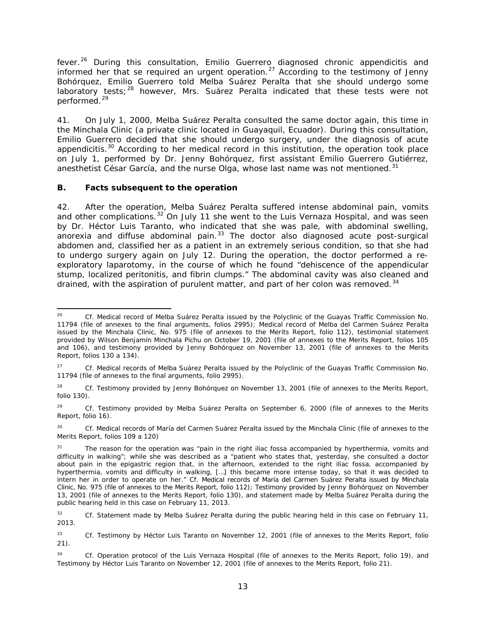fever.<sup>[26](#page-12-0)</sup> During this consultation, Emilio Guerrero diagnosed chronic appendicitis and informed her that se required an urgent operation.[27](#page-12-1) According to the testimony of Jenny Bohórquez, Emilio Guerrero told Melba Suárez Peralta that she should undergo some laboratory tests;<sup>[28](#page-12-2)</sup> however, Mrs. Suárez Peralta indicated that these tests were not performed.[29](#page-12-3)

41. On July 1, 2000, Melba Suárez Peralta consulted the same doctor again, this time in the Minchala Clinic (a private clinic located in Guayaquil, Ecuador). During this consultation, Emilio Guerrero decided that she should undergo surgery, under the diagnosis of acute appendicitis. $30$  According to her medical record in this institution, the operation took place on July 1, performed by Dr. Jenny Bohórquez, first assistant Emilio Guerrero Gutiérrez, anesthetist César García, and the nurse Olga, whose last name was not mentioned.<sup>[31](#page-12-5)</sup>

## *B. Facts subsequent to the operation*

42. After the operation, Melba Suárez Peralta suffered intense abdominal pain, vomits and other complications.<sup>[32](#page-12-6)</sup> On July 11 she went to the Luis Vernaza Hospital, and was seen by Dr. Héctor Luis Taranto, who indicated that she was pale, with abdominal swelling, anorexia and diffuse abdominal pain.<sup>[33](#page-12-7)</sup> The doctor also diagnosed acute post-surgical abdomen and, classified her as a patient in an extremely serious condition, so that she had to undergo surgery again on July 12. During the operation, the doctor performed a reexploratory laparotomy, in the course of which he found "dehiscence of the appendicular stump, localized peritonitis, and fibrin clumps." The abdominal cavity was also cleaned and drained, with the aspiration of purulent matter, and part of her colon was removed.<sup>[34](#page-12-8)</sup>

<span id="page-12-2"></span><sup>28</sup> *Cf.* Testimony provided by Jenny Bohórquez on November 13, 2001 (file of annexes to the Merits Report, folio 130).

<span id="page-12-3"></span><sup>29</sup> *Cf.* Testimony provided by Melba Suárez Peralta on September 6, 2000 (file of annexes to the Merits Report, folio 16).

<span id="page-12-4"></span><sup>30</sup> *Cf.* Medical records of María del Carmen Suárez Peralta issued by the Minchala Clinic (file of annexes to the Merits Report, folios 109 a 120)

<span id="page-12-0"></span> <sup>26</sup> *Cf.* Medical record of Melba Suárez Peralta issued by the Polyclinic of the Guayas Traffic Commission No. 11794 (file of annexes to the final arguments, folios 2995); Medical record of Melba del Carmen Suárez Peralta issued by the Minchala Clinic, No. 975 (file of annexes to the Merits Report, folio 112), testimonial statement provided by Wilson Benjamín Minchala Pichu on October 19, 2001 (file of annexes to the Merits Report, folios 105 and 106), and testimony provided by Jenny Bohórquez on November 13, 2001 (file of annexes to the Merits Report, folios 130 a 134).

<span id="page-12-1"></span><sup>27</sup> *Cf.* Medical records of Melba Suárez Peralta issued by the Polyclinic of the Guayas Traffic Commission No. 11794 (file of annexes to the final arguments, folio 2995).

<span id="page-12-5"></span>The reason for the operation was "pain in the right iliac fossa accompanied by hyperthermia, vomits and difficulty in walking"; while she was described as a "patient who states that, yesterday, she consulted a doctor about pain in the epigastric region that, in the afternoon, extended to the right iliac fossa, accompanied by hyperthermia, vomits and difficulty in walking, […] this became more intense today, so that it was decided to intern her in order to operate on her." *Cf.* Medical records of María del Carmen Suárez Peralta issued by Minchala Clinic, No. 975 (file of annexes to the Merits Report, folio 112); Testimony provided by Jenny Bohórquez on November 13, 2001 (file of annexes to the Merits Report, folio 130), and statement made by Melba Suárez Peralta during the public hearing held in this case on February 11, 2013.

<span id="page-12-6"></span><sup>&</sup>lt;sup>32</sup> *Cf.* Statement made by Melba Suárez Peralta during the public hearing held in this case on February 11, 2013.

<span id="page-12-7"></span><sup>33</sup> *Cf.* Testimony by Héctor Luis Taranto on November 12, 2001 (file of annexes to the Merits Report, folio 21).

<span id="page-12-8"></span><sup>34</sup> *Cf.* Operation protocol of the Luis Vernaza Hospital (file of annexes to the Merits Report, folio 19), and Testimony by Héctor Luis Taranto on November 12, 2001 (file of annexes to the Merits Report, folio 21).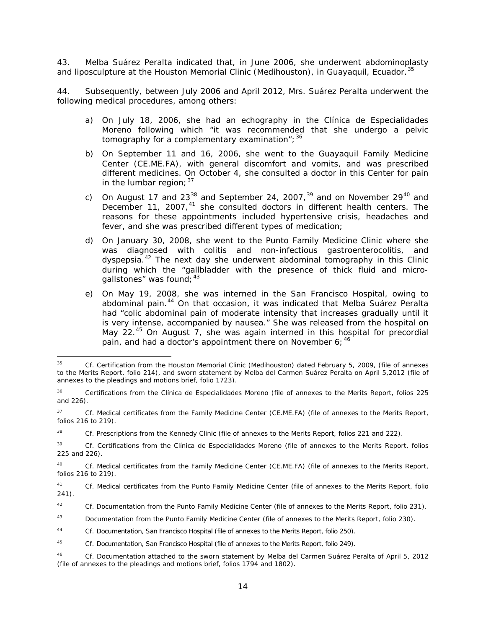43. Melba Suárez Peralta indicated that, in June 2006, she underwent abdominoplasty and liposculpture at the Houston Memorial Clinic (Medihouston), in Guayaquil, Ecuador.<sup>[35](#page-13-0)</sup>

44. Subsequently, between July 2006 and April 2012, Mrs. Suárez Peralta underwent the following medical procedures, among others:

- a) On July 18, 2006, she had an echography in the *Clínica de Especialidades Moreno* following which "it was recommended that she undergo a pelvic tomography for a complementary examination";  $36$
- b) On September 11 and 16, 2006, she went to the Guayaquil Family Medicine Center (CE.ME.FA), with general discomfort and vomits, and was prescribed different medicines. On October 4, she consulted a doctor in this Center for pain in the lumbar region;  $37$
- c) On August 17 and 23<sup>[38](#page-13-3)</sup> and September 24, 2007,<sup>[39](#page-13-4)</sup> and on November 29<sup>[40](#page-13-5)</sup> and December 11, 2007,<sup>[41](#page-13-6)</sup> she consulted doctors in different health centers. The reasons for these appointments included hypertensive crisis, headaches and fever, and she was prescribed different types of medication;
- d) On January 30, 2008, she went to the Punto Family Medicine Clinic where she was diagnosed with colitis and non-infectious gastroenterocolitis, and dyspepsia.<sup>[42](#page-13-7)</sup> The next day she underwent abdominal tomography in this Clinic during which the "gallbladder with the presence of thick fluid and microgallstones" was found;  $43$
- e) On May 19, 2008, she was interned in the San Francisco Hospital, owing to abdominal pain.<sup>[44](#page-13-9)</sup> On that occasion, it was indicated that Melba Suárez Peralta had "colic abdominal pain of moderate intensity that increases gradually until it is very intense, accompanied by nausea." She was released from the hospital on May 22.<sup>[45](#page-13-10)</sup> On August 7, she was again interned in this hospital for precordial pain, and had a doctor's appointment there on November 6: [46](#page-13-11)

<span id="page-13-0"></span> <sup>35</sup> *Cf.* Certification from the Houston Memorial Clinic (Medihouston) dated February 5, 2009, (file of annexes to the Merits Report, folio 214), and sworn statement by Melba del Carmen Suárez Peralta on April 5,2012 (file of annexes to the pleadings and motions brief, folio 1723).

<span id="page-13-1"></span><sup>36</sup> Certifications from the *Clínica de Especialidades Moreno* (file of annexes to the Merits Report, folios 225 and 226).

<span id="page-13-2"></span><sup>37</sup> *Cf.* Medical certificates from the Family Medicine Center (CE.ME.FA) (file of annexes to the Merits Report, folios 216 to 219).

<span id="page-13-3"></span><sup>38</sup> *Cf.* Prescriptions from the Kennedy Clinic (file of annexes to the Merits Report, folios 221 and 222).

<span id="page-13-4"></span><sup>39</sup> *Cf.* Certifications from the *Clínica de Especialidades Moreno* (file of annexes to the Merits Report, folios 225 and 226).

<span id="page-13-5"></span><sup>40</sup> *Cf.* Medical certificates from the Family Medicine Center (CE.ME.FA) (file of annexes to the Merits Report, folios 216 to 219).

<span id="page-13-6"></span><sup>41</sup> *Cf.* Medical certificates from the Punto Family Medicine Center (file of annexes to the Merits Report, folio 241).

<span id="page-13-7"></span><sup>42</sup> *Cf.* Documentation from the Punto Family Medicine Center (file of annexes to the Merits Report, folio 231).

<span id="page-13-8"></span><sup>43</sup> Documentation from the Punto Family Medicine Center (file of annexes to the Merits Report, folio 230).

<span id="page-13-9"></span><sup>44</sup> *Cf.* Documentation, San Francisco Hospital (file of annexes to the Merits Report, folio 250).

<span id="page-13-10"></span><sup>45</sup> *Cf.* Documentation, San Francisco Hospital (file of annexes to the Merits Report, folio 249).

<span id="page-13-11"></span><sup>46</sup> *Cf.* Documentation attached to the sworn statement by Melba del Carmen Suárez Peralta of April 5, 2012 (file of annexes to the pleadings and motions brief, folios 1794 and 1802).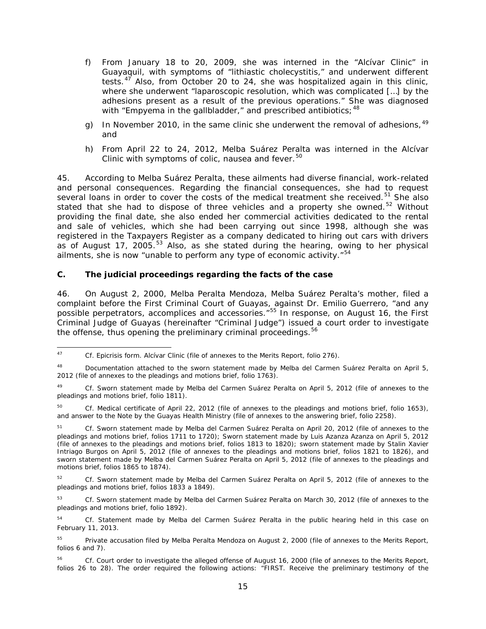- f) From January 18 to 20, 2009, she was interned in the "Alcívar Clinic" in Guayaquil, with symptoms of "lithiastic cholecystitis," and underwent different tests.[47](#page-14-0) Also, from October 20 to 24, she was hospitalized again in this clinic, where she underwent "laparoscopic resolution, which was complicated […] by the adhesions present as a result of the previous operations." She was diagnosed with "Empyema in the gallbladder," and prescribed antibiotics;  $48$
- g) In November 2010, in the same clinic she underwent the removal of adhesions,  $49$ and
- h) From April 22 to 24, 2012, Melba Suárez Peralta was interned in the Alcívar Clinic with symptoms of colic, nausea and fever.<sup>[50](#page-14-3)</sup>

45. According to Melba Suárez Peralta, these ailments had diverse financial, work-related and personal consequences. Regarding the financial consequences, she had to request several loans in order to cover the costs of the medical treatment she received.<sup>[51](#page-14-4)</sup> She also stated that she had to dispose of three vehicles and a property she owned.<sup>[52](#page-14-5)</sup> Without providing the final date, she also ended her commercial activities dedicated to the rental and sale of vehicles, which she had been carrying out since 1998, although she was registered in the Taxpayers Register as a company dedicated to hiring out cars with drivers as of August 17, 2005.[53](#page-14-6) Also, as she stated during the hearing, owing to her physical ailments, she is now "unable to perform any type of economic activity." $54$ 

## *C. The judicial proceedings regarding the facts of the case*

46. On August 2, 2000, Melba Peralta Mendoza, Melba Suárez Peralta's mother, filed a complaint before the First Criminal Court of Guayas, against Dr. Emilio Guerrero, "and any possible perpetrators, accomplices and accessories."<sup>[55](#page-14-8)</sup> In response, on August 16, the First Criminal Judge of Guayas (hereinafter "Criminal Judge") issued a court order to investigate the offense, thus opening the preliminary criminal proceedings.<sup>[56](#page-14-9)</sup>

<span id="page-14-0"></span> <sup>47</sup> *Cf.* Epicrisis form. Alcívar Clinic (file of annexes to the Merits Report, folio 276).

<span id="page-14-1"></span><sup>&</sup>lt;sup>48</sup> Documentation attached to the sworn statement made by Melba del Carmen Suárez Peralta on April 5, 2012 (file of annexes to the pleadings and motions brief, folio 1763).

<span id="page-14-2"></span><sup>49</sup> *Cf.* Sworn statement made by Melba del Carmen Suárez Peralta on April 5, 2012 (file of annexes to the pleadings and motions brief, folio 1811).

<span id="page-14-3"></span><sup>50</sup> *Cf.* Medical certificate of April 22, 2012 (file of annexes to the pleadings and motions brief, folio 1653), and answer to the Note by the Guayas Health Ministry (file of annexes to the answering brief, folio 2258).

<span id="page-14-4"></span><sup>51</sup> *Cf.* Sworn statement made by Melba del Carmen Suárez Peralta on April 20, 2012 (file of annexes to the pleadings and motions brief, folios 1711 to 1720); Sworn statement made by Luis Azanza Azanza on April 5, 2012 (file of annexes to the pleadings and motions brief, folios 1813 to 1820); sworn statement made by Stalin Xavier Intriago Burgos on April 5, 2012 (file of annexes to the pleadings and motions brief, folios 1821 to 1826), and sworn statement made by Melba del Carmen Suárez Peralta on April 5, 2012 (file of annexes to the pleadings and motions brief, folios 1865 to 1874).

<span id="page-14-5"></span><sup>52</sup> *Cf.* Sworn statement made by Melba del Carmen Suárez Peralta on April 5, 2012 (file of annexes to the pleadings and motions brief, folios 1833 a 1849).

<span id="page-14-6"></span><sup>53</sup> *Cf.* Sworn statement made by Melba del Carmen Suárez Peralta on March 30, 2012 (file of annexes to the pleadings and motions brief, folio 1892).

<span id="page-14-7"></span><sup>54</sup> *Cf.* Statement made by Melba del Carmen Suárez Peralta in the public hearing held in this case on February 11, 2013.

<span id="page-14-8"></span><sup>&</sup>lt;sup>55</sup> Private accusation filed by Melba Peralta Mendoza on August 2, 2000 (file of annexes to the Merits Report, folios 6 and 7).

<span id="page-14-9"></span><sup>56</sup> *Cf.* Court order to investigate the alleged offense of August 16, 2000 (file of annexes to the Merits Report, folios 26 to 28). The order required the following actions: "FIRST. Receive the preliminary testimony of the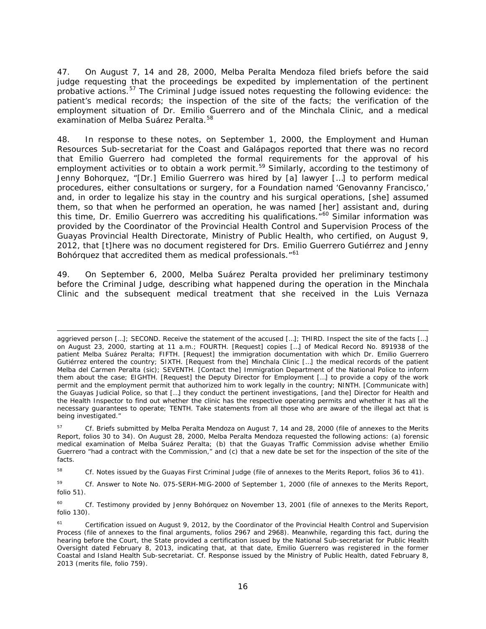47. On August 7, 14 and 28, 2000, Melba Peralta Mendoza filed briefs before the said judge requesting that the proceedings be expedited by implementation of the pertinent probative actions.<sup>[57](#page-15-0)</sup> The Criminal Judge issued notes requesting the following evidence: the patient's medical records; the inspection of the site of the facts; the verification of the employment situation of Dr. Emilio Guerrero and of the Minchala Clinic, and a medical examination of Melba Suárez Peralta.<sup>[58](#page-15-1)</sup>

48. In response to these notes, on September 1, 2000, the Employment and Human Resources Sub-secretariat for the Coast and Galápagos reported that there was no record that Emilio Guerrero had completed the formal requirements for the approval of his employment activities or to obtain a work permit.<sup>[59](#page-15-2)</sup> Similarly, according to the testimony of Jenny Bohorquez, "[Dr.] Emilio Guerrero was hired by [a] lawyer […] to perform medical procedures, either consultations or surgery, for a Foundation named 'Genovanny Francisco,' and, in order to legalize his stay in the country and his surgical operations, [she] assumed them, so that when he performed an operation, he was named [her] assistant and, during this time, Dr. Emilio Guerrero was accrediting his qualifications.<sup>"[60](#page-15-3)</sup> Similar information was provided by the Coordinator of the Provincial Health Control and Supervision Process of the Guayas Provincial Health Directorate, Ministry of Public Health, who certified, on August 9, 2012, that [t]here was no document registered for Drs. Emilio Guerrero Gutiérrez and Jenny Bohórquez that accredited them as medical professionals."<sup>[61](#page-15-4)</sup>

49. On September 6, 2000, Melba Suárez Peralta provided her preliminary testimony before the Criminal Judge, describing what happened during the operation in the Minchala Clinic and the subsequent medical treatment that she received in the Luis Vernaza

i,

aggrieved person [...]; SECOND. Receive the statement of the accused [...]; THIRD. Inspect the site of the facts [...] on August 23, 2000, starting at 11 a.m.; FOURTH. [Request] copies […] of Medical Record No. 891938 of the patient Melba Suárez Peralta; FIFTH. [Request] the immigration documentation with which Dr. Emilio Guerrero Gutiérrez entered the country; SIXTH. [Request from the] Minchala Clinic […] the medical records of the patient Melba del Carmen Peralta (*sic*); SEVENTH. [Contact the] Immigration Department of the National Police to inform them about the case; EIGHTH. [Request] the Deputy Director for Employment […] to provide a copy of the work permit and the employment permit that authorized him to work legally in the country; NINTH. [Communicate with] the Guayas Judicial Police, so that […] they conduct the pertinent investigations, [and the] Director for Health and the Health Inspector to find out whether the clinic has the respective operating permits and whether it has all the necessary guarantees to operate; TENTH. Take statements from all those who are aware of the illegal act that is being investigated."

<span id="page-15-0"></span><sup>57</sup> *Cf.* Briefs submitted by Melba Peralta Mendoza on August 7, 14 and 28, 2000 (file of annexes to the Merits Report, folios 30 to 34). On August 28, 2000, Melba Peralta Mendoza requested the following actions: (a) forensic medical examination of Melba Suárez Peralta; (b) that the Guayas Traffic Commission advise whether Emilio Guerrero "had a contract with the Commission," and (c) that a new date be set for the inspection of the site of the facts.

<span id="page-15-1"></span><sup>58</sup> *Cf.* Notes issued by the Guayas First Criminal Judge (file of annexes to the Merits Report, folios 36 to 41).

<span id="page-15-2"></span><sup>59</sup> *Cf.* Answer to Note No. 075-SERH-MIG-2000 of September 1, 2000 (file of annexes to the Merits Report, folio 51).

<span id="page-15-3"></span><sup>&</sup>lt;sup>60</sup> *Cf.* Testimony provided by Jenny Bohórquez on November 13, 2001 (file of annexes to the Merits Report, folio 130).

<span id="page-15-4"></span><sup>&</sup>lt;sup>61</sup> Certification issued on August 9, 2012, by the Coordinator of the Provincial Health Control and Supervision Process (file of annexes to the final arguments, folios 2967 and 2968). Meanwhile, regarding this fact, during the hearing before the Court, the State provided a certification issued by the National Sub-secretariat for Public Health Oversight dated February 8, 2013, indicating that, at that date, Emilio Guerrero was registered in the former Coastal and Island Health Sub-secretariat. *Cf.* Response issued by the Ministry of Public Health, dated February 8, 2013 (merits file, folio 759).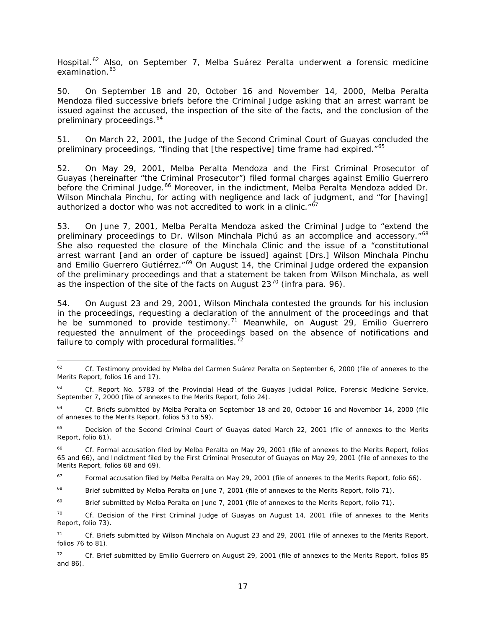Hospital.<sup>[62](#page-16-0)</sup> Also, on September 7, Melba Suárez Peralta underwent a forensic medicine examination.<sup>[63](#page-16-1)</sup>

50. On September 18 and 20, October 16 and November 14, 2000, Melba Peralta Mendoza filed successive briefs before the Criminal Judge asking that an arrest warrant be issued against the accused, the inspection of the site of the facts, and the conclusion of the preliminary proceedings.<sup>[64](#page-16-2)</sup>

51. On March 22, 2001, the Judge of the Second Criminal Court of Guayas concluded the preliminary proceedings, "finding that [the respective] time frame had expired."<sup>[65](#page-16-3)</sup>

52. On May 29, 2001, Melba Peralta Mendoza and the First Criminal Prosecutor of Guayas (hereinafter "the Criminal Prosecutor") filed formal charges against Emilio Guerrero before the Criminal Judge.<sup>[66](#page-16-4)</sup> Moreover, in the indictment, Melba Peralta Mendoza added Dr. Wilson Minchala Pinchu, for acting with negligence and lack of judgment, and "for [having] authorized a doctor who was not accredited to work in a clinic." $\delta$ <sup>7</sup>

53. On June 7, 2001, Melba Peralta Mendoza asked the Criminal Judge to "extend the preliminary proceedings to Dr. Wilson Minchala Pichú as an accomplice and accessory."<sup>[68](#page-16-6)</sup> She also requested the closure of the Minchala Clinic and the issue of a "constitutional arrest warrant [and an order of capture be issued] against [Drs.] Wilson Minchala Pinchu and Emilio Guerrero Gutiérrez."<sup>[69](#page-16-7)</sup> On August 14, the Criminal Judge ordered the expansion of the preliminary proceedings and that a statement be taken from Wilson Minchala, as well as the inspection of the site of the facts on August 23[70](#page-16-8) (*infra* para. 96).

54. On August 23 and 29, 2001, Wilson Minchala contested the grounds for his inclusion in the proceedings, requesting a declaration of the annulment of the proceedings and that he be summoned to provide testimony.<sup>[71](#page-16-9)</sup> Meanwhile, on August 29, Emilio Guerrero requested the annulment of the proceedings based on the absence of notifications and failure to comply with procedural formalities. $72$ 

<span id="page-16-0"></span> <sup>62</sup> *Cf.* Testimony provided by Melba del Carmen Suárez Peralta on September 6, 2000 (file of annexes to the Merits Report, folios 16 and 17).

<span id="page-16-1"></span><sup>63</sup> *Cf.* Report No. 5783 of the Provincial Head of the Guayas Judicial Police, Forensic Medicine Service, September 7, 2000 (file of annexes to the Merits Report, folio 24).

<span id="page-16-2"></span><sup>64</sup> *Cf.* Briefs submitted by Melba Peralta on September 18 and 20, October 16 and November 14, 2000 (file of annexes to the Merits Report, folios 53 to 59).

<span id="page-16-3"></span><sup>&</sup>lt;sup>65</sup> Decision of the Second Criminal Court of Guayas dated March 22, 2001 (file of annexes to the Merits Report, folio 61).

<span id="page-16-4"></span><sup>66</sup> *Cf.* Formal accusation filed by Melba Peralta on May 29, 2001 (file of annexes to the Merits Report, folios 65 and 66), and Indictment filed by the First Criminal Prosecutor of Guayas on May 29, 2001 (file of annexes to the Merits Report, folios 68 and 69).

<span id="page-16-5"></span> $67$  Formal accusation filed by Melba Peralta on May 29, 2001 (file of annexes to the Merits Report, folio 66).

<span id="page-16-6"></span><sup>&</sup>lt;sup>68</sup> Brief submitted by Melba Peralta on June 7, 2001 (file of annexes to the Merits Report, folio 71).

<span id="page-16-7"></span><sup>&</sup>lt;sup>69</sup> Brief submitted by Melba Peralta on June 7, 2001 (file of annexes to the Merits Report, folio 71).

<span id="page-16-8"></span><sup>70</sup> *Cf.* Decision of the First Criminal Judge of Guayas on August 14, 2001 (file of annexes to the Merits Report, folio 73).

<span id="page-16-9"></span><sup>71</sup> *Cf.* Briefs submitted by Wilson Minchala on August 23 and 29, 2001 (file of annexes to the Merits Report, folios 76 to 81).

<span id="page-16-10"></span><sup>72</sup> *Cf.* Brief submitted by Emilio Guerrero on August 29, 2001 (file of annexes to the Merits Report, folios 85 and 86).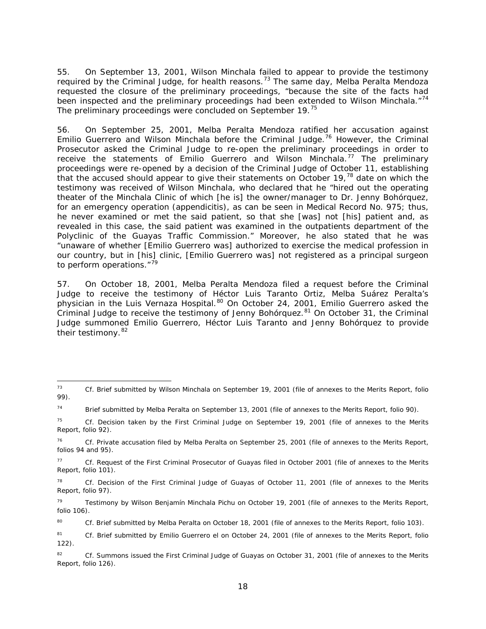55. On September 13, 2001, Wilson Minchala failed to appear to provide the testimony required by the Criminal Judge, for health reasons.<sup>[73](#page-17-0)</sup> The same day, Melba Peralta Mendoza requested the closure of the preliminary proceedings, "because the site of the facts had been inspected and the preliminary proceedings had been extended to Wilson Minchala."<sup>[74](#page-17-1)</sup> The preliminary proceedings were concluded on September 19.<sup>[75](#page-17-2)</sup>

56. On September 25, 2001, Melba Peralta Mendoza ratified her accusation against Emilio Guerrero and Wilson Minchala before the Criminal Judge.<sup>[76](#page-17-3)</sup> However, the Criminal Prosecutor asked the Criminal Judge to re-open the preliminary proceedings in order to receive the statements of Emilio Guerrero and Wilson Minchala.<sup>[77](#page-17-4)</sup> The preliminary proceedings were re-opened by a decision of the Criminal Judge of October 11, establishing that the accused should appear to give their statements on October 19,<sup>[78](#page-17-5)</sup> date on which the testimony was received of Wilson Minchala, who declared that he "hired out the operating theater of the Minchala Clinic of which [he is] the owner/manager to Dr. Jenny Bohórquez, for an emergency operation (appendicitis), as can be seen in Medical Record No. 975; thus, he never examined or met the said patient, so that she [was] not [his] patient and, as revealed in this case, the said patient was examined in the outpatients department of the Polyclinic of the Guayas Traffic Commission." Moreover, he also stated that he was "unaware of whether [Emilio Guerrero was] authorized to exercise the medical profession in our country, but in [his] clinic, [Emilio Guerrero was] not registered as a principal surgeon to perform operations."<sup>[79](#page-17-6)</sup>

57. On October 18, 2001, Melba Peralta Mendoza filed a request before the Criminal Judge to receive the testimony of Héctor Luis Taranto Ortiz, Melba Suárez Peralta's physician in the Luis Vernaza Hospital.<sup>[80](#page-17-7)</sup> On October 24, 2001, Emilio Guerrero asked the Criminal Judge to receive the testimony of Jenny Bohórquez.<sup>[81](#page-17-8)</sup> On October 31, the Criminal Judge summoned Emilio Guerrero, Héctor Luis Taranto and Jenny Bohórquez to provide their testimony.<sup>[82](#page-17-9)</sup>

<span id="page-17-0"></span> <sup>73</sup> *Cf.* Brief submitted by Wilson Minchala on September 19, 2001 (file of annexes to the Merits Report, folio 99).

<span id="page-17-1"></span><sup>&</sup>lt;sup>74</sup> Brief submitted by Melba Peralta on September 13, 2001 (file of annexes to the Merits Report, folio 90).

<span id="page-17-2"></span><sup>75</sup> *Cf.* Decision taken by the First Criminal Judge on September 19, 2001 (file of annexes to the Merits Report, folio 92).

<span id="page-17-3"></span><sup>76</sup> *Cf.* Private accusation filed by Melba Peralta on September 25, 2001 (file of annexes to the Merits Report, folios 94 and 95).

<span id="page-17-4"></span><sup>77</sup> *Cf.* Request of the First Criminal Prosecutor of Guayas filed in October 2001 (file of annexes to the Merits Report, folio 101).

<span id="page-17-5"></span><sup>78</sup> *Cf.* Decision of the First Criminal Judge of Guayas of October 11, 2001 (file of annexes to the Merits Report, folio 97).

<span id="page-17-6"></span><sup>&</sup>lt;sup>79</sup> Testimony by Wilson Benjamín Minchala Pichu on October 19, 2001 (file of annexes to the Merits Report, folio 106).

<span id="page-17-7"></span><sup>80</sup> *Cf.* Brief submitted by Melba Peralta on October 18, 2001 (file of annexes to the Merits Report, folio 103).

<span id="page-17-8"></span><sup>81</sup> *Cf.* Brief submitted by Emilio Guerrero el on October 24, 2001 (file of annexes to the Merits Report, folio 122).

<span id="page-17-9"></span><sup>&</sup>lt;sup>82</sup> *Cf.* Summons issued the First Criminal Judge of Guayas on October 31, 2001 (file of annexes to the Merits Report, folio 126).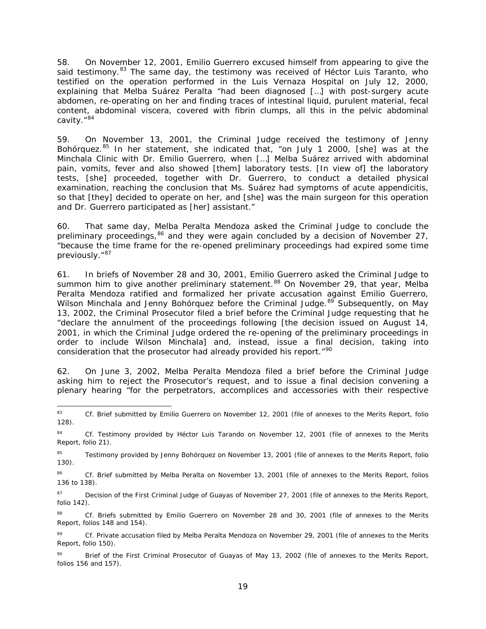58. On November 12, 2001, Emilio Guerrero excused himself from appearing to give the said testimony. $83$  The same day, the testimony was received of Héctor Luis Taranto, who testified on the operation performed in the Luis Vernaza Hospital on July 12, 2000, explaining that Melba Suárez Peralta "had been diagnosed […] with post-surgery acute abdomen, re-operating on her and finding traces of intestinal liquid, purulent material, fecal content, abdominal viscera, covered with fibrin clumps, all this in the pelvic abdominal cavity."<sup>[84](#page-18-1)</sup>

59. On November 13, 2001, the Criminal Judge received the testimony of Jenny Bohórquez.<sup>[85](#page-18-2)</sup> In her statement, she indicated that, "on July 1 2000, [she] was at the Minchala Clinic with Dr. Emilio Guerrero, when […] Melba Suárez arrived with abdominal pain, vomits, fever and also showed [them] laboratory tests. [In view of] the laboratory tests, [she] proceeded, together with Dr. Guerrero, to conduct a detailed physical examination, reaching the conclusion that Ms. Suárez had symptoms of acute appendicitis, so that [they] decided to operate on her, and [she] was the main surgeon for this operation and Dr. Guerrero participated as [her] assistant."

60. That same day, Melba Peralta Mendoza asked the Criminal Judge to conclude the preliminary proceedings,  $86$  and they were again concluded by a decision of November 27, "because the time frame for the re-opened preliminary proceedings had expired some time previously."<sup>[87](#page-18-4)</sup>

61. In briefs of November 28 and 30, 2001, Emilio Guerrero asked the Criminal Judge to summon him to give another preliminary statement.<sup>[88](#page-18-5)</sup> On November 29, that year, Melba Peralta Mendoza ratified and formalized her private accusation against Emilio Guerrero, Wilson Minchala and Jenny Bohórquez before the Criminal Judge.<sup>[89](#page-18-6)</sup> Subsequently, on May 13, 2002, the Criminal Prosecutor filed a brief before the Criminal Judge requesting that he "declare the annulment of the proceedings following [the decision issued on August 14, 2001, in which the Criminal Judge ordered the re-opening of the preliminary proceedings in order to include Wilson Minchala] and, instead, issue a final decision, taking into consideration that the prosecutor had already provided his report."<sup>[90](#page-18-7)</sup>

62. On June 3, 2002, Melba Peralta Mendoza filed a brief before the Criminal Judge asking him to reject the Prosecutor's request, and to issue a final decision convening a plenary hearing "for the perpetrators, accomplices and accessories with their respective

<span id="page-18-4"></span>87 Decision of the First Criminal Judge of Guayas of November 27, 2001 (file of annexes to the Merits Report, folio 142).

<span id="page-18-0"></span><sup>83</sup> *Cf.* Brief submitted by Emilio Guerrero on November 12, 2001 (file of annexes to the Merits Report, folio 128).

<span id="page-18-1"></span><sup>84</sup> *Cf.* Testimony provided by Héctor Luis Tarando on November 12, 2001 (file of annexes to the Merits Report, folio 21).

<span id="page-18-2"></span><sup>&</sup>lt;sup>85</sup> Testimony provided by Jenny Bohórquez on November 13, 2001 (file of annexes to the Merits Report, folio 130).

<span id="page-18-3"></span><sup>86</sup> *Cf.* Brief submitted by Melba Peralta on November 13, 2001 (file of annexes to the Merits Report, folios 136 to 138).

<span id="page-18-5"></span><sup>88</sup> Cf. Briefs submitted by Emilio Guerrero on November 28 and 30, 2001 (file of annexes to the Merits Report, folios 148 and 154).

<span id="page-18-6"></span><sup>89</sup> *Cf.* Private accusation filed by Melba Peralta Mendoza on November 29, 2001 (file of annexes to the Merits Report, folio 150).

<span id="page-18-7"></span><sup>90</sup> Brief of the First Criminal Prosecutor of Guayas of May 13, 2002 (file of annexes to the Merits Report, folios 156 and 157).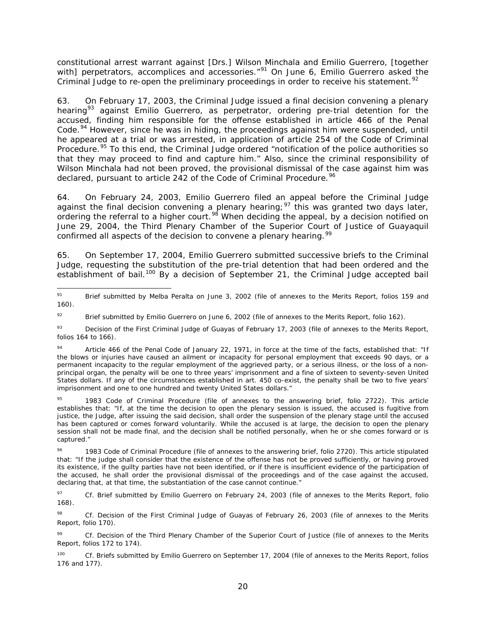constitutional arrest warrant against [Drs.] Wilson Minchala and Emilio Guerrero, [together with] perpetrators, accomplices and accessories."<sup>[91](#page-19-0)</sup> On June 6, Emilio Guerrero asked the Criminal Judge to re-open the preliminary proceedings in order to receive his statement.<sup>[92](#page-19-1)</sup>

63. On February 17, 2003, the Criminal Judge issued a final decision convening a plenary hearing<sup>[93](#page-19-2)</sup> against Emilio Guerrero, as perpetrator, ordering pre-trial detention for the accused, finding him responsible for the offense established in article 466 of the Penal Code.<sup>[94](#page-19-3)</sup> However, since he was in hiding, the proceedings against him were suspended, until he appeared at a trial or was arrested, in application of article 254 of the Code of Criminal Procedure.<sup>[95](#page-19-4)</sup> To this end, the Criminal Judge ordered "notification of the police authorities so that they may proceed to find and capture him." Also, since the criminal responsibility of Wilson Minchala had not been proved, the provisional dismissal of the case against him was declared, pursuant to article 242 of the Code of Criminal Procedure.<sup>[96](#page-19-5)</sup>

64. On February 24, 2003, Emilio Guerrero filed an appeal before the Criminal Judge against the final decision convening a plenary hearing;<sup>[97](#page-19-6)</sup> this was granted two days later, ordering the referral to a higher court.<sup>[98](#page-19-7)</sup> When deciding the appeal, by a decision notified on June 29, 2004, the Third Plenary Chamber of the Superior Court of Justice of Guayaquil confirmed all aspects of the decision to convene a plenary hearing.<sup>[99](#page-19-8)</sup>

65. On September 17, 2004, Emilio Guerrero submitted successive briefs to the Criminal Judge, requesting the substitution of the pre-trial detention that had been ordered and the establishment of bail.<sup>[100](#page-19-9)</sup> By a decision of September 21, the Criminal Judge accepted bail

<span id="page-19-0"></span><sup>91</sup> Brief submitted by Melba Peralta on June 3, 2002 (file of annexes to the Merits Report, folios 159 and 160).

<span id="page-19-1"></span><sup>&</sup>lt;sup>92</sup> Brief submitted by Emilio Guerrero on June 6, 2002 (file of annexes to the Merits Report, folio 162).

<span id="page-19-2"></span><sup>&</sup>lt;sup>93</sup> Decision of the First Criminal Judge of Guayas of February 17, 2003 (file of annexes to the Merits Report, folios 164 to 166).

<span id="page-19-3"></span>Article 466 of the Penal Code of January 22, 1971, in force at the time of the facts, established that: "If the blows or injuries have caused an ailment or incapacity for personal employment that exceeds 90 days, or a permanent incapacity to the regular employment of the aggrieved party, or a serious illness, or the loss of a nonprincipal organ, the penalty will be one to three years' imprisonment and a fine of sixteen to seventy-seven United States dollars. If any of the circumstances established in art. 450 co-exist, the penalty shall be two to five years' imprisonment and one to one hundred and twenty United States dollars."

<span id="page-19-4"></span><sup>1983</sup> Code of Criminal Procedure (file of annexes to the answering brief, folio 2722). This article establishes that: "If, at the time the decision to open the plenary session is issued, the accused is fugitive from justice, the Judge, after issuing the said decision, shall order the suspension of the plenary stage until the accused has been captured or comes forward voluntarily. While the accused is at large, the decision to open the plenary session shall not be made final, and the decision shall be notified personally, when he or she comes forward or is captured."

<span id="page-19-5"></span><sup>&</sup>lt;sup>96</sup> 1983 Code of Criminal Procedure (file of annexes to the answering brief, folio 2720). This article stipulated that: "If the judge shall consider that the existence of the offense has not be proved sufficiently, or having proved its existence, if the guilty parties have not been identified, or if there is insufficient evidence of the participation of the accused, he shall order the provisional dismissal of the proceedings and of the case against the accused, declaring that, at that time, the substantiation of the case cannot continue."

<span id="page-19-6"></span><sup>97</sup> *Cf.* Brief submitted by Emilio Guerrero on February 24, 2003 (file of annexes to the Merits Report, folio 168).

<span id="page-19-7"></span><sup>98</sup> *Cf.* Decision of the First Criminal Judge of Guayas of February 26, 2003 (file of annexes to the Merits Report, folio 170).

<span id="page-19-8"></span><sup>99</sup> *Cf.* Decision of the Third Plenary Chamber of the Superior Court of Justice (file of annexes to the Merits Report, folios 172 to 174).

<span id="page-19-9"></span><sup>&</sup>lt;sup>100</sup> *Cf.* Briefs submitted by Emilio Guerrero on September 17, 2004 (file of annexes to the Merits Report, folios 176 and 177).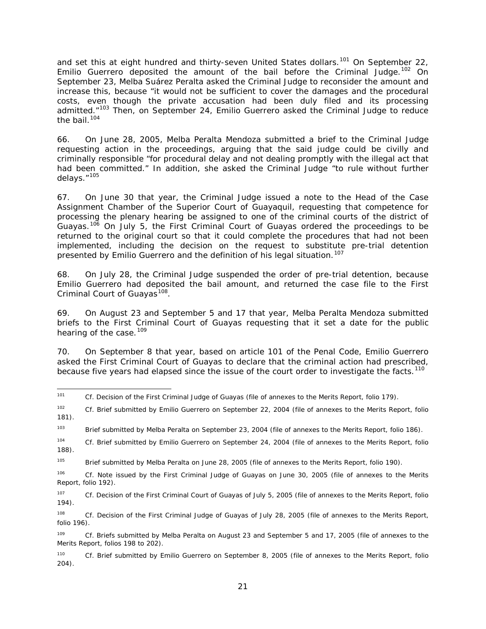and set this at eight hundred and thirty-seven United States dollars.<sup>[101](#page-20-0)</sup> On September 22, Emilio Guerrero deposited the amount of the bail before the Criminal Judge.<sup>[102](#page-20-1)</sup> On September 23, Melba Suárez Peralta asked the Criminal Judge to reconsider the amount and increase this, because "it would not be sufficient to cover the damages and the procedural costs, even though the private accusation had been duly filed and its processing admitted."<sup>[103](#page-20-2)</sup> Then, on September 24, Emilio Guerrero asked the Criminal Judge to reduce the bail.<sup>[104](#page-20-3)</sup>

66. On June 28, 2005, Melba Peralta Mendoza submitted a brief to the Criminal Judge requesting action in the proceedings, arguing that the said judge could be civilly and criminally responsible "for procedural delay and not dealing promptly with the illegal act that had been committed." In addition, she asked the Criminal Judge "to rule without further delays."[105](#page-20-4)

67. On June 30 that year, the Criminal Judge issued a note to the Head of the Case Assignment Chamber of the Superior Court of Guayaquil, requesting that competence for processing the plenary hearing be assigned to one of the criminal courts of the district of Guayas.<sup>[106](#page-20-5)</sup> On July 5, the First Criminal Court of Guayas ordered the proceedings to be returned to the original court so that it could complete the procedures that had not been implemented, including the decision on the request to substitute pre-trial detention presented by Emilio Guerrero and the definition of his legal situation.<sup>[107](#page-20-6)</sup>

68. On July 28, the Criminal Judge suspended the order of pre-trial detention, because Emilio Guerrero had deposited the bail amount, and returned the case file to the First Criminal Court of Guayas<sup>[108](#page-20-7)</sup>.

69. On August 23 and September 5 and 17 that year, Melba Peralta Mendoza submitted briefs to the First Criminal Court of Guayas requesting that it set a date for the public hearing of the case.<sup>[109](#page-20-8)</sup>

70. On September 8 that year, based on article 101 of the Penal Code, Emilio Guerrero asked the First Criminal Court of Guayas to declare that the criminal action had prescribed, because five years had elapsed since the issue of the court order to investigate the facts.<sup>[110](#page-20-9)</sup>

<span id="page-20-0"></span> <sup>101</sup> *Cf.* Decision of the First Criminal Judge of Guayas (file of annexes to the Merits Report, folio 179).

<span id="page-20-1"></span><sup>102</sup> *Cf.* Brief submitted by Emilio Guerrero on September 22, 2004 (file of annexes to the Merits Report, folio 181).

<span id="page-20-2"></span><sup>&</sup>lt;sup>103</sup> Brief submitted by Melba Peralta on September 23, 2004 (file of annexes to the Merits Report, folio 186).

<span id="page-20-3"></span><sup>104</sup> *Cf.* Brief submitted by Emilio Guerrero on September 24, 2004 (file of annexes to the Merits Report, folio 188).

<span id="page-20-4"></span><sup>&</sup>lt;sup>105</sup> Brief submitted by Melba Peralta on June 28, 2005 (file of annexes to the Merits Report, folio 190).

<span id="page-20-5"></span><sup>106</sup> *Cf.* Note issued by the First Criminal Judge of Guayas on June 30, 2005 (file of annexes to the Merits Report, folio 192).

<span id="page-20-6"></span><sup>107</sup> *Cf.* Decision of the First Criminal Court of Guayas of July 5, 2005 (file of annexes to the Merits Report, folio 194).

<span id="page-20-7"></span><sup>108</sup> *Cf.* Decision of the First Criminal Judge of Guayas of July 28, 2005 (file of annexes to the Merits Report, folio 196).

<span id="page-20-8"></span><sup>109</sup> *Cf.* Briefs submitted by Melba Peralta on August 23 and September 5 and 17, 2005 (file of annexes to the Merits Report, folios 198 to 202).

<span id="page-20-9"></span><sup>110</sup> *Cf.* Brief submitted by Emilio Guerrero on September 8, 2005 (file of annexes to the Merits Report, folio 204).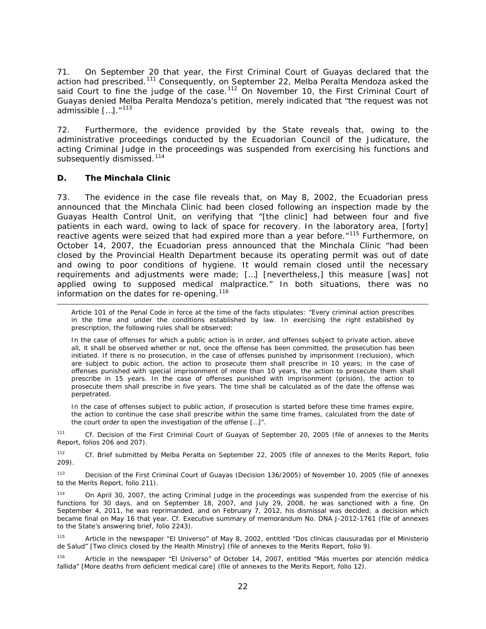71. On September 20 that year, the First Criminal Court of Guayas declared that the action had prescribed.<sup>[111](#page-21-0)</sup> Consequently, on September 22, Melba Peralta Mendoza asked the said Court to fine the judge of the case.<sup>[112](#page-21-1)</sup> On November 10, the First Criminal Court of Guayas denied Melba Peralta Mendoza's petition, merely indicated that "the request was not admissible […]."[113](#page-21-2)

72. Furthermore, the evidence provided by the State reveals that, owing to the administrative proceedings conducted by the Ecuadorian Council of the Judicature, the acting Criminal Judge in the proceedings was suspended from exercising his functions and subsequently dismissed.<sup>[114](#page-21-3)</sup>

#### *D. The Minchala Clinic*

i,

73. The evidence in the case file reveals that, on May 8, 2002, the Ecuadorian press announced that the Minchala Clinic had been closed following an inspection made by the Guayas Health Control Unit, on verifying that "[the clinic] had between four and five patients in each ward, owing to lack of space for recovery. In the laboratory area, [forty] reactive agents were seized that had expired more than a year before."<sup>[115](#page-21-4)</sup> Furthermore, on October 14, 2007, the Ecuadorian press announced that the Minchala Clinic "had been closed by the Provincial Health Department because its operating permit was out of date and owing to poor conditions of hygiene. It would remain closed until the necessary requirements and adjustments were made; […] [nevertheless,] this measure [was] not applied owing to supposed medical malpractice." In both situations, there was no information on the dates for re-opening.<sup>[116](#page-21-5)</sup>

Article 101 of the Penal Code in force at the time of the facts stipulates: "Every criminal action prescribes in the time and under the conditions established by law. In exercising the right established by prescription, the following rules shall be observed:

In the case of offenses for which a public action is in order, and offenses subject to private action, above all, it shall be observed whether or not, once the offense has been committed, the prosecution has been initiated. If there is no prosecution, in the case of offenses punished by imprisonment (*reclusion*), which are subject to pubic action, the action to prosecute them shall prescribe in 10 years; in the case of offenses punished with special imprisonment of more than 10 years, the action to prosecute them shall prescribe in 15 years. In the case of offenses punished with imprisonment (*prisión*), the action to prosecute them shall prescribe in five years. The time shall be calculated as of the date the offense was perpetrated.

In the case of offenses subject to public action, if prosecution is started before these time frames expire, the action to continue the case shall prescribe within the same time frames, calculated from the date of the court order to open the investigation of the offense […]".

<span id="page-21-0"></span><sup>111</sup> *Cf.* Decision of the First Criminal Court of Guayas of September 20, 2005 (file of annexes to the Merits Report, folios 206 and 207).

<span id="page-21-1"></span><sup>112</sup> *Cf.* Brief submitted by Melba Peralta on September 22, 2005 (file of annexes to the Merits Report, folio 209).

<span id="page-21-2"></span><sup>113</sup> Decision of the First Criminal Court of Guayas (Decision 136/2005) of November 10, 2005 (file of annexes to the Merits Report, folio 211).

<span id="page-21-3"></span>114 On April 30, 2007, the acting Criminal Judge in the proceedings was suspended from the exercise of his functions for 30 days, and on September 18, 2007, and July 29, 2008, he was sanctioned with a fine. On September 4, 2011, he was reprimanded, and on February 7, 2012, his dismissal was decided; a decision which became final on May 16 that year. *Cf.* Executive summary of memorandum No. DNA J-2012-1761 (file of annexes to the State's answering brief, folio 2243).

<span id="page-21-4"></span><sup>115</sup> Article in the newspaper "*El Universo*" of May 8, 2002, entitled "*Dos clínicas clausuradas por el Ministerio de Salud"* [Two clinics closed by the Health Ministry] (file of annexes to the Merits Report, folio 9).

<span id="page-21-5"></span><sup>116</sup> Article in the newspaper "*El Universo"* of October 14, 2007, entitled "*Más muertes por atención médica fallida*" [More deaths from deficient medical care] (file of annexes to the Merits Report, folio 12).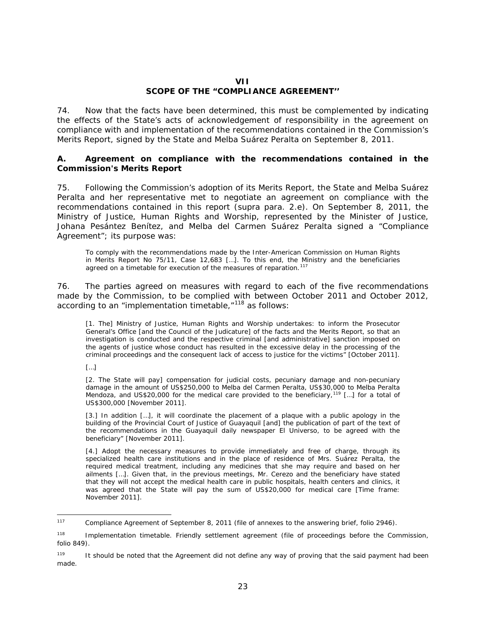## **VII SCOPE OF THE "COMPLIANCE AGREEMENT''**

74. Now that the facts have been determined, this must be complemented by indicating the effects of the State's acts of acknowledgement of responsibility in the agreement on compliance with and implementation of the recommendations contained in the Commission's Merits Report, signed by the State and Melba Suárez Peralta on September 8, 2011.

### <span id="page-22-0"></span>*A. Agreement on compliance with the recommendations contained in the Commission's Merits Report*

75. Following the Commission's adoption of its Merits Report, the State and Melba Suárez Peralta and her representative met to negotiate an agreement on compliance with the recommendations contained in this report (*supra* para. 2.e). On September 8, 2011, the Ministry of Justice, Human Rights and Worship, represented by the Minister of Justice, Johana Pesántez Benítez, and Melba del Carmen Suárez Peralta signed a "Compliance Agreement"; its purpose was:

To comply with the recommendations made by the Inter-American Commission on Human Rights in Merits Report No 75/11, Case 12,683 […]. To this end, the Ministry and the beneficiaries agreed on a timetable for execution of the measures of reparation.<sup>[117](#page-22-1)</sup>

76. The parties agreed on measures with regard to each of the five recommendations made by the Commission, to be complied with between October 2011 and October 2012, according to an "implementation timetable, $"118$  $"118$  as follows:

[1. The] Ministry of Justice, Human Rights and Worship undertakes: to inform the Prosecutor General's Office [and the Council of the Judicature] of the facts and the Merits Report, so that an investigation is conducted and the respective criminal [and administrative] sanction imposed on the agents of justice whose conduct has resulted in the excessive delay in the processing of the criminal proceedings and the consequent lack of access to justice for the victims" [October 2011].

[…]

[2. The State will pay] compensation for judicial costs, pecuniary damage and non-pecuniary damage in the amount of US\$250,000 to Melba del Carmen Peralta, US\$30,000 to Melba Peralta Mendoza, and US\$20,000 for the medical care provided to the beneficiary,<sup>[119](#page-22-3)</sup> [...] for a total of US\$300,000 [November 2011].

[3.] In addition […], it will coordinate the placement of a plaque with a public apology in the building of the Provincial Court of Justice of Guayaquil [and] the publication of part of the text of the recommendations in the Guayaquil daily newspaper *El Universo*, to be agreed with the beneficiary" [November 2011].

[4.] Adopt the necessary measures to provide immediately and free of charge, through its specialized health care institutions and in the place of residence of Mrs. Suárez Peralta, the required medical treatment, including any medicines that she may require and based on her ailments […]. Given that, in the previous meetings, Mr. Cerezo and the beneficiary have stated that they will not accept the medical health care in public hospitals, health centers and clinics, it was agreed that the State will pay the sum of US\$20,000 for medical care [Time frame: November 2011].

<span id="page-22-1"></span> <sup>117</sup> Compliance Agreement of September 8, 2011 (file of annexes to the answering brief, folio 2946).

<span id="page-22-2"></span><sup>118</sup> Implementation timetable. Friendly settlement agreement (file of proceedings before the Commission, folio 849).

<span id="page-22-3"></span><sup>&</sup>lt;sup>119</sup> It should be noted that the Agreement did not define any way of proving that the said payment had been made.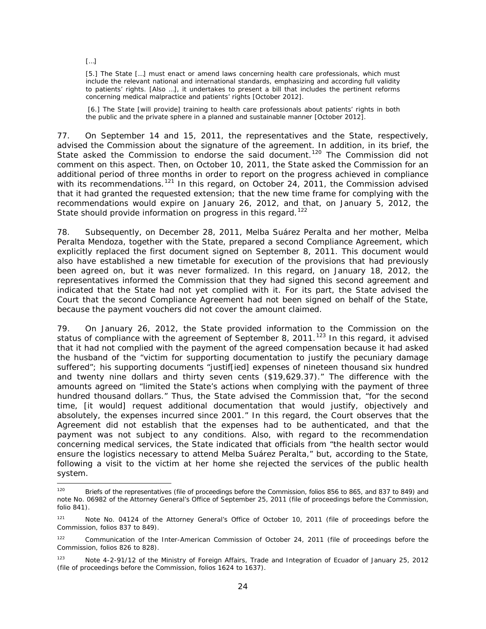[…]

[5.] The State [...] must enact or amend laws concerning health care professionals, which must include the relevant national and international standards, emphasizing and according full validity to patients' rights. [Also …], it undertakes to present a bill that includes the pertinent reforms concerning medical malpractice and patients' rights [October 2012].

[6.] The State [will provide] training to health care professionals about patients' rights in both the public and the private sphere in a planned and sustainable manner [October 2012].

77. On September 14 and 15, 2011, the representatives and the State, respectively, advised the Commission about the signature of the agreement. In addition, in its brief, the State asked the Commission to endorse the said document.<sup>[120](#page-23-0)</sup> The Commission did not comment on this aspect. Then, on October 10, 2011, the State asked the Commission for an additional period of three months in order to report on the progress achieved in compliance with its recommendations.<sup>[121](#page-23-1)</sup> In this regard, on October 24, 2011, the Commission advised that it had granted the requested extension; that the new time frame for complying with the recommendations would expire on January 26, 2012, and that, on January 5, 2012, the State should provide information on progress in this regard.<sup>[122](#page-23-2)</sup>

78. Subsequently, on December 28, 2011, Melba Suárez Peralta and her mother, Melba Peralta Mendoza, together with the State, prepared a second Compliance Agreement, which explicitly replaced the first document signed on September 8, 2011. This document would also have established a new timetable for execution of the provisions that had previously been agreed on, but it was never formalized. In this regard, on January 18, 2012, the representatives informed the Commission that they had signed this second agreement and indicated that the State had not yet complied with it. For its part, the State advised the Court that the second Compliance Agreement had not been signed on behalf of the State, because the payment vouchers did not cover the amount claimed.

79. On January 26, 2012, the State provided information to the Commission on the status of compliance with the agreement of September 8, 2011.<sup>[123](#page-23-3)</sup> In this regard, it advised that it had not complied with the payment of the agreed compensation because it had asked the husband of the "victim for supporting documentation to justify the pecuniary damage suffered"; his supporting documents "justif[ied] expenses of nineteen thousand six hundred and twenty nine dollars and thirty seven cents (\$19,629.37)." The difference with the amounts agreed on "limited the State's actions when complying with the payment of three hundred thousand dollars." Thus, the State advised the Commission that, "for the second time, [it would] request additional documentation that would justify, objectively and absolutely, the expenses incurred since 2001." In this regard, the Court observes that the Agreement did not establish that the expenses had to be authenticated, and that the payment was not subject to any conditions. Also, with regard to the recommendation concerning medical services, the State indicated that officials from "the health sector would ensure the logistics necessary to attend Melba Suárez Peralta," but, according to the State, following a visit to the victim at her home she rejected the services of the public health system.

<span id="page-23-0"></span><sup>&</sup>lt;sup>120</sup> Briefs of the representatives (file of proceedings before the Commission, folios 856 to 865, and 837 to 849) and note No. 06982 of the Attorney General's Office of September 25, 2011 (file of proceedings before the Commission, folio 841).

<span id="page-23-1"></span><sup>121</sup> Note No. 04124 of the Attorney General's Office of October 10, 2011 (file of proceedings before the Commission, folios 837 to 849).

<span id="page-23-2"></span><sup>&</sup>lt;sup>122</sup> Communication of the Inter-American Commission of October 24, 2011 (file of proceedings before the Commission, folios 826 to 828).

<span id="page-23-3"></span><sup>123</sup> Note 4-2-91/12 of the Ministry of Foreign Affairs, Trade and Integration of Ecuador of January 25, 2012 (file of proceedings before the Commission, folios 1624 to 1637).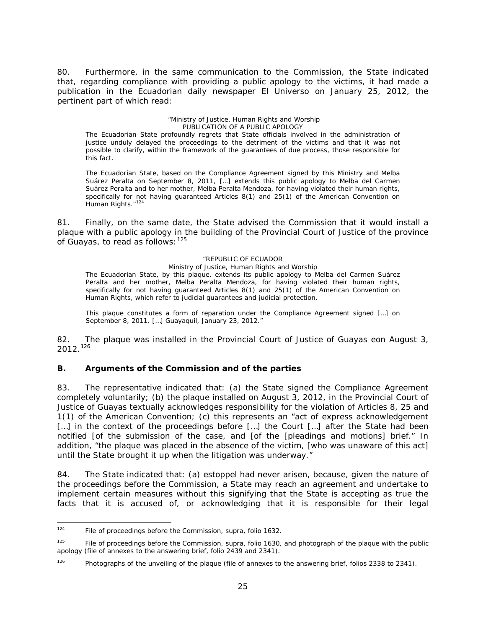80. Furthermore, in the same communication to the Commission, the State indicated that, regarding compliance with providing a public apology to the victims, it had made a publication in the Ecuadorian daily newspaper *El Universo* on January 25, 2012, the pertinent part of which read:

#### "Ministry of Justice, Human Rights and Worship PUBLICATION OF A PUBLIC APOLOGY

The Ecuadorian State profoundly regrets that State officials involved in the administration of justice unduly delayed the proceedings to the detriment of the victims and that it was not possible to clarify, within the framework of the guarantees of due process, those responsible for this fact.

The Ecuadorian State, based on the Compliance Agreement signed by this Ministry and Melba Suárez Peralta on September 8, 2011, […] extends this public apology to Melba del Carmen Suárez Peralta and to her mother, Melba Peralta Mendoza, for having violated their human rights, specifically for not having guaranteed Articles 8(1) and 25(1) of the American Convention on Human Rights."<sup>[124](#page-24-0)</sup>

81. Finally, on the same date, the State advised the Commission that it would install a plaque with a public apology in the building of the Provincial Court of Justice of the province of Guayas, to read as follows:  $125$ 

#### "REPUBLIC OF ECUADOR

Ministry of Justice, Human Rights and Worship The Ecuadorian State, by this plaque, extends its public apology to Melba del Carmen Suárez Peralta and her mother, Melba Peralta Mendoza, for having violated their human rights, specifically for not having guaranteed Articles 8(1) and 25(1) of the American Convention on Human Rights, which refer to judicial guarantees and judicial protection.

This plaque constitutes a form of reparation under the Compliance Agreement signed […] on September 8, 2011. […] Guayaquil, January 23, 2012."

82. The plaque was installed in the Provincial Court of Justice of Guayas eon August 3,  $2012.<sup>126</sup>$  $2012.<sup>126</sup>$  $2012.<sup>126</sup>$ 

## *B. Arguments of the Commission and of the parties*

83. The representative indicated that: (a) the State signed the Compliance Agreement completely voluntarily; (b) the plaque installed on August 3, 2012, in the Provincial Court of Justice of Guayas textually acknowledges responsibility for the violation of Articles 8, 25 and 1(1) of the American Convention; (c) this represents an "act of express acknowledgement [...] in the context of the proceedings before [...] the Court [...] after the State had been notified [of the submission of the case, and [of the [pleadings and motions] brief." In addition, "the plaque was placed in the absence of the victim, [who was unaware of this act] until the State brought it up when the litigation was underway."

84. The State indicated that: (a) *estoppel* had never arisen, because, given the nature of the proceedings before the Commission, a State may reach an agreement and undertake to implement certain measures without this signifying that the State is accepting as true the facts that it is accused of, or acknowledging that it is responsible for their legal

<span id="page-24-0"></span> <sup>124</sup> File of proceedings before the Commission, *supra*, folio 1632.

<span id="page-24-1"></span><sup>125</sup> File of proceedings before the Commission, *supra*, folio 1630, and photograph of the plaque with the public apology (file of annexes to the answering brief, folio 2439 and 2341).

<span id="page-24-2"></span><sup>&</sup>lt;sup>126</sup> Photographs of the unveiling of the plaque (file of annexes to the answering brief, folios 2338 to 2341).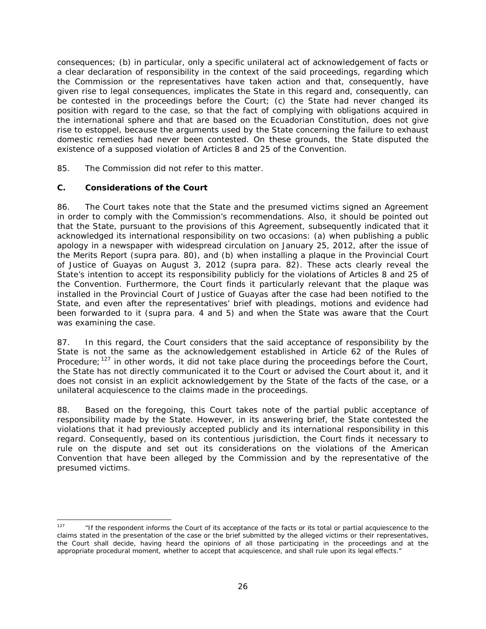consequences; (b) in particular, only a specific unilateral act of acknowledgement of facts or a clear declaration of responsibility in the context of the said proceedings, regarding which the Commission or the representatives have taken action and that, consequently, have given rise to legal consequences, implicates the State in this regard and, consequently, can be contested in the proceedings before the Court; (c) the State had never changed its position with regard to the case, so that the fact of complying with obligations acquired in the international sphere and that are based on the Ecuadorian Constitution, does not give rise to *estoppel*, because the arguments used by the State concerning the failure to exhaust domestic remedies had never been contested. On these grounds, the State disputed the existence of a supposed violation of Articles 8 and 25 of the Convention.

85. The Commission did not refer to this matter.

## *C. Considerations of the Court*

86. The Court takes note that the State and the presumed victims signed an Agreement in order to comply with the Commission's recommendations. Also, it should be pointed out that the State, pursuant to the provisions of this Agreement, subsequently indicated that it acknowledged its international responsibility on two occasions: (a) when publishing a public apology in a newspaper with widespread circulation on January 25, 2012, after the issue of the Merits Report (*supra* para. 80), and (b) when installing a plaque in the Provincial Court of Justice of Guayas on August 3, 2012 (*supra* para. 82). These acts clearly reveal the State's intention to accept its responsibility publicly for the violations of Articles 8 and 25 of the Convention. Furthermore, the Court finds it particularly relevant that the plaque was installed in the Provincial Court of Justice of Guayas after the case had been notified to the State, and even after the representatives' brief with pleadings, motions and evidence had been forwarded to it *(supra* para. 4 and 5) and when the State was aware that the Court was examining the case.

87. In this regard, the Court considers that the said acceptance of responsibility by the State is not the same as the acknowledgement established in Article 62 of the Rules of Procedure;  $127$  in other words, it did not take place during the proceedings before the Court, the State has not directly communicated it to the Court or advised the Court about it, and it does not consist in an explicit acknowledgement by the State of the facts of the case, or a unilateral acquiescence to the claims made in the proceedings.

88. Based on the foregoing, this Court takes note of the partial public acceptance of responsibility made by the State. However, in its answering brief, the State contested the violations that it had previously accepted publicly and its international responsibility in this regard. Consequently, based on its contentious jurisdiction, the Court finds it necessary to rule on the dispute and set out its considerations on the violations of the American Convention that have been alleged by the Commission and by the representative of the presumed victims.

<span id="page-25-0"></span><sup>&</sup>lt;sup>127</sup> "If the respondent informs the Court of its acceptance of the facts or its total or partial acquiescence to the claims stated in the presentation of the case or the brief submitted by the alleged victims or their representatives, the Court shall decide, having heard the opinions of all those participating in the proceedings and at the appropriate procedural moment, whether to accept that acquiescence, and shall rule upon its legal effects."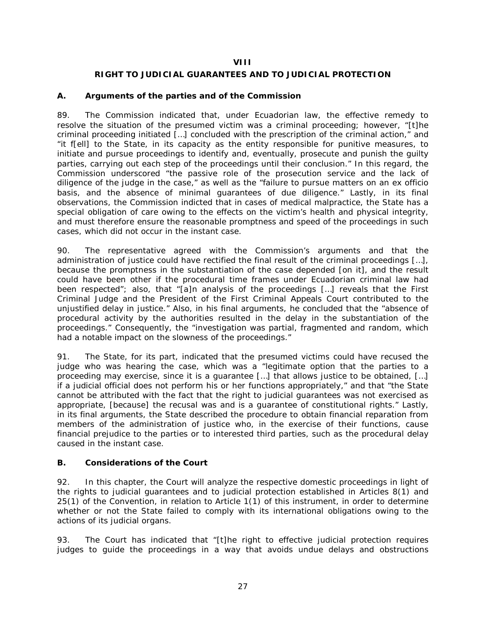### **VIII**

## **RIGHT TO JUDICIAL GUARANTEES AND TO JUDICIAL PROTECTION**

## <span id="page-26-0"></span>*A. Arguments of the parties and of the Commission*

89. The Commission indicated that, under Ecuadorian law, the effective remedy to resolve the situation of the presumed victim was a criminal proceeding; however, "[t]he criminal proceeding initiated […] concluded with the prescription of the criminal action," and "it f[ell] to the State, in its capacity as the entity responsible for punitive measures, to initiate and pursue proceedings to identify and, eventually, prosecute and punish the guilty parties, carrying out each step of the proceedings until their conclusion." In this regard, the Commission underscored "the passive role of the prosecution service and the lack of diligence of the judge in the case," as well as the "failure to pursue matters on an *ex officio* basis, and the absence of minimal guarantees of due diligence." Lastly, in its final observations, the Commission indicted that in cases of medical malpractice, the State has a special obligation of care owing to the effects on the victim's health and physical integrity, and must therefore ensure the reasonable promptness and speed of the proceedings in such cases, which did not occur in the instant case.

90. The representative agreed with the Commission's arguments and that the administration of justice could have rectified the final result of the criminal proceedings […], because the promptness in the substantiation of the case depended [on it], and the result could have been other if the procedural time frames under Ecuadorian criminal law had been respected"; also, that "[a]n analysis of the proceedings […] reveals that the First Criminal Judge and the President of the First Criminal Appeals Court contributed to the unjustified delay in justice." Also, in his final arguments, he concluded that the "absence of procedural activity by the authorities resulted in the delay in the substantiation of the proceedings." Consequently, the "investigation was partial, fragmented and random, which had a notable impact on the slowness of the proceedings."

91. The State, for its part, indicated that the presumed victims could have recused the judge who was hearing the case, which was a "legitimate option that the parties to a proceeding may exercise, since it is a guarantee […] that allows justice to be obtained, […] if a judicial official does not perform his or her functions appropriately," and that "the State cannot be attributed with the fact that the right to judicial guarantees was not exercised as appropriate, [because] the recusal was and is a guarantee of constitutional rights." Lastly, in its final arguments, the State described the procedure to obtain financial reparation from members of the administration of justice who, in the exercise of their functions, cause financial prejudice to the parties or to interested third parties, such as the procedural delay caused in the instant case.

## *B. Considerations of the Court*

92. In this chapter, the Court will analyze the respective domestic proceedings in light of the rights to judicial guarantees and to judicial protection established in Articles 8(1) and 25(1) of the Convention, in relation to Article 1(1) of this instrument, in order to determine whether or not the State failed to comply with its international obligations owing to the actions of its judicial organs.

93. The Court has indicated that "[t]he right to effective judicial protection requires judges to guide the proceedings in a way that avoids undue delays and obstructions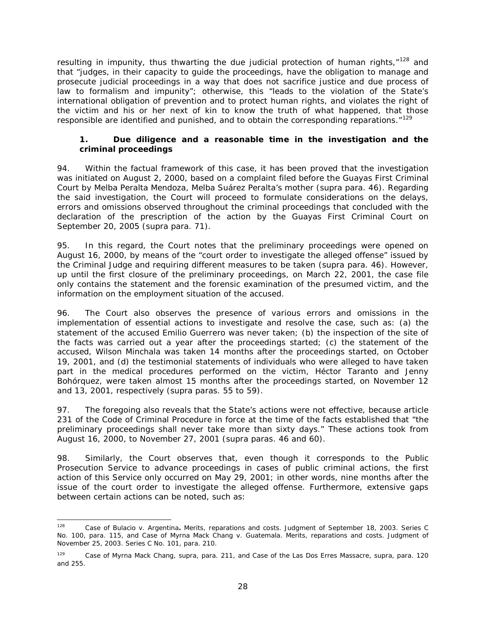resulting in impunity, thus thwarting the due judicial protection of human rights, $128$  and that "judges, in their capacity to guide the proceedings, have the obligation to manage and prosecute judicial proceedings in a way that does not sacrifice justice and due process of law to formalism and impunity"; otherwise, this "leads to the violation of the State's international obligation of prevention and to protect human rights, and violates the right of the victim and his or her next of kin to know the truth of what happened, that those responsible are identified and punished, and to obtain the corresponding reparations." $129$ 

## *1. Due diligence and a reasonable time in the investigation and the criminal proceedings*

94. Within the factual framework of this case, it has been proved that the investigation was initiated on August 2, 2000, based on a complaint filed before the Guayas First Criminal Court by Melba Peralta Mendoza, Melba Suárez Peralta's mother (*supra* para. 46). Regarding the said investigation, the Court will proceed to formulate considerations on the delays, errors and omissions observed throughout the criminal proceedings that concluded with the declaration of the prescription of the action by the Guayas First Criminal Court on September 20, 2005 (*supra* para. 71).

95. In this regard, the Court notes that the preliminary proceedings were opened on August 16, 2000, by means of the "court order to investigate the alleged offense" issued by the Criminal Judge and requiring different measures to be taken (*supra* para. 46). However, up until the first closure of the preliminary proceedings, on March 22, 2001, the case file only contains the statement and the forensic examination of the presumed victim, and the information on the employment situation of the accused.

96. The Court also observes the presence of various errors and omissions in the implementation of essential actions to investigate and resolve the case, such as: (a) the statement of the accused Emilio Guerrero was never taken; (b) the inspection of the site of the facts was carried out a year after the proceedings started; (c) the statement of the accused, Wilson Minchala was taken 14 months after the proceedings started, on October 19, 2001, and (d) the testimonial statements of individuals who were alleged to have taken part in the medical procedures performed on the victim, Héctor Taranto and Jenny Bohórquez, were taken almost 15 months after the proceedings started, on November 12 and 13, 2001, respectively (*supra* paras. 55 to 59).

97. The foregoing also reveals that the State's actions were not effective, because article 231 of the Code of Criminal Procedure in force at the time of the facts established that "the preliminary proceedings shall never take more than sixty days." These actions took from August 16, 2000, to November 27, 2001 (*supra* paras. 46 and 60).

98. Similarly, the Court observes that, even though it corresponds to the Public Prosecution Service to advance proceedings in cases of public criminal actions, the first action of this Service only occurred on May 29, 2001; in other words, nine months after the issue of the court order to investigate the alleged offense. Furthermore, extensive gaps between certain actions can be noted, such as:

<span id="page-27-0"></span> <sup>128</sup> *Case of Bulacio v. Argentina. Merits, reparations and costs*. Judgment of September 18, 2003. Series C No. 100, para. 115, and *Case of Myrna Mack Chang v. Guatemala. Merits, reparations and costs.* Judgment of November 25, 2003. Series C No. 101, para. 210.

<span id="page-27-1"></span><sup>129</sup> *Case of Myrna Mack Chang,* supra, para. 211, and *Case of the Las Dos Erres Massacre, supra*, para. 120 and 255.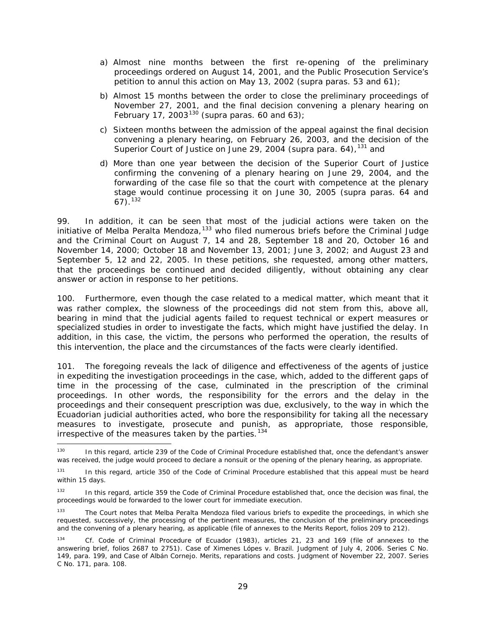- a) Almost nine months between the first re-opening of the preliminary proceedings ordered on August 14, 2001, and the Public Prosecution Service's petition to annul this action on May 13, 2002 (*supra* paras. 53 and 61);
- b) Almost 15 months between the order to close the preliminary proceedings of November 27, 2001, and the final decision convening a plenary hearing on February 17, 2003[130](#page-28-0) (*supra* paras. 60 and 63);
- c) Sixteen months between the admission of the appeal against the final decision convening a plenary hearing, on February 26, 2003, and the decision of the Superior Court of Justice on June 29, 2004 (*supra* para. 64), [131](#page-28-1) and
- d) More than one year between the decision of the Superior Court of Justice confirming the convening of a plenary hearing on June 29, 2004, and the forwarding of the case file so that the court with competence at the plenary stage would continue processing it on June 30, 2005 (*supra* paras. 64 and 67). [132](#page-28-2)

99. In addition, it can be seen that most of the judicial actions were taken on the initiative of Melba Peralta Mendoza,<sup>[133](#page-28-3)</sup> who filed numerous briefs before the Criminal Judge and the Criminal Court on August 7, 14 and 28, September 18 and 20, October 16 and November 14, 2000; October 18 and November 13, 2001; June 3, 2002; and August 23 and September 5, 12 and 22, 2005. In these petitions, she requested, among other matters, that the proceedings be continued and decided diligently, without obtaining any clear answer or action in response to her petitions.

100. Furthermore, even though the case related to a medical matter, which meant that it was rather complex, the slowness of the proceedings did not stem from this, above all, bearing in mind that the judicial agents failed to request technical or expert measures or specialized studies in order to investigate the facts, which might have justified the delay. In addition, in this case, the victim, the persons who performed the operation, the results of this intervention, the place and the circumstances of the facts were clearly identified.

101. The foregoing reveals the lack of diligence and effectiveness of the agents of justice in expediting the investigation proceedings in the case, which, added to the different gaps of time in the processing of the case, culminated in the prescription of the criminal proceedings. In other words, the responsibility for the errors and the delay in the proceedings and their consequent prescription was due, exclusively, to the way in which the Ecuadorian judicial authorities acted, who bore the responsibility for taking all the necessary measures to investigate, prosecute and punish, as appropriate, those responsible, irrespective of the measures taken by the parties.<sup>[134](#page-28-4)</sup>

<span id="page-28-0"></span><sup>&</sup>lt;sup>130</sup> In this regard, article 239 of the Code of Criminal Procedure established that, once the defendant's answer was received, the judge would proceed to declare a nonsuit or the opening of the plenary hearing, as appropriate.

<span id="page-28-1"></span><sup>131</sup> In this regard, article 350 of the Code of Criminal Procedure established that this appeal must be heard within 15 days.

<span id="page-28-2"></span><sup>132</sup> In this regard, article 359 the Code of Criminal Procedure established that, once the decision was final, the proceedings would be forwarded to the lower court for immediate execution.

<span id="page-28-3"></span>The Court notes that Melba Peralta Mendoza filed various briefs to expedite the proceedings, in which she requested, successively, the processing of the pertinent measures, the conclusion of the preliminary proceedings and the convening of a plenary hearing, as applicable (file of annexes to the Merits Report, folios 209 to 212).

<span id="page-28-4"></span><sup>134</sup> *Cf.* Code of Criminal Procedure of Ecuador (1983), articles 21, 23 and 169 (file of annexes to the answering brief, folios 2687 to 2751). *Case of Ximenes Lópes v. Brazil.* Judgment of July 4, 2006. Series C No. 149, para. 199, and *Case of Albán Cornejo*. *Merits, reparations and costs*. Judgment of November 22, 2007. Series C No. 171, para. 108.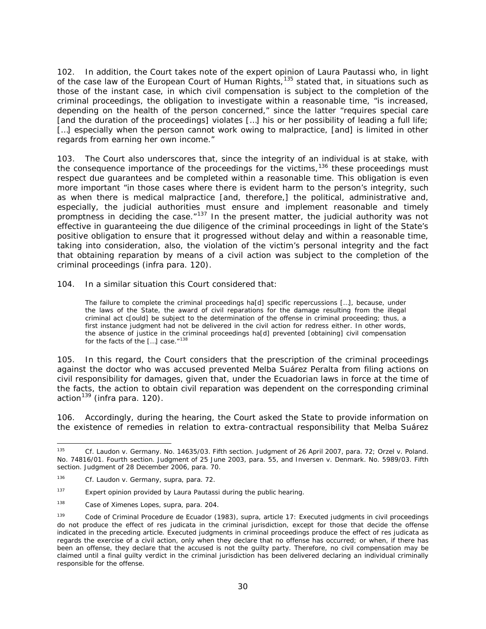102. In addition, the Court takes note of the expert opinion of Laura Pautassi who, in light of the case law of the European Court of Human Rights,<sup>[135](#page-29-0)</sup> stated that, in situations such as those of the instant case, in which civil compensation is subject to the completion of the criminal proceedings, the obligation to investigate within a reasonable time, "is increased, depending on the health of the person concerned," since the latter "requires special care [and the duration of the proceedings] violates […] his or her possibility of leading a full life; [...] especially when the person cannot work owing to malpractice, [and] is limited in other regards from earning her own income."

103. The Court also underscores that, since the integrity of an individual is at stake, with the consequence importance of the proceedings for the victims,<sup>[136](#page-29-1)</sup> these proceedings must respect due guarantees and be completed within a reasonable time. This obligation is even more important "in those cases where there is evident harm to the person's integrity, such as when there is medical malpractice [and, therefore,] the political, administrative and, especially, the judicial authorities must ensure and implement reasonable and timely promptness in deciding the case. $137$  In the present matter, the judicial authority was not effective in guaranteeing the due diligence of the criminal proceedings in light of the State's positive obligation to ensure that it progressed without delay and within a reasonable time, taking into consideration, also, the violation of the victim's personal integrity and the fact that obtaining reparation by means of a civil action was subject to the completion of the criminal proceedings (infra para. 120).

104. In a similar situation this Court considered that:

The failure to complete the criminal proceedings ha[d] specific repercussions […], because, under the laws of the State, the award of civil reparations for the damage resulting from the illegal criminal act c[ould] be subject to the determination of the offense in criminal proceeding; thus, a first instance judgment had not be delivered in the civil action for redress either. In other words, the absence of justice in the criminal proceedings ha[d] prevented [obtaining] civil compensation for the facts of the  $[...]$  case." $138$ 

105. In this regard, the Court considers that the prescription of the criminal proceedings against the doctor who was accused prevented Melba Suárez Peralta from filing actions on civil responsibility for damages, given that, under the Ecuadorian laws in force at the time of the facts, the action to obtain civil reparation was dependent on the corresponding criminal action<sup>[139](#page-29-4)</sup> (*infra* para. 120).

106. Accordingly, during the hearing, the Court asked the State to provide information on the existence of remedies in relation to extra-contractual responsibility that Melba Suárez

<span id="page-29-0"></span> <sup>135</sup> *Cf. Laudon v. Germany.* No. 14635/03. Fifth section. Judgment of 26 April 2007, para. 72; *Orzel v. Poland.*  No. 74816/01. Fourth section. Judgment of 25 June 2003, para. 55, and *Inversen v. Denmark.* No. 5989/03. Fifth section. Judgment of 28 December 2006, para. 70.

<span id="page-29-1"></span><sup>136</sup> *Cf. Laudon v. Germany*, *supra*, para. 72.

<span id="page-29-2"></span><sup>&</sup>lt;sup>137</sup> Expert opinion provided by Laura Pautassi during the public hearing.

<span id="page-29-3"></span><sup>138</sup> *Case of Ximenes Lopes, supra,* para. 204.

<span id="page-29-4"></span><sup>139</sup> Code of Criminal Procedure de Ecuador (1983), *supra*, article 17: Executed judgments in civil proceedings do not produce the effect of *res judicata* in the criminal jurisdiction, except for those that decide the offense indicated in the preceding article. Executed judgments in criminal proceedings produce the effect of *res judicata* as regards the exercise of a civil action, only when they declare that no offense has occurred; or when, if there has been an offense, they declare that the accused is not the guilty party. Therefore, no civil compensation may be claimed until a final guilty verdict in the criminal jurisdiction has been delivered declaring an individual criminally responsible for the offense.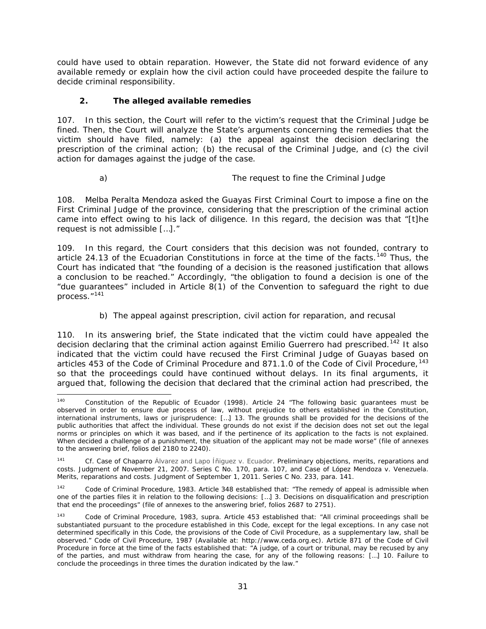could have used to obtain reparation. However, the State did not forward evidence of any available remedy or explain how the civil action could have proceeded despite the failure to decide criminal responsibility.

## *2. The alleged available remedies*

107. In this section, the Court will refer to the victim's request that the Criminal Judge be fined. Then, the Court will analyze the State's arguments concerning the remedies that the victim should have filed, namely: (a) the appeal against the decision declaring the prescription of the criminal action; (b) the recusal of the Criminal Judge, and (c) the civil action for damages against the judge of the case.

#### *a) The request to fine the Criminal Judge*

<span id="page-30-0"></span>108. Melba Peralta Mendoza asked the Guayas First Criminal Court to impose a fine on the First Criminal Judge of the province, considering that the prescription of the criminal action came into effect owing to his lack of diligence. In this regard, the decision was that "[t]he request is not admissible […]."

109. In this regard, the Court considers that this decision was not founded, contrary to article 24.13 of the Ecuadorian Constitutions in force at the time of the facts.<sup>[140](#page-30-2)</sup> Thus, the Court has indicated that "the founding of a decision is the reasoned justification that allows a conclusion to be reached." Accordingly, "the obligation to found a decision is one of the "due guarantees" included in Article 8(1) of the Convention to safeguard the right to due process."[141](#page-30-3)

## *b) The appeal against prescription, civil action for reparation, and recusal*

<span id="page-30-1"></span>110. In its answering brief, the State indicated that the victim could have appealed the decision declaring that the criminal action against Emilio Guerrero had prescribed.<sup>[142](#page-30-4)</sup> It also indicated that the victim could have recused the First Criminal Judge of Guayas based on articles 453 of the Code of Criminal Procedure and 871.1.0 of the Code of Civil Procedure,  $^{143}$  $^{143}$  $^{143}$ so that the proceedings could have continued without delays. In its final arguments, it argued that, following the decision that declared that the criminal action had prescribed, the

<span id="page-30-2"></span><sup>&</sup>lt;sup>140</sup> Constitution of the Republic of Ecuador (1998). Article 24 "The following basic guarantees must be observed in order to ensure due process of law, without prejudice to others established in the Constitution, international instruments, laws or jurisprudence: […] 13. The grounds shall be provided for the decisions of the public authorities that affect the individual. These grounds do not exist if the decision does not set out the legal norms or principles on which it was based, and if the pertinence of its application to the facts is not explained. When decided a challenge of a punishment, the situation of the applicant may not be made worse" (file of annexes to the answering brief, folios del 2180 to 2240).

<span id="page-30-3"></span><sup>141</sup> *Cf. Case of Chaparro Álvarez and Lapo Íñiguez v. Ecuador. Preliminary objections, merits, reparations and costs.* Judgment of November 21, 2007. Series C No. 170, para. 107, and *Case of López Mendoza v. Venezuela. Merits, reparations and costs.* Judgment of September 1, 2011. Series C No. 233, para. 141.

<span id="page-30-4"></span> $142$  Code of Criminal Procedure, 1983. Article 348 established that: "The remedy of appeal is admissible when one of the parties files it in relation to the following decisions: […] 3. Decisions on disqualification and prescription that end the proceedings" (file of annexes to the answering brief, folios 2687 to 2751).

<span id="page-30-5"></span><sup>143</sup> Code of Criminal Procedure, 1983, *supra*. Article 453 established that: "All criminal proceedings shall be substantiated pursuant to the procedure established in this Code, except for the legal exceptions. In any case not determined specifically in this Code, the provisions of the Code of Civil Procedure, as a supplementary law, shall be observed." Code of Civil Procedure, 1987 (Available at: http://www.ceda.org.ec). Article 871 of the Code of Civil Procedure in force at the time of the facts established that: "A judge, of a court or tribunal, may be recused by any of the parties, and must withdraw from hearing the case, for any of the following reasons: […] 10. Failure to conclude the proceedings in three times the duration indicated by the law."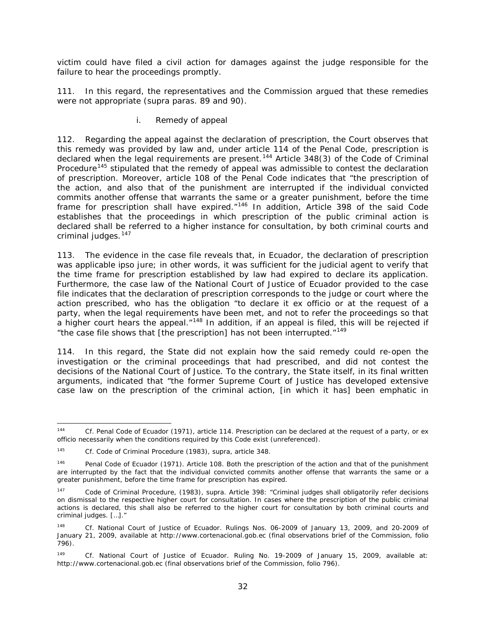victim could have filed a civil action for damages against the judge responsible for the failure to hear the proceedings promptly.

111. In this regard, the representatives and the Commission argued that these remedies were not appropriate (*supra* paras. 89 and 90).

## *i. Remedy of appeal*

112. Regarding the appeal against the declaration of prescription, the Court observes that this remedy was provided by law and, under article 114 of the Penal Code, prescription is declared when the legal requirements are present.<sup>[144](#page-31-0)</sup> Article 348(3) of the Code of Criminal Procedure<sup>[145](#page-31-1)</sup> stipulated that the remedy of appeal was admissible to contest the declaration of prescription. Moreover, article 108 of the Penal Code indicates that "the prescription of the action, and also that of the punishment are interrupted if the individual convicted commits another offense that warrants the same or a greater punishment, before the time frame for prescription shall have expired."[146](#page-31-2) In addition, Article 398 of the said Code establishes that the proceedings in which prescription of the public criminal action is declared shall be referred to a higher instance for consultation, by both criminal courts and criminal judges.<sup>[147](#page-31-3)</sup>

113. The evidence in the case file reveals that, in Ecuador, the declaration of prescription was applicable *ipso jure*; in other words, it was sufficient for the judicial agent to verify that the time frame for prescription established by law had expired to declare its application. Furthermore, the case law of the National Court of Justice of Ecuador provided to the case file indicates that the declaration of prescription corresponds to the judge or court where the action prescribed, who has the obligation "to declare it *ex officio* or at the request of a party, when the legal requirements have been met, and not to refer the proceedings so that a higher court hears the appeal."<sup>[148](#page-31-4)</sup> In addition, if an appeal is filed, this will be rejected if "the case file shows that [the prescription] has not been interrupted."<sup>[149](#page-31-5)</sup>

114. In this regard, the State did not explain how the said remedy could re-open the investigation or the criminal proceedings that had prescribed, and did not contest the decisions of the National Court of Justice. To the contrary, the State itself, in its final written arguments, indicated that "the former Supreme Court of Justice has developed extensive case law on the prescription of the criminal action, [in which it has] been emphatic in

<span id="page-31-0"></span> <sup>144</sup> *Cf.* Penal Code of Ecuador (1971), article 114. Prescription can be declared at the request of a party, *or ex officio* necessarily when the conditions required by this Code exist (unreferenced).

<span id="page-31-1"></span><sup>145</sup> *Cf.* Code of Criminal Procedure (1983), *supra*, article 348.

<span id="page-31-2"></span><sup>&</sup>lt;sup>146</sup> Penal Code of Ecuador (1971). Article 108. Both the prescription of the action and that of the punishment are interrupted by the fact that the individual convicted commits another offense that warrants the same or a greater punishment, before the time frame for prescription has expired.

<span id="page-31-3"></span><sup>147</sup> Code of Criminal Procedure, (1983), *supra*. Article 398: "Criminal judges shall obligatorily refer decisions on dismissal to the respective higher court for consultation. In cases where the prescription of the public criminal actions is declared, this shall also be referred to the higher court for consultation by both criminal courts and criminal judges. […]."

<span id="page-31-4"></span><sup>148</sup> *Cf.* National Court of Justice of Ecuador. Rulings Nos. 06-2009 of January 13, 2009, and 20-2009 of January 21, 2009, available at http://www.cortenacional.gob.ec (final observations brief of the Commission, folio 796).

<span id="page-31-5"></span><sup>149</sup> *Cf.* National Court of Justice of Ecuador. Ruling No. 19-2009 of January 15, 2009, available at: http://www.cortenacional.gob.ec (final observations brief of the Commission, folio 796).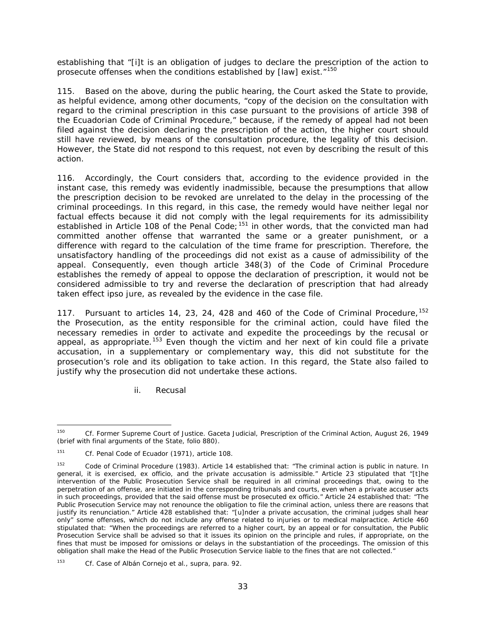establishing that "[i]t is an obligation of judges to declare the prescription of the action to prosecute offenses when the conditions established by  $[law]$  exist."<sup>[150](#page-32-0)</sup>

115. Based on the above, during the public hearing, the Court asked the State to provide, as helpful evidence, among other documents, "copy of the decision on the consultation with regard to the criminal prescription in this case pursuant to the provisions of article 398 of the Ecuadorian Code of Criminal Procedure," because, if the remedy of appeal had not been filed against the decision declaring the prescription of the action, the higher court should still have reviewed, by means of the consultation procedure, the legality of this decision. However, the State did not respond to this request, not even by describing the result of this action.

116. Accordingly, the Court considers that, according to the evidence provided in the instant case, this remedy was evidently inadmissible, because the presumptions that allow the prescription decision to be revoked are unrelated to the delay in the processing of the criminal proceedings. In this regard, in this case, the remedy would have neither legal nor factual effects because it did not comply with the legal requirements for its admissibility established in Article 108 of the Penal Code; <sup>[151](#page-32-1)</sup> in other words, that the convicted man had committed another offense that warranted the same or a greater punishment, or a difference with regard to the calculation of the time frame for prescription. Therefore, the unsatisfactory handling of the proceedings did not exist as a cause of admissibility of the appeal. Consequently, even though article 348(3) of the Code of Criminal Procedure establishes the remedy of appeal to oppose the declaration of prescription, it would not be considered admissible to try and reverse the declaration of prescription that had already taken effect *ipso jure*, as revealed by the evidence in the case file.

117. Pursuant to articles 14, 23, 24, 428 and 460 of the Code of Criminal Procedure, <sup>[152](#page-32-2)</sup> the Prosecution, as the entity responsible for the criminal action, could have filed the necessary remedies in order to activate and expedite the proceedings by the recusal or appeal, as appropriate.<sup>[153](#page-32-3)</sup> Even though the victim and her next of kin could file a private accusation, in a supplementary or complementary way, this did not substitute for the prosecution's role and its obligation to take action. In this regard, the State also failed to justify why the prosecution did not undertake these actions.

*ii. Recusal*

<span id="page-32-0"></span> <sup>150</sup> *Cf.* Former Supreme Court of Justice. *Gaceta Judicial*, Prescription of the Criminal Action, August 26, 1949 (brief with final arguments of the State, folio 880).

<span id="page-32-1"></span><sup>151</sup> *Cf.* Penal Code of Ecuador (1971), article 108.

<span id="page-32-2"></span><sup>&</sup>lt;sup>152</sup> Code of Criminal Procedure (1983). Article 14 established that: "The criminal action is public in nature. In general, it is exercised, *ex officio*, and the private accusation is admissible." Article 23 stipulated that "[t]he intervention of the Public Prosecution Service shall be required in all criminal proceedings that, owing to the perpetration of an offense, are initiated in the corresponding tribunals and courts, even when a private accuser acts in such proceedings, provided that the said offense must be prosecuted *ex officio*." Article 24 established that: "The Public Prosecution Service may not renounce the obligation to file the criminal action, unless there are reasons that justify its renunciation." Article 428 established that: "[u]nder a private accusation, the criminal judges shall hear only" some offenses, which do not include any offense related to injuries or to medical malpractice. Article 460 stipulated that: "When the proceedings are referred to a higher court, by an appeal or for consultation, the Public Prosecution Service shall be advised so that it issues its opinion on the principle and rules, if appropriate, on the fines that must be imposed for omissions or delays in the substantiation of the proceedings. The omission of this obligation shall make the Head of the Public Prosecution Service liable to the fines that are not collected."

<span id="page-32-3"></span><sup>153</sup> *Cf. Case of Albán Cornejo et al.*, *supra*, para. 92.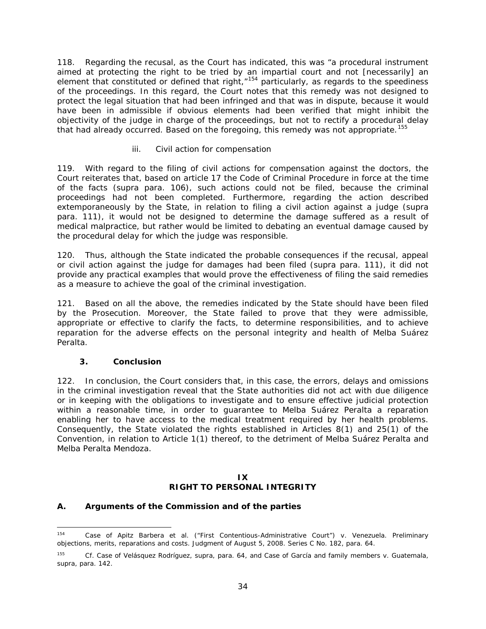118. Regarding the recusal, as the Court has indicated, this was "a procedural instrument aimed at protecting the right to be tried by an impartial court and not [necessarily] an element that constituted or defined that right, "<sup>[154](#page-33-0)</sup> particularly, as regards to the speediness of the proceedings. In this regard, the Court notes that this remedy was not designed to protect the legal situation that had been infringed and that was in dispute, because it would have been in admissible if obvious elements had been verified that might inhibit the objectivity of the judge in charge of the proceedings, but not to rectify a procedural delay that had already occurred. Based on the foregoing, this remedy was not appropriate.<sup>[155](#page-33-1)</sup>

## *iii. Civil action for compensation*

119. With regard to the filing of civil actions for compensation against the doctors, the Court reiterates that, based on article 17 the Code of Criminal Procedure in force at the time of the facts (*supra* para. 106), such actions could not be filed, because the criminal proceedings had not been completed. Furthermore, regarding the action described extemporaneously by the State, in relation to filing a civil action against a judge (*supra*  para. 111), it would not be designed to determine the damage suffered as a result of medical malpractice, but rather would be limited to debating an eventual damage caused by the procedural delay for which the judge was responsible.

120. Thus, although the State indicated the probable consequences if the recusal, appeal or civil action against the judge for damages had been filed (*supra* para. 111), it did not provide any practical examples that would prove the effectiveness of filing the said remedies as a measure to achieve the goal of the criminal investigation.

121. Based on all the above, the remedies indicated by the State should have been filed by the Prosecution. Moreover, the State failed to prove that they were admissible, appropriate or effective to clarify the facts, to determine responsibilities, and to achieve reparation for the adverse effects on the personal integrity and health of Melba Suárez Peralta.

## *3. Conclusion*

122. In conclusion, the Court considers that, in this case, the errors, delays and omissions in the criminal investigation reveal that the State authorities did not act with due diligence or in keeping with the obligations to investigate and to ensure effective judicial protection within a reasonable time, in order to guarantee to Melba Suárez Peralta a reparation enabling her to have access to the medical treatment required by her health problems. Consequently, the State violated the rights established in Articles 8(1) and 25(1) of the Convention, in relation to Article 1(1) thereof, to the detriment of Melba Suárez Peralta and Melba Peralta Mendoza.

## **IX RIGHT TO PERSONAL INTEGRITY**

## *A. Arguments of the Commission and of the parties*

<span id="page-33-0"></span> <sup>154</sup> *Case of Apitz Barbera et al. ("First Contentious-Administrative Court") v. Venezuela. Preliminary objections, merits, reparations and costs.* Judgment of August 5, 2008. Series C No. 182, para. 64.

<span id="page-33-1"></span><sup>155</sup> *Cf. Case of Velásquez Rodríguez, supra,* para. 64, and *Case of García and family members v. Guatemala, supra*, para. 142.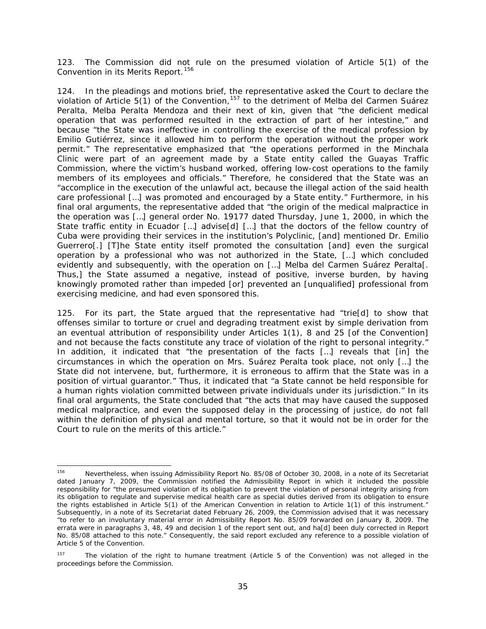123. The Commission did not rule on the presumed violation of Article 5(1) of the Convention in its Merits Report.<sup>[156](#page-34-0)</sup>

124. In the pleadings and motions brief, the representative asked the Court to declare the violation of Article 5(1) of the Convention, <sup>[157](#page-34-1)</sup> to the detriment of Melba del Carmen Suárez Peralta, Melba Peralta Mendoza and their next of kin, given that "the deficient medical operation that was performed resulted in the extraction of part of her intestine," and because "the State was ineffective in controlling the exercise of the medical profession by Emilio Gutiérrez, since it allowed him to perform the operation without the proper work permit." The representative emphasized that "the operations performed in the Minchala Clinic were part of an agreement made by a State entity called the Guayas Traffic Commission, where the victim's husband worked, offering low-cost operations to the family members of its employees and officials." Therefore, he considered that the State was an "accomplice in the execution of the unlawful act, because the illegal action of the said health care professional […] was promoted and encouraged by a State entity." Furthermore, in his final oral arguments, the representative added that "the origin of the medical malpractice in the operation was […] general order No. 19177 dated Thursday, June 1, 2000, in which the State traffic entity in Ecuador […] advise[d] […] that the doctors of the fellow country of Cuba were providing their services in the institution's Polyclinic, [and] mentioned Dr. Emilio Guerrero[.] [T]he State entity itself promoted the consultation [and] even the surgical operation by a professional who was not authorized in the State, […] which concluded evidently and subsequently, with the operation on […] Melba del Carmen Suárez Peralta[. Thus,] the State assumed a negative, instead of positive, inverse burden, by having knowingly promoted rather than impeded [or] prevented an [unqualified] professional from exercising medicine, and had even sponsored this.

125. For its part, the State argued that the representative had "trie[d] to show that offenses similar to torture or cruel and degrading treatment exist by simple derivation from an eventual attribution of responsibility under Articles 1(1), 8 and 25 [of the Convention] and not because the facts constitute any trace of violation of the right to personal integrity." In addition, it indicated that "the presentation of the facts […] reveals that [in] the circumstances in which the operation on Mrs. Suárez Peralta took place, not only […] the State did not intervene, but, furthermore, it is erroneous to affirm that the State was in a position of virtual guarantor." Thus, it indicated that "a State cannot be held responsible for a human rights violation committed between private individuals under its jurisdiction." In its final oral arguments, the State concluded that "the acts that may have caused the supposed medical malpractice, and even the supposed delay in the processing of justice, do not fall within the definition of physical and mental torture, so that it would not be in order for the Court to rule on the merits of this article."

<span id="page-34-0"></span> <sup>156</sup> Nevertheless, when issuing Admissibility Report No. 85/08 of October 30, 2008, in a note of its Secretariat dated January 7, 2009, the Commission notified the Admissibility Report in which it included the possible responsibility for "the presumed violation of its obligation to prevent the violation of personal integrity arising from its obligation to regulate and supervise medical health care as special duties derived from its obligation to ensure the rights established in Article 5(1) of the American Convention in relation to Article 1(1) of this instrument." Subsequently, in a note of its Secretariat dated February 26, 2009, the Commission advised that it was necessary "to refer to an involuntary material error in Admissibility Report No. 85/09 forwarded on January 8, 2009. The errata were in paragraphs 3, 48, 49 and decision 1 of the report sent out, and ha[d] been duly corrected in Report No. 85/08 attached to this note." Consequently, the said report excluded any reference to a possible violation of Article 5 of the Convention.

<span id="page-34-1"></span>The violation of the right to humane treatment (Article 5 of the Convention) was not alleged in the proceedings before the Commission.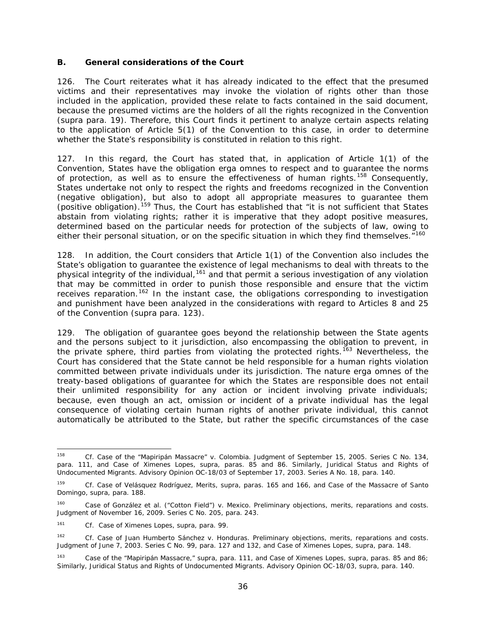## *B. General considerations of the Court*

126. The Court reiterates what it has already indicated to the effect that the presumed victims and their representatives may invoke the violation of rights other than those included in the application, provided these relate to facts contained in the said document, because the presumed victims are the holders of all the rights recognized in the Convention (*supra* para. 19). Therefore, this Court finds it pertinent to analyze certain aspects relating to the application of Article 5(1) of the Convention to this case, in order to determine whether the State's responsibility is constituted in relation to this right.

127. In this regard, the Court has stated that, in application of Article 1(1) of the Convention, States have the obligation *erga omnes* to respect and to guarantee the norms of protection, as well as to ensure the effectiveness of human rights.<sup>[158](#page-35-0)</sup> Consequently, States undertake not only to respect the rights and freedoms recognized in the Convention (negative obligation), but also to adopt all appropriate measures to guarantee them  $($ positive obligation).  $159$  Thus, the Court has established that "it is not sufficient that States abstain from violating rights; rather it is imperative that they adopt positive measures, determined based on the particular needs for protection of the subjects of law, owing to either their personal situation, or on the specific situation in which they find themselves.<sup>"[160](#page-35-2)</sup>

128. In addition, the Court considers that Article 1(1) of the Convention also includes the State's obligation to guarantee the existence of legal mechanisms to deal with threats to the physical integrity of the individual,<sup>[161](#page-35-3)</sup> and that permit a serious investigation of any violation that may be committed in order to punish those responsible and ensure that the victim receives reparation.[162](#page-35-4) In the instant case, the obligations corresponding to investigation and punishment have been analyzed in the considerations with regard to Articles 8 and 25 of the Convention (*supra* para. 123).

129. The obligation of guarantee goes beyond the relationship between the State agents and the persons subject to it jurisdiction, also encompassing the obligation to prevent, in the private sphere, third parties from violating the protected rights.<sup>[163](#page-35-5)</sup> Nevertheless, the Court has considered that the State cannot be held responsible for a human rights violation committed between private individuals under its jurisdiction. The nature *erga omnes* of the treaty-based obligations of guarantee for which the States are responsible does not entail their unlimited responsibility for any action or incident involving private individuals; because, even though an act, omission or incident of a private individual has the legal consequence of violating certain human rights of another private individual, this cannot automatically be attributed to the State, but rather the specific circumstances of the case

<span id="page-35-0"></span> <sup>158</sup> *Cf. Case of the "Mapiripán Massacre" v. Colombia*. Judgment of September 15, 2005. Series C No. 134, para. 111, and *Case of Ximenes Lopes*, *supra*, paras. 85 and 86. Similarly, *Juridical Status and Rights of Undocumented Migrants*. Advisory Opinion OC-18/03 of September 17, 2003. Series A No. 18, para. 140.

<span id="page-35-1"></span><sup>159</sup> *Cf. Case of Velásquez Rodríguez, Merits, supra*, paras. 165 and 166*,* and *Case of the Massacre of Santo Domingo, supra*, para. 188.

<span id="page-35-2"></span><sup>160</sup> *Case of González et al. ("Cotton Field") v. Mexico. Preliminary objections, merits, reparations and costs.*  Judgment of November 16, 2009. Series C No. 205, para. 243.

<span id="page-35-3"></span><sup>161</sup> *Cf. Case of Ximenes Lopes, supra*, para. 99.

<span id="page-35-4"></span><sup>162</sup> *Cf. Case of Juan Humberto Sánchez v. Honduras. Preliminary objections, merits, reparations and costs*. Judgment of June 7, 2003. Series C No. 99, para. 127 and 132, and *Case of Ximenes Lopes, supra*, para. 148.

<span id="page-35-5"></span><sup>163</sup> *Case of the "Mapiripán Massacre," supra*, para. 111, and *Case of Ximenes Lopes*, *supra*, paras. 85 and 86; Similarly, *Juridical Status and Rights of Undocumented Migrants.* Advisory Opinion OC-18/03, *supra,* para. 140.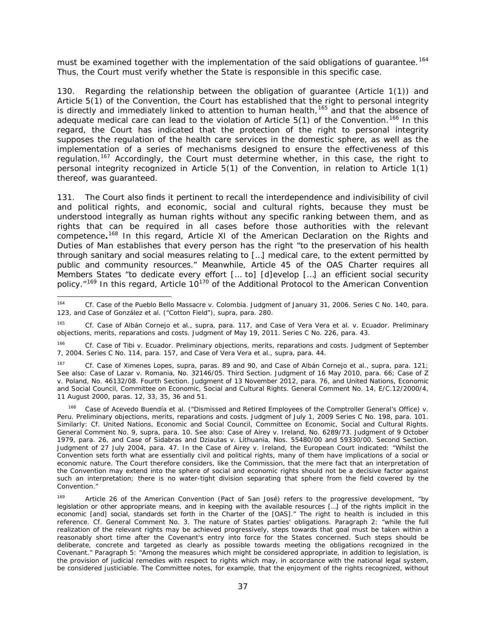must be examined together with the implementation of the said obligations of quarantee.<sup>[164](#page-36-0)</sup> Thus, the Court must verify whether the State is responsible in this specific case.

130. Regarding the relationship between the obligation of guarantee (Article 1(1)) and Article 5(1) of the Convention, the Court has established that the right to personal integrity is directly and immediately linked to attention to human health,  $165$  and that the absence of adequate medical care can lead to the violation of Article 5(1) of the Convention.<sup>[166](#page-36-2)</sup> In this regard, the Court has indicated that the protection of the right to personal integrity supposes the regulation of the health care services in the domestic sphere, as well as the implementation of a series of mechanisms designed to ensure the effectiveness of this regulation.<sup>[167](#page-36-3)</sup> Accordingly, the Court must determine whether, in this case, the right to personal integrity recognized in Article 5(1) of the Convention, in relation to Article 1(1) thereof, was guaranteed.

131. The Court also finds it pertinent to recall the interdependence and indivisibility of civil and political rights, and economic, social and cultural rights, because they must be understood integrally as human rights without any specific ranking between them, and as rights that can be required in all cases before those authorities with the relevant competence*.* [168](#page-36-4) In this regard, Article XI of the American Declaration on the Rights and Duties of Man establishes that every person has the right "to the preservation of his health through sanitary and social measures relating to […] medical care, to the extent permitted by public and community resources." Meanwhile, Article 45 of the OAS Charter requires all Members States "to dedicate every effort [… to] [d]evelop […] an efficient social security policy."<sup>[169](#page-36-5)</sup> In this regard, Article 10<sup>[170](#page-36-6)</sup> of the Additional Protocol to the American Convention

<span id="page-36-3"></span><sup>167</sup> *Cf. Case of Ximenes Lopes, supra*, paras. 89 and 90, and *Case of Albán Cornejo et al., supra*, para. 121; See also: *Case of Lazar v. Romania,* No. 32146/05. Third Section. Judgment of 16 May 2010, para. 66; *Case of Z v. Poland*, No. 46132/08. Fourth Section. Judgment of 13 November 2012, para. 76, and United Nations, Economic and Social Council, Committee on Economic, Social and Cultural Rights. General Comment No. 14, E/C.12/2000/4, 11 August 2000, paras. 12, 33, 35, 36 and 51.

<span id="page-36-6"></span><span id="page-36-4"></span>Case of Acevedo Buendía et al. ("Dismissed and Retired Employees of the Comptroller General's Office) v. *Peru. Preliminary objections, merits, reparations and costs.* Judgment of July 1, 2009 Series C No. 198, para. 101. Similarly: *Cf.* United Nations, Economic and Social Council, Committee on Economic, Social and Cultural Rights. General Comment No. 9, *supra,* para. 10. See also: *Case of Airey v. Ireland*, No. 6289/73. Judgment of 9 October 1979, para. 26, and *Case of Sidabras and Dziautas v. Lithuania*, Nos. 55480/00 and 59330/00. Second Section. Judgment of 27 July 2004, para. 47. In the Case of *Airey v. Ireland,* the European Court indicated: "Whilst the Convention sets forth what are essentially civil and political rights, many of them have implications of a social or economic nature. The Court therefore considers, like the Commission, that the mere fact that an interpretation of the Convention may extend into the sphere of social and economic rights should not be a decisive factor against such an interpretation; there is no water-tight division separating that sphere from the field covered by the Convention."

<span id="page-36-5"></span>Article 26 of the American Convention (Pact of San José) refers to the progressive development, "by legislation or other appropriate means, and in keeping with the available resources […] of the rights implicit in the economic [and] social, standards set forth in the Charter of the [OAS]." The right to health is included in this reference. *Cf.* General Comment No. 3. The nature of States parties' obligations. Paragraph 2: "while the full realization of the relevant rights may be achieved progressively, steps towards that goal must be taken within a reasonably short time after the Covenant's entry into force for the States concerned. Such steps should be deliberate, concrete and targeted as clearly as possible towards meeting the obligations recognized in the Covenant." Paragraph 5: "Among the measures which might be considered appropriate, in addition to legislation, is the provision of judicial remedies with respect to rights which may, in accordance with the national legal system, be considered justiciable. The Committee notes, for example, that the enjoyment of the rights recognized, without

<span id="page-36-0"></span> <sup>164</sup> *Cf. Case of the Pueblo Bello Massacre v. Colombia*. Judgment of January 31, 2006. Series C No. 140, para. 123, and *Case of González et al. ("Cotton Field"), supra*, para. 280.

<span id="page-36-1"></span><sup>165</sup> *Cf. Case of Albán Cornejo et al., supra*, para. 117*, and Case of Vera Vera et al. v. Ecuador*. *Preliminary objections, merits, reparations and costs.* Judgment of May 19, 2011. Series C No. 226, para. 43.

<span id="page-36-2"></span><sup>&</sup>lt;sup>166</sup> *Cf. Case of Tibi v. Ecuador. Preliminary objections, merits, reparations and costs. Judgment of September* 7, 2004. Series C No. 114, para. 157, and *Case of Vera Vera et al., supra*, para. 44.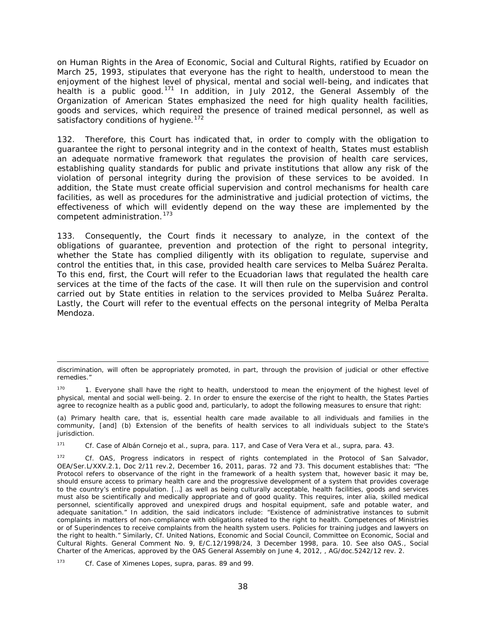on Human Rights in the Area of Economic, Social and Cultural Rights, ratified by Ecuador on March 25, 1993, stipulates that everyone has the right to health, understood to mean the enjoyment of the highest level of physical, mental and social well-being, and indicates that health is a public good.<sup>[171](#page-37-0)</sup> In addition, in July 2012, the General Assembly of the Organization of American States emphasized the need for high quality health facilities, goods and services, which required the presence of trained medical personnel, as well as satisfactory conditions of hygiene.<sup>172</sup>

132. Therefore, this Court has indicated that, in order to comply with the obligation to guarantee the right to personal integrity and in the context of health, States must establish an adequate normative framework that regulates the provision of health care services, establishing quality standards for public and private institutions that allow any risk of the violation of personal integrity during the provision of these services to be avoided. In addition, the State must create official supervision and control mechanisms for health care facilities, as well as procedures for the administrative and judicial protection of victims, the effectiveness of which will evidently depend on the way these are implemented by the competent administration.<sup>[173](#page-37-2)</sup>

133. Consequently, the Court finds it necessary to analyze, in the context of the obligations of guarantee, prevention and protection of the right to personal integrity, whether the State has complied diligently with its obligation to regulate, supervise and control the entities that, in this case, provided health care services to Melba Suárez Peralta. To this end, first, the Court will refer to the Ecuadorian laws that regulated the health care services at the time of the facts of the case. It will then rule on the supervision and control carried out by State entities in relation to the services provided to Melba Suárez Peralta. Lastly, the Court will refer to the eventual effects on the personal integrity of Melba Peralta Mendoza.

<span id="page-37-0"></span><sup>171</sup> *Cf. Case of Albán Cornejo et al., supra,* para. 117, and *Case of Vera Vera et al., supra*, para. 43.

i,

discrimination, will often be appropriately promoted, in part, through the provision of judicial or other effective remedies."

<sup>1.</sup> Everyone shall have the right to health, understood to mean the enjoyment of the highest level of physical, mental and social well-being. 2. In order to ensure the exercise of the right to health, the States Parties agree to recognize health as a public good and, particularly, to adopt the following measures to ensure that right:

<sup>(</sup>a) Primary health care, that is, essential health care made available to all individuals and families in the community, [and] (b) Extension of the benefits of health services to all individuals subject to the State's jurisdiction.

<span id="page-37-1"></span><sup>172</sup> *Cf.* OAS, Progress indicators in respect of rights contemplated in the Protocol of San Salvador, OEA/Ser.L/XXV.2.1, Doc 2/11 rev.2, December 16, 2011, paras. 72 and 73. This document establishes that: "The Protocol refers to observance of the right in the framework of a health system that, however basic it may be, should ensure access to primary health care and the progressive development of a system that provides coverage to the country's entire population. […] as well as being culturally acceptable, health facilities, goods and services must also be scientifically and medically appropriate and of good quality. This requires, inter alia, skilled medical personnel, scientifically approved and unexpired drugs and hospital equipment, safe and potable water, and adequate sanitation." In addition, the said indicators include: "Existence of administrative instances to submit complaints in matters of non-compliance with obligations related to the right to health. Competences of Ministries or of Superindences to receive complaints from the health system users. Policies for training judges and lawyers on the right to health." Similarly, *Cf.* United Nations, Economic and Social Council, Committee on Economic, Social and Cultural Rights. General Comment No. 9, E/C.12/1998/24, 3 December 1998, para. 10. See also OAS., Social Charter of the Americas, approved by the OAS General Assembly on June 4, 2012, , AG/doc.5242/12 rev. 2.

<span id="page-37-2"></span><sup>173</sup> *Cf. Case of Ximenes Lopes, supra*, paras. 89 and 99.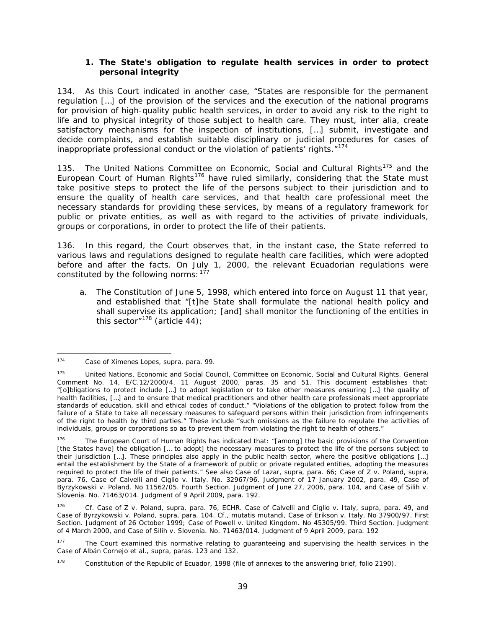## *1. The State's obligation to regulate health services in order to protect personal integrity*

134. As this Court indicated in another case, "States are responsible for the permanent regulation […] of the provision of the services and the execution of the national programs for provision of high-quality public health services, in order to avoid any risk to the right to life and to physical integrity of those subject to health care. They must, *inter alia*, create satisfactory mechanisms for the inspection of institutions, […] submit, investigate and decide complaints, and establish suitable disciplinary or judicial procedures for cases of inappropriate professional conduct or the violation of patients' rights."<sup>[174](#page-38-0)</sup>

135. The United Nations Committee on Economic, Social and Cultural Rights<sup>[175](#page-38-1)</sup> and the European Court of Human Rights<sup>[176](#page-38-2)</sup> have ruled similarly, considering that the State must take positive steps to protect the life of the persons subject to their jurisdiction and to ensure the quality of health care services, and that health care professional meet the necessary standards for providing these services, by means of a regulatory framework for public or private entities, as well as with regard to the activities of private individuals, groups or corporations, in order to protect the life of their patients.

136. In this regard, the Court observes that, in the instant case, the State referred to various laws and regulations designed to regulate health care facilities, which were adopted before and after the facts. On July 1, 2000, the relevant Ecuadorian regulations were constituted by the following norms:  $177$ 

a. The Constitution of June 5, 1998, which entered into force on August 11 that year, and established that "[t]he State shall formulate the national health policy and shall supervise its application; [and] shall monitor the functioning of the entities in this sector" $178$  (article 44);

<span id="page-38-0"></span> <sup>174</sup> *Case of Ximenes Lopes, supra*, para. 99.

<span id="page-38-1"></span><sup>175</sup> United Nations, Economic and Social Council, Committee on Economic, Social and Cultural Rights. General Comment No. 14, E/C.12/2000/4, 11 August 2000, paras. 35 and 51. This document establishes that: "[o]bligations to protect include […] to adopt legislation or to take other measures ensuring […] the quality of health facilities, […] and to ensure that medical practitioners and other health care professionals meet appropriate standards of education, skill and ethical codes of conduct." "Violations of the obligation to protect follow from the failure of a State to take all necessary measures to safeguard persons within their jurisdiction from infringements of the right to health by third parties." These include "such omissions as the failure to regulate the activities of individuals, groups or corporations so as to prevent them from violating the right to health of others."

<span id="page-38-2"></span><sup>&</sup>lt;sup>176</sup> The European Court of Human Rights has indicated that: "[among] the basic provisions of the Convention [the States have] the obligation [… to adopt] the necessary measures to protect the life of the persons subject to their jurisdiction […]. These principles also apply in the public health sector, where the positive obligations […] entail the establishment by the State of a framework of public or private regulated entities, adopting the measures required to protect the life of their patients." See also *Case of Lazar, supra*, para. 66; *Case of Z v. Poland*, *supra*, para. 76, *Case of Calvelli and Ciglio* v. Italy. No. 32967/96. Judgment of 17 January 2002, para. 49, Case of *Byrzykowski v. Poland.* No 11562/05. Fourth Section. Judgment of June 27, 2006, para. 104, and *Case of Silih v. Slovenia.* No. 71463/014. Judgment of 9 April 2009, para. 192.

<sup>176</sup> *Cf. Case of Z v. Poland*, *supra*, para. 76, ECHR. *Case of Calvelli and Ciglio* v. Italy, *supra,* para. 49, and Case of *Byrzykowski v. Poland, supra,* para. 104. *Cf., mutatis mutandi, Case of Erikson v. Italy.* No 37900/97. First Section. Judgment of 26 October 1999; *Case of Powell v. United Kingdom*. No 45305/99. Third Section. Judgment of 4 March 2000, and *Case of Silih v. Slovenia*. No. 71463/014. Judgment of 9 April 2009, para. 192

<span id="page-38-3"></span><sup>&</sup>lt;sup>177</sup> The Court examined this normative relating to quaranteeing and supervising the health services in the *Case of Albán Cornejo et al., supra*, paras. 123 and 132.

<span id="page-38-4"></span><sup>&</sup>lt;sup>178</sup> Constitution of the Republic of Ecuador, 1998 (file of annexes to the answering brief, folio 2190).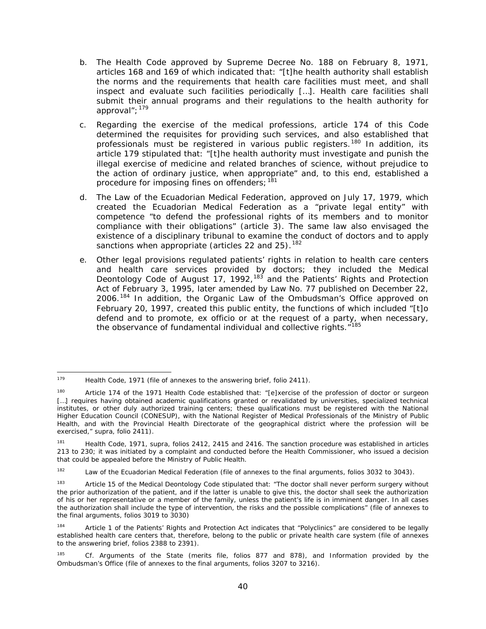- b. The Health Code approved by Supreme Decree No. 188 on February 8, 1971, articles 168 and 169 of which indicated that: "[t]he health authority shall establish the norms and the requirements that health care facilities must meet, and shall inspect and evaluate such facilities periodically […]. Health care facilities shall submit their annual programs and their regulations to the health authority for approval":  $179$
- c. Regarding the exercise of the medical professions, article 174 of this Code determined the requisites for providing such services, and also established that professionals must be registered in various public registers.<sup>[180](#page-39-1)</sup> In addition, its article 179 stipulated that: "[t]he health authority must investigate and punish the illegal exercise of medicine and related branches of science, without prejudice to the action of ordinary justice, when appropriate" and, to this end, established a procedure for imposing fines on offenders; [181](#page-39-2)
- d. The Law of the Ecuadorian Medical Federation, approved on July 17, 1979, which created the Ecuadorian Medical Federation as a "private legal entity" with competence "to defend the professional rights of its members and to monitor compliance with their obligations" (article 3). The same law also envisaged the existence of a disciplinary tribunal to examine the conduct of doctors and to apply sanctions when appropriate (articles 22 and 25). <sup>[182](#page-39-3)</sup>
- e. Other legal provisions regulated patients' rights in relation to health care centers and health care services provided by doctors; they included the Medical Deontology Code of August 17, 1992,<sup>[183](#page-39-4)</sup> and the Patients' Rights and Protection Act of February 3, 1995, later amended by Law No. 77 published on December 22, 2006.<sup>[184](#page-39-5)</sup> In addition, the Organic Law of the Ombudsman's Office approved on February 20, 1997, created this public entity, the functions of which included "[t]o defend and to promote, *ex officio* or at the request of a party, when necessary, the observance of fundamental individual and collective rights."<sup>[185](#page-39-6)</sup>

<span id="page-39-0"></span><sup>179</sup> Health Code, 1971 (file of annexes to the answering brief, folio 2411).

<span id="page-39-1"></span><sup>180</sup> Article 174 of the 1971 Health Code established that: "[e]xercise of the profession of doctor or surgeon [...] requires having obtained academic qualifications granted or revalidated by universities, specialized technical institutes, or other duly authorized training centers; these qualifications must be registered with the National Higher Education Council (CONESUP), with the National Register of Medical Professionals of the Ministry of Public Health, and with the Provincial Health Directorate of the geographical district where the profession will be exercised," *supra,* folio 2411).

<span id="page-39-2"></span><sup>181</sup> Health Code, 1971, *supra,* folios 2412, 2415 and 2416. The sanction procedure was established in articles 213 to 230; it was initiated by a complaint and conducted before the Health Commissioner, who issued a decision that could be appealed before the Ministry of Public Health.

<span id="page-39-3"></span><sup>&</sup>lt;sup>182</sup> Law of the Ecuadorian Medical Federation (file of annexes to the final arguments, folios 3032 to 3043).

<span id="page-39-4"></span><sup>&</sup>lt;sup>183</sup> Article 15 of the Medical Deontology Code stipulated that: "The doctor shall never perform surgery without the prior authorization of the patient, and if the latter is unable to give this, the doctor shall seek the authorization of his or her representative or a member of the family, unless the patient's life is in imminent danger. In all cases the authorization shall include the type of intervention, the risks and the possible complications" (file of annexes to the final arguments, folios 3019 to 3030)

<span id="page-39-5"></span><sup>184</sup> Article 1 of the Patients' Rights and Protection Act indicates that "Polyclinics" are considered to be legally established health care centers that, therefore, belong to the public or private health care system (file of annexes to the answering brief, folios 2388 to 2391).

<span id="page-39-6"></span><sup>185</sup> *Cf.* Arguments of the State (merits file, folios 877 and 878), and Information provided by the Ombudsman's Office (file of annexes to the final arguments, folios 3207 to 3216).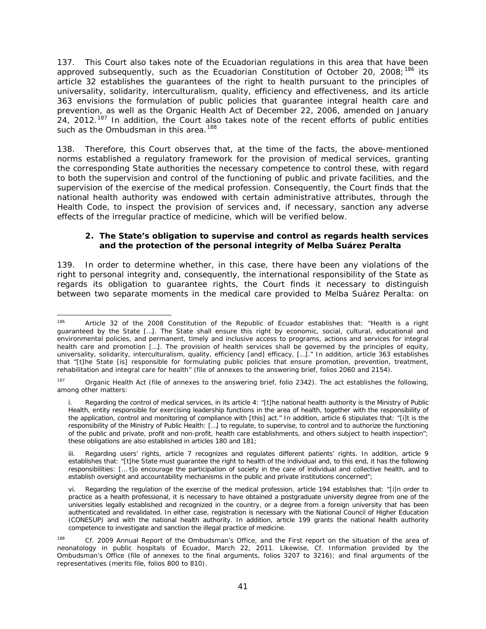137. This Court also takes note of the Ecuadorian regulations in this area that have been approved subsequently, such as the Ecuadorian Constitution of October 20, 2008;<sup>[186](#page-40-0)</sup> its article 32 establishes the guarantees of the right to health pursuant to the principles of universality, solidarity, interculturalism, quality, efficiency and effectiveness, and its article 363 envisions the formulation of public policies that guarantee integral health care and prevention, as well as the Organic Health Act of December 22, 2006, amended on January 24, 2012.<sup>[187](#page-40-1)</sup> In addition, the Court also takes note of the recent efforts of public entities such as the Ombudsman in this area.<sup>[188](#page-40-2)</sup>

138. Therefore, this Court observes that, at the time of the facts, the above-mentioned norms established a regulatory framework for the provision of medical services, granting the corresponding State authorities the necessary competence to control these, with regard to both the supervision and control of the functioning of public and private facilities, and the supervision of the exercise of the medical profession. Consequently, the Court finds that the national health authority was endowed with certain administrative attributes, through the Health Code, to inspect the provision of services and, if necessary, sanction any adverse effects of the irregular practice of medicine, which will be verified below.

## *2. The State's obligation to supervise and control as regards health services and the protection of the personal integrity of Melba Suárez Peralta*

139. In order to determine whether, in this case, there have been any violations of the right to personal integrity and, consequently, the international responsibility of the State as regards its obligation to guarantee rights, the Court finds it necessary to distinguish between two separate moments in the medical care provided to Melba Suárez Peralta: on

<span id="page-40-0"></span><sup>186</sup> Article 32 of the 2008 Constitution of the Republic of Ecuador establishes that: "Health is a right guaranteed by the State […]. The State shall ensure this right by economic, social, cultural, educational and environmental policies, and permanent, timely and inclusive access to programs, actions and services for integral health care and promotion […]. The provision of health services shall be governed by the principles of equity, universality, solidarity, interculturalism, quality, efficiency [and] efficacy, […]." In addition, article 363 establishes that "[t]he State [is] responsible for formulating public policies that ensure promotion, prevention, treatment, rehabilitation and integral care for health" (file of annexes to the answering brief, folios 2060 and 2154).

<span id="page-40-1"></span><sup>&</sup>lt;sup>187</sup> Organic Health Act (file of annexes to the answering brief, folio 2342). The act establishes the following, among other matters:

i. Regarding the control of medical services, in its article 4: "[t]he national health authority is the Ministry of Public Health, entity responsible for exercising leadership functions in the area of health, together with the responsibility of the application, control and monitoring of compliance with [this] act." In addition, article 6 stipulates that: "[i]t is the responsibility of the Ministry of Public Health: […] to regulate, to supervise, to control and to authorize the functioning of the public and private, profit and non-profit, health care establishments, and others subject to health inspection"; these obligations are also established in articles 180 and 181;

iii. Regarding users' rights, article 7 recognizes and regulates different patients' rights. In addition, article 9 establishes that: "[t]he State must guarantee the right to health of the individual and, to this end, it has the following responsibilities: [… t]o encourage the participation of society in the care of individual and collective health, and to establish oversight and accountability mechanisms in the public and private institutions concerned";

vi. Regarding the regulation of the exercise of the medical profession, article 194 establishes that: "[i]n order to practice as a health professional, it is necessary to have obtained a postgraduate university degree from one of the universities legally established and recognized in the country, or a degree from a foreign university that has been authenticated and revalidated. In either case, registration is necessary with the National Council of Higher Education (CONESUP) and with the national health authority. In addition, article 199 grants the national health authority competence to investigate and sanction the illegal practice of medicine.

<span id="page-40-2"></span><sup>188</sup> *Cf.* 2009 Annual Report of the Ombudsman's Office, and the First report on the situation of the area of neonatology in public hospitals of Ecuador, March 22, 2011. Likewise, *Cf.* Information provided by the Ombudsman's Office (file of annexes to the final arguments, folios 3207 to 3216); and final arguments of the representatives (merits file, folios 800 to 810).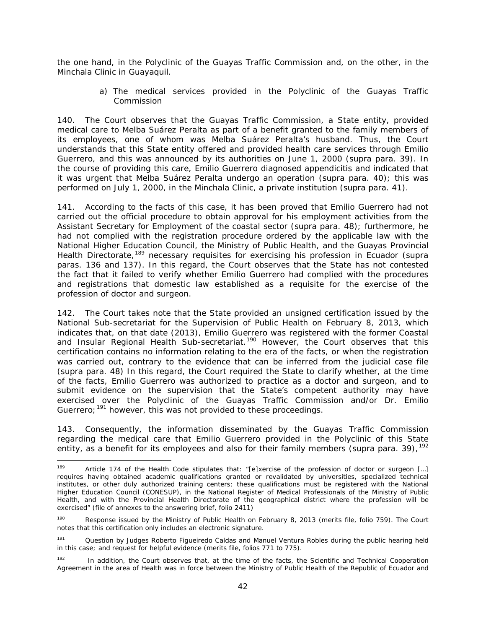the one hand, in the Polyclinic of the Guayas Traffic Commission and, on the other, in the Minchala Clinic in Guayaquil.

> *a) The medical services provided in the Polyclinic of the Guayas Traffic Commission*

140. The Court observes that the Guayas Traffic Commission, a State entity, provided medical care to Melba Suárez Peralta as part of a benefit granted to the family members of its employees, one of whom was Melba Suárez Peralta's husband. Thus, the Court understands that this State entity offered and provided health care services through Emilio Guerrero, and this was announced by its authorities on June 1, 2000 (*supra* para. 39). In the course of providing this care, Emilio Guerrero diagnosed appendicitis and indicated that it was urgent that Melba Suárez Peralta undergo an operation (*supra* para. 40); this was performed on July 1, 2000, in the Minchala Clinic, a private institution (*supra* para. 41).

141. According to the facts of this case, it has been proved that Emilio Guerrero had not carried out the official procedure to obtain approval for his employment activities from the Assistant Secretary for Employment of the coastal sector (*supra* para. 48); furthermore, he had not complied with the registration procedure ordered by the applicable law with the National Higher Education Council, the Ministry of Public Health, and the Guayas Provincial Health Directorate,[189](#page-41-0) necessary requisites for exercising his profession in Ecuador (*supra* paras. 136 and 137). In this regard, the Court observes that the State has not contested the fact that it failed to verify whether Emilio Guerrero had complied with the procedures and registrations that domestic law established as a requisite for the exercise of the profession of doctor and surgeon.

142. The Court takes note that the State provided an unsigned certification issued by the National Sub-secretariat for the Supervision of Public Health on February 8, 2013, which indicates that, on that date (2013), Emilio Guerrero was registered with the former Coastal and Insular Regional Health Sub-secretariat.<sup>[190](#page-41-1)</sup> However, the Court observes that this certification contains no information relating to the era of the facts, or when the registration was carried out, contrary to the evidence that can be inferred from the judicial case file (*supra* para. 48) In this regard, the Court required the State to clarify whether, at the time of the facts, Emilio Guerrero was authorized to practice as a doctor and surgeon, and to submit evidence on the supervision that the State's competent authority may have exercised over the Polyclinic of the Guayas Traffic Commission and/or Dr. Emilio Guerrero;<sup>[191](#page-41-2)</sup> however, this was not provided to these proceedings.

143. Consequently, the information disseminated by the Guayas Traffic Commission regarding the medical care that Emilio Guerrero provided in the Polyclinic of this State entity, as a benefit for its employees and also for their family members (*supra* para. 39), [192](#page-41-3)

<span id="page-41-0"></span><sup>&</sup>lt;sup>189</sup> Article 174 of the Health Code stipulates that: "[e]xercise of the profession of doctor or surgeon [...] requires having obtained academic qualifications granted or revalidated by universities, specialized technical institutes, or other duly authorized training centers; these qualifications must be registered with the National Higher Education Council (CONESUP), in the National Register of Medical Professionals of the Ministry of Public Health, and with the Provincial Health Directorate of the geographical district where the profession will be exercised" (file of annexes to the answering brief, folio 2411)

<span id="page-41-1"></span><sup>&</sup>lt;sup>190</sup> Response issued by the Ministry of Public Health on February 8, 2013 (merits file, folio 759). The Court notes that this certification only includes an electronic signature.

<span id="page-41-2"></span><sup>191</sup> Question by Judges Roberto Figueiredo Caldas and Manuel Ventura Robles during the public hearing held in this case; and request for helpful evidence (merits file, folios 771 to 775).

<span id="page-41-3"></span><sup>&</sup>lt;sup>192</sup> In addition, the Court observes that, at the time of the facts, the Scientific and Technical Cooperation Agreement in the area of Health was in force between the Ministry of Public Health of the Republic of Ecuador and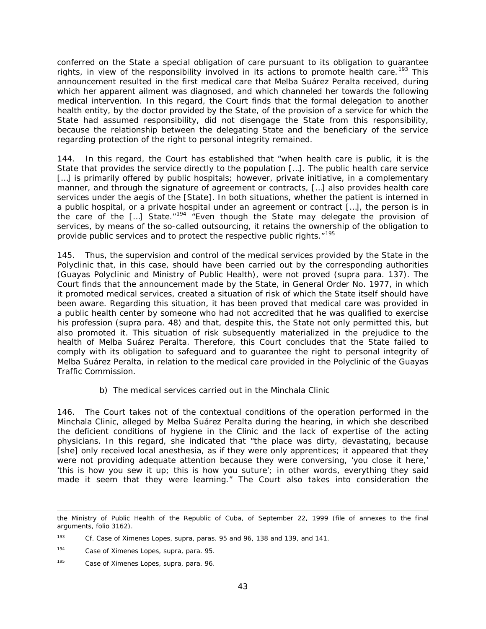conferred on the State a special obligation of care pursuant to its obligation to guarantee rights, in view of the responsibility involved in its actions to promote health care.<sup>[193](#page-42-0)</sup> This announcement resulted in the first medical care that Melba Suárez Peralta received, during which her apparent ailment was diagnosed, and which channeled her towards the following medical intervention. In this regard, the Court finds that the formal delegation to another health entity, by the doctor provided by the State, of the provision of a service for which the State had assumed responsibility, did not disengage the State from this responsibility, because the relationship between the delegating State and the beneficiary of the service regarding protection of the right to personal integrity remained.

144. In this regard, the Court has established that "when health care is public, it is the State that provides the service directly to the population […]. The public health care service [...] is primarily offered by public hospitals; however, private initiative, in a complementary manner, and through the signature of agreement or contracts, […] also provides health care services under the aegis of the [State]. In both situations, whether the patient is interned in a public hospital, or a private hospital under an agreement or contract […], the person is in the care of the  $\left[\ldots\right]$  State."<sup>[194](#page-42-1)</sup> "Even though the State may delegate the provision of services, by means of the so-called outsourcing, it retains the ownership of the obligation to provide public services and to protect the respective public rights."[195](#page-42-2)

145. Thus, the supervision and control of the medical services provided by the State in the Polyclinic that, in this case, should have been carried out by the corresponding authorities (Guayas Polyclinic and Ministry of Public Health), were not proved (*supra* para. 137). The Court finds that the announcement made by the State, in General Order No. 1977, in which it promoted medical services, created a situation of risk of which the State itself should have been aware. Regarding this situation, it has been proved that medical care was provided in a public health center by someone who had not accredited that he was qualified to exercise his profession (*supra* para. 48) and that, despite this, the State not only permitted this, but also promoted it. This situation of risk subsequently materialized in the prejudice to the health of Melba Suárez Peralta. Therefore, this Court concludes that the State failed to comply with its obligation to safeguard and to guarantee the right to personal integrity of Melba Suárez Peralta, in relation to the medical care provided in the Polyclinic of the Guayas Traffic Commission.

## *b) The medical services carried out in the Minchala Clinic*

146. The Court takes not of the contextual conditions of the operation performed in the Minchala Clinic, alleged by Melba Suárez Peralta during the hearing, in which she described the deficient conditions of hygiene in the Clinic and the lack of expertise of the acting physicians. In this regard, she indicated that "the place was dirty, devastating, because [she] only received local anesthesia, as if they were only apprentices; it appeared that they were not providing adequate attention because they were conversing, 'you close it here,' 'this is how you sew it up; this is how you suture'; in other words, everything they said made it seem that they were learning." The Court also takes into consideration the

l the Ministry of Public Health of the Republic of Cuba, of September 22, 1999 (file of annexes to the final arguments, folio 3162).

<span id="page-42-0"></span><sup>193</sup> *Cf. Case of Ximenes Lopes, supra,* paras. 95 and 96, 138 and 139, and 141.

<span id="page-42-1"></span><sup>194</sup> *Case of Ximenes Lopes, supra,* para. 95.

<span id="page-42-2"></span><sup>195</sup> *Case of Ximenes Lopes, supra,* para. 96.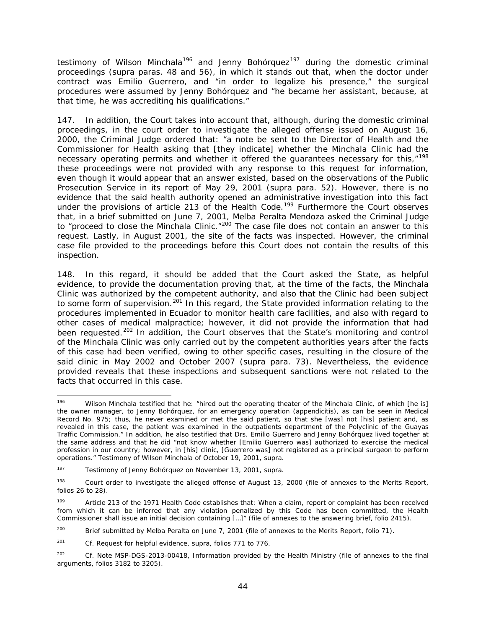testimony of Wilson Minchala<sup>[196](#page-43-0)</sup> and Jenny Bohórquez<sup>[197](#page-43-1)</sup> during the domestic criminal proceedings (*supra* paras. 48 and 56), in which it stands out that, when the doctor under contract was Emilio Guerrero, and "in order to legalize his presence," the surgical procedures were assumed by Jenny Bohórquez and "he became her assistant, because, at that time, he was accrediting his qualifications."

147. In addition, the Court takes into account that, although, during the domestic criminal proceedings, in the court order to investigate the alleged offense issued on August 16, 2000, the Criminal Judge ordered that: "a note be sent to the Director of Health and the Commissioner for Health asking that [they indicate] whether the Minchala Clinic had the necessary operating permits and whether it offered the guarantees necessary for this,"<sup>[198](#page-43-2)</sup> these proceedings were not provided with any response to this request for information, even though it would appear that an answer existed, based on the observations of the Public Prosecution Service in its report of May 29, 2001 (*supra* para. 52). However, there is no evidence that the said health authority opened an administrative investigation into this fact under the provisions of article 213 of the Health Code.<sup>[199](#page-43-3)</sup> Furthermore the Court observes that, in a brief submitted on June 7, 2001, Melba Peralta Mendoza asked the Criminal Judge to "proceed to close the Minchala Clinic."[200](#page-43-4) The case file does not contain an answer to this request. Lastly, in August 2001, the site of the facts was inspected. However, the criminal case file provided to the proceedings before this Court does not contain the results of this inspection.

148. In this regard, it should be added that the Court asked the State, as helpful evidence, to provide the documentation proving that, at the time of the facts, the Minchala Clinic was authorized by the competent authority, and also that the Clinic had been subject to some form of supervision.<sup>[201](#page-43-5)</sup> In this regard, the State provided information relating to the procedures implemented in Ecuador to monitor health care facilities, and also with regard to other cases of medical malpractice; however, it did not provide the information that had been requested.<sup>[202](#page-43-6)</sup> In addition, the Court observes that the State's monitoring and control of the Minchala Clinic was only carried out by the competent authorities years after the facts of this case had been verified, owing to other specific cases, resulting in the closure of the said clinic in May 2002 and October 2007 (*supra* para. 73). Nevertheless, the evidence provided reveals that these inspections and subsequent sanctions were not related to the facts that occurred in this case.

<span id="page-43-0"></span><sup>196</sup> Wilson Minchala testified that he: "hired out the operating theater of the Minchala Clinic, of which [he is] the owner manager, to Jenny Bohórquez, for an emergency operation (appendicitis), as can be seen in Medical Record No. 975; thus, he never examined or met the said patient, so that she [was] not [his] patient and, as revealed in this case, the patient was examined in the outpatients department of the Polyclinic of the Guayas Traffic Commission." In addition, he also testified that Drs. Emilio Guerrero and Jenny Bohórquez lived together at the same address and that he did "not know whether [Emilio Guerrero was] authorized to exercise the medical profession in our country; however, in [his] clinic, [Guerrero was] not registered as a principal surgeon to perform operations." Testimony of Wilson Minchala of October 19, 2001, *supra.*

<span id="page-43-1"></span><sup>197</sup> Testimony of Jenny Bohórquez on November 13, 2001, *supra.*

<span id="page-43-2"></span><sup>&</sup>lt;sup>198</sup> Court order to investigate the alleged offense of August 13, 2000 (file of annexes to the Merits Report, folios 26 to 28).

<span id="page-43-3"></span><sup>199</sup> Article 213 of the 1971 Health Code establishes that: When a claim, report or complaint has been received from which it can be inferred that any violation penalized by this Code has been committed, the Health Commissioner shall issue an initial decision containing […]" (file of annexes to the answering brief, folio 2415).

<span id="page-43-4"></span><sup>&</sup>lt;sup>200</sup> Brief submitted by Melba Peralta on June 7, 2001 (file of annexes to the Merits Report, folio 71).

<span id="page-43-5"></span><sup>201</sup> *Cf.* Request for helpful evidence, *supra,* folios 771 to 776.

<span id="page-43-6"></span><sup>202</sup> *Cf.* Note MSP-DGS-2013-00418, Information provided by the Health Ministry (file of annexes to the final arguments, folios 3182 to 3205).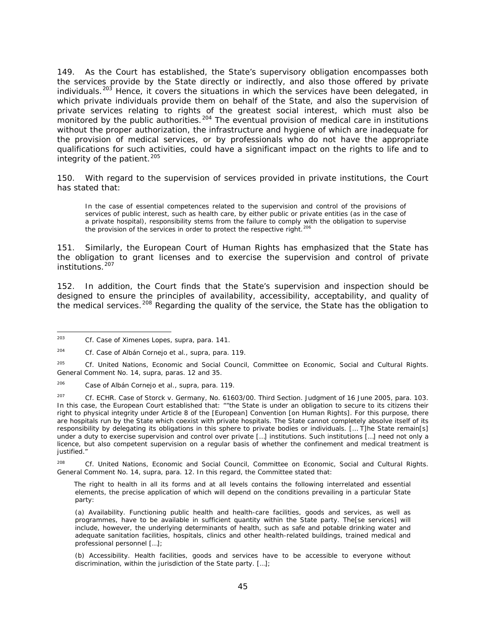149. As the Court has established, the State's supervisory obligation encompasses both the services provide by the State directly or indirectly, and also those offered by private individuals.<sup>[203](#page-44-0)</sup> Hence, it covers the situations in which the services have been delegated, in which private individuals provide them on behalf of the State, and also the supervision of private services relating to rights of the greatest social interest, which must also be monitored by the public authorities.<sup>[204](#page-44-1)</sup> The eventual provision of medical care in institutions without the proper authorization, the infrastructure and hygiene of which are inadequate for the provision of medical services, or by professionals who do not have the appropriate qualifications for such activities, could have a significant impact on the rights to life and to integrity of the patient. $205$ 

150. With regard to the supervision of services provided in private institutions, the Court has stated that:

In the case of essential competences related to the supervision and control of the provisions of services of public interest, such as health care, by either public or private entities (as in the case of a private hospital), responsibility stems from the failure to comply with the obligation to supervise the provision of the services in order to protect the respective right.<sup>[206](#page-44-3)</sup>

151. Similarly, the European Court of Human Rights has emphasized that the State has the obligation to grant licenses and to exercise the supervision and control of private institutions.[207](#page-44-4)

152. In addition, the Court finds that the State's supervision and inspection should be designed to ensure the principles of availability, accessibility, acceptability, and quality of the medical services.<sup>[208](#page-44-5)</sup> Regarding the quality of the service, the State has the obligation to

<span id="page-44-5"></span><sup>208</sup> *Cf.* United Nations, Economic and Social Council, Committee on Economic, Social and Cultural Rights. General Comment No. 14, *supra*, para. 12. In this regard, the Committee stated that:

The right to health in all its forms and at all levels contains the following interrelated and essential elements, the precise application of which will depend on the conditions prevailing in a particular State party:

<span id="page-44-0"></span> <sup>203</sup> *Cf. Case of Ximenes Lopes, supra*, para. 141.

<span id="page-44-1"></span><sup>204</sup> *Cf. Case of Albán Cornejo et al., supra*, para. 119.

<span id="page-44-2"></span><sup>205</sup> *Cf.* United Nations, Economic and Social Council, Committee on Economic, Social and Cultural Rights. General Comment No. 14, *supra*, paras. 12 and 35.

<span id="page-44-3"></span><sup>206</sup> *Case of Albán Cornejo et al., supra*, para. 119.

<span id="page-44-4"></span><sup>207</sup> *Cf.* ECHR. *Case of Storck v. Germany*, No. 61603/00. Third Section. Judgment of 16 June 2005, para. 103*.* In this case, the European Court established that: ""the State is under an obligation to secure to its citizens their right to physical integrity under Article 8 of the [European] Convention [on Human Rights]. For this purpose, there are hospitals run by the State which coexist with private hospitals. The State cannot completely absolve itself of its responsibility by delegating its obligations in this sphere to private bodies or individuals. [… T]he State remain[s] under a duty to exercise supervision and control over private […] institutions. Such institutions […] need not only a licence, but also competent supervision on a regular basis of whether the confinement and medical treatment is justified."

<sup>(</sup>a) *Availability.* Functioning public health and health-care facilities, goods and services, as well as programmes, have to be available in sufficient quantity within the State party. The[se services] will include, however, the underlying determinants of health, such as safe and potable drinking water and adequate sanitation facilities, hospitals, clinics and other health-related buildings, trained medical and professional personnel […];

<sup>(</sup>b) *Accessibility.* Health facilities, goods and services have to be accessible to everyone without discrimination, within the jurisdiction of the State party. […];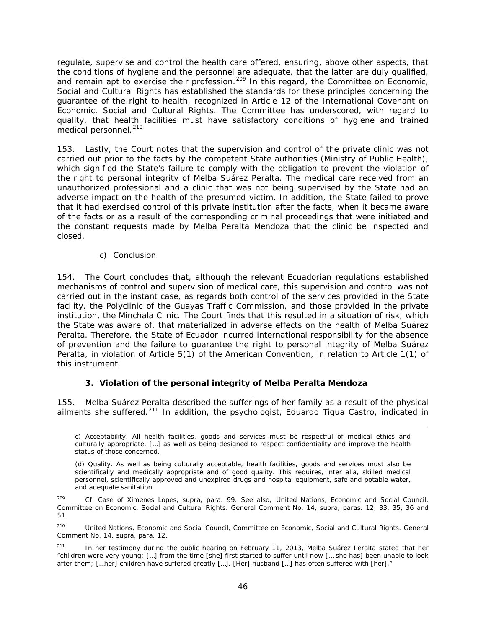regulate, supervise and control the health care offered, ensuring, above other aspects, that the conditions of hygiene and the personnel are adequate, that the latter are duly qualified, and remain apt to exercise their profession.<sup>[209](#page-45-0)</sup> In this regard, the Committee on Economic, Social and Cultural Rights has established the standards for these principles concerning the guarantee of the right to health, recognized in Article 12 of the International Covenant on Economic, Social and Cultural Rights. The Committee has underscored, with regard to quality, that health facilities must have satisfactory conditions of hygiene and trained medical personnel.<sup>[210](#page-45-1)</sup>

153. Lastly, the Court notes that the supervision and control of the private clinic was not carried out prior to the facts by the competent State authorities (Ministry of Public Health), which signified the State's failure to comply with the obligation to prevent the violation of the right to personal integrity of Melba Suárez Peralta. The medical care received from an unauthorized professional and a clinic that was not being supervised by the State had an adverse impact on the health of the presumed victim. In addition, the State failed to prove that it had exercised control of this private institution after the facts, when it became aware of the facts or as a result of the corresponding criminal proceedings that were initiated and the constant requests made by Melba Peralta Mendoza that the clinic be inspected and closed.

## *c) Conclusion*

i,

154. The Court concludes that, although the relevant Ecuadorian regulations established mechanisms of control and supervision of medical care, this supervision and control was not carried out in the instant case, as regards both control of the services provided in the State facility, the Polyclinic of the Guayas Traffic Commission, and those provided in the private institution, the Minchala Clinic. The Court finds that this resulted in a situation of risk, which the State was aware of, that materialized in adverse effects on the health of Melba Suárez Peralta. Therefore, the State of Ecuador incurred international responsibility for the absence of prevention and the failure to guarantee the right to personal integrity of Melba Suárez Peralta, in violation of Article 5(1) of the American Convention, in relation to Article 1(1) of this instrument.

## *3. Violation of the personal integrity of Melba Peralta Mendoza*

155. Melba Suárez Peralta described the sufferings of her family as a result of the physical ailments she suffered.<sup>[211](#page-45-2)</sup> In addition, the psychologist, Eduardo Tigua Castro, indicated in

c) *Acceptability.* All health facilities, goods and services must be respectful of medical ethics and culturally appropriate, […] as well as being designed to respect confidentiality and improve the health status of those concerned.

<sup>(</sup>d) *Quality.* As well as being culturally acceptable, health facilities, goods and services must also be scientifically and medically appropriate and of good quality. This requires, *inter alia*, skilled medical personnel, scientifically approved and unexpired drugs and hospital equipment, safe and potable water, and adequate sanitation.

<span id="page-45-0"></span><sup>209</sup> *Cf. Case of Ximenes Lopes, supra*, para. 99. See also; United Nations, Economic and Social Council, Committee on Economic, Social and Cultural Rights. General Comment No. 14, *supra*, paras. 12, 33, 35, 36 and 51.

<span id="page-45-1"></span><sup>&</sup>lt;sup>210</sup> United Nations, Economic and Social Council, Committee on Economic, Social and Cultural Rights. General Comment No. 14, *supra*, para. 12.

<span id="page-45-2"></span><sup>&</sup>lt;sup>211</sup> In her testimony during the public hearing on February 11, 2013, Melba Suárez Peralta stated that her "children were very young; […] from the time [she] first started to suffer until now [… she has] been unable to look after them; […her] children have suffered greatly […]. [Her] husband […] has often suffered with [her]."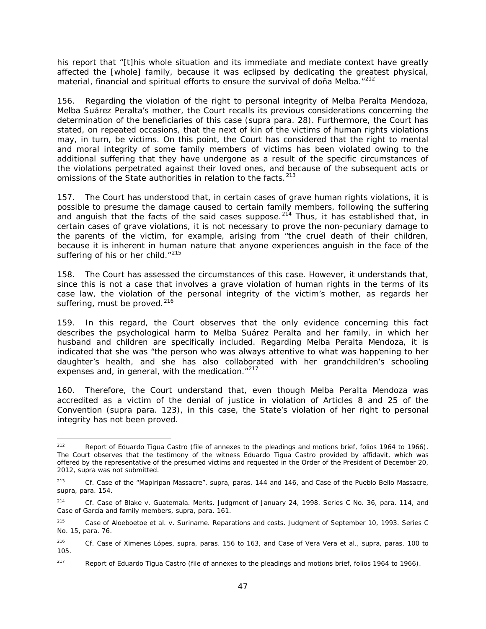his report that "[t]his whole situation and its immediate and mediate context have greatly affected the [whole] family, because it was eclipsed by dedicating the greatest physical, material, financial and spiritual efforts to ensure the survival of doña Melba."<sup>[212](#page-46-0)</sup>

156. Regarding the violation of the right to personal integrity of Melba Peralta Mendoza, Melba Suárez Peralta's mother, the Court recalls its previous considerations concerning the determination of the beneficiaries of this case (*supra* para. 28). Furthermore, the Court has stated, on repeated occasions, that the next of kin of the victims of human rights violations may, in turn, be victims. On this point, the Court has considered that the right to mental and moral integrity of some family members of victims has been violated owing to the additional suffering that they have undergone as a result of the specific circumstances of the violations perpetrated against their loved ones, and because of the subsequent acts or omissions of the State authorities in relation to the facts.<sup>[213](#page-46-1)</sup>

157. The Court has understood that, in certain cases of grave human rights violations, it is possible to presume the damage caused to certain family members, following the suffering and anguish that the facts of the said cases suppose.<sup>[214](#page-46-2)</sup> Thus, it has established that, in certain cases of grave violations, it is not necessary to prove the non-pecuniary damage to the parents of the victim, for example, arising from "the cruel death of their children, because it is inherent in human nature that anyone experiences anguish in the face of the suffering of his or her child."<sup>[215](#page-46-3)</sup>

158. The Court has assessed the circumstances of this case. However, it understands that, since this is not a case that involves a grave violation of human rights in the terms of its case law, the violation of the personal integrity of the victim's mother, as regards her suffering, must be proved. $216$ 

159. In this regard, the Court observes that the only evidence concerning this fact describes the psychological harm to Melba Suárez Peralta and her family, in which her husband and children are specifically included. Regarding Melba Peralta Mendoza, it is indicated that she was "the person who was always attentive to what was happening to her daughter's health, and she has also collaborated with her grandchildren's schooling expenses and, in general, with the medication."<sup>[217](#page-46-5)</sup>

160. Therefore, the Court understand that, even though Melba Peralta Mendoza was accredited as a victim of the denial of justice in violation of Articles 8 and 25 of the Convention (*supra* para. 123), in this case, the State's violation of her right to personal integrity has not been proved.

<span id="page-46-0"></span><sup>&</sup>lt;sup>212</sup> Report of Eduardo Tigua Castro (file of annexes to the pleadings and motions brief, folios 1964 to 1966). The Court observes that the testimony of the witness Eduardo Tigua Castro provided by affidavit, which was offered by the representative of the presumed victims and requested in the Order of the President of December 20, 2012, *supra* was not submitted.

<span id="page-46-1"></span><sup>213</sup> *Cf. Case of the "Mapiripan Massacre", supra,* paras. 144 and 146, and *Case of the Pueblo Bello Massacre*, *supra*, para. 154*.*

<span id="page-46-2"></span><sup>214</sup> *Cf. Case of Blake v. Guatemala. Merits.* Judgment of January 24, 1998. Series C No. 36, para. 114, and *Case of García and family members*, *supra*, para. 161.

<span id="page-46-3"></span><sup>215</sup> *Case of Aloeboetoe et al. v. Suriname.* Reparations and costs. Judgment of September 10, 1993. Series C No. 15, para. 76.

<span id="page-46-4"></span><sup>216</sup> *Cf. Case of Ximenes Lópes, supra*, paras. 156 to 163, and *Case of Vera Vera et al., supra*, paras. 100 to 105.

<span id="page-46-5"></span><sup>&</sup>lt;sup>217</sup> Report of Eduardo Tigua Castro (file of annexes to the pleadings and motions brief, folios 1964 to 1966).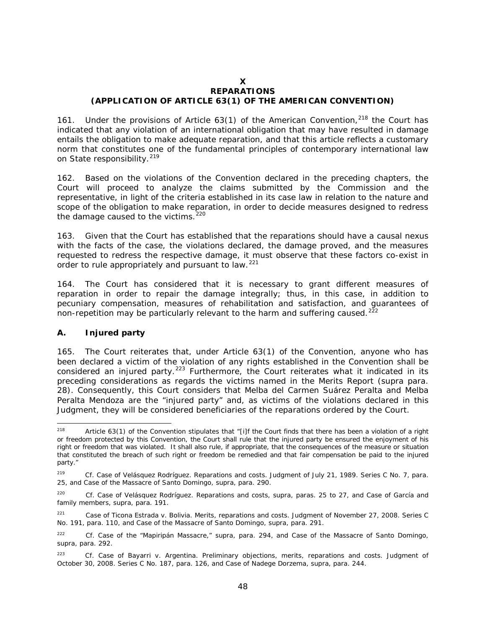#### **X REPARATIONS (APPLICATION OF ARTICLE 63(1) OF THE AMERICAN CONVENTION)**

161. Under the provisions of Article 63(1) of the American Convention,  $218$  the Court has indicated that any violation of an international obligation that may have resulted in damage entails the obligation to make adequate reparation, and that this article reflects a customary norm that constitutes one of the fundamental principles of contemporary international law on State responsibility.<sup>[219](#page-47-1)</sup>

162. Based on the violations of the Convention declared in the preceding chapters, the Court will proceed to analyze the claims submitted by the Commission and the representative, in light of the criteria established in its case law in relation to the nature and scope of the obligation to make reparation, in order to decide measures designed to redress the damage caused to the victims. $220$ 

163. Given that the Court has established that the reparations should have a causal nexus with the facts of the case, the violations declared, the damage proved, and the measures requested to redress the respective damage, it must observe that these factors co-exist in order to rule appropriately and pursuant to law.<sup>[221](#page-47-3)</sup>

164. The Court has considered that it is necessary to grant different measures of reparation in order to repair the damage integrally; thus, in this case, in addition to pecuniary compensation, measures of rehabilitation and satisfaction, and guarantees of non-repetition may be particularly relevant to the harm and suffering caused.<sup>[222](#page-47-4)</sup>

## *A. Injured party*

165. The Court reiterates that, under Article 63(1) of the Convention, anyone who has been declared a victim of the violation of any rights established in the Convention shall be considered an injured party.<sup>[223](#page-47-5)</sup> Furthermore, the Court reiterates what it indicated in its preceding considerations as regards the victims named in the Merits Report (*supra* para. 28). Consequently, this Court considers that Melba del Carmen Suárez Peralta and Melba Peralta Mendoza are the "injured party" and, as victims of the violations declared in this Judgment, they will be considered beneficiaries of the reparations ordered by the Court.

<span id="page-47-0"></span><sup>&</sup>lt;sup>218</sup> Article 63(1) of the Convention stipulates that "[i]f the Court finds that there has been a violation of a right or freedom protected by this Convention, the Court shall rule that the injured party be ensured the enjoyment of his right or freedom that was violated. It shall also rule, if appropriate, that the consequences of the measure or situation that constituted the breach of such right or freedom be remedied and that fair compensation be paid to the injured party."

<span id="page-47-1"></span><sup>219</sup> *Cf. Case of Velásquez Rodríguez. Reparations and costs.* Judgment of July 21, 1989. Series C No. 7*,* para. 25, and *Case of the Massacre of Santo Domingo, supra*, para. 290.

<span id="page-47-2"></span><sup>220</sup> *Cf. Case of Velásquez Rodríguez. Reparations and costs, supra,* paras. 25 to 27, and *Case of García and family members, supra,* para. 191.

<span id="page-47-3"></span><sup>221</sup> *Case of Ticona Estrada v. Bolivia. Merits, reparations and costs.* Judgment of November 27, 2008. Series C No. 191, para. 110, and *Case of the Massacre of Santo Domingo, supra*, para. 291.

<span id="page-47-4"></span><sup>222</sup> *Cf. Case of the "Mapiripán Massacre," supra,* para. 294, and *Case of the Massacre of Santo Domingo, supra,* para. 292.

<span id="page-47-5"></span><sup>223</sup> Cf. *Case of Bayarri v. Argentina. Preliminary objections, merits, reparations and costs.* Judgment of October 30, 2008. Series C No. 187, para. 126, and *Case of Nadege Dorzema, supra,* para. 244.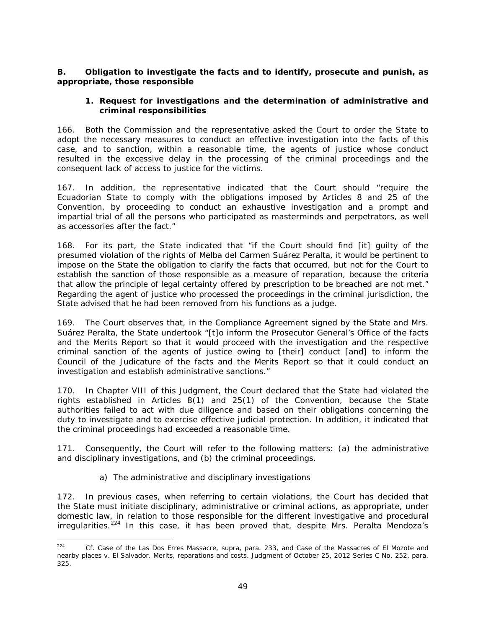## *B. Obligation to investigate the facts and to identify, prosecute and punish, as appropriate, those responsible*

## *1. Request for investigations and the determination of administrative and criminal responsibilities*

166. Both the Commission and the representative asked the Court to order the State to adopt the necessary measures to conduct an effective investigation into the facts of this case, and to sanction, within a reasonable time, the agents of justice whose conduct resulted in the excessive delay in the processing of the criminal proceedings and the consequent lack of access to justice for the victims.

167. In addition, the representative indicated that the Court should "require the Ecuadorian State to comply with the obligations imposed by Articles 8 and 25 of the Convention, by proceeding to conduct an exhaustive investigation and a prompt and impartial trial of all the persons who participated as masterminds and perpetrators, as well as accessories after the fact."

168. For its part, the State indicated that "if the Court should find [it] guilty of the presumed violation of the rights of Melba del Carmen Suárez Peralta, it would be pertinent to impose on the State the obligation to clarify the facts that occurred, but not for the Court to establish the sanction of those responsible as a measure of reparation, because the criteria that allow the principle of legal certainty offered by prescription to be breached are not met." Regarding the agent of justice who processed the proceedings in the criminal jurisdiction, the State advised that he had been removed from his functions as a judge.

169. The Court observes that, in the Compliance Agreement signed by the State and Mrs. Suárez Peralta, the State undertook "[t]o inform the Prosecutor General's Office of the facts and the Merits Report so that it would proceed with the investigation and the respective criminal sanction of the agents of justice owing to [their] conduct [and] to inform the Council of the Judicature of the facts and the Merits Report so that it could conduct an investigation and establish administrative sanctions."

170. In Chapter VIII of this Judgment, the Court declared that the State had violated the rights established in Articles 8(1) and 25(1) of the Convention, because the State authorities failed to act with due diligence and based on their obligations concerning the duty to investigate and to exercise effective judicial protection. In addition, it indicated that the criminal proceedings had exceeded a reasonable time.

171. Consequently, the Court will refer to the following matters: (a) the administrative and disciplinary investigations, and (b) the criminal proceedings.

## *a) The administrative and disciplinary investigations*

172. In previous cases, when referring to certain violations, the Court has decided that the State must initiate disciplinary, administrative or criminal actions, as appropriate, under domestic law, in relation to those responsible for the different investigative and procedural irregularities.<sup>[224](#page-48-0)</sup> In this case, it has been proved that, despite Mrs. Peralta Mendoza's

<span id="page-48-0"></span> <sup>224</sup> *Cf. Case of the Las Dos Erres Massacre*, *supra*, para. 233, and *Case of the Massacres of El Mozote and nearby places v. El Salvador. Merits, reparations and costs.* Judgment of October 25, 2012 Series C No. 252, para. 325.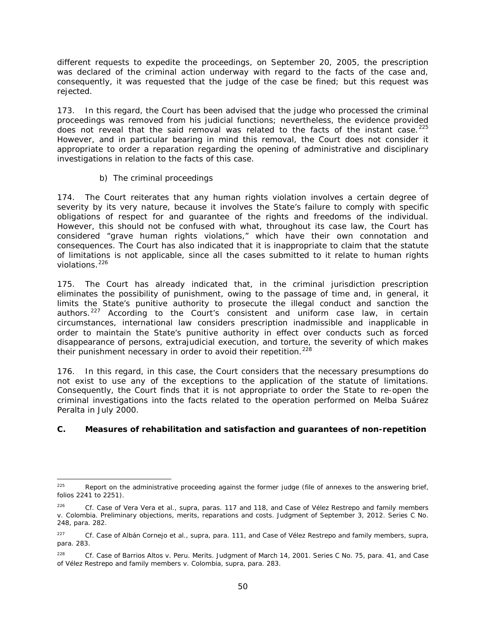different requests to expedite the proceedings, on September 20, 2005, the prescription was declared of the criminal action underway with regard to the facts of the case and, consequently, it was requested that the judge of the case be fined; but this request was rejected.

173. In this regard, the Court has been advised that the judge who processed the criminal proceedings was removed from his judicial functions; nevertheless, the evidence provided does not reveal that the said removal was related to the facts of the instant case.<sup>[225](#page-49-0)</sup> However, and in particular bearing in mind this removal, the Court does not consider it appropriate to order a reparation regarding the opening of administrative and disciplinary investigations in relation to the facts of this case.

## *b) The criminal proceedings*

174. The Court reiterates that any human rights violation involves a certain degree of severity by its very nature, because it involves the State's failure to comply with specific obligations of respect for and guarantee of the rights and freedoms of the individual. However, this should not be confused with what, throughout its case law, the Court has considered "grave human rights violations," which have their own connotation and consequences. The Court has also indicated that it is inappropriate to claim that the statute of limitations is not applicable, since all the cases submitted to it relate to human rights violations.<sup>[226](#page-49-1)</sup>

175. The Court has already indicated that, in the criminal jurisdiction prescription eliminates the possibility of punishment, owing to the passage of time and, in general, it limits the State's punitive authority to prosecute the illegal conduct and sanction the authors.<sup>[227](#page-49-2)</sup> According to the Court's consistent and uniform case law, in certain circumstances, international law considers prescription inadmissible and inapplicable in order to maintain the State's punitive authority in effect over conducts such as forced disappearance of persons, extrajudicial execution, and torture, the severity of which makes their punishment necessary in order to avoid their repetition.<sup>[228](#page-49-3)</sup>

176. In this regard, in this case, the Court considers that the necessary presumptions do not exist to use any of the exceptions to the application of the statute of limitations. Consequently, the Court finds that it is not appropriate to order the State to re-open the criminal investigations into the facts related to the operation performed on Melba Suárez Peralta in July 2000.

# *C. Measures of rehabilitation and satisfaction and guarantees of non-repetition*

<span id="page-49-0"></span> $225$  Report on the administrative proceeding against the former judge (file of annexes to the answering brief, folios 2241 to 2251).

<span id="page-49-1"></span><sup>226</sup> *Cf. Case of Vera Vera et al., supra*, paras. 117 and 118, and *Case of Vélez Restrepo and family members v. Colombia.* Preliminary objections, merits, reparations and costs. Judgment of September 3, 2012. Series C No. 248, para. 282.

<span id="page-49-2"></span><sup>227</sup> *Cf. Case of Albán Cornejo et al., supra*, para. 111, and *Case of Vélez Restrepo and family members, supra*, para. 283.

<span id="page-49-3"></span><sup>228</sup> *Cf. Case of Barrios Altos v. Peru. Merits.* Judgment of March 14, 2001. Series C No. 75, para. 41, and *Case of Vélez Restrepo and family members v. Colombia, supra*, para. 283.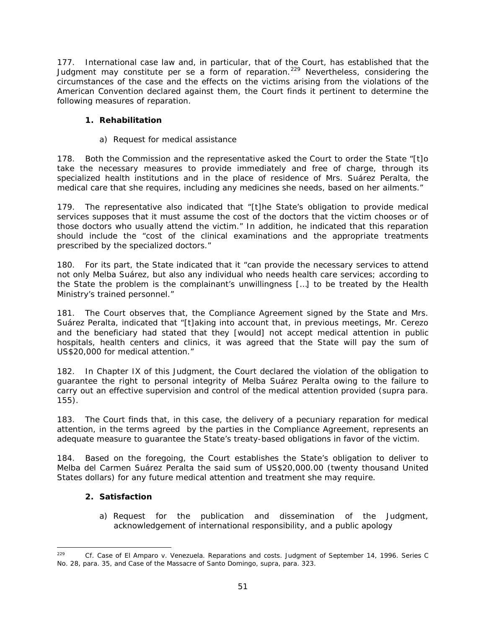177. International case law and, in particular, that of the Court, has established that the Judgment may constitute *per se* a form of reparation.<sup>[229](#page-50-0)</sup> Nevertheless, considering the circumstances of the case and the effects on the victims arising from the violations of the American Convention declared against them, the Court finds it pertinent to determine the following measures of reparation.

# *1. Rehabilitation*

# *a) Request for medical assistance*

178. Both the Commission and the representative asked the Court to order the State "[t]o take the necessary measures to provide immediately and free of charge, through its specialized health institutions and in the place of residence of Mrs. Suárez Peralta, the medical care that she requires, including any medicines she needs, based on her ailments."

179. The representative also indicated that "[t]he State's obligation to provide medical services supposes that it must assume the cost of the doctors that the victim chooses or of those doctors who usually attend the victim." In addition, he indicated that this reparation should include the "cost of the clinical examinations and the appropriate treatments prescribed by the specialized doctors."

180. For its part, the State indicated that it "can provide the necessary services to attend not only Melba Suárez, but also any individual who needs health care services; according to the State the problem is the complainant's unwillingness […] to be treated by the Health Ministry's trained personnel."

181. The Court observes that, the Compliance Agreement signed by the State and Mrs. Suárez Peralta, indicated that "[t]aking into account that, in previous meetings, Mr. Cerezo and the beneficiary had stated that they [would] not accept medical attention in public hospitals, health centers and clinics, it was agreed that the State will pay the sum of US\$20,000 for medical attention."

182. In Chapter IX of this Judgment, the Court declared the violation of the obligation to guarantee the right to personal integrity of Melba Suárez Peralta owing to the failure to carry out an effective supervision and control of the medical attention provided (*supra* para. 155).

183. The Court finds that, in this case, the delivery of a pecuniary reparation for medical attention, in the terms agreed by the parties in the Compliance Agreement, represents an adequate measure to guarantee the State's treaty-based obligations in favor of the victim.

184. Based on the foregoing, the Court establishes the State's obligation to deliver to Melba del Carmen Suárez Peralta the said sum of US\$20,000.00 (twenty thousand United States dollars) for any future medical attention and treatment she may require.

# *2. Satisfaction*

*a) Request for the publication and dissemination of the Judgment, acknowledgement of international responsibility, and a public apology*

<span id="page-50-0"></span> <sup>229</sup> *Cf. Case of El Amparo v. Venezuela. Reparations and costs*. Judgment of September 14, 1996. Series C No. 28, para. 35, and *Case of the Massacre of Santo Domingo, supra*, para. 323.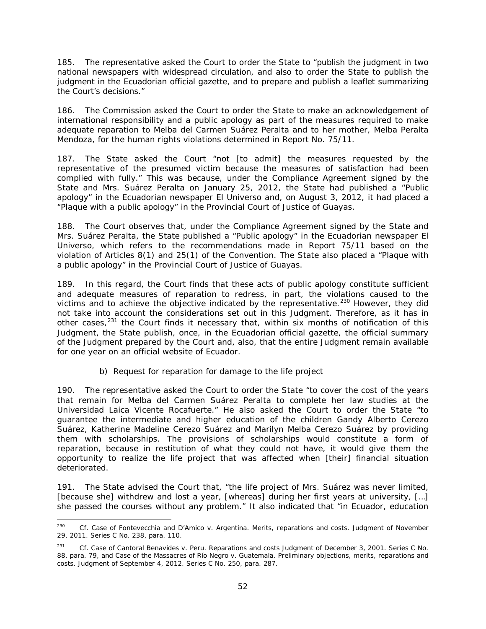185. The representative asked the Court to order the State to "publish the judgment in two national newspapers with widespread circulation, and also to order the State to publish the judgment in the Ecuadorian official gazette, and to prepare and publish a leaflet summarizing the Court's decisions."

186. The Commission asked the Court to order the State to make an acknowledgement of international responsibility and a public apology as part of the measures required to make adequate reparation to Melba del Carmen Suárez Peralta and to her mother, Melba Peralta Mendoza, for the human rights violations determined in Report No. 75/11.

187. The State asked the Court "not [to admit] the measures requested by the representative of the presumed victim because the measures of satisfaction had been complied with fully." This was because, under the Compliance Agreement signed by the State and Mrs. Suárez Peralta on January 25, 2012, the State had published a "Public apology" in the Ecuadorian newspaper *El Universo* and, on August 3, 2012, it had placed a "Plaque with a public apology" in the Provincial Court of Justice of Guayas.

188. The Court observes that, under the Compliance Agreement signed by the State and Mrs. Suárez Peralta, the State published a "Public apology" in the Ecuadorian newspaper *El Universo*, which refers to the recommendations made in Report 75/11 based on the violation of Articles 8(1) and 25(1) of the Convention. The State also placed a "Plaque with a public apology" in the Provincial Court of Justice of Guayas.

189. In this regard, the Court finds that these acts of public apology constitute sufficient and adequate measures of reparation to redress, in part, the violations caused to the victims and to achieve the objective indicated by the representative.<sup>[230](#page-51-0)</sup> However, they did not take into account the considerations set out in this Judgment. Therefore, as it has in other cases,<sup>[231](#page-51-1)</sup> the Court finds it necessary that, within six months of notification of this Judgment, the State publish, once, in the Ecuadorian official gazette, the official summary of the Judgment prepared by the Court and, also, that the entire Judgment remain available for one year on an official website of Ecuador.

# *b) Request for reparation for damage to the life project*

190. The representative asked the Court to order the State "to cover the cost of the years that remain for Melba del Carmen Suárez Peralta to complete her law studies at the Universidad Laica Vicente Rocafuerte." He also asked the Court to order the State "to guarantee the intermediate and higher education of the children Gandy Alberto Cerezo Suárez, Katherine Madeline Cerezo Suárez and Marilyn Melba Cerezo Suárez by providing them with scholarships. The provisions of scholarships would constitute a form of reparation, because in restitution of what they could not have, it would give them the opportunity to realize the life project that was affected when [their] financial situation deteriorated.

191. The State advised the Court that, "the life project of Mrs. Suárez was never limited, [because she] withdrew and lost a year, [whereas] during her first years at university, […] she passed the courses without any problem." It also indicated that "in Ecuador, education

<span id="page-51-0"></span> <sup>230</sup> *Cf. Case of Fontevecchia and D'Amico v. Argentina. Merits, reparations and costs.* Judgment of November 29, 2011. Series C No. 238, para. 110.

<span id="page-51-1"></span><sup>231</sup> *Cf. Case of Cantoral Benavides v. Peru.* Reparations and costs Judgment of December 3, 2001. Series C No. 88*,* para. 79*,* and *Case of the Massacres of Río Negro v. Guatemala*. Preliminary objections, merits, reparations and costs. Judgment of September 4, 2012. Series C No. 250*,* para. 287.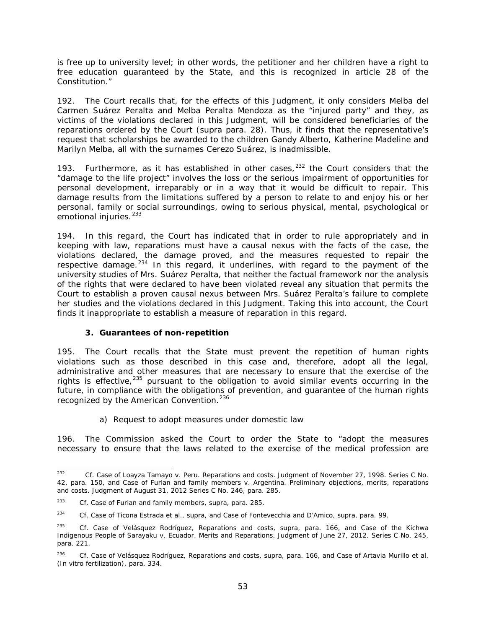is free up to university level; in other words, the petitioner and her children have a right to free education guaranteed by the State, and this is recognized in article 28 of the Constitution."

192. The Court recalls that, for the effects of this Judgment, it only considers Melba del Carmen Suárez Peralta and Melba Peralta Mendoza as the "injured party" and they, as victims of the violations declared in this Judgment, will be considered beneficiaries of the reparations ordered by the Court (*supra* para. 28). Thus, it finds that the representative's request that scholarships be awarded to the children Gandy Alberto, Katherine Madeline and Marilyn Melba, all with the surnames Cerezo Suárez, is inadmissible.

193. Furthermore, as it has established in other cases,  $232$  the Court considers that the "damage to the life project" involves the loss or the serious impairment of opportunities for personal development, irreparably or in a way that it would be difficult to repair. This damage results from the limitations suffered by a person to relate to and enjoy his or her personal, family or social surroundings, owing to serious physical, mental, psychological or emotional injuries.<sup>233</sup>

194. In this regard, the Court has indicated that in order to rule appropriately and in keeping with law, reparations must have a causal nexus with the facts of the case, the violations declared, the damage proved, and the measures requested to repair the respective damage. $^{234}$  $^{234}$  $^{234}$  In this regard, it underlines, with regard to the payment of the university studies of Mrs. Suárez Peralta, that neither the factual framework nor the analysis of the rights that were declared to have been violated reveal any situation that permits the Court to establish a proven causal nexus between Mrs. Suárez Peralta's failure to complete her studies and the violations declared in this Judgment. Taking this into account, the Court finds it inappropriate to establish a measure of reparation in this regard.

## *3. Guarantees of non-repetition*

195. The Court recalls that the State must prevent the repetition of human rights violations such as those described in this case and, therefore, adopt all the legal, administrative and other measures that are necessary to ensure that the exercise of the rights is effective,  $235$  pursuant to the obligation to avoid similar events occurring in the future, in compliance with the obligations of prevention, and guarantee of the human rights recognized by the American Convention.<sup>[236](#page-52-4)</sup>

## *a) Request to adopt measures under domestic law*

196. The Commission asked the Court to order the State to "adopt the measures necessary to ensure that the laws related to the exercise of the medical profession are

<span id="page-52-0"></span> <sup>232</sup> *Cf. Case of Loayza Tamayo v. Peru*. *Reparations and costs.* Judgment of November 27, 1998. Series C No. 42, para. 150, and *Case of Furlan and family members v. Argentina. Preliminary objections, merits, reparations and costs.* Judgment of August 31, 2012 Series C No. 246, para. 285.

<span id="page-52-1"></span><sup>233</sup> *Cf. Case of Furlan and family members*, supra, para. 285.

<span id="page-52-2"></span><sup>234</sup> *Cf. Case of Ticona Estrada et al., supra*, and *Case of Fontevecchia and D'Amico, supra*, para. 99.

<span id="page-52-3"></span><sup>235</sup> *Cf. Case of Velásquez Rodríguez, Reparations and costs, supra*, para. 166, and *Case of the Kichwa Indigenous People of Sarayaku v. Ecuador*. *Merits and Reparations. Judgment of June 27, 2012. Series C No. 245*, para. 221.

<span id="page-52-4"></span><sup>236</sup> *Cf. Case of Velásquez Rodríguez, Reparations and costs, supra*, para. 166, and *Case of Artavia Murillo et al. (In vitro fertilization)*, para. 334.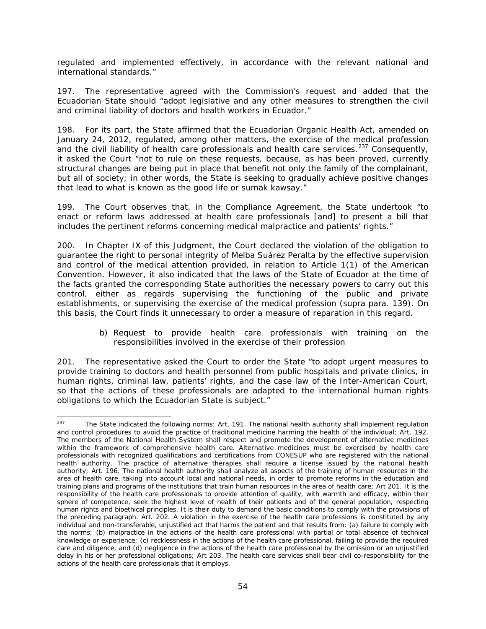regulated and implemented effectively, in accordance with the relevant national and international standards."

197. The representative agreed with the Commission's request and added that the Ecuadorian State should "adopt legislative and any other measures to strengthen the civil and criminal liability of doctors and health workers in Ecuador."

198. For its part, the State affirmed that the Ecuadorian Organic Health Act, amended on January 24, 2012, regulated, among other matters, the exercise of the medical profession and the civil liability of health care professionals and health care services.<sup>[237](#page-53-0)</sup> Consequently, it asked the Court "not to rule on these requests, because, as has been proved, currently structural changes are being put in place that benefit not only the family of the complainant, but all of society; in other words, the State is seeking to gradually achieve positive changes that lead to what is known as the good life or *sumak kawsay*."

199. The Court observes that, in the Compliance Agreement, the State undertook "to enact or reform laws addressed at health care professionals [and] to present a bill that includes the pertinent reforms concerning medical malpractice and patients' rights."

200. In Chapter IX of this Judgment, the Court declared the violation of the obligation to guarantee the right to personal integrity of Melba Suárez Peralta by the effective supervision and control of the medical attention provided, in relation to Article 1(1) of the American Convention. However, it also indicated that the laws of the State of Ecuador at the time of the facts granted the corresponding State authorities the necessary powers to carry out this control, either as regards supervising the functioning of the public and private establishments, or supervising the exercise of the medical profession (*supra* para. 139). On this basis, the Court finds it unnecessary to order a measure of reparation in this regard.

## *b) Request to provide health care professionals with training on the responsibilities involved in the exercise of their profession*

201. The representative asked the Court to order the State "to adopt urgent measures to provide training to doctors and health personnel from public hospitals and private clinics, in human rights, criminal law, patients' rights, and the case law of the Inter-American Court, so that the actions of these professionals are adapted to the international human rights obligations to which the Ecuadorian State is subject."

<span id="page-53-0"></span><sup>&</sup>lt;sup>237</sup> The State indicated the following norms: Art. 191. The national health authority shall implement regulation and control procedures to avoid the practice of traditional medicine harming the health of the individual; Art. 192. The members of the National Health System shall respect and promote the development of alternative medicines within the framework of comprehensive health care. Alternative medicines must be exercised by health care professionals with recognized qualifications and certifications from CONESUP who are registered with the national health authority. The practice of alternative therapies shall require a license issued by the national health authority; Art. 196. The national health authority shall analyze all aspects of the training of human resources in the area of health care, taking into account local and national needs, in order to promote reforms in the education and training plans and programs of the institutions that train human resources in the area of health care; Art 201. It is the responsibility of the health care professionals to provide attention of quality, with warmth and efficacy, within their sphere of competence, seek the highest level of health of their patients and of the general population, respecting human rights and bioethical principles. It is their duty to demand the basic conditions to comply with the provisions of the preceding paragraph. Art. 202. A violation in the exercise of the health care professions is constituted by any individual and non-transferable, unjustified act that harms the patient and that results from: (a) failure to comply with the norms; (b) malpractice in the actions of the health care professional with partial or total absence of technical knowledge or experience; (c) recklessness in the actions of the health care professional, failing to provide the required care and diligence, and (d) negligence in the actions of the health care professional by the omission or an unjustified delay in his or her professional obligations; Art 203. The health care services shall bear civil co-responsibility for the actions of the health care professionals that it employs.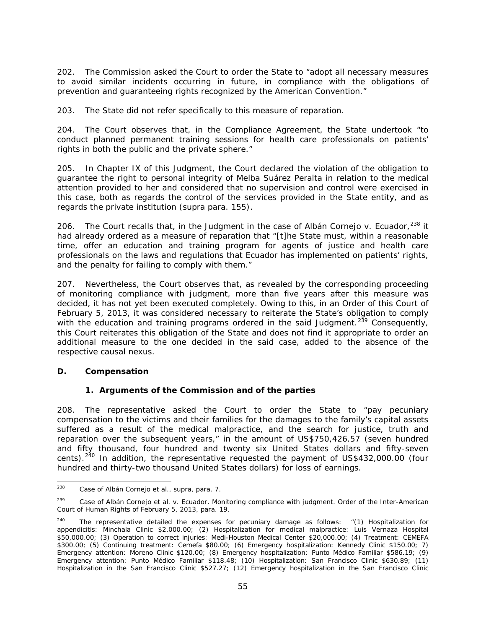202. The Commission asked the Court to order the State to "adopt all necessary measures to avoid similar incidents occurring in future, in compliance with the obligations of prevention and guaranteeing rights recognized by the American Convention."

203. The State did not refer specifically to this measure of reparation.

204. The Court observes that, in the Compliance Agreement, the State undertook "to conduct planned permanent training sessions for health care professionals on patients' rights in both the public and the private sphere."

205. In Chapter IX of this Judgment, the Court declared the violation of the obligation to guarantee the right to personal integrity of Melba Suárez Peralta in relation to the medical attention provided to her and considered that no supervision and control were exercised in this case, both as regards the control of the services provided in the State entity, and as regards the private institution (*supra* para. 155).

206. The Court recalls that, in the Judgment in the case of *Albán Cornejo v. Ecuador,* [238](#page-54-0) it had already ordered as a measure of reparation that "[t]he State must, within a reasonable time, offer an education and training program for agents of justice and health care professionals on the laws and regulations that Ecuador has implemented on patients' rights, and the penalty for failing to comply with them."

207. Nevertheless, the Court observes that, as revealed by the corresponding proceeding of monitoring compliance with judgment, more than five years after this measure was decided, it has not yet been executed completely. Owing to this, in an Order of this Court of February 5, 2013, it was considered necessary to reiterate the State's obligation to comply with the education and training programs ordered in the said Judgment.<sup>[239](#page-54-1)</sup> Consequently, this Court reiterates this obligation of the State and does not find it appropriate to order an additional measure to the one decided in the said case, added to the absence of the respective causal nexus.

# *D. Compensation*

## *1. Arguments of the Commission and of the parties*

208. The representative asked the Court to order the State to "pay pecuniary compensation to the victims and their families for the damages to the family's capital assets suffered as a result of the medical malpractice, and the search for justice, truth and reparation over the subsequent years," in the amount of US\$750,426.57 (seven hundred and fifty thousand, four hundred and twenty six United States dollars and fifty-seven cents).<sup>[240](#page-54-2)</sup> In addition, the representative requested the payment of US\$432,000.00 (four hundred and thirty-two thousand United States dollars) for loss of earnings.

<span id="page-54-0"></span> <sup>238</sup> *Case of Albán Cornejo et al., supra,* para. 7.

<span id="page-54-1"></span><sup>239</sup> *Case of Albán Cornejo et al. v. Ecuador*. *Monitoring compliance with judgment.* Order of the Inter-American Court of Human Rights of February 5, 2013, para. 19.

<span id="page-54-2"></span><sup>&</sup>lt;sup>240</sup> The representative detailed the expenses for pecuniary damage as follows:  $(1)$  Hospitalization for appendicitis: Minchala Clinic \$2,000.00; (2) Hospitalization for medical malpractice: Luis Vernaza Hospital \$50,000.00; (3) Operation to correct injuries: Medi-Houston Medical Center \$20,000.00; (4) Treatment: CEMEFA \$300.00; (5) Continuing treatment: Cemefa \$80.00; (6) Emergency hospitalization: Kennedy Clinic \$150.00; 7) Emergency attention: Moreno Clinic \$120.00; (8) Emergency hospitalization: Punto Médico Familiar \$586.19; (9) Emergency attention: Punto Médico Familiar \$118.48; (10) Hospitalization: San Francisco Clinic \$630.89; (11) Hospitalization in the San Francisco Clinic \$527.27; (12) Emergency hospitalization in the San Francisco Clinic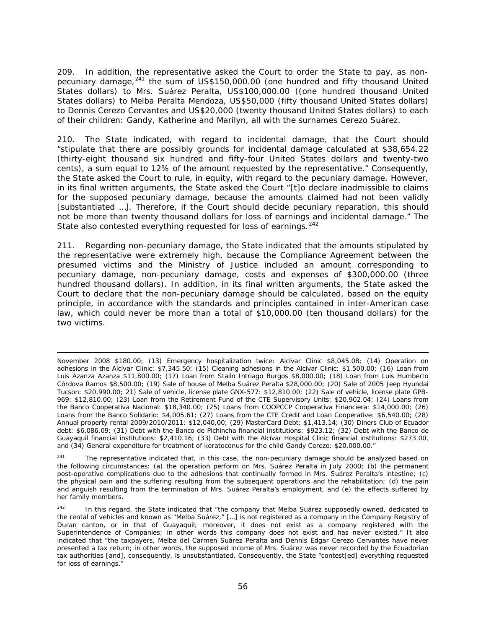209. In addition, the representative asked the Court to order the State to pay, as nonpecuniary damage, $^{241}$  $^{241}$  $^{241}$  the sum of US\$150,000.00 (one hundred and fifty thousand United States dollars) to Mrs. Suárez Peralta, US\$100,000.00 ((one hundred thousand United States dollars) to Melba Peralta Mendoza, US\$50,000 (fifty thousand United States dollars) to Dennis Cerezo Cervantes and US\$20,000 (twenty thousand United States dollars) to each of their children: Gandy, Katherine and Marilyn, all with the surnames Cerezo Suárez.

210. The State indicated, with regard to incidental damage, that the Court should "stipulate that there are possibly grounds for incidental damage calculated at \$38,654.22 (thirty-eight thousand six hundred and fifty-four United States dollars and twenty-two cents), a sum equal to 12% of the amount requested by the representative." Consequently, the State asked the Court to rule, in equity, with regard to the pecuniary damage. However, in its final written arguments, the State asked the Court "[t]o declare inadmissible to claims for the supposed pecuniary damage, because the amounts claimed had not been validly [substantiated …]. Therefore, if the Court should decide pecuniary reparation, this should not be more than twenty thousand dollars for loss of earnings and incidental damage." The State also contested everything requested for loss of earnings.<sup>[242](#page-55-1)</sup>

211. Regarding non-pecuniary damage, the State indicated that the amounts stipulated by the representative were extremely high, because the Compliance Agreement between the presumed victims and the Ministry of Justice included an amount corresponding to pecuniary damage, non-pecuniary damage, costs and expenses of \$300,000.00 (three hundred thousand dollars). In addition, in its final written arguments, the State asked the Court to declare that the non-pecuniary damage should be calculated, based on the equity principle, in accordance with the standards and principles contained in inter-American case law, which could never be more than a total of \$10,000.00 (ten thousand dollars) for the two victims.

i, November 2008 \$180.00; (13) Emergency hospitalization twice: Alcívar Clinic \$8,045.08; (14) Operation on adhesions in the Alcívar Clinic: \$7,345.50; (15) Cleaning adhesions in the Alcívar Clinic: \$1,500.00; (16) Loan from Luis Azanza Azanza \$11,800.00; (17) Loan from Stalin Intriago Burgos \$8,000.00; (18) Loan from Luis Humberto Córdova Ramos \$8,500.00; (19) Sale of house of Melba Suárez Peralta \$28,000.00; (20) Sale of 2005 Jeep Hyundai Tucson: \$20,990.00; 21) Sale of vehicle, license plate GNX-577: \$12,810.00; (22) Sale of vehicle, license plate GPB-969: \$12,810.00; (23) Loan from the Retirement Fund of the CTE Supervisory Units: \$20,902.04; (24) Loans from the *Banco Cooperativa Nacional*: \$18,340.00; (25) Loans from *COOPCCP Cooperativa Financiera*: \$14,000.00; (26) Loans from the *Banco Solidario*: \$4,005.61; (27) Loans from the CTE Credit and Loan Cooperative: \$6,540.00; (28) Annual property rental 2009/2010/2011: \$12,040,00; (29) MasterCard Debt: \$1,413.14; (30) Diners Club of Ecuador debt: \$6,086.09; (31) Debt with the *Banco de Pichincha* financial institutions: \$923.12; (32) Debt with the *Banco de Guayaquil* financial institutions: \$2,410.16; (33) Debt with the Alcívar Hospital Clinic financial institutions: \$273.00, and (34) General expenditure for treatment of keratoconus for the child Gandy Cerezo: \$20,000.00."

<span id="page-55-0"></span> $241$  The representative indicated that, in this case, the non-pecuniary damage should be analyzed based on the following circumstances: (a) the operation perform on Mrs. Suárez Peralta in July 2000; (b) the permanent post-operative complications due to the adhesions that continually formed in Mrs. Suárez Peralta's intestine; (c) the physical pain and the suffering resulting from the subsequent operations and the rehabilitation; (d) the pain and anguish resulting from the termination of Mrs. Suárez Peralta's employment, and (e) the effects suffered by her family members.

<span id="page-55-1"></span><sup>&</sup>lt;sup>242</sup> In this regard, the State indicated that "the company that Melba Suárez supposedly owned, dedicated to the rental of vehicles and known as "Melba Suárez," […] is not registered as a company in the Company Registry of Duran canton, or in that of Guayaquil; moreover, it does not exist as a company registered with the Superintendence of Companies; in other words this company does not exist and has never existed." It also indicated that "the taxpayers, Melba del Carmen Suárez Peralta and Dennis Edgar Cerezo Cervantes have never presented a tax return; in other words, the supposed income of Mrs. Suárez was never recorded by the Ecuadorian tax authorities [and], consequently, is unsubstantiated. Consequently, the State "contest[ed] everything requested for loss of earnings."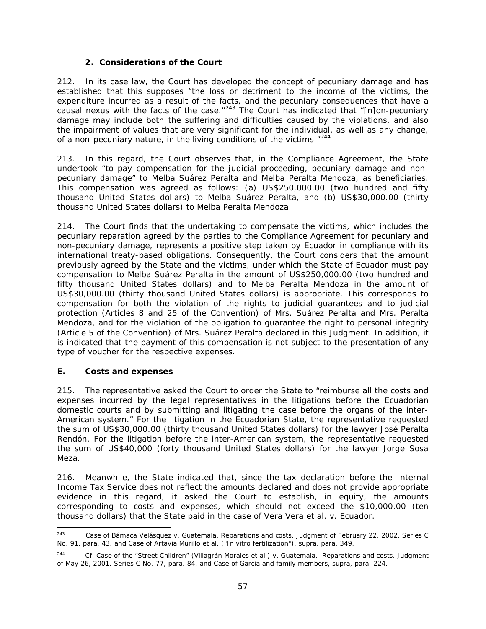## *2. Considerations of the Court*

212. In its case law, the Court has developed the concept of pecuniary damage and has established that this supposes "the loss or detriment to the income of the victims, the expenditure incurred as a result of the facts, and the pecuniary consequences that have a causal nexus with the facts of the case. $1243$  $1243$  The Court has indicated that "[n]on-pecuniary damage may include both the suffering and difficulties caused by the violations, and also the impairment of values that are very significant for the individual, as well as any change, of a non-pecuniary nature, in the living conditions of the victims."<sup>[244](#page-56-1)</sup>

213. In this regard, the Court observes that, in the Compliance Agreement, the State undertook "to pay compensation for the judicial proceeding, pecuniary damage and nonpecuniary damage" to Melba Suárez Peralta and Melba Peralta Mendoza, as beneficiaries. This compensation was agreed as follows: (a) US\$250,000.00 (two hundred and fifty thousand United States dollars) to Melba Suárez Peralta, and (b) US\$30,000.00 (thirty thousand United States dollars) to Melba Peralta Mendoza.

214. The Court finds that the undertaking to compensate the victims, which includes the pecuniary reparation agreed by the parties to the Compliance Agreement for pecuniary and non-pecuniary damage, represents a positive step taken by Ecuador in compliance with its international treaty-based obligations. Consequently, the Court considers that the amount previously agreed by the State and the victims, under which the State of Ecuador must pay compensation to Melba Suárez Peralta in the amount of US\$250,000.00 (two hundred and fifty thousand United States dollars) and to Melba Peralta Mendoza in the amount of US\$30,000.00 (thirty thousand United States dollars) is appropriate. This corresponds to compensation for both the violation of the rights to judicial guarantees and to judicial protection (Articles 8 and 25 of the Convention) of Mrs. Suárez Peralta and Mrs. Peralta Mendoza, and for the violation of the obligation to guarantee the right to personal integrity (Article 5 of the Convention) of Mrs. Suárez Peralta declared in this Judgment. In addition, it is indicated that the payment of this compensation is not subject to the presentation of any type of voucher for the respective expenses.

# *E. Costs and expenses*

215. The representative asked the Court to order the State to "reimburse all the costs and expenses incurred by the legal representatives in the litigations before the Ecuadorian domestic courts and by submitting and litigating the case before the organs of the inter-American system." For the litigation in the Ecuadorian State, the representative requested the sum of US\$30,000.00 (thirty thousand United States dollars) for the lawyer José Peralta Rendón. For the litigation before the inter-American system, the representative requested the sum of US\$40,000 (forty thousand United States dollars) for the lawyer Jorge Sosa Meza.

216. Meanwhile, the State indicated that, since the tax declaration before the Internal Income Tax Service does not reflect the amounts declared and does not provide appropriate evidence in this regard, it asked the Court to establish, in equity, the amounts corresponding to costs and expenses, which should not exceed the \$10,000.00 (ten thousand dollars) that the State paid in the case of *Vera Vera et al. v. Ecuador*.

<span id="page-56-0"></span> <sup>243</sup> *Case of Bámaca Velásquez v. Guatemala. Reparations and costs*. Judgment of February 22, 2002. Series C No. 91, para. 43, and *Case of Artavia Murillo et al. ("In vitro fertilization"), supra*, para. 349.

<span id="page-56-1"></span><sup>244</sup> *Cf. Case of the "Street Children" (Villagrán Morales et al.) v. Guatemala. Reparations and costs.* Judgment of May 26, 2001. Series C No. 77, para. 84, and *Case of García and family members, supra,* para. 224.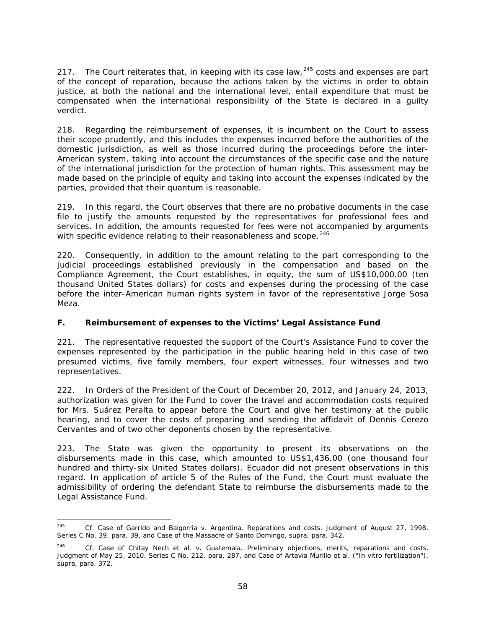217. The Court reiterates that, in keeping with its case law,  $245$  costs and expenses are part of the concept of reparation, because the actions taken by the victims in order to obtain justice, at both the national and the international level, entail expenditure that must be compensated when the international responsibility of the State is declared in a guilty verdict.

218. Regarding the reimbursement of expenses, it is incumbent on the Court to assess their scope prudently, and this includes the expenses incurred before the authorities of the domestic jurisdiction, as well as those incurred during the proceedings before the inter-American system, taking into account the circumstances of the specific case and the nature of the international jurisdiction for the protection of human rights. This assessment may be made based on the principle of equity and taking into account the expenses indicated by the parties, provided that their *quantum* is reasonable.

219. In this regard, the Court observes that there are no probative documents in the case file to justify the amounts requested by the representatives for professional fees and services. In addition, the amounts requested for fees were not accompanied by arguments with specific evidence relating to their reasonableness and scope.<sup>[246](#page-57-1)</sup>

220. Consequently, in addition to the amount relating to the part corresponding to the judicial proceedings established previously in the compensation and based on the Compliance Agreement, the Court establishes, in equity, the sum of US\$10,000.00 (ten thousand United States dollars) for costs and expenses during the processing of the case before the inter-American human rights system in favor of the representative Jorge Sosa Meza.

# *F. Reimbursement of expenses to the Victims' Legal Assistance Fund*

221. The representative requested the support of the Court's Assistance Fund to cover the expenses represented by the participation in the public hearing held in this case of two presumed victims, five family members, four expert witnesses, four witnesses and two representatives.

222. In Orders of the President of the Court of December 20, 2012, and January 24, 2013, authorization was given for the Fund to cover the travel and accommodation costs required for Mrs. Suárez Peralta to appear before the Court and give her testimony at the public hearing, and to cover the costs of preparing and sending the affidavit of Dennis Cerezo Cervantes and of two other deponents chosen by the representative.

223. The State was given the opportunity to present its observations on the disbursements made in this case, which amounted to US\$1,436.00 (one thousand four hundred and thirty-six United States dollars). Ecuador did not present observations in this regard. In application of article 5 of the Rules of the Fund, the Court must evaluate the admissibility of ordering the defendant State to reimburse the disbursements made to the Legal Assistance Fund.

<span id="page-57-0"></span> <sup>245</sup> *Cf. Case of Garrido and Baigorria v. Argentina*. *Reparations and costs.* Judgment of August 27, 1998. Series C No. 39, para. 39, and *Case of the Massacre of Santo Domingo, supra*, para. 342.

<span id="page-57-1"></span><sup>246</sup> *Cf. Case of Chitay Nech et al. v. Guatemala*. *Preliminary objections, merits, reparations and costs.* Judgment of May 25, 2010. Series C No. 212, para. 287, and *Case of Artavia Murillo et al. ("In vitro fertilization"), supra*, para. 372.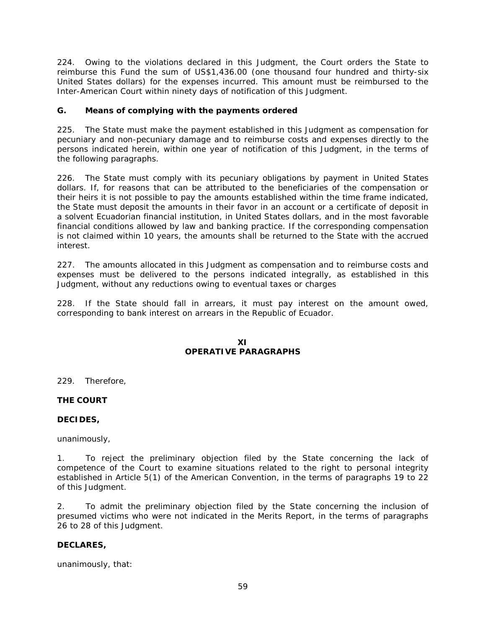224. Owing to the violations declared in this Judgment, the Court orders the State to reimburse this Fund the sum of US\$1,436.00 (one thousand four hundred and thirty-six United States dollars) for the expenses incurred. This amount must be reimbursed to the Inter-American Court within ninety days of notification of this Judgment.

## *G. Means of complying with the payments ordered*

225. The State must make the payment established in this Judgment as compensation for pecuniary and non-pecuniary damage and to reimburse costs and expenses directly to the persons indicated herein, within one year of notification of this Judgment, in the terms of the following paragraphs.

226. The State must comply with its pecuniary obligations by payment in United States dollars. If, for reasons that can be attributed to the beneficiaries of the compensation or their heirs it is not possible to pay the amounts established within the time frame indicated, the State must deposit the amounts in their favor in an account or a certificate of deposit in a solvent Ecuadorian financial institution, in United States dollars, and in the most favorable financial conditions allowed by law and banking practice. If the corresponding compensation is not claimed within 10 years, the amounts shall be returned to the State with the accrued interest.

227. The amounts allocated in this Judgment as compensation and to reimburse costs and expenses must be delivered to the persons indicated integrally, as established in this Judgment, without any reductions owing to eventual taxes or charges

228. If the State should fall in arrears, it must pay interest on the amount owed, corresponding to bank interest on arrears in the Republic of Ecuador.

## **XI OPERATIVE PARAGRAPHS**

229. Therefore,

## **THE COURT**

## **DECIDES,**

unanimously,

1. To reject the preliminary objection filed by the State concerning the lack of competence of the Court to examine situations related to the right to personal integrity established in Article 5(1) of the American Convention, in the terms of paragraphs 19 to 22 of this Judgment.

2. To admit the preliminary objection filed by the State concerning the inclusion of presumed victims who were not indicated in the Merits Report, in the terms of paragraphs 26 to 28 of this Judgment.

#### **DECLARES,**

unanimously, that: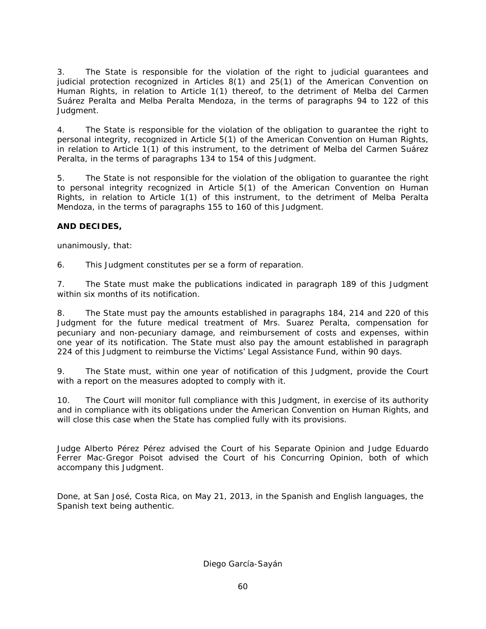3. The State is responsible for the violation of the right to judicial guarantees and judicial protection recognized in Articles 8(1) and 25(1) of the American Convention on Human Rights, in relation to Article 1(1) thereof, to the detriment of Melba del Carmen Suárez Peralta and Melba Peralta Mendoza, in the terms of paragraphs 94 to 122 of this Judgment.

4. The State is responsible for the violation of the obligation to guarantee the right to personal integrity, recognized in Article 5(1) of the American Convention on Human Rights, in relation to Article 1(1) of this instrument, to the detriment of Melba del Carmen Suárez Peralta, in the terms of paragraphs 134 to 154 of this Judgment.

5. The State is not responsible for the violation of the obligation to guarantee the right to personal integrity recognized in Article 5(1) of the American Convention on Human Rights, in relation to Article 1(1) of this instrument, to the detriment of Melba Peralta Mendoza, in the terms of paragraphs 155 to 160 of this Judgment.

# **AND DECIDES,**

unanimously, that:

6. This Judgment constitutes *per se* a form of reparation.

7. The State must make the publications indicated in paragraph 189 of this Judgment within six months of its notification.

8. The State must pay the amounts established in paragraphs 184, 214 and 220 of this Judgment for the future medical treatment of Mrs. Suarez Peralta, compensation for pecuniary and non-pecuniary damage, and reimbursement of costs and expenses, within one year of its notification. The State must also pay the amount established in paragraph 224 of this Judgment to reimburse the Victims' Legal Assistance Fund, within 90 days.

9. The State must, within one year of notification of this Judgment, provide the Court with a report on the measures adopted to comply with it.

10. The Court will monitor full compliance with this Judgment, in exercise of its authority and in compliance with its obligations under the American Convention on Human Rights, and will close this case when the State has complied fully with its provisions.

Judge Alberto Pérez Pérez advised the Court of his Separate Opinion and Judge Eduardo Ferrer Mac-Gregor Poisot advised the Court of his Concurring Opinion, both of which accompany this Judgment.

Done, at San José, Costa Rica, on May 21, 2013, in the Spanish and English languages, the Spanish text being authentic.

Diego García-Sayán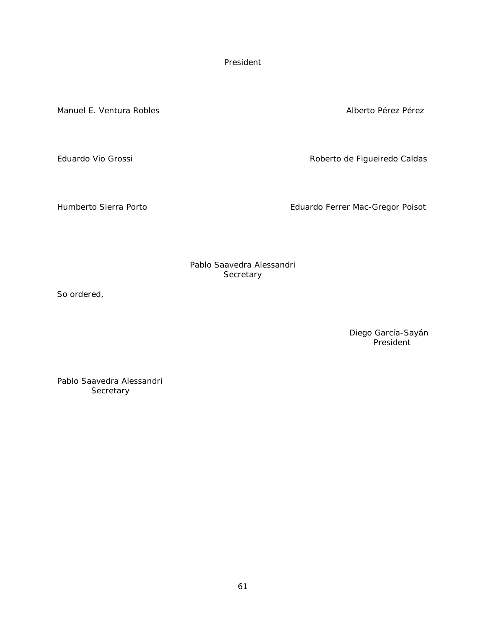President

Manuel E. Ventura Robles Alberto Pérez Pérez Pérez Pérez Pérez Pérez Pérez Pérez Pérez Pérez Pérez Pérez Pérez

Eduardo Vio Grossi **Roberto de Figueiredo Caldas** 

Humberto Sierra Porto **Eduardo Ferrer Mac-Gregor Poisot** 

Pablo Saavedra Alessandri **Secretary** 

So ordered,

Diego García-Sayán President

Pablo Saavedra Alessandri **Secretary**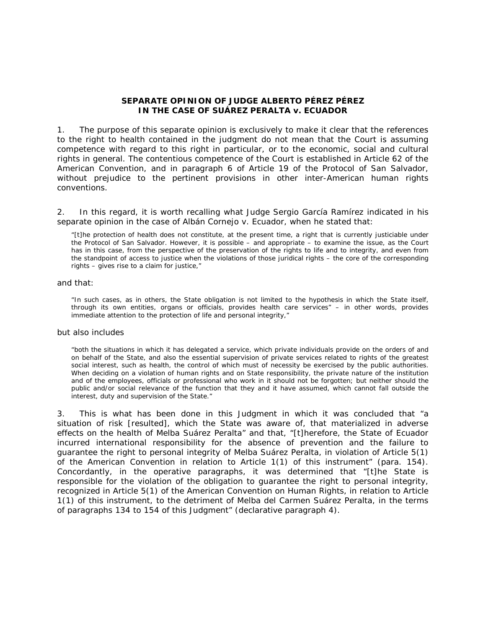#### **SEPARATE OPINION OF JUDGE ALBERTO PÉREZ PÉREZ IN THE CASE OF SUÁREZ PERALTA** *v.* **ECUADOR**

1. The purpose of this separate opinion is exclusively to make it clear that the references to the right to health contained in the judgment do not mean that the Court is assuming competence with regard to this right in particular, or to the economic, social and cultural rights in general. The contentious competence of the Court is established in Article 62 of the American Convention, and in paragraph 6 of Article 19 of the Protocol of San Salvador, without prejudice to the pertinent provisions in other inter-American human rights conventions.

2. In this regard, it is worth recalling what Judge Sergio García Ramírez indicated in his separate opinion in the case of Albán Cornejo *v*. Ecuador, when he stated that:

"[t]he protection of health does not constitute, at the present time, a right that is currently justiciable under the Protocol of San Salvador. However, it is possible – and appropriate – to examine the issue, as the Court has in this case, from the perspective of the preservation of the rights to life and to integrity, and even from the standpoint of access to justice when the violations of those juridical rights – the core of the corresponding rights – gives rise to a claim for justice,"

#### and that:

"In such cases, as in others, the State obligation is not limited to the hypothesis in which the State itself, through its own entities, organs or officials, provides health care services" – in other words, provides immediate attention to the protection of life and personal integrity,"

#### but also includes

"both the situations in which it has delegated a service, which private individuals provide on the orders of and on behalf of the State, and also the essential supervision of private services related to rights of the greatest social interest, such as health, the control of which must of necessity be exercised by the public authorities. When deciding on a violation of human rights and on State responsibility, the private nature of the institution and of the employees, officials or professional who work in it should not be forgotten; but neither should the public and/or social relevance of the function that they and it have assumed, which cannot fall outside the interest, duty and supervision of the State."

3. This is what has been done in this Judgment in which it was concluded that "a situation of risk [resulted], which the State was aware of, that materialized in adverse effects on the health of Melba Suárez Peralta" and that, "[t]herefore, the State of Ecuador incurred international responsibility for the absence of prevention and the failure to guarantee the right to personal integrity of Melba Suárez Peralta, in violation of Article 5(1) of the American Convention in relation to Article 1(1) of this instrument" (para. 154). Concordantly, in the operative paragraphs, it was determined that "[t]he State is responsible for the violation of the obligation to guarantee the right to personal integrity, recognized in Article 5(1) of the American Convention on Human Rights, in relation to Article 1(1) of this instrument, to the detriment of Melba del Carmen Suárez Peralta, in the terms of paragraphs 134 to 154 of this Judgment" (declarative paragraph 4).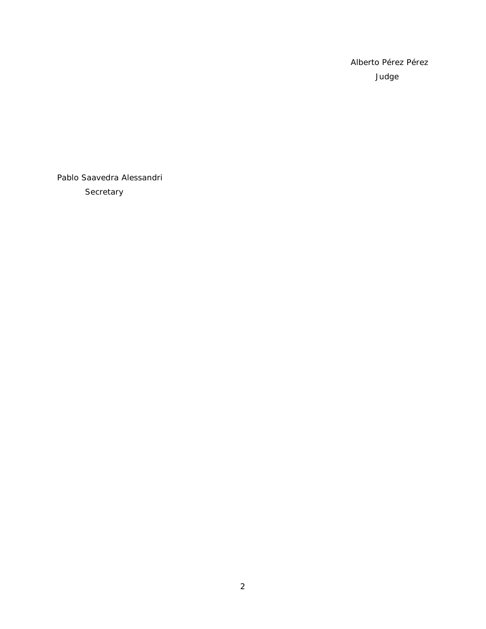Alberto Pérez Pérez Judge

Pablo Saavedra Alessandri **Secretary**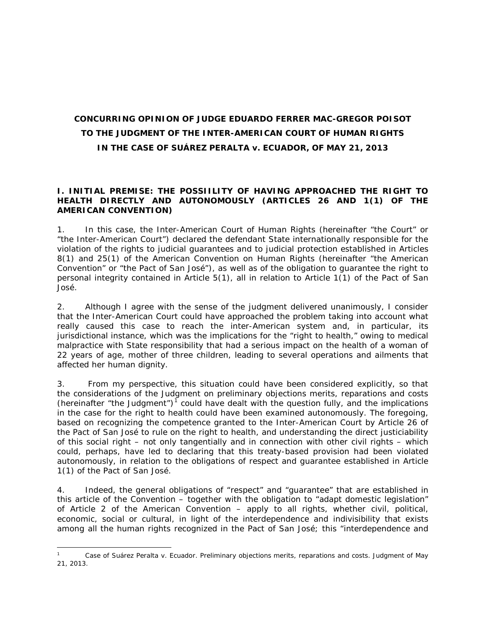# **CONCURRING OPINION OF JUDGE EDUARDO FERRER MAC-GREGOR POISOT TO THE JUDGMENT OF THE INTER-AMERICAN COURT OF HUMAN RIGHTS IN THE** *CASE OF SUÁREZ PERALTA v. ECUADOR***, OF MAY 21, 2013**

## **I. INITIAL PREMISE: THE POSSIILITY OF HAVING APPROACHED THE RIGHT TO HEALTH DIRECTLY AND AUTONOMOUSLY (ARTICLES 26 AND 1(1) OF THE AMERICAN CONVENTION)**

1. In this case, the Inter-American Court of Human Rights (hereinafter "the Court" or "the Inter-American Court") declared the defendant State internationally responsible for the violation of the rights to judicial guarantees and to judicial protection established in Articles 8(1) and 25(1) of the American Convention on Human Rights (hereinafter "the American Convention" or "the Pact of San José"), as well as of the obligation to guarantee the right to personal integrity contained in Article 5(1), all in relation to Article 1(1) of the Pact of San José.

2. Although I agree with the sense of the judgment delivered unanimously, I consider that the Inter-American Court could have approached the problem taking into account what really caused this case to reach the inter-American system and, in particular, its jurisdictional instance, which was the implications for the "right to health," owing to medical malpractice with State responsibility that had a serious impact on the health of a woman of 22 years of age, mother of three children, leading to several operations and ailments that affected her human dignity.

3. From my perspective, this situation could have been considered explicitly, so that the considerations of the Judgment on preliminary objections merits, reparations and costs (hereinafter "the Judgment")<sup>[1](#page-63-0)</sup> could have dealt with the question fully, and the implications in the case for the right to health could have been examined autonomously. The foregoing, based on recognizing the competence granted to the Inter-American Court by Article 26 of the Pact of San José to rule on the right to health, and understanding the direct justiciability of this social right – not only tangentially and in connection with other civil rights – which could, perhaps, have led to declaring that this treaty-based provision had been violated autonomously, in relation to the obligations of respect and guarantee established in Article 1(1) of the Pact of San José.

4. Indeed, the general obligations of "respect" and "guarantee" that are established in this article of the Convention – together with the obligation to "adapt domestic legislation" of Article 2 of the American Convention – apply to *all rights*, whether civil, political, economic, social or cultural, in light of the interdependence and indivisibility that exists among *all the human rights* recognized in the Pact of San José; this "interdependence and

<span id="page-63-0"></span> <sup>1</sup> *Case of Suárez Peralta v. Ecuador. Preliminary objections merits, reparations and costs.* Judgment of May 21, 2013.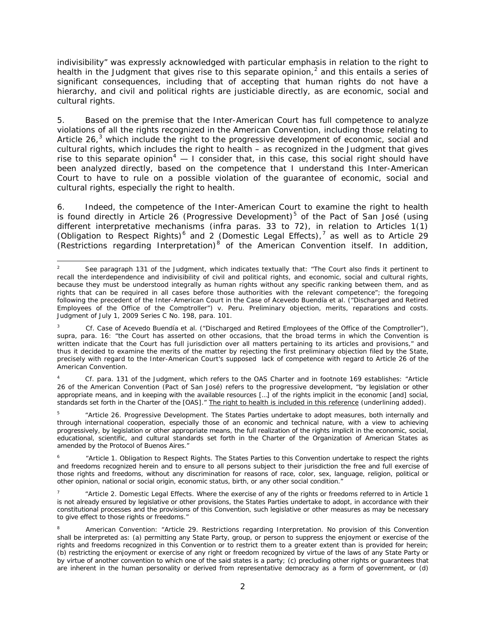indivisibility" was expressly acknowledged with particular emphasis in relation to the right to health in the Judgment that gives rise to this separate opinion,<sup>[2](#page-64-0)</sup> and this entails a series of significant consequences, including that of accepting that human rights do not have a hierarchy, and civil and political rights are justiciable directly, as are economic, social and cultural rights.

5. Based on the premise that the Inter-American Court has full competence to analyze violations of *all the rights* recognized in the American Convention, including those relating to Article 26, $3$  which include the right to the progressive development of economic, social and cultural rights, which includes the right to health – as recognized in the Judgment that gives rise to this separate opinion<sup>[4](#page-64-2)</sup> — I consider that, in this case, this social right should have been analyzed directly, based on the competence that I understand this Inter-American Court to have to rule on a possible violation of the guarantee of economic, social and cultural rights, especially the right to health.

6. Indeed, the competence of the Inter-American Court to examine the right to health is found directly in Article 26 (Progressive Development)<sup>[5](#page-64-3)</sup> of the Pact of San José (using different interpretative mechanisms (*infra* paras. 33 to 72), in relation to Articles 1(1) (Obligation to Respect Rights)<sup>[6](#page-64-4)</sup> and 2 (Domestic Legal Effects),<sup>[7](#page-64-5)</sup> as well as to Article 29  $(Restrictions$  regarding Interpretation)<sup>[8](#page-64-6)</sup> of the American Convention itself. In addition,

<span id="page-64-3"></span><sup>5</sup> "Article 26. Progressive Development. The States Parties undertake to adopt measures, both internally and through international cooperation, especially those of an economic and technical nature, with a view to achieving progressively, by legislation or other appropriate means, the full realization of the rights implicit in the economic, social, educational, scientific, and cultural standards set forth in the Charter of the Organization of American States as amended by the Protocol of Buenos Aires."

<span id="page-64-0"></span>See paragraph 131 of the Judgment, which indicates textually that: "The Court also finds it pertinent to recall the interdependence and indivisibility of civil and political rights, and economic, social and cultural rights, because they must be understood integrally as human rights without any specific ranking between them, and as rights that can be required in all cases before those authorities with the relevant competence"; the foregoing following the precedent of the Inter-American Court in the *Case of Acevedo Buendía et al. ("Discharged and Retired Employees of the Office of the Comptroller") v. Peru. Preliminary objection, merits, reparations and costs.*  Judgment of July 1, 2009 Series C No. 198, para. 101.

<span id="page-64-1"></span><sup>3</sup> *Cf. Case of Acevedo Buendía et al. ("Discharged and Retired Employees of the Office of the Comptroller"), supra,* para. 16: "the Court has asserted on other occasions, that the broad terms in which the Convention is written indicate that the Court has full jurisdiction over all matters pertaining to its articles and provisions," and thus it decided to examine the merits of the matter by rejecting the first preliminary objection filed by the State, precisely with regard to the Inter-American Court's supposed lack of competence with regard to Article 26 of the American Convention.

<span id="page-64-2"></span><sup>4</sup> *Cf.* para. 131 of the Judgment, which refers to the OAS Charter and in footnote 169 establishes: "Article 26 of the American Convention (Pact of San José) refers to the progressive development, "by legislation or other appropriate means, and in keeping with the available resources […] of the rights implicit in the economic [and] social, standards set forth in the Charter of the [OAS]." The right to health is included in this reference (underlining added).

<span id="page-64-4"></span><sup>6</sup> "Article 1. *Obligation to Respect Rights.* The States Parties to this Convention undertake to respect the rights and freedoms recognized herein and to ensure to all persons subject to their jurisdiction the free and full exercise of those rights and freedoms, without any discrimination for reasons of race, color, sex, language, religion, political or other opinion, national or social origin, economic status, birth, or any other social condition."

<span id="page-64-5"></span><sup>7</sup> "Article 2. *Domestic Legal Effects.* Where the exercise of any of the rights or freedoms referred to in Article 1 is not already ensured by legislative or other provisions, the States Parties undertake to adopt, in accordance with their constitutional processes and the provisions of this Convention, such legislative or other measures as may be necessary to give effect to those rights or freedoms."

<span id="page-64-6"></span><sup>8</sup> American Convention: "Article 29. *Restrictions regarding Interpretation*. No provision of this Convention shall be interpreted as: (a) permitting any State Party, group, or person to suppress the enjoyment or exercise of the rights and freedoms recognized in this Convention or to restrict them to a greater extent than is provided for herein; (b) restricting the enjoyment or exercise of any right or freedom recognized by virtue of the laws of any State Party or by virtue of another convention to which one of the said states is a party; (c) precluding other rights or guarantees that are inherent in the human personality or derived from representative democracy as a form of government, or (d)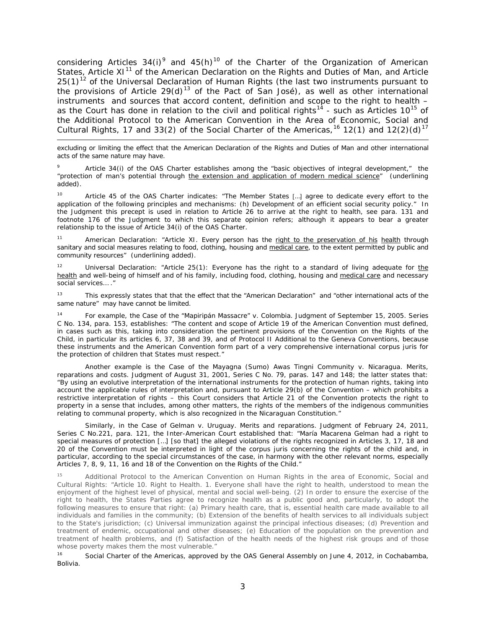considering Articles  $34(i)^9$  $34(i)^9$  and  $45(h)^{10}$  $45(h)^{10}$  $45(h)^{10}$  of the Charter of the Organization of American States, Article  $XI<sup>11</sup>$  $XI<sup>11</sup>$  $XI<sup>11</sup>$  of the American Declaration on the Rights and Duties of Man, and Article  $25(1)^{12}$  $25(1)^{12}$  $25(1)^{12}$  of the Universal Declaration of Human Rights (the last two instruments pursuant to the provisions of Article 29(d)<sup>[13](#page-65-4)</sup> of the Pact of San José), as well as other international instruments and sources that accord content, definition and scope to the right to health – as the Court has done in relation to the civil and political rights<sup>[14](#page-65-5)</sup> - such as Articles 10<sup>[15](#page-65-6)</sup> of the Additional Protocol to the American Convention in the Area of Economic, Social and Cultural Rights, 17 and 33(2) of the Social Charter of the Americas,<sup>[16](#page-65-7)</sup> 12(1) and 12(2)(d)<sup>[17](#page-65-8)</sup>

excluding or limiting the effect that the American Declaration of the Rights and Duties of Man and other international acts of the same nature may have.

i,

<span id="page-65-0"></span>Article 34(i) of the OAS Charter establishes among the "basic objectives of integral development," the "protection of man's potential through the extension and application of modern medical science" (underlining added).

<span id="page-65-1"></span>10 Article 45 of the OAS Charter indicates: "The Member States [...] agree to dedicate every effort to the application of the following principles and mechanisms: (h) Development of an efficient social security policy." In the Judgment this precept is used in relation to Article 26 to arrive at the right to health, see para. 131 and footnote 176 of the Judgment to which this separate opinion refers; although it appears to bear a greater relationship to the issue of Article 34(i) of the OAS Charter.

<span id="page-65-8"></span><span id="page-65-2"></span>11 American Declaration: "Article XI. Every person has the right to the preservation of his health through sanitary and social measures relating to food, clothing, housing and medical care, to the extent permitted by public and community resources" (underlining added).

<span id="page-65-3"></span><sup>12</sup> Universal Declaration: "Article 25(1): Everyone has the right to a standard of living adequate for the health and well-being of himself and of his family, including food, clothing, housing and medical care and necessary social services… ."

<span id="page-65-4"></span><sup>13</sup> This expressly states that that the effect that the "American Declaration" and "other international acts of the same nature" may have cannot be limited.

<span id="page-65-5"></span><sup>14</sup> For example, the *Case of the "Mapiripán Massacre" v. Colombia*. Judgment of September 15, 2005. Series C No. 134, para. 153, establishes: "The content and scope of Article 19 of the American Convention must defined, in cases such as this, taking into consideration the pertinent provisions of the Convention on the Rights of the Child, in particular its articles 6, 37, 38 and 39, and of Protocol II Additional to the Geneva Conventions, because these instruments and the American Convention form part of a very comprehensive international *corpus juris* for the protection of children that States must respect."

Another example is the *Case of the Mayagna (Sumo) Awas Tingni Community v. Nicaragua. Merits, reparations and costs*. Judgment of August 31, 2001, Series C No. 79, paras. 147 and 148; the latter states that: "By using an evolutive interpretation of the international instruments for the protection of human rights, taking into account the applicable rules of interpretation and, pursuant to Article 29(b) of the Convention – which prohibits a restrictive interpretation of rights – this Court considers that Article 21 of the Convention protects the right to property in a sense that includes, among other matters, the rights of the members of the indigenous communities relating to communal property, which is also recognized in the Nicaraguan Constitution."

Similarly, in the *Case of Gelman v. Uruguay*. *Merits and reparations*. Judgment of February 24, 2011, Series C No.221, para. 121, the Inter-American Court established that: "María Macarena Gelman had a right to special measures of protection […] [so that] the alleged violations of the rights recognized in Articles 3, 17, 18 and 20 of the Convention must be interpreted in light of the *corpus juris* concerning the rights of the child and, in particular, according to the special circumstances of the case, in harmony with the other relevant norms, especially Articles 7, 8, 9, 11, 16 and 18 of the Convention on the Rights of the Child."

<span id="page-65-6"></span><sup>15</sup> Additional Protocol to the American Convention on Human Rights in the area of Economic, Social and Cultural Rights: "Article 10. *Right to Health*. 1. Everyone shall have the right to health, understood to mean the enjoyment of the highest level of physical, mental and social well-being. (2) In order to ensure the exercise of the right to health, the States Parties agree to recognize health as a public good and, particularly, to adopt the following measures to ensure that right: (a) Primary health care, that is, essential health care made available to all individuals and families in the community; (b) Extension of the benefits of health services to all individuals subject to the State's jurisdiction; (c) Universal immunization against the principal infectious diseases; (d) Prevention and treatment of endemic, occupational and other diseases; (e) Education of the population on the prevention and treatment of health problems, and (f) Satisfaction of the health needs of the highest risk groups and of those whose poverty makes them the most vulnerable."<br><sup>16</sup>

<span id="page-65-7"></span>Social Charter of the Americas, approved by the OAS General Assembly on June 4, 2012, in Cochabamba, Bolivia.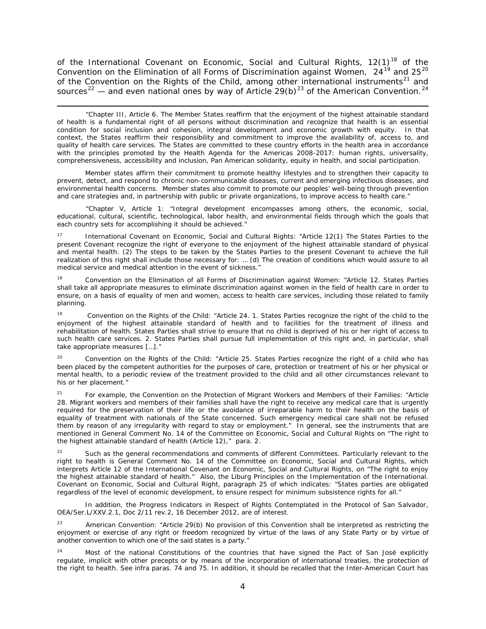of the International Covenant on Economic, Social and Cultural Rights,  $12(1)^{18}$  $12(1)^{18}$  $12(1)^{18}$  of the Convention on the Elimination of all Forms of Discrimination against Women,  $24^{19}$  $24^{19}$  $24^{19}$  and  $25^{20}$  $25^{20}$  $25^{20}$ of the Convention on the Rights of the Child, among other international instruments<sup>[21](#page-66-3)</sup> and sources<sup>[22](#page-66-4)</sup> — and even national ones by way of Article 29(b)<sup>[23](#page-66-5)</sup> of the American Convention.<sup>[24](#page-66-6)</sup>

i, "Chapter III, Article 6. The Member States reaffirm that *the enjoyment of the highest attainable standard of health is a fundamental right of all persons without discrimination and recognize that health is an essential condition for social inclusion and cohesion, integral development and economic growth with equity.* In that context, the States reaffirm their responsibility and commitment to improve the availability of, access to, and quality of health care services. The States are committed to these country efforts in the health area in accordance with the principles promoted by the Health Agenda for the Americas 2008-2017: human rights, universality, comprehensiveness, accessibility and inclusion, Pan American solidarity, equity in health, and social participation.

Member states affirm their commitment to promote healthy lifestyles and to strengthen their capacity to prevent, detect, and respond to chronic non-communicable diseases, current and emerging infectious diseases, and environmental health concerns. Member states also commit to promote our peoples' well-being through prevention and care strategies and, in partnership with public or private organizations, to improve *access to health care*."

"Chapter V, Article 1: "Integral development encompasses among others, the economic, social, educational, cultural, scientific, technological, labor health, and environmental fields through which the goals that each country sets for accomplishing it should be achieved."

International Covenant on Economic, Social and Cultural Rights: "Article 12(1) The States Parties to the present Covenant recognize the right of everyone to the enjoyment of the highest attainable standard of physical and mental health. (2) The steps to be taken by the States Parties to the present Covenant to achieve the full realization of this right shall include those necessary for: … (d) The creation of conditions which would assure to all medical service and medical attention in the event of sickness."

<span id="page-66-0"></span><sup>18</sup> Convention on the Elimination of all Forms of Discrimination against Women: "Article 12. States Parties shall take all appropriate measures to eliminate discrimination against women in the field of health care in order to ensure, on a basis of equality of men and women, access to health care services, including those related to family planning.

<span id="page-66-1"></span><sup>19</sup> Convention on the Rights of the Child: "Article 24. 1. States Parties recognize the right of the child to the enjoyment of the highest attainable standard of health and to facilities for the treatment of illness and rehabilitation of health. States Parties shall strive to ensure that no child is deprived of his or her right of access to such health care services. 2. States Parties shall pursue full implementation of this right and, in particular, shall take appropriate measures […]."

<span id="page-66-2"></span><sup>20</sup> Convention on the Rights of the Child: "Article 25. States Parties recognize the right of a child who has been placed by the competent authorities for the purposes of care, protection or treatment of his or her physical or mental health, to a periodic review of the treatment provided to the child and all other circumstances relevant to his or her placement."

<span id="page-66-3"></span><sup>21</sup> For example, the Convention on the Protection of Migrant Workers and Members of their Families: "Article 28. Migrant workers and members of their families shall have the right to receive any medical care that is urgently required for the preservation of their life or the avoidance of irreparable harm to their health on the basis of equality of treatment with nationals of the State concerned. Such emergency medical care shall not be refused them by reason of any irregularity with regard to stay or employment." In general, see the instruments that are mentioned in General Comment No. 14 of the Committee on Economic, Social and Cultural Rights on "The right to the highest attainable standard of health (Article 12)," para. 2.

<span id="page-66-4"></span>Such as the general recommendations and comments of different Committees. Particularly relevant to the right to health is General Comment No. 14 of the Committee on Economic, Social and Cultural Rights, which interprets Article 12 of the International Covenant on Economic, Social and Cultural Rights, on "The right to enjoy the highest attainable standard of health." Also, the Liburg Principles on the Implementation of the International. Covenant on Economic, Social and Cultural Right, paragraph 25 of which indicates: "States parties are obligated regardless of the level of economic development, to ensure respect for minimum subsistence rights for all."

In addition, the *Progress Indicators in Respect of Rights Contemplated in the Protocol of San Salvador*, OEA/Ser.L/XXV.2.1, Doc 2/11 rev.2, 16 December 2012, are of interest.

<span id="page-66-5"></span><sup>23</sup> American Convention: "Article 29(b) No provision of this Convention shall be interpreted as restricting the enjoyment or exercise of any right or freedom recognized by virtue of the laws of any State Party or by virtue of another convention to which one of the said states is a party."

<span id="page-66-6"></span><sup>24</sup> Most of the national Constitutions of the countries that have signed the Pact of San José explicitly regulate, implicit with other precepts or by means of the incorporation of international treaties, the protection of the right to health. See *infra* paras. 74 and 75. In addition, it should be recalled that the Inter-American Court has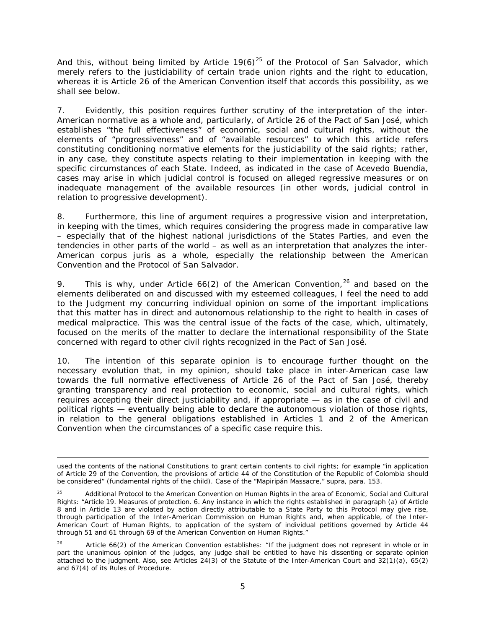And this, without being limited by Article  $19(6)^{25}$  $19(6)^{25}$  $19(6)^{25}$  of the Protocol of San Salvador, which merely refers to the justiciability of certain trade union rights and the right to education, whereas it is Article 26 of the American Convention itself that accords this possibility, as we shall see below.

7. Evidently, this position requires further scrutiny of the interpretation of the inter-American normative as a whole and, particularly, of Article 26 of the Pact of San José, which establishes "the full effectiveness" of economic, social and cultural rights, without the elements of "progressiveness" and of "available resources" to which this article refers constituting conditioning normative elements for the justiciability of the said rights; rather, in any case, they constitute aspects relating to their implementation in keeping with the specific circumstances of each State. Indeed, as indicated in the case of *Acevedo Buendía*, cases may arise in which judicial control is focused on alleged regressive measures or on inadequate management of the available resources (in other words, judicial control in relation to progressive development).

8. Furthermore, this line of argument requires a progressive vision and interpretation, in keeping with the times, which requires considering the progress made in comparative law – especially that of the highest national jurisdictions of the States Parties, and even the tendencies in other parts of the world – as well as an interpretation that analyzes the inter-American *corpus juris* as a whole, especially the relationship between the American Convention and the Protocol of San Salvador.

9. This is why, under Article  $66(2)$  of the American Convention,  $26$  and based on the elements deliberated on and discussed with my esteemed colleagues, I feel the need to add to the Judgment my concurring individual opinion on some of the important implications that this matter has in direct and autonomous relationship to the right to health in cases of medical malpractice. This was the central issue of the facts of the case, which, ultimately, focused on the merits of the matter to declare the international responsibility of the State concerned with regard to other civil rights recognized in the Pact of San José.

10. The intention of this separate opinion is to encourage further thought on the necessary evolution that, in my opinion, should take place in inter-American case law towards the full normative effectiveness of Article 26 of the Pact of San José, thereby granting transparency and real protection to economic, social and cultural rights, which requires accepting their direct justiciability and, if appropriate — as in the case of civil and political rights — eventually being able to declare the autonomous violation of those rights, in relation to the general obligations established in Articles 1 and 2 of the American Convention when the circumstances of a specific case require this.

i, used the contents of the national Constitutions to grant certain contents to civil rights; for example "in application of Article 29 of the Convention, the provisions of article 44 of the Constitution of the Republic of Colombia should be considered" (fundamental rights of the child). *Case of the "Mapiripán Massacre," supra*, para. 153.

<span id="page-67-0"></span><sup>&</sup>lt;sup>25</sup> Additional Protocol to the American Convention on Human Rights in the area of Economic, Social and Cultural Rights: "Article 19. *Measures of protection.* 6. Any instance in which the rights established in paragraph (a) of Article 8 and in Article 13 are violated by action directly attributable to a State Party to this Protocol may give rise, through participation of the Inter-American Commission on Human Rights and, when applicable, of the Inter-American Court of Human Rights, to application of the system of individual petitions governed by Article 44 through 51 and 61 through 69 of the American Convention on Human Rights."

<span id="page-67-1"></span><sup>&</sup>lt;sup>26</sup> Article 66(2) of the American Convention establishes: "If the judgment does not represent in whole or in part the unanimous opinion of the judges, any judge shall be entitled to have his dissenting or separate opinion attached to the judgment. Also, see Articles 24(3) of the Statute of the Inter-American Court and 32(1)(a), 65(2) and 67(4) of its Rules of Procedure.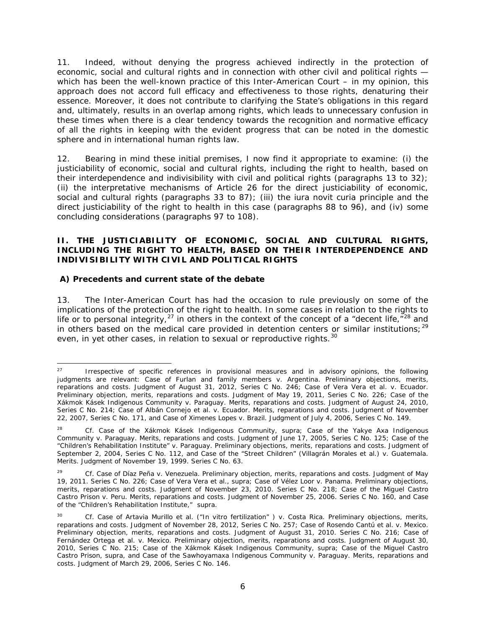11. Indeed, without denying the progress achieved indirectly in the protection of economic, social and cultural rights and in connection with other civil and political rights which has been the well-known practice of this Inter-American Court – in my opinion, this approach does not accord full efficacy and effectiveness to those rights, denaturing their essence. Moreover, it does not contribute to clarifying the State's obligations in this regard and, ultimately, results in an overlap among rights, which leads to unnecessary confusion in these times when there is a clear tendency towards the recognition and normative efficacy of *all the rights* in keeping with the evident progress that can be noted in the domestic sphere and in international human rights law.

12. Bearing in mind these initial premises, I now find it appropriate to examine: (i) the justiciability of economic, social and cultural rights, including the right to health, based on their interdependence and indivisibility with civil and political rights (paragraphs 13 to 32); (ii) the interpretative mechanisms of Article 26 for the direct justiciability of economic, social and cultural rights (paragraphs 33 to 87); (iii) the *iura novit curia* principle and the direct justiciability of the right to health in this case (paragraphs 88 to 96), and (iv) some concluding considerations (paragraphs 97 to 108).

#### **II. THE JUSTICIABILITY OF ECONOMIC, SOCIAL AND CULTURAL RIGHTS, INCLUDING THE RIGHT TO HEALTH, BASED ON THEIR INTERDEPENDENCE AND INDIVISIBILITY WITH CIVIL AND POLITICAL RIGHTS**

## **A) Precedents and current state of the debate**

13. The Inter-American Court has had the occasion to rule previously on some of the implications of the protection of the right to health. In some cases in relation to the rights to life or to personal integrity,<sup>[27](#page-68-0)</sup> in others in the context of the concept of a "decent life, $\frac{1}{r}$ <sup>[28](#page-68-1)</sup> and in others based on the medical care provided in detention centers or similar institutions;<sup>[29](#page-68-2)</sup> even, in yet other cases, in relation to sexual or reproductive rights.<sup>[30](#page-68-3)</sup>

<span id="page-68-0"></span><sup>&</sup>lt;sup>27</sup> Irrespective of specific references in provisional measures and in advisory opinions, the following judgments are relevant: *Case of Furlan and family members v. Argentina. Preliminary objections, merits, reparations and costs.* Judgment of August 31, 2012, Series C No. 246; *Case of Vera Vera et al. v. Ecuador. Preliminary objection, merits, reparations and costs.* Judgment of May 19, 2011, Series C No. 226; *Case of the Xákmok Kásek Indigenous Community v. Paraguay. Merits, reparations and costs.* Judgment of August 24, 2010, Series C No. 214; Case of Albán Cornejo et al. v. Ecuador. Merits, reparations and costs. Judgment of November 22, 2007, Series C No. 171, and *Case of Ximenes Lopes v. Brazil.* Judgment of July 4, 2006, Series C No. 149.

<span id="page-68-1"></span><sup>28</sup> *Cf. Case of the Xákmok Kásek Indigenous Community*, *supra*; *Case of the Yakye Axa Indigenous Community v. Paraguay. Merits, reparations and costs.* Judgment of June 17, 2005, Series C No. 125; *Case of the "Children's Rehabilitation Institute" v. Paraguay. Preliminary objections, merits, reparations and costs.* Judgment of September 2, 2004, Series C No. 112, and *Case of the "Street Children" (Villagrán Morales et al.) v. Guatemala. Merits.* Judgment of November 19, 1999. Series C No. 63.

<span id="page-68-2"></span><sup>29</sup> *Cf. Case of Díaz Peña v. Venezuela. Preliminary objection, merits, reparations and costs.* Judgment of May 19, 2011. Series C No. 226; *Case of Vera Vera et al., supra*; *Case of Vélez Loor v. Panama. Preliminary objections, merits, reparations and costs.* Judgment of November 23, 2010. Series C No. 218; *Case of the Miguel Castro Castro Prison v. Peru. Merits, reparations and costs*. Judgment of November 25, 2006. Series C No. 160, and *Case of the "Children's Rehabilitation Institute," supra*.

<span id="page-68-3"></span><sup>30</sup> *Cf. Case of Artavia Murillo et al. ("In vitro fertilization" ) v. Costa Rica. Preliminary objections, merits, reparations and costs.* Judgment of November 28, 2012, Series C No. 257; *Case of Rosendo Cantú et al. v. Mexico. Preliminary objection, merits, reparations and costs.* Judgment of August 31, 2010. Series C No. 216; *Case of*  Fernández Ortega et al. v. Mexico. Preliminary objection, merits, reparations and costs. Judgment of August 30, 2010, Series C No. 215; *Case of the Xákmok Kásek Indigenous Community, supra*; *Case of the Miguel Castro Castro Prison, supra*, and *Case of the Sawhoyamaxa Indigenous Community v. Paraguay. Merits, reparations and costs.* Judgment of March 29, 2006, Series C No. 146.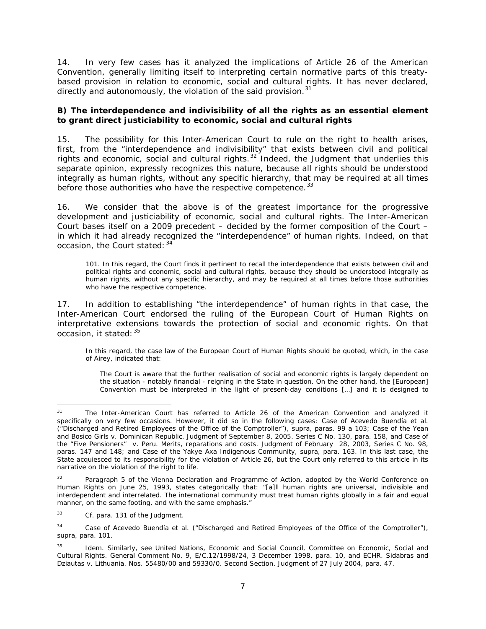14. In very few cases has it analyzed the implications of Article 26 of the American Convention, generally limiting itself to interpreting certain normative parts of this treatybased provision in relation to economic, social and cultural rights. It has never declared, directly and autonomously, the violation of the said provision. $31$ 

## **B) The interdependence and indivisibility of all the rights as an essential element to grant direct justiciability to economic, social and cultural rights**

15. The possibility for this Inter-American Court to rule on the right to health arises, first, from the "interdependence and indivisibility" that exists between civil and political rights and economic, social and cultural rights. $32$  Indeed, the Judgment that underlies this separate opinion, expressly recognizes this nature, because all rights should be understood integrally as human rights, without any specific hierarchy, that may be required at all times before those authorities who have the respective competence.<sup>[33](#page-69-2)</sup>

16. We consider that the above is of the greatest importance for the progressive development and justiciability of economic, social and cultural rights. The Inter-American Court bases itself on a 2009 precedent – decided by the former composition of the Court – in which it had already recognized the "interdependence" of human rights. Indeed, on that occasion, the Court stated: [34](#page-69-3)

101. In this regard, the Court finds it pertinent to recall the interdependence that exists between civil and political rights and economic, social and cultural rights, because they should be understood integrally as human rights, without any specific hierarchy, and may be required at all times before those authorities who have the respective competence.

17. In addition to establishing "the interdependence" of human rights in that case, the Inter-American Court endorsed the ruling of the European Court of Human Rights on interpretative extensions towards the protection of social and economic rights. On that occasion, it stated:  $35$ 

In this regard, the case law of the European Court of Human Rights should be quoted, which, in the case of Airey, indicated that:

The Court is aware that the further realisation of social and economic rights is largely dependent on the situation - notably financial - reigning in the State in question. On the other hand, the [European] Convention must be interpreted in the light of present-day conditions […] and it is designed to

<span id="page-69-0"></span>The Inter-American Court has referred to Article 26 of the American Convention and analyzed it specifically on very few occasions. However, it did so in the following cases: *Case of Acevedo Buendía et al. ("Discharged and Retired Employees of the Office of the Comptroller"), supra*, paras. 99 a 103; *Case of the Yean and Bosico Girls v. Dominican Republic.* Judgment of September 8, 2005. Series C No. 130, para. 158, and *Case of the "Five Pensioners" v. Peru. Merits, reparations and costs.* Judgment of February 28, 2003, Series C No. 98, paras. 147 and 148; and *Case of the Yakye Axa Indigenous Community*, *supra*, para. 163. In this last case, the State acquiesced to its responsibility for the violation of Article 26, but the Court only referred to this article in its narrative on the violation of the right to life.

<span id="page-69-1"></span>Paragraph 5 of the Vienna Declaration and Programme of Action, adopted by the World Conference on Human Rights on June 25, 1993, states categorically that: "[a]ll human rights are universal, indivisible and interdependent and interrelated. The international community must treat human rights globally in a fair and equal manner, on the same footing, and with the same emphasis."

<span id="page-69-2"></span><sup>33</sup> *Cf.* para. 131 of the Judgment.

<span id="page-69-3"></span><sup>34</sup> *Case of Acevedo Buendía et al. ("Discharged and Retired Employees of the Office of the Comptroller"), supra*, para. 101.

<span id="page-69-4"></span>Idem. Similarly, see United Nations, Economic and Social Council, Committee on Economic, Social and Cultural Rights. General Comment No. 9, E/C.12/1998/24, 3 December 1998, para. 10, and ECHR. *Sidabras and Dziautas v. Lithuania*. Nos. 55480/00 and 59330/0. Second Section. Judgment of 27 July 2004, para. 47.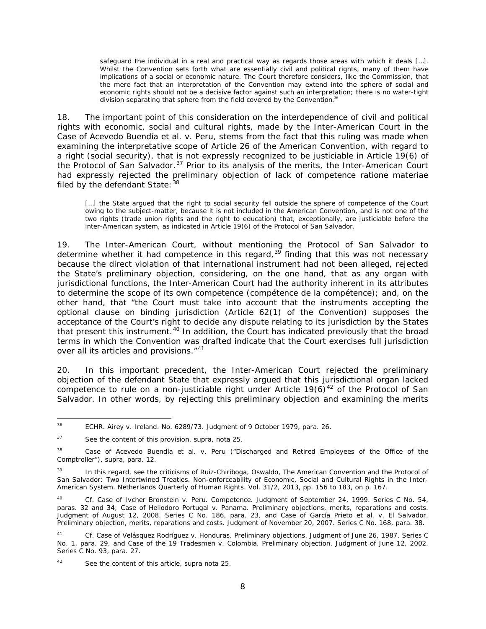safeguard the individual in a real and practical way as regards those areas with which it deals [...]. Whilst the Convention sets forth what are essentially civil and political rights, many of them have implications of a social or economic nature. The Court therefore considers, like the Commission, that the mere fact that an interpretation of the Convention may extend into the sphere of social and economic rights should not be a decisive factor against such an interpretation; there is no water-tight division separating that sphere from the field covered by the Convention. $^{36}$  $^{36}$  $^{36}$ 

18. The important point of this consideration on the interdependence of civil and political rights with economic, social and cultural rights, made by the Inter-American Court in the *Case of Acevedo Buendía et al. v. Peru*, stems from the fact that this ruling was made when examining the interpretative scope of Article 26 of the American Convention, with regard to a right (social security), that is not expressly recognized to be justiciable in Article 19(6) of the Protocol of San Salvador. $37$  Prior to its analysis of the merits, the Inter-American Court had expressly rejected the preliminary objection of lack of competence *ratione materiae* filed by the defendant State: [38](#page-70-2)

[...] the State argued that the right to social security fell outside the sphere of competence of the Court owing to the subject-matter, because it is not included in the American Convention, and is not one of the two rights (trade union rights and the right to education) that, exceptionally, are justiciable before the inter-American system, as indicated in Article 19(6) of the Protocol of San Salvador.

19. The Inter-American Court, without mentioning the Protocol of San Salvador to determine whether it had competence in this regard, $39$  finding that this was not necessary because the direct violation of that international instrument had not been alleged, rejected the State's preliminary objection, considering, on the one hand, that as any organ with jurisdictional functions, the Inter-American Court had the authority inherent in its attributes to determine the scope of its own competence (*compétence de la compétence*); and, on the other hand, that "the Court must take into account that the instruments accepting the optional clause on binding jurisdiction (Article 62(1) of the Convention) supposes the acceptance of the Court's right to decide *any dispute relating to its jurisdiction* by the States that present this instrument*.* [40](#page-70-4) In addition, the Court has indicated previously that the broad terms in which the Convention was drafted indicate that the Court exercises *full jurisdiction over all its articles and provisions.*"[41](#page-70-5)

20. In this important precedent, the Inter-American Court rejected the preliminary objection of the defendant State that expressly argued that this jurisdictional organ lacked competence to rule on a non-justiciable right under Article  $19(6)^{42}$  $19(6)^{42}$  $19(6)^{42}$  of the Protocol of San Salvador. In other words, by rejecting this preliminary objection and examining the merits

<span id="page-70-0"></span> <sup>36</sup> ECHR. *Airey v. Ireland*. No. 6289/73. Judgment of 9 October 1979, para. 26.

<span id="page-70-1"></span><sup>37</sup> See the content of this provision, *supra*, nota 25.

<span id="page-70-2"></span><sup>38</sup> *Case of Acevedo Buendía et al. v. Peru ("Discharged and Retired Employees of the Office of the Comptroller"), supra*, para. 12.

<span id="page-70-3"></span><sup>&</sup>lt;sup>39</sup> In this regard, see the criticisms of Ruiz-Chiriboga, Oswaldo, The American Convention and the Protocol of San Salvador: Two Intertwined Treaties. Non-enforceability of Economic, Social and Cultural Rights in the Inter-American System. *Netherlands Quarterly of Human Rights*. Vol. 31/2, 2013, pp. 156 to 183, on p. 167.

<span id="page-70-4"></span><sup>40</sup> *Cf. Case of Ivcher Bronstein v. Peru*. *Competence.* Judgment of September 24, 1999. Series C No. 54, paras. 32 and 34; *Case of Heliodoro Portugal v. Panama. Preliminary objections, merits, reparations and costs*. Judgment of August 12, 2008. Series C No. 186, para. 23, and *Case of García Prieto et al. v. El Salvador. Preliminary objection, merits, reparations and costs*. Judgment of November 20, 2007. Series C No. 168, para. 38.

<span id="page-70-5"></span><sup>41</sup> *Cf. Case of Velásquez Rodríguez v. Honduras. Preliminary objections*. Judgment of June 26, 1987. Series C No. 1, para. 29, and *Case of the 19 Tradesmen v. Colombia. Preliminary objection*. Judgment of June 12, 2002. Series C No. 93, para. 27.

<span id="page-70-6"></span>See the content of this article, *supra* nota 25.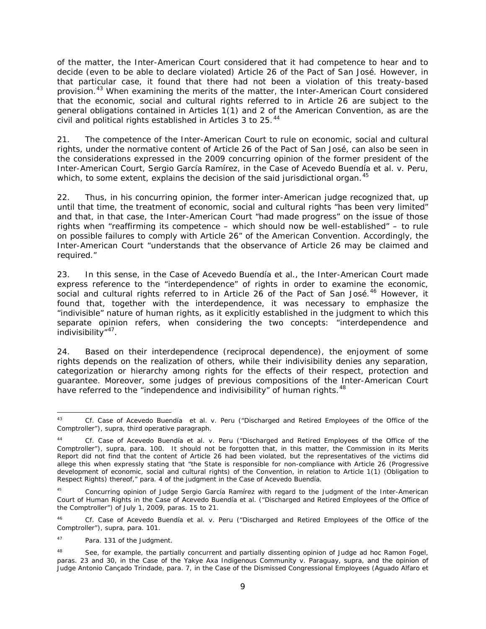of the matter, the Inter-American Court considered that it had competence to hear and to decide (even to be able to declare violated) Article 26 of the Pact of San José. However, in that particular case, it found that there had not been a violation of this treaty-based provision.<sup>[43](#page-71-0)</sup> When examining the merits of the matter, the Inter-American Court considered that the economic, social and cultural rights referred to in Article 26 are subject to the general obligations contained in Articles 1(1) and 2 of the American Convention, as are the civil and political rights established in Articles 3 to 25.<sup>[44](#page-71-1)</sup>

21. The competence of the Inter-American Court to rule on economic, social and cultural rights, under the normative content of Article 26 of the Pact of San José, can also be seen in the considerations expressed in the 2009 concurring opinion of the former president of the Inter-American Court, Sergio García Ramírez, in the *Case of Acevedo Buendía et al. v. Peru*, which, to some extent, explains the decision of the said jurisdictional organ.<sup>45</sup>

22. Thus, in his concurring opinion, the former inter-American judge recognized that, up until that time, the treatment of economic, social and cultural rights "has been very limited" and that, in that case, the Inter-American Court "had made progress" on the issue of those rights when "reaffirming its competence – which should now be well-established" – to rule on possible failures to comply with Article 26" of the American Convention. Accordingly, the Inter-American Court "understands that the observance of Article 26 may be claimed and required."

23. In this sense, in the *Case of Acevedo Buendía et al.,* the Inter-American Court made express reference to the "interdependence" of rights in order to examine the economic, social and cultural rights referred to in Article 26 of the Pact of San José.<sup>[46](#page-71-3)</sup> However, it found that, together with the interdependence, it was necessary to emphasize the "indivisible" nature of human rights, as it explicitly established in the judgment to which this separate opinion refers, when considering the two concepts: "interdependence and indivisibility"[47](#page-71-4).

24. Based on their interdependence (reciprocal dependence), the enjoyment of some rights depends on the realization of others, while their indivisibility denies any separation, categorization or hierarchy among rights for the effects of their respect, protection and guarantee. Moreover, some judges of previous compositions of the Inter-American Court have referred to the "independence and indivisibility" of human rights.<sup>[48](#page-71-5)</sup>

<span id="page-71-0"></span> <sup>43</sup> *Cf. Case of Acevedo Buendía et al. v. Peru ("Discharged and Retired Employees of the Office of the Comptroller"), supra*, third operative paragraph.

<span id="page-71-1"></span><sup>44</sup> *Cf. Case of Acevedo Buendía et al. v. Peru ("Discharged and Retired Employees of the Office of the Comptroller"), supra*, para. 100. It should not be forgotten that, in this matter, the Commission in its Merits Report did not find that the content of Article 26 had been violated, but the representatives of the victims did allege this when expressly stating that "the State is responsible for non-compliance with Article 26 (Progressive development of economic, social and cultural rights) of the Convention, in relation to Article 1(1) (Obligation to Respect Rights) thereof," para. 4 of the judgment in the *Case of Acevedo Buendía.*

<span id="page-71-2"></span><sup>&</sup>lt;sup>45</sup> Concurring opinion of Judge Sergio García Ramírez with regard to the Judgment of the Inter-American Court of Human Rights in the *Case of Acevedo Buendía et al. ("Discharged and Retired Employees of the Office of the Comptroller")* of July 1, 2009, paras. 15 to 21.

<span id="page-71-3"></span><sup>46</sup> *Cf. Case of Acevedo Buendía et al. v. Peru ("Discharged and Retired Employees of the Office of the Comptroller"), supra*, para. 101.

<span id="page-71-4"></span><sup>47</sup> Para. 131 of the Judgment.

<span id="page-71-5"></span><sup>48</sup> See, for example, the partially concurrent and partially dissenting opinion of Judge *ad hoc* Ramon Fogel, paras. 23 and 30, in the *Case of the Yakye Axa Indigenous Community v. Paraguay, supra*, and the opinion of Judge Antonio Cançado Trindade, para. 7, in the *Case of the Dismissed Congressional Employees (Aguado Alfaro et*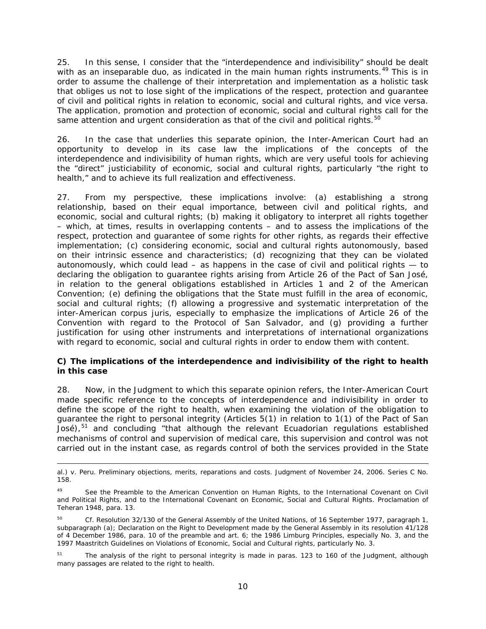25. In this sense, I consider that the "interdependence and indivisibility" should be dealt with as an inseparable duo, as indicated in the main human rights instruments.<sup>[49](#page-72-0)</sup> This is in order to assume the challenge of their interpretation and implementation as a holistic task that obliges us not to lose sight of the implications of the respect, protection and guarantee of civil and political rights in relation to economic, social and cultural rights, and *vice versa*. The application, promotion and protection of economic, social and cultural rights call for the same attention and urgent consideration as that of the civil and political rights. $50$ 

26. In the case that underlies this separate opinion, the Inter-American Court had an opportunity to develop in its case law the implications of the concepts of the interdependence and indivisibility of human rights, which are very useful tools for achieving the "direct" justiciability of economic, social and cultural rights, particularly "the right to health," and to achieve its full realization and effectiveness.

27. From my perspective, these implications involve: (a) establishing a strong relationship, based on their equal importance, between civil and political rights, and economic, social and cultural rights; (b) making it obligatory to interpret all rights together – which, at times, results in overlapping contents – and to assess the implications of the respect, protection and guarantee of some rights for other rights, as regards their effective implementation; (c) considering economic, social and cultural rights autonomously, based on their intrinsic essence and characteristics; (d) recognizing that they can be violated autonomously, which could lead  $-$  as happens in the case of civil and political rights  $-$  to declaring the obligation to guarantee rights arising from Article 26 of the Pact of San José, in relation to the general obligations established in Articles 1 and 2 of the American Convention; (e) defining the obligations that the State must fulfill in the area of economic, social and cultural rights; (f) allowing a progressive and systematic interpretation of the inter-American *corpus juris,* especially to emphasize the implications of Article 26 of the Convention with regard to the Protocol of San Salvador, and (g) providing a further justification for using other instruments and interpretations of international organizations with regard to economic, social and cultural rights in order to endow them with content.

#### **C) The implications of the interdependence and indivisibility of the right to health in this case**

28. Now, in the Judgment to which this separate opinion refers, the Inter-American Court made specific reference to the concepts of interdependence and indivisibility in order to define the scope of the right to health, when examining the violation of the obligation to guarantee the right to personal integrity (Articles 5(1) in relation to 1(1) of the Pact of San José), $51$  and concluding "that although the relevant Ecuadorian regulations established mechanisms of control and supervision of medical care, this supervision and control was not carried out in the instant case, as regards control of both the services provided in the State

i, *al.) v. Peru. Preliminary objections, merits, reparations and costs.* Judgment of November 24, 2006. Series C No. 158.

<span id="page-72-0"></span><sup>49</sup> See the Preamble to the American Convention on Human Rights, to the International Covenant on Civil and Political Rights, and to the International Covenant on Economic, Social and Cultural Rights. Proclamation of Teheran 1948, para. 13.

<span id="page-72-1"></span><sup>50</sup> *Cf.* Resolution 32/130 of the General Assembly of the United Nations, of 16 September 1977, paragraph 1, subparagraph (a); Declaration on the Right to Development made by the General Assembly in its resolution 41/128 of 4 December 1986, para. 10 of the preamble and art. 6; the 1986 Limburg Principles, especially No. 3, and the 1997 Maastritch Guidelines on Violations of Economic, Social and Cultural rights, particularly No. 3.

<span id="page-72-2"></span><sup>&</sup>lt;sup>51</sup> The analysis of the right to personal integrity is made in paras. 123 to 160 of the Judgment, although many passages are related to the right to health.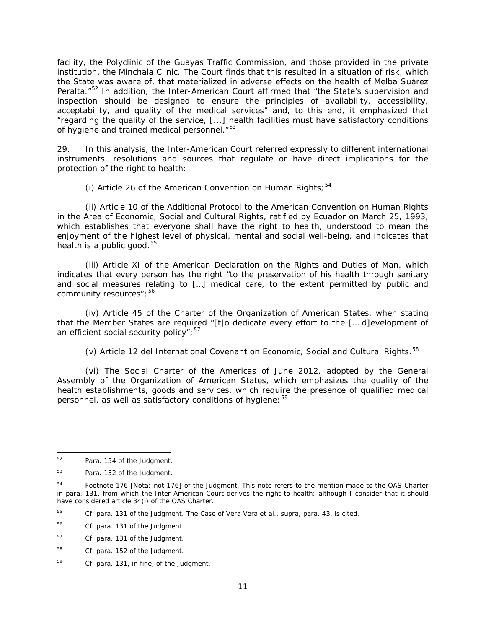facility, the Polyclinic of the Guayas Traffic Commission, and those provided in the private institution, the Minchala Clinic. The Court finds that this resulted in a situation of risk, which the State was aware of, that materialized in adverse effects on the health of Melba Suárez Peralta."<sup>[52](#page-73-0)</sup> In addition, the Inter-American Court affirmed that "the State's supervision and inspection should be designed to ensure the principles of availability, accessibility, acceptability, and quality of the medical services" and, to this end, it emphasized that "regarding the quality of the service, [...] health facilities must have satisfactory conditions of hygiene and trained medical personnel."<sup>[53](#page-73-1)</sup>

29. In this analysis, the Inter-American Court referred expressly to different international instruments, resolutions and sources that regulate or have direct implications for the protection of the right to health:

(i) Article 26 of the American Convention on Human Rights;  $54$ 

(ii) Article 10 of the Additional Protocol to the American Convention on Human Rights in the Area of Economic, Social and Cultural Rights, ratified by Ecuador on March 25, 1993, which establishes that everyone shall have the right to health, understood to mean the enjoyment of the highest level of physical, mental and social well-being, and indicates that health is a public good. $55$ 

(iii) Article XI of the American Declaration on the Rights and Duties of Man, which indicates that every person has the right "to the preservation of his health through sanitary and social measures relating to […] medical care, to the extent permitted by public and community resources"; [56](#page-73-4)

(iv) Article 45 of the Charter of the Organization of American States, when stating that the Member States are required "[t]o dedicate every effort to the [… d]evelopment of an efficient social security policy";  $57$ 

(v) Article 12 del International Covenant on Economic, Social and Cultural Rights.<sup>[58](#page-73-6)</sup>

(vi) The Social Charter of the Americas of June 2012, adopted by the General Assembly of the Organization of American States, which emphasizes the quality of the health establishments, goods and services, which require the presence of qualified medical personnel, as well as satisfactory conditions of hygiene;  $59$ 

<span id="page-73-0"></span> <sup>52</sup> Para. 154 of the Judgment.

<span id="page-73-1"></span><sup>53</sup> Para. 152 of the Judgment.

<span id="page-73-2"></span><sup>&</sup>lt;sup>54</sup> Footnote 176 [Nota: not 176] of the Judgment. This note refers to the mention made to the OAS Charter in para. 131, from which the Inter-American Court derives the right to health; although I consider that it should have considered article 34(i) of the OAS Charter.

<span id="page-73-3"></span><sup>55</sup> *Cf.* para. 131 of the Judgment. The *Case of Vera Vera et al., supra*, para. 43, is cited.

<span id="page-73-4"></span><sup>56</sup> *Cf.* para. 131 of the Judgment.

<span id="page-73-5"></span><sup>57</sup> *Cf.* para. 131 of the Judgment.

<span id="page-73-6"></span><sup>58</sup> Cf. para. 152 of the Judgment.

<span id="page-73-7"></span><sup>59</sup> *Cf.* para. 131, *in fine*, of the Judgment.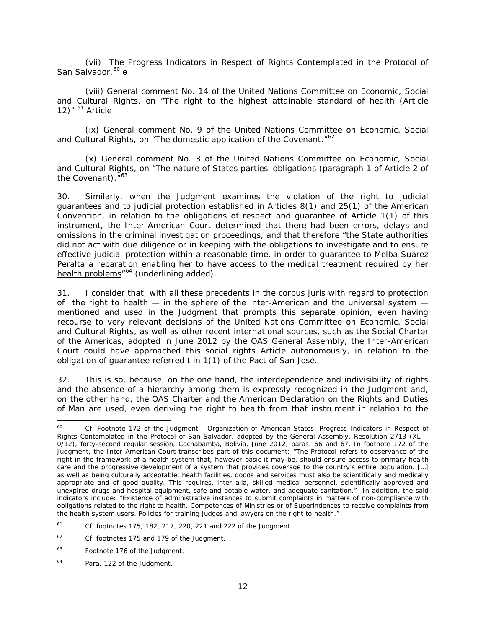(vii) The Progress Indicators in Respect of Rights Contemplated in the Protocol of San Salvador.<sup>[60](#page-74-0)</sup> <del>o</del>

(viii) General comment No. 14 of the United Nations Committee on Economic, Social and Cultural Rights, on "The right to the highest attainable standard of health (Article  $12$ <sup>";[61](#page-74-1)</sup> Article

(ix) General comment No. 9 of the United Nations Committee on Economic, Social and Cultural Rights, on "The domestic application of the Covenant."<sup>[62](#page-74-2)</sup>

(x) General comment No. 3 of the United Nations Committee on Economic, Social and Cultural Rights, on "The nature of States parties' obligations (paragraph 1 of Article 2 of the Covenant)."<sup>[63](#page-74-3)</sup>

30. Similarly, when the Judgment examines the violation of the right to judicial guarantees and to judicial protection established in Articles 8(1) and 25(1) of the American Convention, in relation to the obligations of respect and guarantee of Article 1(1) of this instrument, the Inter-American Court determined that there had been errors, delays and omissions in the criminal investigation proceedings, and that therefore "the State authorities did not act with due diligence or in keeping with the obligations to investigate and to ensure effective judicial protection within a reasonable time, in order to guarantee to Melba Suárez Peralta a reparation enabling her to have access to the medical treatment required by her health problems<sup>"[64](#page-74-4)</sup> (underlining added).

31. I consider that, with all these precedents in the *corpus juris* with regard to protection of the right to health  $-$  in the sphere of the inter-American and the universal system  $$ mentioned and used in the Judgment that prompts this separate opinion, even having recourse to very relevant decisions of the United Nations Committee on Economic, Social and Cultural Rights, as well as other recent international sources, such as the Social Charter of the Americas, adopted in June 2012 by the OAS General Assembly, the Inter-American Court could have approached this social rights Article autonomously, in relation to the obligation of guarantee referred t in 1(1) of the Pact of San José.

32. This is so, because, on the one hand, the interdependence and indivisibility of rights and the absence of a hierarchy among them is expressly recognized in the Judgment and, on the other hand, the OAS Charter and the American Declaration on the Rights and Duties of Man are used, even deriving the right to health from that instrument in relation to the

<span id="page-74-0"></span> <sup>60</sup> *Cf.* Footnote 172 of the Judgment: Organization of American States, Progress Indicators in Respect of Rights Contemplated in the Protocol of San Salvador, adopted by the General Assembly, Resolution 2713 (XLII-0/12), forty-second regular session, Cochabamba, Bolivia, June 2012, paras. 66 and 67. In footnote 172 of the Judgment, the Inter-American Court transcribes part of this document: "The Protocol refers to observance of the right in the framework of a health system that, however basic it may be, should ensure access to primary health care and the progressive development of a system that provides coverage to the country's entire population. […] as well as being culturally acceptable, health facilities, goods and services must also be scientifically and medically appropriate and of good quality. This requires, inter alia, skilled medical personnel, scientifically approved and unexpired drugs and hospital equipment, safe and potable water, and adequate sanitation." In addition, the said indicators include: "Existence of administrative instances to submit complaints in matters of non-compliance with obligations related to the right to health. Competences of Ministries or of Superindences to receive complaints from the health system users. Policies for training judges and lawyers on the right to health."

<span id="page-74-1"></span><sup>61</sup> *Cf.* footnotes 175, 182, 217, 220, 221 and 222 of the Judgment.

<span id="page-74-2"></span><sup>62</sup> *Cf.* footnotes 175 and 179 of the Judgment.

<span id="page-74-3"></span><sup>63</sup> Footnote 176 of the Judgment.

<span id="page-74-4"></span><sup>64</sup> Para. 122 of the Judgment.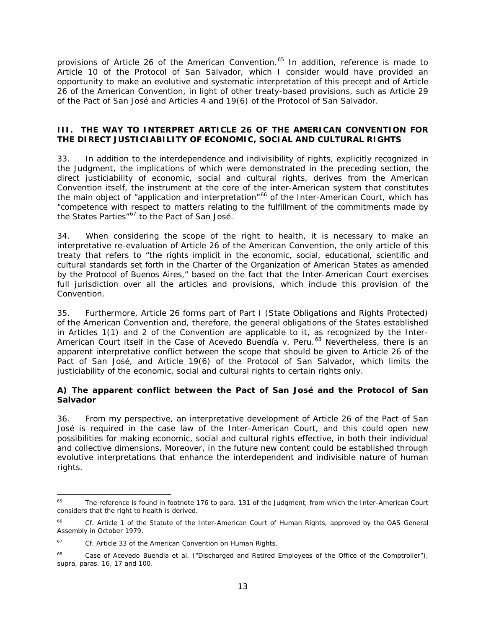provisions of Article 26 of the American Convention.<sup>[65](#page-75-0)</sup> In addition, reference is made to Article 10 of the Protocol of San Salvador, which I consider would have provided an opportunity to make an evolutive and systematic interpretation of this precept and of Article 26 of the American Convention, in light of other treaty-based provisions, such as Article 29 of the Pact of San José and Articles 4 and 19(6) of the Protocol of San Salvador.

### **III. THE WAY TO INTERPRET ARTICLE 26 OF THE AMERICAN CONVENTION FOR THE DIRECT JUSTICIABILITY OF ECONOMIC, SOCIAL AND CULTURAL RIGHTS**

33. In addition to the interdependence and indivisibility of rights, explicitly recognized in the Judgment, the implications of which were demonstrated in the preceding section, the direct justiciability of economic, social and cultural rights, derives from the American Convention itself, the instrument at the core of the inter-American system that constitutes the main object of "application and interpretation"<sup>[66](#page-75-1)</sup> of the Inter-American Court, which has "competence with respect to matters relating to the fulfillment of the commitments made by the States Parties"<sup>[67](#page-75-2)</sup> to the Pact of San José.

34. When considering the scope of the right to health, it is necessary to make an interpretative re-evaluation of Article 26 of the American Convention, the only article of this treaty that refers to "the rights implicit in the economic, social, educational, scientific and cultural standards set forth in the Charter of the Organization of American States as amended by the Protocol of Buenos Aires," based on the fact that the Inter-American Court exercises full jurisdiction over all the articles and provisions, which include this provision of the Convention.

35. Furthermore, Article 26 forms part of Part I (State Obligations and Rights Protected) of the American Convention and, therefore, the general obligations of the States established in Articles 1(1) and 2 of the Convention are applicable to it, as recognized by the Inter-American Court itself in the *Case of Acevedo Buendía v. Peru.*[68](#page-75-3) Nevertheless, there is an apparent interpretative conflict between the scope that should be given to Article 26 of the Pact of San José, and Article 19(6) of the Protocol of San Salvador, which limits the justiciability of the economic, social and cultural rights to certain rights only.

# **A) The apparent conflict between the Pact of San José and the Protocol of San Salvador**

36. From my perspective, an interpretative development of Article 26 of the Pact of San José is required in the case law of the Inter-American Court, and this could open new possibilities for making economic, social and cultural rights effective, in both their individual and collective dimensions. Moreover, in the future new content could be established through evolutive interpretations that enhance the interdependent and indivisible nature of human rights.

<span id="page-75-0"></span><sup>&</sup>lt;sup>65</sup> The reference is found in footnote 176 to para. 131 of the Judgment, from which the Inter-American Court considers that the right to health is derived.

<span id="page-75-1"></span><sup>66</sup> *Cf.* Article 1 of the Statute of the Inter-American Court of Human Rights, approved by the OAS General Assembly in October 1979.

<span id="page-75-2"></span><sup>67</sup> *Cf.* Article 33 of the American Convention on Human Rights.

<span id="page-75-3"></span><sup>68</sup> *Case of Acevedo Buendía et al. ("Discharged and Retired Employees of the Office of the Comptroller"), supra*, paras. 16, 17 and 100.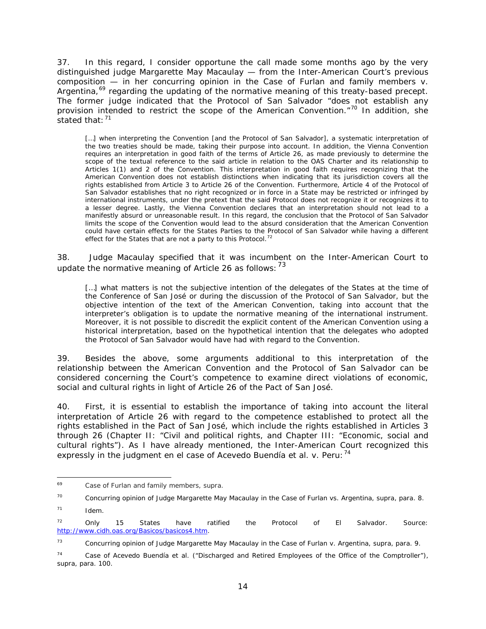37. In this regard, I consider opportune the call made some months ago by the very distinguished judge Margarette May Macaulay — from the Inter-American Court's previous composition — in her concurring opinion in the *Case of Furlan and family members v.*  Argentina,<sup>[69](#page-76-0)</sup> regarding the updating of the normative meaning of this treaty-based precept. The former judge indicated that the Protocol of San Salvador "does not establish any provision intended to restrict the scope of the American Convention."[70](#page-76-1) In addition, she stated that:  $71$ 

[...] when interpreting the Convention [and the Protocol of San Salvador], a systematic interpretation of the two treaties should be made, taking their purpose into account. In addition, the Vienna Convention requires an interpretation in good faith of the terms of Article 26, as made previously to determine the scope of the textual reference to the said article in relation to the OAS Charter and its relationship to Articles 1(1) and 2 of the Convention. This interpretation in good faith requires recognizing that the American Convention does not establish distinctions when indicating that its jurisdiction covers all the rights established from Article 3 to Article 26 of the Convention. Furthermore, Article 4 of the Protocol of San Salvador establishes that no right recognized or in force in a State may be restricted or infringed by international instruments, under the pretext that the said Protocol does not recognize it or recognizes it to a lesser degree. Lastly, the Vienna Convention declares that an interpretation should not lead to a manifestly absurd or unreasonable result. In this regard, the conclusion that the Protocol of San Salvador limits the scope of the Convention would lead to the absurd consideration that the American Convention could have certain effects for the States Parties to the Protocol of San Salvador while having a different effect for the States that are not a party to this Protocol.<sup>[72](#page-76-3)</sup>

38. Judge Macaulay specified that it was incumbent on the Inter-American Court to update the normative meaning of Article 26 as follows:  $^{73}$  $^{73}$  $^{73}$ 

[...] what matters is not the subjective intention of the delegates of the States at the time of the Conference of San José or during the discussion of the Protocol of San Salvador, but the objective intention of the text of the American Convention, taking into account that the interpreter's obligation is to update the normative meaning of the international instrument. Moreover, it is not possible to discredit the explicit content of the American Convention using a historical interpretation, based on the hypothetical intention that the delegates who adopted the Protocol of San Salvador would have had with regard to the Convention.

39. Besides the above, some arguments additional to this interpretation of the relationship between the American Convention and the Protocol of San Salvador can be considered concerning the Court's competence to examine direct violations of economic, social and cultural rights in light of Article 26 of the Pact of San José.

40. First, it is essential to establish the importance of taking into account the literal interpretation of Article 26 with regard to the competence established to protect *all the rights* established in the Pact of San José, which include the rights established in Articles 3 through 26 (Chapter II: "Civil and political rights, and Chapter III: "Economic, social and cultural rights"). As I have already mentioned, the Inter-American Court recognized this expressly in the judgment en el case of *Acevedo Buendía et al. v. Peru:*[74](#page-76-5)

<span id="page-76-0"></span> <sup>69</sup> *Case of Furlan and family members, supra.*

<span id="page-76-1"></span><sup>70</sup> Concurring opinion of Judge Margarette May Macaulay in the *Case of Furlan vs. Argentina*, *supra,* para. 8. <sup>71</sup> *Idem.*

<span id="page-76-3"></span><span id="page-76-2"></span> $72$  Only 15 States have ratified the Protocol of El Salvador. Source: [http://www.cidh.oas.org/Basicos/basicos4.htm.](http://www.cidh.oas.org/Basicos/basicos4.htm)

<span id="page-76-4"></span><sup>73</sup> Concurring opinion of Judge Margarette May Macaulay in the *Case of Furlan v. Argentina, supra*, para. 9.

<span id="page-76-5"></span><sup>74</sup> *Case of Acevedo Buendía et al. ("Discharged and Retired Employees of the Office of the Comptroller"), supra*, para. 100.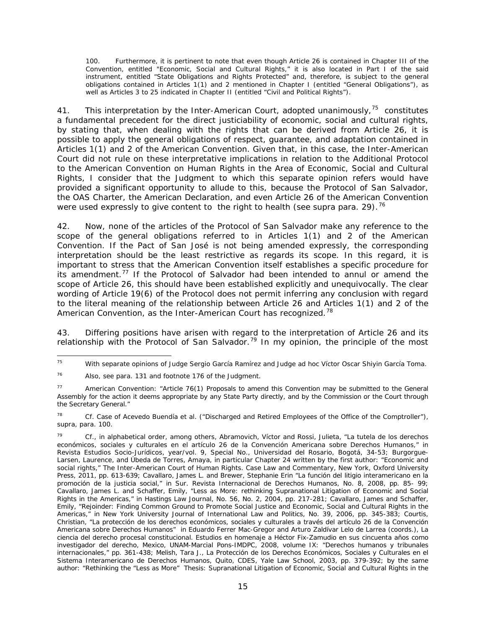100. Furthermore, it is pertinent to note that even though Article 26 is contained in Chapter III of the Convention, entitled "Economic, Social and Cultural Rights," it is also located in Part I of the said instrument, entitled "State Obligations and Rights Protected" and, therefore, is subject to the general obligations contained in Articles 1(1) and 2 mentioned in Chapter I (entitled "General Obligations"), as well as Articles 3 to 25 indicated in Chapter II (entitled "Civil and Political Rights").

41. This interpretation by the Inter-American Court, adopted unanimously,  $^{75}$  constitutes a fundamental precedent for the direct justiciability of economic, social and cultural rights, by stating that, when dealing with the rights that can be derived from Article 26, it is possible to apply the general obligations of respect, guarantee, and adaptation contained in Articles 1(1) and 2 of the American Convention. Given that, in this case, the Inter-American Court did not rule on these interpretative implications in relation to the Additional Protocol to the American Convention on Human Rights in the Area of Economic, Social and Cultural Rights, I consider that the Judgment to which this separate opinion refers would have provided a significant opportunity to allude to this, because the Protocol of San Salvador, the OAS Charter, the American Declaration, and even Article 26 of the American Convention were used expressly to give content to the right to health (see *supra* para. 29).<sup>[76](#page-77-1)</sup>

42. Now, none of the articles of the Protocol of San Salvador make any reference to the scope of the general obligations referred to in Articles 1(1) and 2 of the American Convention. If the Pact of San José is not being amended expressly, the corresponding interpretation should be the least restrictive as regards its scope. In this regard, it is important to stress that the American Convention itself establishes a specific procedure for its amendment.<sup>[77](#page-77-2)</sup> If the Protocol of Salvador had been intended to annul or amend the scope of Article 26, this should have been established explicitly and unequivocally. The clear wording of Article 19(6) of the Protocol does not permit inferring any conclusion with regard to the literal meaning of the relationship between Article 26 and Articles 1(1) and 2 of the American Convention, as the Inter-American Court has recognized.<sup>[78](#page-77-3)</sup>

43. Differing positions have arisen with regard to the interpretation of Article 26 and its relationship with the Protocol of San Salvador.<sup>[79](#page-77-4)</sup> In my opinion, the principle of the most

<span id="page-77-0"></span> <sup>75</sup> With separate opinions of Judge Sergio García Ramírez and Judge *ad hoc* Víctor Oscar Shiyin García Toma.

<span id="page-77-1"></span><sup>76</sup> Also, see para. 131 and footnote 176 of the Judgment.

<span id="page-77-2"></span><sup>77</sup> American Convention: "Article 76(1) Proposals to amend this Convention may be submitted to the General Assembly for the action it deems appropriate by any State Party directly, and by the Commission or the Court through the Secretary General."

<span id="page-77-3"></span><sup>78</sup> *Cf. Case of Acevedo Buendía et al. ("Discharged and Retired Employees of the Office of the Comptroller"), supra*, para. 100.

<span id="page-77-4"></span><sup>79</sup> *Cf.,* in alphabetical order, among others, Abramovich, Víctor and Rossi, Julieta, "La tutela de los derechos económicos, sociales y culturales en el artículo 26 de la Convención Americana sobre Derechos Humanos," in *Revista Estudios Socio-Jurídicos,* year/vol. 9, Special No., Universidad del Rosario, Bogotá, 34-53; Burgorgue-Larsen, Laurence, and Úbeda de Torres, Amaya, in particular Chapter 24 written by the first author: "Economic and social rights," The Inter-American Court of Human Rights. Case Law and Commentary, New York, Oxford University Press, 2011, pp. 613-639; Cavallaro, James L. and Brewer, Stephanie Erin "La función del litigio interamericano en la promoción de la justicia social," in *Sur. Revista Internacional de Derechos Humanos*, No. 8, 2008, pp. 85- 99; Cavallaro, James L. and Schaffer, Emily, "Less as More: rethinking Supranational Litigation of Economic and Social Rights in the Americas," in Hastings Law Journal, No. 56, No. 2, 2004, pp. 217-281; Cavallaro, James and Schaffer, Emily, "Rejoinder: Finding Common Ground to Promote Social Justice and Economic, Social and Cultural Rights in the Americas," in *New York University Journal of International Law and Politics*, No. 39, 2006, pp. 345-383; Courtis, Christian, "La protección de los derechos económicos, sociales y culturales a través del artículo 26 de la Convención Americana sobre Derechos Humanos" in Eduardo Ferrer Mac-Gregor and Arturo Zaldívar Lelo de Larrea (coords.), *La ciencia del derecho procesal constitucional. Estudios en homenaje a Héctor Fix-Zamudio en sus cincuenta años como investigador del derecho,* Mexico, UNAM-Marcial Pons-IMDPC, 2008, volume IX: "Derechos humanos y tribunales internacionales," pp. 361-438; Melish, Tara J., *La Protección de los Derechos Económicos, Sociales y Culturales en el Sistema Interamericano de Derechos Humanos*, Quito, CDES, Yale Law School, 2003, pp. 379-392; by the same author: "Rethinking the "Less as More" Thesis: Supranational Litigation of Economic, Social and Cultural Rights in the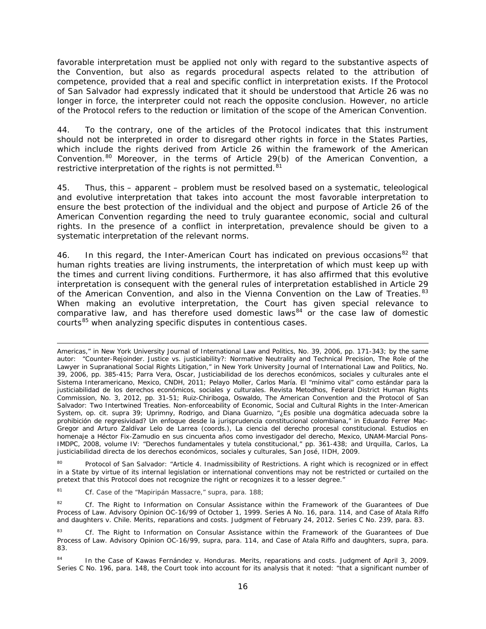favorable interpretation must be applied not only with regard to the substantive aspects of the Convention, but also as regards procedural aspects related to the attribution of competence, provided that a real and specific conflict in interpretation exists. If the Protocol of San Salvador had expressly indicated that it should be understood that Article 26 was no longer in force, the interpreter could not reach the opposite conclusion. However, no article of the Protocol refers to the reduction or limitation of the scope of the American Convention.

44. To the contrary, one of the articles of the Protocol indicates that this instrument should not be interpreted in order to disregard other rights in force in the States Parties, which include the rights derived from Article 26 within the framework of the American Convention.[80](#page-78-0) Moreover, in the terms of Article 29(b) of the American Convention, a restrictive interpretation of the rights is not permitted.<sup>[81](#page-78-1)</sup>

45. Thus, this – apparent – problem must be resolved based on a systematic, teleological and evolutive interpretation that takes into account the most favorable interpretation to ensure the best protection of the individual and the object and purpose of Article 26 of the American Convention regarding the need to truly guarantee economic, social and cultural rights. In the presence of a conflict in interpretation, prevalence should be given to a systematic interpretation of the relevant norms.

46. In this regard, the Inter-American Court has indicated on previous occasions<sup>[82](#page-78-2)</sup> that human rights treaties are living instruments, the interpretation of which must keep up with the times and current living conditions. Furthermore, it has also affirmed that this evolutive interpretation is consequent with the general rules of interpretation established in Article 29 of the American Convention, and also in the Vienna Convention on the Law of Treaties.<sup>[83](#page-78-3)</sup> When making an evolutive interpretation, the Court has given special relevance to comparative law, and has therefore used domestic laws $^{84}$  $^{84}$  $^{84}$  or the case law of domestic courts<sup>[85](#page-78-5)</sup> when analyzing specific disputes in contentious cases.

<span id="page-78-5"></span><span id="page-78-0"></span><sup>80</sup> Protocol of San Salvador: "Article 4. *Inadmissibility of Restrictions.* A right which is recognized or in effect in a State by virtue of its internal legislation or international conventions may not be restricted or curtailed on the pretext that this Protocol does not recognize the right or recognizes it to a lesser degree."

<span id="page-78-1"></span><sup>81</sup> *Cf. Case of the "Mapiripán Massacre," supra*, para. 188;

i,

<span id="page-78-2"></span><sup>82</sup> *Cf. The Right to Information on Consular Assistance within the Framework of the Guarantees of Due Process of Law.* Advisory Opinion OC-16/99 of October 1, 1999. Series A No. 16, para. 114, and *Case of Atala Riffo and daughters v. Chile*. *Merits, reparations and costs.* Judgment of February 24, 2012. Series C No. 239, para. 83.

Americas," in *New York University Journal of International Law and Politics*, No. 39, 2006, pp. 171-343; by the same autor: "Counter-Rejoinder. Justice vs. justiciability?: Normative Neutrality and Technical Precision, The Role of the Lawyer in Supranational Social Rights Litigation," in *New York University Journal of International Law and Politics*, No. 39, 2006, pp. 385-415; Parra Vera, Oscar, *Justiciabilidad de los derechos económicos, sociales y culturales ante el Sistema Interamericano,* Mexico, CNDH, 2011; Pelayo Moller, Carlos María. El "mínimo vital" como estándar para la justiciabilidad de los derechos económicos, sociales y culturales. *Revista Metodhos*, Federal District Human Rights Commission, No. 3, 2012, pp. 31-51; Ruiz-Chiriboga, Oswaldo, *The American Convention and the Protocol of San Salvador: Two Intertwined Treaties. Non-enforceability of Economic, Social and Cultural Rights in the Inter-American System, op. cit. supra* 39; Uprimny, Rodrigo, and Diana Guarnizo, "¿Es posible una dogmática adecuada sobre la prohibición de regresividad? Un enfoque desde la jurisprudencia constitucional colombiana," in Eduardo Ferrer Mac-Gregor and Arturo Zaldívar Lelo de Larrea (coords.), *La ciencia del derecho procesal constitucional. Estudios en homenaje a Héctor Fix-Zamudio en sus cincuenta años como investigador del derecho,* Mexico, UNAM-Marcial Pons-IMDPC, 2008, volume IV: "Derechos fundamentales y tutela constitucional," pp. 361-438; and Urquilla, Carlos, *La justiciabilidad directa de los derechos económicos, sociales y culturales,* San José, IIDH, 2009.

<span id="page-78-3"></span><sup>83</sup> *Cf. The Right to Information on Consular Assistance within the Framework of the Guarantees of Due Process of Law.* Advisory Opinion OC-16/99, *supra*, para. 114, and *Case of Atala Riffo and daughters, supra*, para. 83.

<span id="page-78-4"></span><sup>84</sup> In the *Case of Kawas Fernández v. Honduras. Merits, reparations and costs. Judgment of April 3, 2009.* Series C No. 196, para. 148, the Court took into account for its analysis that it noted: "that a significant number of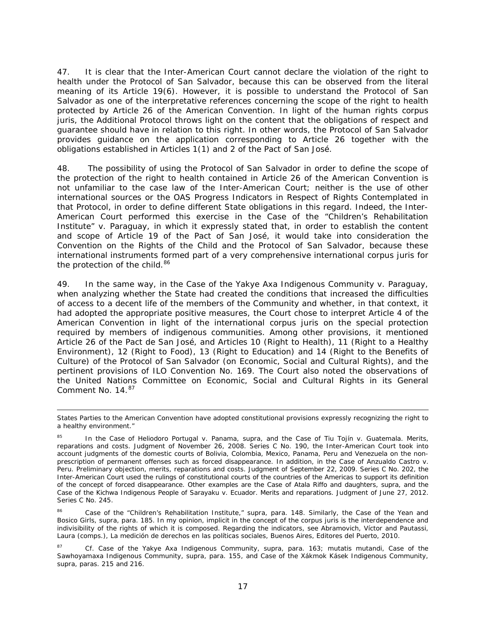47. It is clear that the Inter-American Court cannot declare the violation of the right to health under the Protocol of San Salvador, because this can be observed from the literal meaning of its Article 19(6). However, it is possible to understand the Protocol of San Salvador as one of the interpretative references concerning the scope of the right to health protected by Article 26 of the American Convention. In light of the human rights *corpus juris*, the Additional Protocol throws light on the content that the obligations of respect and guarantee should have in relation to this right. In other words, the Protocol of San Salvador *provides guidance* on the application corresponding to Article 26 together with the obligations established in Articles 1(1) and 2 of the Pact of San José.

48. The possibility of using the Protocol of San Salvador in order to define the scope of the protection of the right to health contained in Article 26 of the American Convention is not unfamiliar to the case law of the Inter-American Court; neither is the use of other international sources or the OAS Progress Indicators in Respect of Rights Contemplated in that Protocol, in order to define different State obligations in this regard. Indeed, the Inter-American Court performed this exercise in the *Case of the "Children's Rehabilitation Institute" v. Paraguay*, in which it expressly stated that, in order to establish the content and scope of Article 19 of the Pact of San José, it would take into consideration the Convention on the Rights of the Child and the Protocol of San Salvador, because these international instruments formed part of a very comprehensive international *corpus juris* for the protection of the child.<sup>[86](#page-79-0)</sup>

49. In the same way, in the *Case of the Yakye Axa Indigenous Community v. Paraguay*, when analyzing whether the State had created the conditions that increased the difficulties of access to a decent life of the members of the Community and whether, in that context, it had adopted the appropriate positive measures, the Court chose to interpret Article 4 of the American Convention in light of the international *corpus juris* on the special protection required by members of indigenous communities. Among other provisions, it mentioned Article 26 of the Pact de San José, and Articles 10 (Right to Health), 11 (Right to a Healthy Environment), 12 (Right to Food), 13 (Right to Education) and 14 (Right to the Benefits of Culture) of the Protocol of San Salvador (on Economic, Social and Cultural Rights), and the pertinent provisions of ILO Convention No. 169. The Court also noted the observations of the United Nations Committee on Economic, Social and Cultural Rights in its General Comment No. 14.<sup>[87](#page-79-1)</sup>

 States Parties to the American Convention have adopted constitutional provisions expressly recognizing the right to a healthy environment."

<sup>85</sup> In the *Case of Heliodoro Portugal v. Panama, supra*, and the *Case of Tiu Tojín v. Guatemala. Merits, reparations and costs.* Judgment of November 26, 2008. Series C No. 190, the Inter-American Court took into account judgments of the domestic courts of Bolivia, Colombia, Mexico, Panama, Peru and Venezuela on the nonprescription of permanent offenses such as forced disappearance. In addition, in the Case of *Anzualdo Castro v. Peru. Preliminary objection, merits, reparations and costs.* Judgment of September 22, 2009. Series C No. 202, the Inter-American Court used the rulings of constitutional courts of the countries of the Americas to support its definition of the concept of forced disappearance. Other examples are the *Case of Atala Riffo and daughters, supra, and* the *Case of the Kichwa Indigenous People of Sarayaku v. Ecuador*. *Merits and reparations*. Judgment of June 27, 2012. Series C No. 245.

<span id="page-79-0"></span><sup>86</sup> *Case of the "Children's Rehabilitation Institute," supra*, para. 148. Similarly, the *Case of the Yean and Bosico Girls, supra*, para. 185. In my opinion, implicit in the concept of the *corpus juris* is the interdependence and indivisibility of the rights of which it is composed. Regarding the indicators, see Abramovich, Víctor and Pautassi, Laura (comps.), *La medición de derechos en las políticas sociales*, Buenos Aires, Editores del Puerto, 2010.

<span id="page-79-1"></span><sup>87</sup> *Cf. Case of the Yakye Axa Indigenous Community, supra*, para. 163; *mutatis mutandi*, Case of the Sawhoyamaxa Indigenous Community*, supra*, para. 155, and *Case of the Xákmok Kásek Indigenous Community, supra*, paras. 215 and 216.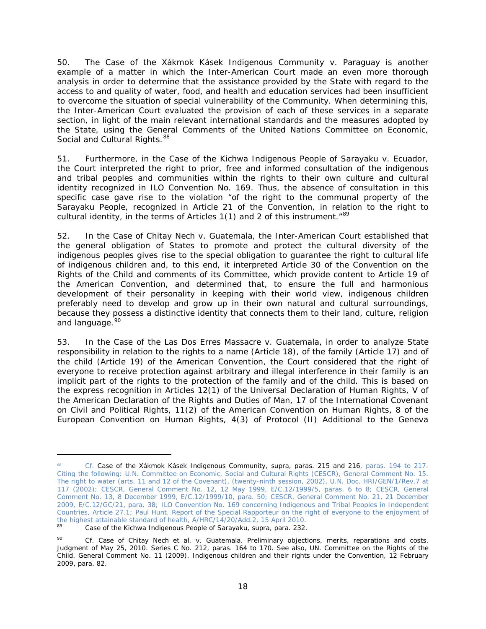50. The *Case of the Xákmok Kásek Indigenous Community v. Paraguay* is another example of a matter in which the Inter-American Court made an even more thorough analysis in order to determine that the assistance provided by the State with regard to the access to and quality of water, food, and health and education services had been insufficient to overcome the situation of special vulnerability of the Community. When determining this, the Inter-American Court evaluated the provision of each of these services in a separate section, in light of the main relevant international standards and the measures adopted by the State, using the General Comments of the United Nations Committee on Economic, Social and Cultural Rights.<sup>88</sup>

51. Furthermore, in the *Case of the Kichwa Indigenous People of Sarayaku v. Ecuador,* the Court interpreted the right to prior, free and informed consultation of the indigenous and tribal peoples and communities within the rights to their own culture and cultural identity recognized in ILO Convention No. 169. Thus, the absence of consultation in this specific case gave rise to the violation "of the right to the communal property of the Sarayaku People, recognized in Article 21 of the Convention, in relation to the right to cultural identity, in the terms of Articles 1(1) and 2 of this instrument.<sup>"[89](#page-80-1)</sup>

52. In the *Case of Chitay Nech v. Guatemala*, the Inter-American Court established that the general obligation of States to promote and protect the cultural diversity of the indigenous peoples gives rise to the special obligation to guarantee the *right to cultural life of indigenous children* and, to this end, it interpreted Article 30 of the Convention on the Rights of the Child and comments of its Committee, which provide content to Article 19 of the American Convention, and determined that, to ensure the full and harmonious development of their personality in keeping with their world view, indigenous children preferably need to develop and grow up in their own natural and cultural surroundings, because they possess a distinctive identity that connects them to their land, culture, religion and language.<sup>[90](#page-80-2)</sup>

53. In the *Case of the Las Dos Erres Massacre v. Guatemala*, in order to analyze State responsibility in relation to the rights to a name (Article 18), of the family (Article 17) and of the child (Article 19) of the American Convention, the Court considered that the right of everyone to receive protection against arbitrary and illegal interference in their family is an implicit part of the rights to the protection of the family and of the child. This is based on the express recognition in Articles 12(1) of the Universal Declaration of Human Rights, V of the American Declaration of the Rights and Duties of Man, 17 of the International Covenant on Civil and Political Rights, 11(2) of the American Convention on Human Rights, 8 of the European Convention on Human Rights, 4(3) of Protocol (II) Additional to the Geneva

i,

<span id="page-80-0"></span><sup>88</sup> Cf. Case of the Xákmok Kásek Indigenous Community, supra, *paras. 215 and 216, paras. 194 to 217. Citing the following: U.N. Committee on Economic, Social and Cultural Rights (CESCR), General Comment No. 15. The right to water (arts. 11 and 12 of the Covenant), (twenty-ninth session, 2002), U.N. Doc. HRI/GEN/1/Rev.7 at 117 (2002); CESCR, General Comment No. 12, 12 May 1999, E/C.12/1999/5, paras. 6 to 8; CESCR, General Comment No. 13, 8 December 1999, E/C.12/1999/10, para. 50; CESCR, General Comment No. 21, 21 December 2009, E/C.12/GC/21, para. 38; ILO Convention No. 169 concerning Indigenous and Tribal Peoples in Independent Countries, Article 27.1; Paul Hunt. Report of the Special Rapporteur on the right of everyone to the enjoyment of the highest attainable standard of health, A/HRC/14/20/Add.2, 15 April 2010.*

<sup>89</sup> *Case of the Kichwa Indigenous People of Sarayaku, supra*, para. 232.

<span id="page-80-2"></span><span id="page-80-1"></span><sup>90</sup> *Cf. Case of Chitay Nech et al. v. Guatemala. Preliminary objections, merits, reparations and costs.* Judgment of May 25, 2010. Series C No. 212, paras. 164 to 170. See also, UN. Committee on the Rights of the Child. General Comment No. 11 (2009). *Indigenous children and their rights under the Convention*, 12 February 2009, para. 82.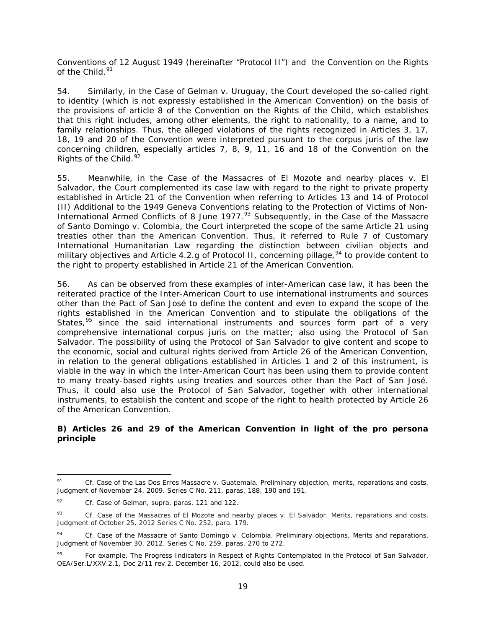Conventions of 12 August 1949 (hereinafter "Protocol II") and the Convention on the Rights of the Child. $91$ 

54. Similarly, in the *Case of Gelman v. Uruguay*, the Court developed the so-called right to identity (which is not expressly established in the American Convention) on the basis of the provisions of article 8 of the Convention on the Rights of the Child, which establishes that this right includes, among other elements, the right to nationality, to a name, and to family relationships. Thus, the alleged violations of the rights recognized in Articles 3, 17, 18, 19 and 20 of the Convention were interpreted pursuant to the *corpus juris* of the law concerning children, especially articles 7, 8, 9, 11, 16 and 18 of the Convention on the Rights of the Child.<sup>[92](#page-81-1)</sup>

55. Meanwhile, in the *Case of the Massacres of El Mozote and nearby places v. El Salvador*, the Court complemented its case law with regard to the right to private property established in Article 21 of the Convention when referring to Articles 13 and 14 of Protocol (II) Additional to the 1949 Geneva Conventions relating to the Protection of Victims of Non-International Armed Conflicts of 8 June 1977.<sup>[93](#page-81-2)</sup> Subsequently, in the *Case of the Massacre of Santo Domingo v. Colombia*, the Court interpreted the scope of the same Article 21 using treaties other than the American Convention. Thus, it referred to Rule 7 of Customary International Humanitarian Law regarding the distinction between civilian objects and military objectives and Article 4.2.g of Protocol II, concerning pillage, <sup>[94](#page-81-3)</sup> to provide content to the right to property established in Article 21 of the American Convention.

56. As can be observed from these examples of inter-American case law, it has been the reiterated practice of the Inter-American Court to use international instruments and sources other than the Pact of San José to define the content and even to expand the scope of the rights established in the American Convention and to stipulate the obligations of the States,  $95$  since the said international instruments and sources form part of a very comprehensive international *corpus juris* on the matter; also using the Protocol of San Salvador. The possibility of using the Protocol of San Salvador to give content and scope to the economic, social and cultural rights derived from Article 26 of the American Convention, in relation to the general obligations established in Articles 1 and 2 of this instrument, is viable in the way in which the Inter-American Court has been using them to provide content to many treaty-based rights using treaties and sources other than the Pact of San José. Thus, it could also use the Protocol of San Salvador, together with other international instruments, to establish the content and scope of the right to health protected by Article 26 of the American Convention.

#### **B) Articles 26 and 29 of the American Convention in light of the** *pro persona*  **principle**

<span id="page-81-0"></span> <sup>91</sup> *Cf. Case of the Las Dos Erres Massacre v. Guatemala. Preliminary objection, merits, reparations and costs.* Judgment of November 24, 2009. Series C No. 211, paras. 188, 190 and 191.

<span id="page-81-1"></span><sup>92</sup> *Cf. Case of Gelman, supra*, paras. 121 and 122.

<span id="page-81-2"></span><sup>93</sup> *Cf. Case of the Massacres of El Mozote and nearby places v. El Salvador. Merits, reparations and costs.*  Judgment of October 25, 2012 Series C No. 252, para. 179.

<span id="page-81-3"></span><sup>94</sup> *Cf. Case of the Massacre of Santo Domingo v. Colombia. Preliminary objections, Merits and reparations.* Judgment of November 30, 2012. Series C No. 259, paras. 270 to 272.

<span id="page-81-4"></span><sup>95</sup> For example, *The Progress Indicators in Respect of Rights Contemplated in the Protocol of San Salvador*, OEA/Ser.L/XXV.2.1, Doc 2/11 rev.2, December 16, 2012, could also be used.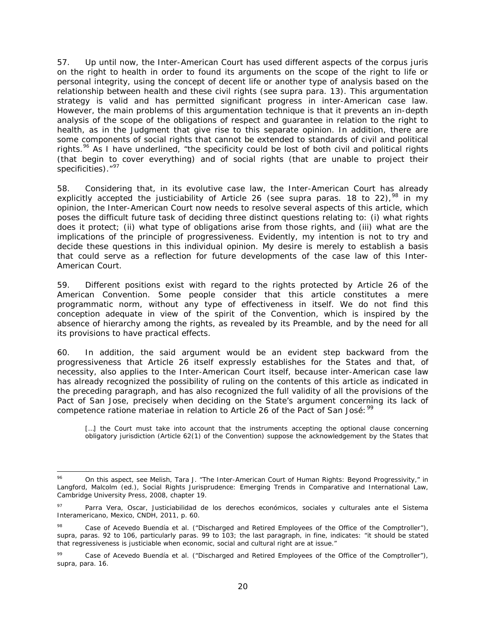57. Up until now, the Inter-American Court has used different aspects of the *corpus juris* on the right to health in order to found its arguments on the scope of the right to life or personal integrity, using the concept of decent life or another type of analysis based on the relationship between health and these civil rights (see *supra* para. 13). This argumentation strategy is valid and has permitted significant progress in inter-American case law. However, the main problems of this argumentation technique is that it prevents an in-depth analysis of the scope of the obligations of respect and guarantee in relation to the right to health, as in the Judgment that give rise to this separate opinion. In addition, there are some components of social rights that cannot be extended to standards of civil and political rights.<sup>[96](#page-82-0)</sup> As I have underlined, "the specificity could be lost of both civil and political rights (that begin to cover everything) and of social rights (that are unable to project their specificities)."<sup>[97](#page-82-1)</sup>

58. Considering that, in its evolutive case law, the Inter-American Court has already explicitly accepted the justiciability of Article 26 (see *supra* paras. 18 to 22),<sup>[98](#page-82-2)</sup> in my opinion, the Inter-American Court now needs to resolve several aspects of this article, which poses the difficult future task of deciding three distinct questions relating to: (i) what rights does it protect; (ii) what type of obligations arise from those rights, and (iii) what are the implications of the principle of progressiveness. Evidently, my intention is not to try and decide these questions in this individual opinion. My desire is merely to establish a basis that could serve as a reflection for future developments of the case law of this Inter-American Court.

59. Different positions exist with regard to the rights protected by Article 26 of the American Convention. Some people consider that this article constitutes a mere programmatic norm, without any type of effectiveness in itself. We do not find this conception adequate in view of the spirit of the Convention, which is inspired by the absence of hierarchy among the rights, as revealed by its Preamble, and by the need for all its provisions to have practical effects.

60. In addition, the said argument would be an evident step backward from the progressiveness that Article 26 itself expressly establishes for the States and that, of necessity, also applies to the Inter-American Court itself, because inter-American case law has already recognized the possibility of ruling on the contents of this article as indicated in the preceding paragraph, and has also recognized the full validity of all the provisions of the Pact of San Jose, precisely when deciding on the State's argument concerning its lack of competence *ratione materiae* in relation to Article 26 of the Pact of San José: <sup>[99](#page-82-3)</sup>

[...] the Court must take into account that the instruments accepting the optional clause concerning obligatory jurisdiction (Article 62(1) of the Convention) suppose the acknowledgement by the States that

<span id="page-82-0"></span> <sup>96</sup> On this aspect, see Melish, Tara J. "The Inter-American Court of Human Rights: Beyond Progressivity," in Langford, Malcolm (ed.), *Social Rights Jurisprudence: Emerging Trends in Comparative and International Law*, Cambridge University Press, 2008, chapter 19.

<span id="page-82-1"></span><sup>97</sup> Parra Vera, Oscar, *Justiciabilidad de los derechos económicos, sociales y culturales ante el Sistema Interamericano,* Mexico, CNDH, 2011, p. 60.

<span id="page-82-2"></span><sup>98</sup> *Case of Acevedo Buendía et al. ("Discharged and Retired Employees of the Office of the Comptroller"), supra*, paras. 92 to 106, particularly paras. 99 to 103; the last paragraph, *in fine*, indicates: "it should be stated that regressiveness is justiciable when economic, social and cultural right are at issue."

<span id="page-82-3"></span><sup>99</sup> *Case of Acevedo Buendía et al. ("Discharged and Retired Employees of the Office of the Comptroller"), supra*, para. 16.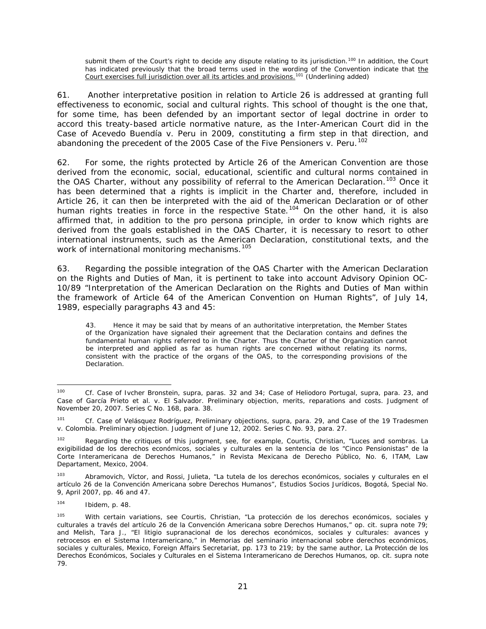submit them of the Court's right to decide any dispute relating to its jurisdiction.<sup>[100](#page-83-0)</sup> In addition, the Court has indicated previously that the broad terms used in the wording of the Convention indicate that the Court exercises full jurisdiction over all its articles and provisions.<sup>[101](#page-83-1)</sup> (Underlining added)

61. Another interpretative position in relation to Article 26 is addressed at granting full effectiveness to economic, social and cultural rights. This school of thought is the one that, for some time, has been defended by an important sector of legal doctrine in order to accord this treaty-based article normative nature, as the Inter-American Court did in the *Case of Acevedo Buendía v. Peru* in 2009, constituting a firm step in that direction, and abandoning the precedent of the 2005 *Case of the Five Pensioners v. Peru*. [102](#page-83-2)

62. For some, the rights protected by Article 26 of the American Convention are those derived from the economic, social, educational, scientific and cultural norms contained in the OAS Charter, without any possibility of referral to the American Declaration.<sup>[103](#page-83-3)</sup> Once it has been determined that a rights is implicit in the Charter and, therefore, included in Article 26, it can then be interpreted with the aid of the American Declaration or of other human rights treaties in force in the respective State.<sup>[104](#page-83-4)</sup> On the other hand, it is also affirmed that, in addition to the *pro persona* principle, in order to know which rights are derived from the goals established in the OAS Charter, it is necessary to resort to other international instruments, such as the American Declaration, constitutional texts, and the work of international monitoring mechanisms.<sup>[105](#page-83-5)</sup>

63. Regarding the possible integration of the OAS Charter with the American Declaration on the Rights and Duties of Man, it is pertinent to take into account Advisory Opinion OC-10/89 "Interpretation of the American Declaration on the Rights and Duties of Man within the framework of Article 64 of the American Convention on Human Rights", of July 14, 1989, especially paragraphs 43 and 45:

43. Hence it may be said that by means of an authoritative interpretation, the Member States of the Organization have signaled their agreement that the Declaration contains and defines the fundamental human rights referred to in the Charter. Thus the Charter of the Organization cannot be interpreted and applied as far as human rights are concerned without relating its norms, consistent with the practice of the organs of the OAS, to the corresponding provisions of the Declaration.

<span id="page-83-0"></span> <sup>100</sup> *Cf. Case of Ivcher Bronstein, supra,* paras. 32 and 34; *Case of Heliodoro Portugal, supra*, para. 23, and *Case of García Prieto et al. v. El Salvador. Preliminary objection, merits, reparations and costs*. Judgment of November 20, 2007. Series C No. 168, para. 38.

<span id="page-83-1"></span><sup>101</sup> *Cf. Case of Velásquez Rodríguez, Preliminary objections, supra*, para. 29, and *Case of the 19 Tradesmen v. Colombia. Preliminary objection*. Judgment of June 12, 2002. Series C No. 93, para. 27.

<span id="page-83-2"></span><sup>102</sup> Regarding the critiques of this judgment, see, for example, Courtis, Christian, "Luces and sombras. La exigibilidad de los derechos económicos, sociales y culturales en la sentencia de los "Cinco Pensionistas" de la Corte Interamericana de Derechos Humanos," in *Revista Mexicana de Derecho Público*, No. 6, ITAM, Law Departament, Mexico, 2004.

<span id="page-83-3"></span><sup>103</sup> Abramovich, Víctor, and Rossi, Julieta, "La tutela de los derechos económicos, sociales y culturales en el artículo 26 de la Convención Americana sobre Derechos Humanos", *Estudios Socios Jurídicos*, Bogotá, Special No. 9, April 2007, pp. 46 and 47.

<span id="page-83-4"></span><sup>104</sup> *Ibidem*, p. 48.

<span id="page-83-5"></span><sup>105</sup> With certain variations, see Courtis, Christian, "La protección de los derechos económicos, sociales y culturales a través del artículo 26 de la Convención Americana sobre Derechos Humanos," *op. cit. supra* note 79; and Melish, Tara J., "El litigio supranacional de los derechos económicos, sociales y culturales: avances y retrocesos en el Sistema Interamericano," in *Memorias del seminario internacional sobre derechos económicos, sociales y culturales,* Mexico, Foreign Affairs Secretariat, pp. 173 to 219; by the same author, *La Protección de los Derechos Económicos, Sociales y Culturales en el Sistema Interamericano de Derechos Humanos, op. cit. supra* note 79*.*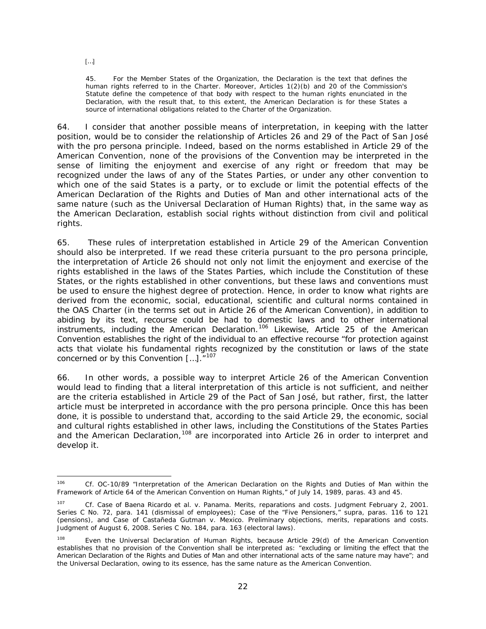[…]

45. For the Member States of the Organization, the Declaration is the text that defines the human rights referred to in the Charter. Moreover, Articles 1(2)(b) and 20 of the Commission's Statute define the competence of that body with respect to the human rights enunciated in the Declaration, with the result that, to this extent, the American Declaration is for these States a source of international obligations related to the Charter of the Organization.

64. I consider that another possible means of interpretation, in keeping with the latter position, would be to consider the relationship of Articles 26 and 29 of the Pact of San José with the *pro persona* principle. Indeed, based on the norms established in Article 29 of the American Convention, none of the provisions of the Convention may be interpreted in the sense of limiting the enjoyment and exercise of any right or freedom that may be recognized under the laws of any of the States Parties, or under any other convention to which one of the said States is a party, or to exclude or limit the potential effects of the American Declaration of the Rights and Duties of Man and other international acts of the same nature (such as the Universal Declaration of Human Rights) that, in the same way as the American Declaration, establish social rights without distinction from civil and political rights.

65. These rules of interpretation established in Article 29 of the American Convention should also be interpreted. If we read these criteria pursuant to the *pro persona* principle, the interpretation of Article 26 should not only not limit the enjoyment and exercise of the rights established in the laws of the States Parties, which include the Constitution of these States, or the rights established in other conventions, but these laws and conventions must be used to ensure *the highest degree of protection.* Hence, in order to know what rights are derived from the economic, social, educational, scientific and cultural norms contained in the OAS Charter (in the terms set out in Article 26 of the American Convention), in addition to abiding by its text, recourse could be had to domestic laws and to other international instruments, including the American Declaration.[106](#page-84-0) Likewise, Article 25 of the American Convention establishes the right of the individual to an effective recourse "for protection against acts that violate his fundamental rights recognized by the constitution or laws of the state concerned or by this Convention [...].<sup>"[107](#page-84-1)</sup>

66. In other words, a possible way to interpret Article 26 of the American Convention would lead to finding that a literal interpretation of this article is not sufficient, and neither are the criteria established in Article 29 of the Pact of San José, but rather, first, the latter article must be interpreted in accordance with the *pro persona* principle. Once this has been done, it is possible to understand that, according to the said Article 29, the economic, social and cultural rights established in other laws, including the Constitutions of the States Parties and the American Declaration,<sup>[108](#page-84-2)</sup> are incorporated into Article 26 in order to interpret and develop it.

<span id="page-84-0"></span> <sup>106</sup> *Cf.* OC-10/89 "Interpretation of the American Declaration on the Rights and Duties of Man within the Framework of Article 64 of the American Convention on Human Rights," of July 14, 1989, paras. 43 and 45.

<span id="page-84-1"></span><sup>&</sup>lt;sup>107</sup> *Cf. Case of Baena Ricardo et al. v. Panama. Merits, reparations and costs. Judgment February 2, 2001.* Series C No. 72, para. 141 (dismissal of employees); *Case of the "Five Pensioners," supra,* paras. 116 to 121 (pensions), and *Case of Castañeda Gutman v. Mexico. Preliminary objections, merits, reparations and costs.*  Judgment of August 6, 2008. Series C No. 184, para. 163 (electoral laws).

<span id="page-84-2"></span><sup>108</sup> Even the Universal Declaration of Human Rights, because Article 29(d) of the American Convention establishes that no provision of the Convention shall be interpreted as: "excluding or limiting the effect that the American Declaration of the Rights and Duties of Man and other *international acts of the same nature* may have"; and the Universal Declaration, owing to its essence, has the same nature as the American Convention.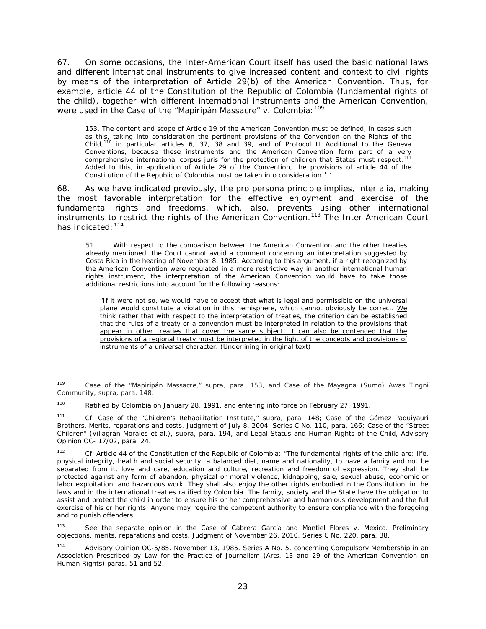67. On some occasions, the Inter-American Court itself has used the basic national laws and different international instruments to give increased content and context to civil rights by means of the interpretation of Article 29(b) of the American Convention. Thus, for example, article 44 of the Constitution of the Republic of Colombia (fundamental rights of the child), together with different international instruments and the American Convention, were used in the *Case of the "Mapiripán Massacre" v. Colombia:*[109](#page-85-0)

153. The content and scope of Article 19 of the American Convention must be defined, in cases such as this, taking into consideration the pertinent provisions of the Convention on the Rights of the Child,<sup>[110](#page-85-1)</sup> in particular articles 6, 37, 38 and 39, and of Protocol II Additional to the Geneva Conventions, because these instruments and the American Convention form part of a very comprehensive international *corpus juris* for the protection of children that States must respect.<sup>11</sup> Added to this, in application of Article 29 of the Convention, the provisions of article 44 of the Constitution of the Republic of Colombia must be taken into consideration.<sup>[112](#page-85-3)</sup>

68. As we have indicated previously, the *pro persona* principle implies, *inter alia,* making the most favorable interpretation for the effective enjoyment and exercise of the fundamental rights and freedoms, which, also, prevents using other international instruments to restrict the rights of the American Convention.<sup>[113](#page-85-4)</sup> The Inter-American Court has indicated: [114](#page-85-5)

51. With respect to the comparison between the American Convention and the other treaties already mentioned, the Court cannot avoid a comment concerning an interpretation suggested by Costa Rica in the hearing of November 8, 1985. According to this argument, if a right recognized by the American Convention were regulated in a more restrictive way in another international human rights instrument, the interpretation of the American Convention would have to take those additional restrictions into account for the following reasons:

"If it were not so, we would have to accept that what is legal and permissible on the universal plane would constitute a violation in this hemisphere, which cannot obviously be correct. We think rather that with respect to the interpretation of treaties, the criterion can be established that the rules of a treaty or a convention must be interpreted in relation to the provisions that appear in other treaties that cover the same subject. It can also be contended that the provisions of a regional treaty must be interpreted in the light of the concepts and provisions of instruments of a universal character. (Underlining in original text)

<span id="page-85-0"></span> <sup>109</sup> *Case of the "Mapiripán Massacre," supra,* para. 153, and *Case of the Mayagna (Sumo) Awas Tingni Community, supra*, para. 148.

<span id="page-85-1"></span><sup>110</sup> Ratified by Colombia on January 28, 1991, and entering into force on February 27, 1991.

<span id="page-85-2"></span><sup>111</sup> *Cf. Case of the "Children's Rehabilitation Institute," supra,* para. 148; *Case of the Gómez Paquiyauri Brothers. Merits, reparations and costs.* Judgment of July 8, 2004. Series C No. 110*,* para. 166; *Case of the "Street Children" (Villagrán Morales et al.), supra,* para. 194, and *Legal Status and Human Rights of the Child, Advisory Opinion OC- 17/02*, para. 24.

<span id="page-85-3"></span><sup>112</sup> *Cf.* Article 44 of the Constitution of the Republic of Colombia: "The fundamental rights of the child are: life, physical integrity, health and social security, a balanced diet, name and nationality, to have a family and not be separated from it, love and care, education and culture, recreation and freedom of expression. They shall be protected against any form of abandon, physical or moral violence, kidnapping, sale, sexual abuse, economic or labor exploitation, and hazardous work. They shall also enjoy the other rights embodied in the Constitution, in the laws and in the international treaties ratified by Colombia. The family, society and the State have the obligation to assist and protect the child in order to ensure his or her comprehensive and harmonious development and the full exercise of his or her rights. Anyone may require the competent authority to ensure compliance with the foregoing and to punish offenders.

<span id="page-85-4"></span><sup>113</sup> See the separate opinion in the *Case of Cabrera García and Montiel Flores v. Mexico. Preliminary objections, merits, reparations and costs.* Judgment of November 26, 2010. Series C No. 220, para. 38.

<span id="page-85-5"></span><sup>114</sup> Advisory Opinion OC-5/85. November 13, 1985. Series A No. 5, concerning *Compulsory Membership in an Association Prescribed by Law for the Practice of Journalism (Arts. 13 and 29 of the American Convention on Human Rights)* paras. 51 and 52.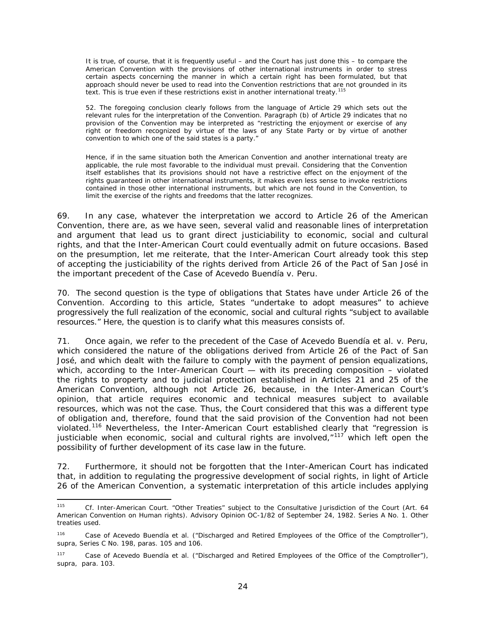It is true, of course, that it is frequently useful – and the Court has just done this – to compare the American Convention with the provisions of other international instruments in order to stress certain aspects concerning the manner in which a certain right has been formulated, but that approach should never be used to read into the Convention restrictions that are not grounded in its text. This is true even if these restrictions exist in another international treaty.<sup>[115](#page-86-0)</sup>

52. The foregoing conclusion clearly follows from the language of Article 29 which sets out the relevant rules for the interpretation of the Convention. Paragraph (b) of Article 29 indicates that no provision of the Convention may be interpreted as "restricting the enjoyment or exercise of any right or freedom recognized by virtue of the laws of any State Party or by virtue of another convention to which one of the said states is a party."

Hence, if in the same situation both the American Convention and another international treaty are applicable, the rule most favorable to the individual must prevail. Considering that the Convention itself establishes that its provisions should not have a restrictive effect on the enjoyment of the rights guaranteed in other international instruments, it makes even less sense to invoke restrictions contained in those other international instruments, but which are not found in the Convention, to limit the exercise of the rights and freedoms that the latter recognizes.

69. In any case, whatever the interpretation we accord to Article 26 of the American Convention, there are, as we have seen, several valid and reasonable lines of interpretation and argument that lead us to grant direct justiciability to economic, social and cultural rights, and that the Inter-American Court could eventually admit on future occasions. Based on the presumption, let me reiterate, that the Inter-American Court already took this step of accepting the justiciability of the rights derived from Article 26 of the Pact of San José in the important precedent of the *Case of Acevedo Buendía v. Peru*.

70. The second question is the type of obligations that States have under Article 26 of the Convention. According to this article, States "undertake to adopt measures" to achieve progressively the full realization of the economic, social and cultural rights "subject to available resources." Here, the question is to clarify what this measures consists of.

71. Once again, we refer to the precedent of the *Case of Acevedo Buendía et al. v. Peru,*  which considered the nature of the obligations derived from Article 26 of the Pact of San José, and which dealt with the failure to comply with the payment of pension equalizations, which, according to the Inter-American Court — with its preceding composition – violated the rights to property and to judicial protection established in Articles 21 and 25 of the American Convention, although not Article 26, because, in the Inter-American Court's opinion, that article requires economic and technical measures subject to available resources, which was not the case. Thus, the Court considered that this was a different type of obligation and, therefore, found that the said provision of the Convention had not been violated.[116](#page-86-1) Nevertheless, the Inter-American Court established clearly that "regression is justiciable when economic, social and cultural rights are involved, $n_{117}$  $n_{117}$  $n_{117}$  which left open the possibility of further development of its case law in the future.

72. Furthermore, it should not be forgotten that the Inter-American Court has indicated that, in addition to regulating the progressive development of social rights, in light of Article 26 of the American Convention, a systematic interpretation of this article includes applying

<span id="page-86-0"></span> <sup>115</sup> *Cf.* Inter-American Court. "*Other Treaties" subject to the Consultative Jurisdiction of the Court (Art. 64 American Convention on Human rights*). Advisory Opinion OC-1/82 of September 24, 1982. Series A No. 1. Other treaties used.

<span id="page-86-1"></span><sup>116</sup> *Case of Acevedo Buendía et al. ("Discharged and Retired Employees of the Office of the Comptroller"), supra*, Series C No. 198, paras. 105 and 106.

<span id="page-86-2"></span><sup>117</sup> *Case of Acevedo Buendía et al. ("Discharged and Retired Employees of the Office of the Comptroller"), supra*, para. 103.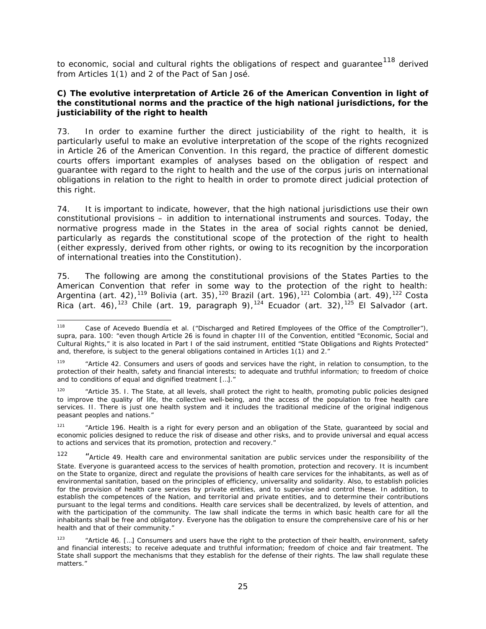to economic, social and cultural rights the obligations of respect and quarantee<sup>[118](#page-87-0)</sup> derived from Articles 1(1) and 2 of the Pact of San José.

### **C) The evolutive interpretation of Article 26 of the American Convention in light of the constitutional norms and the practice of the high national jurisdictions, for the justiciability of the right to health**

<span id="page-87-6"></span>73. In order to examine further the direct justiciability of the right to health, it is particularly useful to make an evolutive interpretation of the scope of the rights recognized in Article 26 of the American Convention. In this regard, the practice of different domestic courts offers important examples of analyses based on the obligation of respect and guarantee with regard to the right to health and the use of the *corpus juris* on international obligations in relation to the right to health in order to promote direct judicial protection of this right.

<span id="page-87-7"></span>74. It is important to indicate, however, that the high national jurisdictions use their own constitutional provisions – in addition to international instruments and sources. Today, the normative progress made in the States in the area of social rights cannot be denied, particularly as regards the constitutional scope of the protection of the right to health (either expressly, derived from other rights, or owing to its recognition by the incorporation of international treaties into the Constitution).

75. The following are among the constitutional provisions of the States Parties to the American Convention that refer in some way to the protection of the right to health: Argentina (art. 42), $^{119}$  $^{119}$  $^{119}$  Bolivia (art. 35), $^{120}$  $^{120}$  $^{120}$  Brazil (art. 196), $^{121}$  $^{121}$  $^{121}$  Colombia (art. 49), $^{122}$  $^{122}$  $^{122}$  Costa Rica (art. 46),<sup>[123](#page-87-5)</sup> Chile (art. 19, paragraph 9),<sup>[124](#page-87-6)</sup> Ecuador (art. 32),<sup>[125](#page-87-7)</sup> El Salvador (art.

<span id="page-87-0"></span> <sup>118</sup> *Case of Acevedo Buendía et al. ("Discharged and Retired Employees of the Office of the Comptroller"), supra*, para. 100: "even though Article 26 is found in chapter III of the Convention, entitled "Economic, Social and Cultural Rights," it is also located in Part I of the said instrument, entitled "State Obligations and Rights Protected" and, therefore, is subject to the general obligations contained in Articles 1(1) and 2."

<span id="page-87-1"></span><sup>119</sup> "Article 42. Consumers and users of goods and services have the right, in relation to consumption, to *the protection of their health*, safety and financial interests; to adequate and truthful information; to freedom of choice and to conditions of equal and dignified treatment […]."

<span id="page-87-2"></span><sup>&</sup>lt;sup>120</sup> "Article 35. I. The State, at all levels, shall protect the right to health, promoting public policies designed to improve the quality of life, the collective well-being, and the access of the population to free health care services. II. There is just one health system and it includes the traditional medicine of the original indigenous peasant peoples and nations."

<span id="page-87-3"></span><sup>121</sup> "Article 196. *Health is a right for every person and an obligation of the State*, guaranteed by social and economic policies designed to reduce the risk of disease and other risks, and to provide universal and equal access to actions and services that its promotion, protection and recovery."

<span id="page-87-4"></span><sup>122</sup> "Article 49. Health care and environmental sanitation are public services under the responsibility of the State. *Everyone is guaranteed access to the services of health promotion, protection and recovery*. It is incumbent on the State to organize, direct and regulate the provisions of health care services for the inhabitants, as well as of environmental sanitation, based on the principles of efficiency, universality and solidarity. Also, to establish policies for the provision of health care services by private entities, and to supervise and control these. In addition, to establish the competences of the Nation, and territorial and private entities, and to determine their contributions pursuant to the legal terms and conditions. Health care services shall be decentralized, by levels of attention, and with the participation of the community. The law shall indicate the terms in which basic health care for all the inhabitants shall be free and obligatory. Everyone has the obligation to ensure the comprehensive care of his or her health and that of their community."

<span id="page-87-5"></span><sup>&</sup>lt;sup>123</sup> "Article 46. [...] Consumers and users have the right to the protection of their health, environment, safety and financial interests; to receive adequate and truthful information; freedom of choice and fair treatment. The State shall support the mechanisms that they establish for the defense of their rights. The law shall regulate these matters."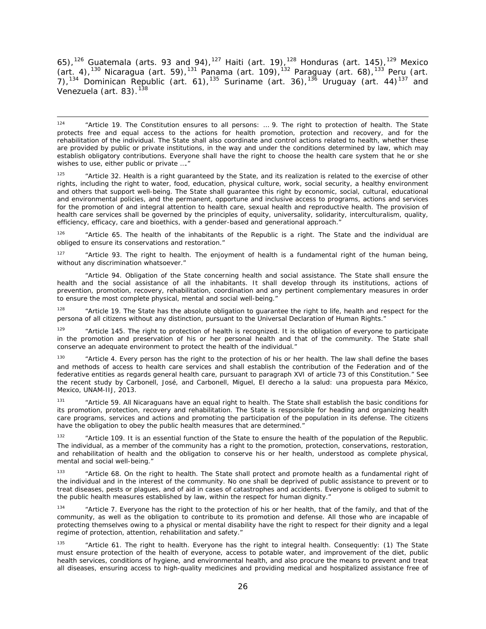65),<sup>[126](#page-88-0)</sup> Guatemala (arts. 93 and 94),<sup>[127](#page-88-1)</sup> Haiti (art. 19),<sup>[128](#page-88-2)</sup> Honduras (art. 145),<sup>[129](#page-88-3)</sup> Mexico (art. 4),<sup>[130](#page-88-4)</sup> Nicaragua (art. 59),<sup>[131](#page-88-5)</sup> Panama (art. 109),<sup>[132](#page-88-6)</sup> Paraguay (art. 68),<sup>[133](#page-88-7)</sup> Peru (art. 7),<sup>[134](#page-88-8)</sup> Dominican Republic (art. 61),<sup>[135](#page-88-9)</sup> Suriname (art. 36),<sup>[136](#page-88-10)</sup> Uruguay (art. 44)<sup>[137](#page-88-11)</sup> and Venezuela (art. 83).<sup>[138](#page-88-12)</sup>

 124 "Article 19. The Constitution ensures to all persons: … 9. The right to *protection of health*. The State protects free and equal access to the actions for health promotion, protection and recovery, and for the rehabilitation of the individual. The State shall also coordinate and control actions related to health, whether these are provided by public or private institutions, in the way and under the conditions determined by law, which may establish obligatory contributions. Everyone shall have the right to choose the health care system that he or she wishes to use, either public or private ...."

<sup>125</sup> "Article 32. *Health* is a right guaranteed by the State, and its realization is related to the exercise of other rights, including the right to water, food, education, physical culture, work, social security, a healthy environment and others that support well-being. The State shall guarantee this right by economic, social, cultural, educational and environmental policies, and the permanent, opportune and inclusive access to programs, actions and services for the promotion of and integral attention to health care, sexual health and reproductive health. The provision of health care services shall be governed by the principles of equity, universality, solidarity, interculturalism, quality, efficiency, efficacy, care and bioethics, with a gender-based and generational approach."

<span id="page-88-0"></span><sup>126</sup> "Article 65. The health of the inhabitants of the Republic is a right. The State and the individual are obliged to ensure its conservations and restoration."

<span id="page-88-1"></span><sup>127</sup> "Article 93. The right to health. The enjoyment of health is a fundamental right of the human being, without any discrimination whatsoever."

"Article 94. Obligation of the State concerning health and social assistance. *The State shall ensure the health and the social assistance of all the inhabitants.* It shall develop through its institutions, actions of prevention, promotion, recovery, rehabilitation, coordination and any pertinent complementary measures in order to ensure the most complete physical, mental and social well-being."

<span id="page-88-2"></span><sup>128</sup> "Article 19. The State has the absolute obligation to quarantee the right to life, health and respect for the persona of all citizens without any distinction, pursuant to the Universal Declaration of Human Rights."

<span id="page-88-3"></span><sup>129</sup> "Article 145. The right to protection of health is recognized. It is the obligation of everyone to participate in the promotion and preservation of his or her personal health and that of the community. The State shall conserve an adequate environment to protect the health of the individual."

<span id="page-88-4"></span><sup>130</sup> "Article 4. Every person has the *right to the protection of his or her health.* The law shall define the bases and methods of access to health care services and shall establish the contribution of the Federation and of the federative entities as regards general health care, pursuant to paragraph XVI of article 73 of this Constitution." See the recent study by Carbonell, José, and Carbonell, Miguel, *El derecho a la salud: una propuesta para México,*  Mexico, UNAM-IIJ, 2013.

<span id="page-88-10"></span><span id="page-88-5"></span>"Article 59. All Nicaraguans have an equal right to health. The State shall establish the basic conditions for its promotion, protection, recovery and rehabilitation. The State is responsible for heading and organizing health care programs, services and actions and promoting the participation of the population in its defense. The citizens have the obligation to obey the public health measures that are determined."

<span id="page-88-11"></span><span id="page-88-6"></span>"Article 109. It is an essential function of the State to ensure the health of the population of the Republic. The individual, as a member of the community has a right to the promotion, protection, conservations, restoration, and rehabilitation of health and the obligation to conserve his or her health, understood as complete physical, mental and social well-being."

<span id="page-88-12"></span><span id="page-88-7"></span><sup>133</sup> "Article 68. *On the right to health.* The State shall protect and promote health as a fundamental right of the individual and in the interest of the community. No one shall be deprived of public assistance to prevent or to treat diseases, pests or plagues, and of aid in cases of catastrophes and accidents. Everyone is obliged to submit to the public health measures established by law, within the respect for human dignity."

<span id="page-88-8"></span><sup>134</sup> "Article 7. *Everyone has the right to the protection of his or her health,* that of the family, and that of the community, *as well as the obligation to contribute to its promotion and defense.* All those who are incapable of protecting themselves owing to a physical or mental disability have the right to respect for their dignity and a legal regime of protection, attention, rehabilitation and safety."

<span id="page-88-9"></span><sup>135</sup> "Article 61. *The right to health*. Everyone has the right to integral health. Consequently: (1) The State must ensure protection of the health of everyone, access to potable water, and improvement of the diet, public health services, conditions of hygiene, and environmental health, and also procure the means to prevent and treat all diseases, ensuring access to high-quality medicines and providing medical and hospitalized assistance free of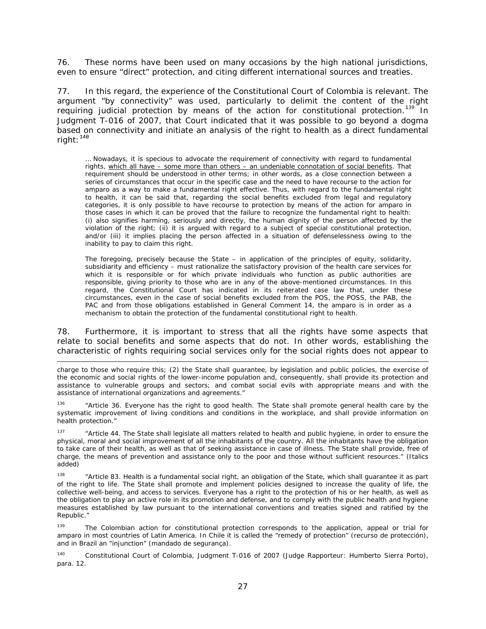76. These norms have been used on many occasions by the high national jurisdictions, even to ensure "direct" protection, and citing different international sources and treaties.

77. In this regard, the experience of the Constitutional Court of Colombia is relevant. The argument "by connectivity" was used, particularly to delimit the content of the right requiring judicial protection by means of the action for constitutional protection.<sup>[139](#page-89-0)</sup> In Judgment T-016 of 2007, that Court indicated that it was possible to go beyond a dogma based on connectivity and initiate an analysis of the right to health as a direct fundamental right:  $140$ 

… Nowadays, it is specious to advocate the requirement of connectivity with regard to fundamental rights, which all have – some more than others – an undeniable connotation of social benefits. That requirement should be understood in other terms; in other words, as a close connection between a series of circumstances that occur in the specific case and the need to have recourse to the action for *amparo* as a way to make a fundamental right effective. Thus, with regard to the fundamental right to health, it can be said that, regarding the social benefits excluded from legal and regulatory categories, it is only possible to have recourse to protection by means of the action for *amparo* in those cases in which it can be proved that the failure to recognize the fundamental right to health: (i) also signifies harming, seriously and directly, the human dignity of the person affected by the violation of the right; (ii) it is argued with regard to a subject of special constitutional protection, and/or (iii) it implies placing the person affected in a situation of defenselessness owing to the inability to pay to claim this right.

The foregoing, precisely because the State – in application of the principles of equity, solidarity, subsidiarity and efficiency – must rationalize the satisfactory provision of the health care services for which it is responsible or for which private individuals who function as public authorities are responsible, giving priority to those who are in any of the above-mentioned circumstances. In this regard, the Constitutional Court has indicated in its reiterated case law that, under these circumstances, even in the case of social benefits excluded from the POS, the POSS, the PAB, the PAC and from those obligations established in General Comment 14, the *amparo* is in order as a mechanism to obtain the protection of the fundamental constitutional right to health.

78. Furthermore, it is important to stress that all the rights have some aspects that relate to social benefits and some aspects that do not. In other words, establishing the characteristic of rights requiring social services only for the social rights does not appear to

i,

charge to those who require this; (2) the State shall guarantee, by legislation and public policies, the exercise of the economic and social rights of the lower-income population and, consequently, shall provide its protection and assistance to vulnerable groups and sectors; and combat social evils with appropriate means and with the assistance of international organizations and agreements."

<sup>136</sup> "Article 36. *Everyone has the right to good health.* The State shall promote general health care by the systematic improvement of living conditions and conditions in the workplace, and shall provide information on health protection."

<sup>137</sup> "Article 44. The State shall legislate all matters related to health and public hygiene, in order to ensure the physical, moral and social improvement of all the inhabitants of the country. *All the inhabitants have the obligation*  to take care of their health, as well as that of seeking assistance in case of illness. The State shall provide, free of charge, the means of prevention and assistance only to the poor and those without sufficient resources." (Italics added)

<sup>138</sup> "Article 83. Health is a fundamental social right, an obligation of the State, which shall guarantee it as part of the right to life. The State shall promote and implement policies designed to increase the quality of life, the collective well-being, and access to services. Everyone has a right to the protection of his or her health, as well as the obligation to play an active role in its promotion and defense, and to comply with the public health and hygiene measures established by law pursuant to the international conventions and treaties signed and ratified by the Republic."

<span id="page-89-0"></span><sup>139</sup> The Colombian action for constitutional protection corresponds to the application, appeal or trial for *amparo* in most countries of Latin America. In Chile it is called the "remedy of protection" (*recurso de protección*), and in Brazil an "injunction" (*mandado de segurança)*.

<span id="page-89-1"></span><sup>140</sup> Constitutional Court of Colombia, Judgment T-016 of 2007 (Judge Rapporteur: Humberto Sierra Porto), para. 12.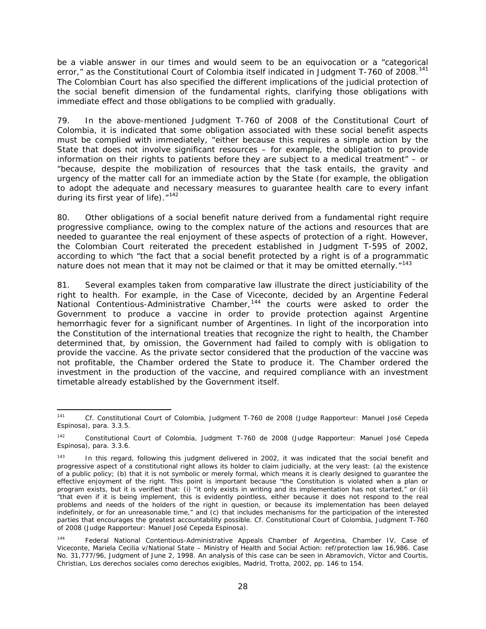be a viable answer in our times and would seem to be an equivocation or a "categorical error," as the Constitutional Court of Colombia itself indicated in Judgment T-760 of 2008.<sup>[141](#page-90-0)</sup> The Colombian Court has also specified the different implications of the judicial protection of the social benefit dimension of the fundamental rights, clarifying those obligations with immediate effect and those obligations to be complied with gradually.

79. In the above-mentioned Judgment T-760 of 2008 of the Constitutional Court of Colombia, it is indicated that some obligation associated with these social benefit aspects must be complied with immediately, "either because this requires a simple action by the State that does not involve significant resources – for example, the obligation to provide information on their rights to patients before they are subject to a medical treatment" – or "because, despite the mobilization of resources that the task entails, the gravity and urgency of the matter call for an immediate action by the State (for example, the obligation to adopt the adequate and necessary measures to guarantee health care to every infant during its first year of life)."<sup>[142](#page-90-1)</sup>

80. Other obligations of a social benefit nature derived from a fundamental right require *progressive* compliance, owing to the complex nature of the actions and resources that are needed to guarantee the real enjoyment of these aspects of protection of a right. However, the Colombian Court reiterated the precedent established in Judgment T-595 of 2002, according to which "the fact that a social benefit protected by a right is of a programmatic nature does not mean that it may not be claimed or that it may be omitted eternally."<sup>[143](#page-90-2)</sup>

81. Several examples taken from comparative law illustrate the direct justiciability of the right to health. For example, in the *Case of Viceconte*, decided by an Argentine Federal National Contentious-Administrative Chamber,<sup>[144](#page-90-3)</sup> the courts were asked to order the Government to produce a vaccine in order to provide protection against Argentine hemorrhagic fever for a significant number of Argentines. In light of the incorporation into the Constitution of the international treaties that recognize the right to health, the Chamber determined that, by omission, the Government had failed to comply with is obligation to provide the vaccine. As the private sector considered that the production of the vaccine was not profitable, the Chamber ordered the State to produce it. The Chamber ordered the investment in the production of the vaccine, and required compliance with an investment timetable already established by the Government itself.

<span id="page-90-0"></span> <sup>141</sup> *Cf.* Constitutional Court of Colombia, Judgment T-760 de 2008 (Judge Rapporteur: Manuel José Cepeda Espinosa), para. 3.3.5.

<span id="page-90-1"></span><sup>142</sup> Constitutional Court of Colombia, Judgment T-760 de 2008 (Judge Rapporteur: Manuel José Cepeda Espinosa), para. 3.3.6.

<span id="page-90-2"></span><sup>&</sup>lt;sup>143</sup> In this regard, following this judgment delivered in 2002, it was indicated that the social benefit and progressive aspect of a constitutional right allows its holder to claim judicially, at the very least: (a) the existence of a public policy; (b) that it is not symbolic or merely formal, which means it is clearly designed to guarantee the effective enjoyment of the right. This point is important because "the Constitution is violated when a plan or program exists, but it is verified that: (i) "*it only exists in writing* and its implementation has not started," or (ii) "that even if it is being implement, this is evidently *pointless*, either because it does not respond to the real problems and needs of the holders of the right in question, or because its implementation has been delayed indefinitely, or for an unreasonable time," and (c) that includes mechanisms for the participation of the interested parties that encourages the greatest accountability possible. *Cf.* Constitutional Court of Colombia, Judgment T-760 of 2008 (Judge Rapporteur: Manuel José Cepeda Espinosa).

<span id="page-90-3"></span><sup>144</sup> Federal National Contentious-Administrative Appeals Chamber of Argentina, Chamber IV, *Case of Viceconte, Mariela Cecilia v/National State – Ministry of Health and Social Action: ref/protection law 16,986. Case No. 31,777/96*, Judgment of June 2, 1998. An analysis of this case can be seen in Abramovich, Víctor and Courtis, Christian, Los derechos sociales como derechos exigibles, Madrid, Trotta, 2002, pp. 146 to 154.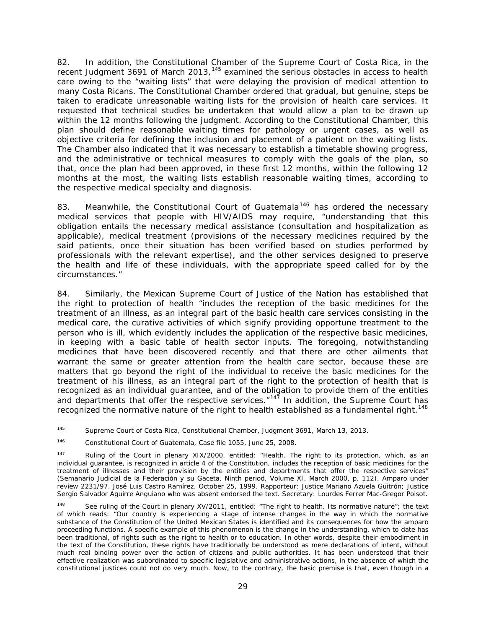82. In addition, the Constitutional Chamber of the Supreme Court of Costa Rica, in the recent Judgment 3691 of March 2013,<sup>[145](#page-91-0)</sup> examined the serious obstacles in access to health care owing to the "waiting lists" that were delaying the provision of medical attention to many Costa Ricans. The Constitutional Chamber ordered that gradual, but genuine, steps be taken to eradicate unreasonable waiting lists for the provision of health care services. It requested that technical studies be undertaken that would allow a plan to be drawn up within the 12 months following the judgment. According to the Constitutional Chamber, this plan should define reasonable waiting times for pathology or urgent cases, as well as objective criteria for defining the inclusion and placement of a patient on the waiting lists. The Chamber also indicated that it was necessary to establish a timetable showing progress, and the administrative or technical measures to comply with the goals of the plan, so that, once the plan had been approved, in these first 12 months, within the following 12 months at the most, the waiting lists establish reasonable waiting times, according to the respective medical specialty and diagnosis.

83. Meanwhile, the Constitutional Court of Guatemala<sup>[146](#page-91-1)</sup> has ordered the necessary medical services that people with HIV/AIDS may require, "understanding that this obligation entails the necessary medical assistance (consultation and hospitalization as applicable), medical treatment (provisions of the necessary medicines required by the said patients, once their situation has been verified based on studies performed by professionals with the relevant expertise), and the other services designed to preserve the health and life of these individuals, with the appropriate speed called for by the circumstances."

84. Similarly, the Mexican Supreme Court of Justice of the Nation has established that the right to protection of health "includes the reception of the basic medicines for the treatment of an illness, as an integral part of the basic health care services consisting in the medical care, the curative activities of which signify providing opportune treatment to the person who is ill, which evidently includes the application of the respective basic medicines, in keeping with a basic table of health sector inputs. The foregoing, notwithstanding medicines that have been discovered recently and that there are other ailments that warrant the same or greater attention from the health care sector, because these are matters that go beyond the right of the individual to receive the basic medicines for the treatment of his illness, as an integral part of the right to the protection of health that is recognized as an individual guarantee, and of the obligation to provide them of the entities and departments that offer the respective services. $147$  In addition, the Supreme Court has recognized the normative nature of the right to health established as a fundamental right.<sup>[148](#page-91-3)</sup>

<span id="page-91-0"></span> <sup>145</sup> Supreme Court of Costa Rica, Constitutional Chamber, *Judgment 3691,* March 13, 2013.

<span id="page-91-1"></span><sup>146</sup> Constitutional Court of Guatemala, *Case file 1055*, June 25, 2008.

<span id="page-91-2"></span> $147$  Ruling of the Court in plenary XIX/2000, entitled: "Health. The right to its protection, which, as an individual guarantee, is recognized in article 4 of the Constitution, includes the reception of basic medicines for the treatment of illnesses and their provision by the entities and departments that offer the respective services" (*Semanario Judicial de la Federación y su Gaceta,* Ninth period, Volume XI, March 2000, p. 112). *Amparo* under review 2231/97. José Luis Castro Ramírez. October 25, 1999. Rapporteur: Justice Mariano Azuela Güitrón; Justice Sergio Salvador Aguirre Anguiano who was absent endorsed the text. Secretary: Lourdes Ferrer Mac-Gregor Poisot.

<span id="page-91-3"></span><sup>&</sup>lt;sup>148</sup> See ruling of the Court in plenary XV/2011, entitled: "The right to health. Its normative nature"; the text of which reads: "Our country is experiencing a stage of intense changes in the way in which the normative substance of the Constitution of the United Mexican States is identified and its consequences for how the *amparo* proceeding functions. A specific example of this phenomenon is the change in the understanding, which to date has been traditional, of rights such as the right to health or to education. In other words, despite their embodiment in the text of the Constitution, these rights have traditionally be understood as mere declarations of intent, without much real binding power over the action of citizens and public authorities. It has been understood that their effective realization was subordinated to specific legislative and administrative actions, in the absence of which the constitutional justices could not do very much. Now, to the contrary, the basic premise is that, even though in a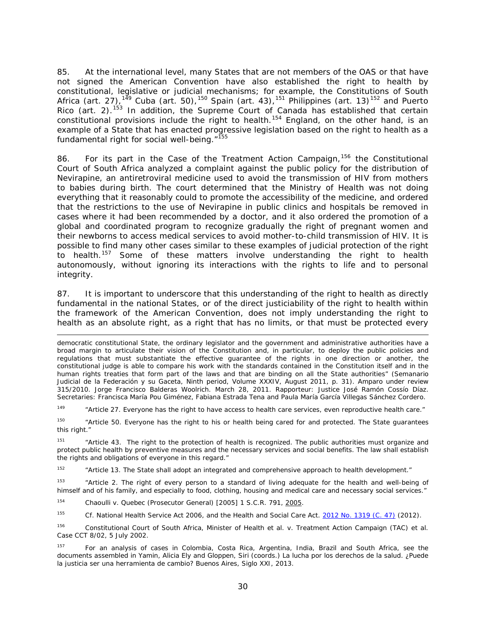85. At the international level, many States that are not members of the OAS or that have not signed the American Convention have also established the right to health by constitutional, legislative or judicial mechanisms; for example, the Constitutions of South Africa (art. 27),<sup>[149](#page-92-0)</sup> Cuba (art. 50),<sup>[150](#page-92-1)</sup> Spain (art. 43),<sup>[151](#page-92-2)</sup> Philippines (art. 13)<sup>[152](#page-92-3)</sup> and Puerto Rico (art. 2).<sup>[153](#page-92-4)</sup> In addition, the Supreme Court of Canada has established that certain constitutional provisions include the right to health.<sup>[154](#page-92-5)</sup> England, on the other hand, is an example of a State that has enacted progressive legislation based on the right to health as a fundamental right for social well-being."<sup>[155](#page-92-6)</sup>

86. For its part in the *Case of the Treatment Action Campaign,*[156](#page-92-7) the Constitutional Court of South Africa analyzed a complaint against the public policy for the distribution of Nevirapine, an antiretroviral medicine used to avoid the transmission of HIV from mothers to babies during birth. The court determined that the Ministry of Health was not doing everything that it reasonably could to promote the accessibility of the medicine, and ordered that the restrictions to the use of Nevirapine in public clinics and hospitals be removed in cases where it had been recommended by a doctor, and it also ordered the promotion of a global and coordinated program to recognize gradually the right of pregnant women and their newborns to access medical services to avoid mother-to-child transmission of HIV. It is possible to find many other cases similar to these examples of judicial protection of the right to health.[157](#page-92-8) Some of these matters involve understanding the right to health autonomously, without ignoring its interactions with the rights to life and to personal integrity.

87. It is important to underscore that this understanding of the right to health as directly fundamental in the national States, or of the direct justiciability of the right to health within the framework of the American Convention, does not imply understanding the right to health as an absolute right, as a right that has no limits, or that must be protected every

<span id="page-92-0"></span><sup>149</sup> "Article 27. Everyone has the *right to have access to health care services*, even reproductive health care."

<span id="page-92-1"></span><sup>150</sup> "Article 50. Everyone has the *right to his or health being cared for and protected*. The State guarantees this right."

<span id="page-92-2"></span><sup>151</sup> "Article 43. The *right to the protection of health* is recognized. The public authorities must organize and protect public health by preventive measures and the necessary services and social benefits. The law shall establish the rights and obligations of everyone in this regard."

<span id="page-92-3"></span> $152$  "Article 13. The State shall adopt an integrated and comprehensive approach to health development."

<span id="page-92-4"></span><sup>153</sup> "Article 2. The right of every person to a standard of living adequate for the *health* and well-being of himself and of his family, and especially to food, clothing, housing and medical care and necessary social services."

<span id="page-92-5"></span><sup>154</sup> *Chaoulli v. Quebec (Prosecutor General)* [2005] 1 S.C.R. 791, [2005.](http://www.canlii.org/en/ca/scc/doc/2005/2005scc35/2005scc35.html)

i,

<span id="page-92-6"></span><sup>155</sup> *Cf.* National Health Service Act 2006, and the Health and Social Care Act. 2012 [No. 1319 \(C. 47\)](http://www.legislation.gov.uk/uksi/2012/1319/made) (2012).

<span id="page-92-7"></span><sup>156</sup> Constitutional Court of South Africa, *Minister of Health et al. v. Treatment Action Campaign (TAC) et al*. Case CCT 8/02, 5 July 2002.

<span id="page-92-8"></span>157 For an analysis of cases in Colombia, Costa Rica, Argentina, India, Brazil and South Africa, see the documents assembled in Yamin, Alicia Ely and Gloppen, Siri (coords.) *La lucha por los derechos de la salud. ¿Puede la justicia ser una herramienta de cambio?* Buenos Aires, Siglo XXI, 2013.

democratic constitutional State, the ordinary legislator and the government and administrative authorities have a broad margin to articulate their vision of the Constitution and, in particular, to deploy the public policies and regulations that must substantiate the effective guarantee of the rights in one direction or another, the constitutional judge is able to compare his work with the standards contained in the Constitution itself and in the human rights treaties that form part of the laws and that are binding on all the State authorities" (*Semanario Judicial de la Federación y su Gaceta,* Ninth period, Volume XXXIV, August 2011, p. 31). *Amparo* under review 315/2010. Jorge Francisco Balderas Woolrich. March 28, 2011. Rapporteur: Justice José Ramón Cossío Díaz. Secretaries: Francisca María Pou Giménez, Fabiana Estrada Tena and Paula María García Villegas Sánchez Cordero.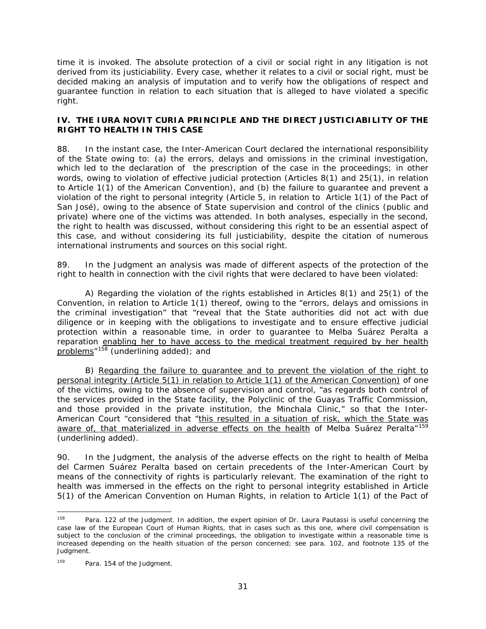time it is invoked. The absolute protection of a civil or social right in any litigation is not derived from its justiciability. Every case, whether it relates to a civil or social right, must be decided making an analysis of imputation and to verify how the obligations of respect and guarantee function in relation to each situation that is alleged to have violated a specific right.

# **IV. THE** *IURA NOVIT CURIA* **PRINCIPLE AND THE DIRECT JUSTICIABILITY OF THE RIGHT TO HEALTH IN THIS CASE**

88. In the instant case, the Inter-American Court declared the international responsibility of the State owing to: (a) the errors, delays and omissions in the criminal investigation, which led to the declaration of the prescription of the case in the proceedings; in other words, owing to violation of effective judicial protection (Articles 8(1) and 25(1), in relation to Article 1(1) of the American Convention), and (b) the failure to guarantee and prevent a violation of the right to personal integrity (Article 5, in relation to Article 1(1) of the Pact of San José), owing to the absence of State supervision and control of the clinics (public and private) where one of the victims was attended. In both analyses, especially in the second, the right to health was discussed, without considering this right to be an essential aspect of this case, and without considering its full justiciability, despite the citation of numerous international instruments and sources on this social right.

89. In the Judgment an analysis was made of different aspects of the protection of the right to health in connection with the civil rights that were declared to have been violated:

A) Regarding the violation of the rights established in Articles 8(1) and 25(1) of the Convention, in relation to Article 1(1) thereof, owing to the "errors, delays and omissions in the criminal investigation" that "reveal that the State authorities did not act with due diligence or in keeping with the obligations to investigate and to ensure effective judicial protection within a reasonable time, in order to guarantee to Melba Suárez Peralta a reparation enabling her to have access to the medical treatment required by her health problems<sup>"[158](#page-93-0)</sup> (underlining added); and

B) Regarding the failure to guarantee and to prevent the violation of the right to personal integrity (Article 5(1) in relation to Article 1(1) of the American Convention) of one of the victims, owing to the absence of supervision and control, "as regards both control of the services provided in the State facility, the Polyclinic of the Guayas Traffic Commission, and those provided in the private institution, the Minchala Clinic," so that the Inter-American Court "considered that "this resulted in a situation of risk, which the State was aware of, that materialized in adverse effects on the health of Melba Suárez Peralta"<sup>[159](#page-93-1)</sup> (underlining added).

90. In the Judgment, the analysis of the adverse effects on the right to health of Melba del Carmen Suárez Peralta based on certain precedents of the Inter-American Court by means of the connectivity of rights is particularly relevant. The examination of the right to health was immersed in the effects on the right to personal integrity established in Article 5(1) of the American Convention on Human Rights, in relation to Article 1(1) of the Pact of

<span id="page-93-0"></span><sup>&</sup>lt;sup>158</sup> Para. 122 of the Judgment. In addition, the expert opinion of Dr. Laura Pautassi is useful concerning the case law of the European Court of Human Rights, that in cases such as this one, where civil compensation is subject to the conclusion of the criminal proceedings, the obligation to investigate within a reasonable time is increased depending on the health situation of the person concerned; see para. 102, and footnote 135 of the Judgment.

<span id="page-93-1"></span><sup>159</sup> Para. 154 of the Judgment.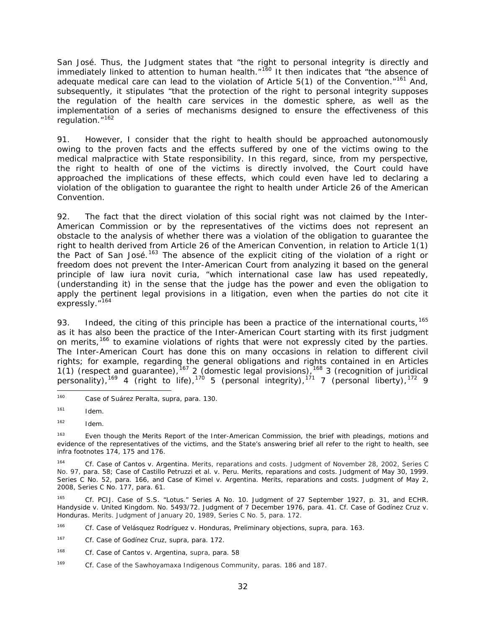San José. Thus, the Judgment states that "the right to personal integrity is directly and immediately linked to attention to human health."<sup>[160](#page-94-0)</sup> It then indicates that "the absence of adequate medical care can lead to the violation of Article  $5(1)$  of the Convention."<sup>[161](#page-94-1)</sup> And, subsequently, it stipulates "that the protection of the right to personal integrity supposes the regulation of the health care services in the domestic sphere, as well as the implementation of a series of mechanisms designed to ensure the effectiveness of this regulation."<sup>[162](#page-94-2)</sup>

91. However, I consider that the right to health should be approached autonomously owing to the proven facts and the effects suffered by one of the victims owing to the medical malpractice with State responsibility. In this regard, since, from my perspective, the right to health of one of the victims is directly involved, the Court could have approached the implications of these effects, which could even have led to declaring a violation of the obligation to guarantee the right to health under Article 26 of the American Convention.

92. The fact that the direct violation of this social right was not claimed by the Inter-American Commission or by the representatives of the victims does not represent an obstacle to the analysis of whether there was a violation of the obligation to guarantee the right to health derived from Article 26 of the American Convention, in relation to Article 1(1) the Pact of San José.<sup>[163](#page-94-3)</sup> The absence of the explicit citing of the violation of a right or freedom does not prevent the Inter-American Court from analyzing it based on the general principle of law *iura novit curia,* "which international case law has used repeatedly, (understanding it) in the sense that the judge has the power and even the obligation to apply the pertinent legal provisions in a litigation, even when the parties do not cite it expressly."<sup>[164](#page-94-4)</sup>

<span id="page-94-10"></span>93. Indeed, the citing of this principle has been a practice of the international courts,  $165$ as it has also been the practice of the Inter-American Court starting with its first judgment on merits,<sup>[166](#page-94-6)</sup> to examine violations of rights that were not expressly cited by the parties. The Inter-American Court has done this on many occasions in relation to different civil rights; for example, regarding the general obligations and rights contained in en Articles 1(1) (respect and guarantee),<sup>[167](#page-94-7)</sup> 2 (domestic legal provisions),<sup>[168](#page-94-8)</sup> 3 (recognition of juridical personality),<sup>[169](#page-94-9)</sup> 4 (right to life),<sup>[170](#page-94-10)</sup> 5 (personal integrity),<sup>[171](#page-94-11)</sup> 7 (personal liberty),<sup>[172](#page-94-12)</sup> 9

<span id="page-94-5"></span><sup>165</sup> *Cf.* PCIJ. *Case of S.S. "Lotus."* Series A No. 10. Judgment of 27 September 1927, p. 31, and ECHR. *Handyside v. United Kingdom*. No. 5493/72. Judgment of 7 December 1976, para. 41. *Cf. Case of Godínez Cruz v. Honduras. Merits.* Judgment of January 20, 1989, Series C No. 5, para. 172.

<span id="page-94-6"></span><sup>166</sup> *Cf. Case of Velásquez Rodríguez v. Honduras, Preliminary objections, supra*, para. 163.

<span id="page-94-12"></span><span id="page-94-11"></span><span id="page-94-0"></span> <sup>160</sup> *Case of Suárez Peralta, supra,* para. 130.

<span id="page-94-1"></span><sup>161</sup> *Idem.*

<span id="page-94-2"></span><sup>162</sup> *Idem.*

<span id="page-94-3"></span><sup>&</sup>lt;sup>163</sup> Even though the Merits Report of the Inter-American Commission, the brief with pleadings, motions and evidence of the representatives of the victims, and the State's answering brief all refer to the right to health, see *infra* footnotes 174, 175 and 176.

<span id="page-94-4"></span><sup>164</sup> *Cf. Case of Cantos v. Argentina. Merits, reparations and costs*. Judgment of November 28, 2002, Series C No. 97, para. 58; *Case of Castillo Petruzzi et al. v. Peru*. *Merits, reparations and costs.* Judgment of May 30, 1999. Series C No. 52, para. 166, and *Case of Kimel v. Argentina. Merits, reparations and costs.* Judgment of May 2, 2008, Series C No. 177, para. 61.

<span id="page-94-7"></span><sup>167</sup> *Cf. Case of Godínez Cruz, supra*, para. 172.

<span id="page-94-8"></span><sup>168</sup> *Cf. Case of Cantos v. Argentina, supra*, para. 58

<span id="page-94-9"></span><sup>169</sup> *Cf. Case of the Sawhoyamaxa Indigenous Community,* paras. 186 and 187.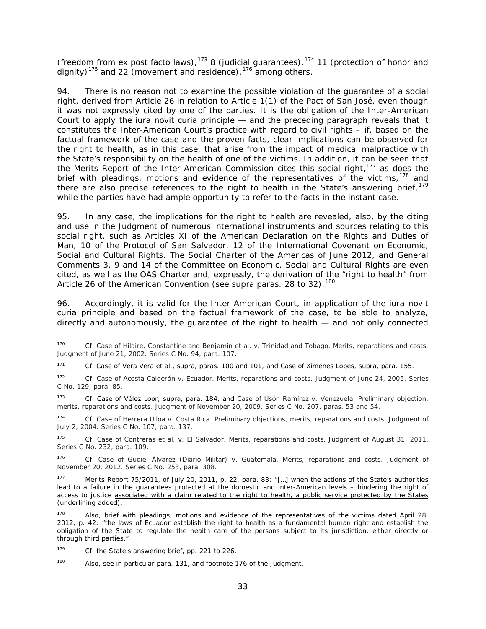(freedom from *ex post facto* laws),<sup>[173](#page-95-0)</sup> 8 (judicial guarantees),<sup>[174](#page-95-1)</sup> 11 (protection of honor and dignity)<sup>[175](#page-95-2)</sup> and 22 (movement and residence),  $176$  among others.

94. There is no reason not to examine the possible violation of the guarantee of a social right, derived from Article 26 in relation to Article 1(1) of the Pact of San José, even though it was not expressly cited by one of the parties. It is the obligation of the Inter-American Court to apply the *iura novit curia* principle — and the preceding paragraph reveals that it constitutes the Inter-American Court's practice with regard to civil rights – if, based on the factual framework of the case and the proven facts, clear implications can be observed for the right to health, as in this case, that arise from the impact of medical malpractice with the State's responsibility on the health of one of the victims. In addition, it can be seen that the Merits Report of the Inter-American Commission cites this social right, $177$  as does the brief with pleadings, motions and evidence of the representatives of the victims,  $178$  and there are also precise references to the right to health in the State's answering brief,  $179$ while the parties have had ample opportunity to refer to the facts in the instant case.

95. In any case, the implications for the right to health are revealed, also, by the citing and use in the Judgment of numerous international instruments and sources relating to this social right, such as Articles XI of the American Declaration on the Rights and Duties of Man, 10 of the Protocol of San Salvador, 12 of the International Covenant on Economic, Social and Cultural Rights. The Social Charter of the Americas of June 2012, and General Comments 3, 9 and 14 of the Committee on Economic, Social and Cultural Rights are even cited, as well as the OAS Charter and, expressly, the derivation of the "right to health" from Article 26 of the American Convention (see *supra* paras. 28 to 32).<sup>[180](#page-95-7)</sup>

96. Accordingly, it is valid for the Inter-American Court, in application of the *iura novit curia* principle and based on the factual framework of the case, to be able to analyze, directly and autonomously, the guarantee of the right to health — and not only connected

<sup>171</sup> *Cf. Case of Vera Vera et al., supra*, paras. 100 and 101, and *Case of Ximenes Lopes, supra*, para. 155.

<sup>172</sup> *Cf. Case of Acosta Calderón v. Ecuador. Merits, reparations and costs*. Judgment of June 24, 2005. Series C No. 129, para. 85.

<span id="page-95-0"></span><sup>173</sup> *Cf. Case of Vélez Loor, supra*, para. 184, and *Case of Usón Ramírez v. Venezuela. Preliminary objection, merits, reparations and costs*. Judgment of November 20, 2009. Series C No. 207, paras. 53 and 54.

<span id="page-95-1"></span><sup>174</sup> *Cf. Case of Herrera Ulloa v. Costa Rica. Preliminary objections, merits, reparations and costs.* Judgment of July 2, 2004. Series C No. 107, para. 137.

<span id="page-95-2"></span><sup>175</sup> *Cf. Case of Contreras et al. v. El Salvador. Merits, reparations and costs*. Judgment of August 31, 2011. Series C No. 232, para. 109.

<span id="page-95-3"></span><sup>176</sup> *Cf. Case of Gudiel Álvarez (Diario Militar) v. Guatemala. Merits, reparations and costs.* Judgment of November 20, 2012. Series C No. 253, para. 308.

<span id="page-95-4"></span>Merits Report 75/2011, of July 20, 2011, p. 22, para. 83: "[...] when the actions of the State's authorities lead to a failure in the guarantees protected at the domestic and inter-American levels – hindering the right of access to justice associated with a claim related to the right to health, a public service protected by the States (underlining added).

<span id="page-95-5"></span>178 Also, brief with pleadings, motions and evidence of the representatives of the victims dated April 28, 2012, p. 42: "the laws of Ecuador establish the right to health as a fundamental human right and establish the obligation of the State to regulate the health care of the persons subject to its jurisdiction, either directly or through third parties."

<span id="page-95-6"></span><sup>179</sup> *Cf.* the State's answering brief, pp. 221 to 226.

<span id="page-95-7"></span><sup>180</sup> Also, see in particular para. 131, and footnote 176 of the Judgment.

 <sup>170</sup> *Cf. Case of Hilaire, Constantine and Benjamin et al. v. Trinidad and Tobago. Merits, reparations and costs.* Judgment of June 21, 2002. Series C No. 94, para. 107.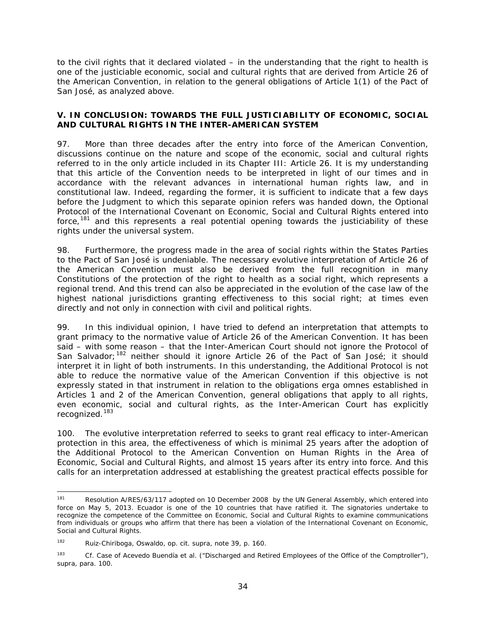to the civil rights that it declared violated – in the understanding that the right to health is one of the justiciable economic, social and cultural rights that are derived from Article 26 of the American Convention, in relation to the general obligations of Article 1(1) of the Pact of San José, as analyzed above.

## **V. IN CONCLUSION: TOWARDS THE FULL JUSTICIABILITY OF ECONOMIC, SOCIAL AND CULTURAL RIGHTS IN THE INTER-AMERICAN SYSTEM**

97. More than three decades after the entry into force of the American Convention, discussions continue on the nature and scope of the economic, social and cultural rights referred to in the only article included in its Chapter III: Article 26. It is my understanding that this article of the Convention needs to be interpreted in light of our times and in accordance with the relevant advances in international human rights law, and in constitutional law. Indeed, regarding the former, it is sufficient to indicate that a few days before the Judgment to which this separate opinion refers was handed down, the Optional Protocol of the International Covenant on Economic, Social and Cultural Rights entered into force, $181$  and this represents a real potential opening towards the justiciability of these rights under the universal system.

98. Furthermore, the progress made in the area of social rights within the States Parties to the Pact of San José is undeniable. The necessary evolutive interpretation of Article 26 of the American Convention must also be derived from the full recognition in many Constitutions of the protection of the right to health as a social right, which represents a regional trend. And this trend can also be appreciated in the evolution of the case law of the highest national jurisdictions granting effectiveness to this social right; at times even directly and not only in connection with civil and political rights.

99. In this individual opinion, I have tried to defend an interpretation that attempts to grant primacy to the normative value of Article 26 of the American Convention. It has been said – with some reason – that the Inter-American Court should not ignore the Protocol of San Salvador;<sup>[182](#page-96-1)</sup> neither should it ignore Article 26 of the Pact of San José; it should interpret it in light of both instruments. In this understanding, the Additional Protocol is not able to reduce the normative value of the American Convention if this objective is not expressly stated in that instrument in relation to the obligations *erga omnes* established in Articles 1 and 2 of the American Convention, general obligations that apply to all rights, even economic, social and cultural rights, as the Inter-American Court has explicitly recognized.[183](#page-96-2)

100. The evolutive interpretation referred to seeks to grant real efficacy to inter-American protection in this area, the effectiveness of which is minimal 25 years after the adoption of the Additional Protocol to the American Convention on Human Rights in the Area of Economic, Social and Cultural Rights, and almost 15 years after its entry into force. And this calls for an interpretation addressed at establishing the greatest practical effects possible for

<span id="page-96-0"></span><sup>&</sup>lt;sup>181</sup> Resolution A/RES/63/117 adopted on 10 December 2008 by the UN General Assembly, which entered into force on May 5, 2013. Ecuador is one of the 10 countries that have ratified it. The signatories undertake to recognize the competence of the Committee on Economic, Social and Cultural Rights to examine communications from individuals or groups who affirm that there has been a violation of the International Covenant on Economic, Social and Cultural Rights.

<span id="page-96-1"></span><sup>182</sup> Ruiz-Chiriboga, Oswaldo, *op. cit. supra,* note 39, p. 160.

<span id="page-96-2"></span><sup>&</sup>lt;sup>183</sup> *Cf. Case of Acevedo Buendía et al. ("Discharged and Retired Employees of the Office of the Comptroller"), supra,* para. 100.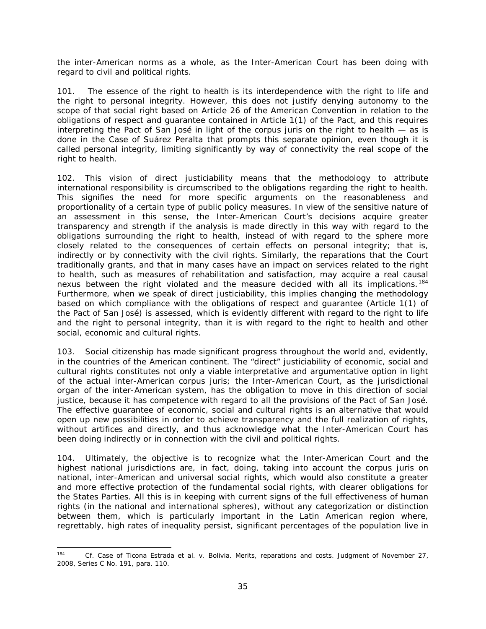the inter-American norms as a whole, as the Inter-American Court has been doing with regard to civil and political rights.

101. The essence of the right to health is its interdependence with the right to life and the right to personal integrity. However, this does not justify denying autonomy to the scope of that social right based on Article 26 of the American Convention in relation to the obligations of respect and guarantee contained in Article 1(1) of the Pact, and this requires interpreting the Pact of San José in light of the *corpus juris* on the right to health — as is done in the *Case of Suárez Peralta* that prompts this separate opinion, even though it is called personal integrity, limiting significantly by way of connectivity the real scope of the right to health.

102. This vision of direct justiciability means that the methodology to attribute international responsibility is circumscribed to the obligations regarding the right to health. This signifies the need for more specific arguments on the reasonableness and proportionality of a certain type of public policy measures. In view of the sensitive nature of an assessment in this sense, the Inter-American Court's decisions acquire greater transparency and strength if the analysis is made *directly* in this way with regard to the obligations surrounding the right to health, instead of with regard to the sphere more closely related to the consequences of certain effects on personal integrity; that is, indirectly or by connectivity with the civil rights. Similarly, the reparations that the Court traditionally grants, and that in many cases have an impact on services related to the right to health, such as measures of rehabilitation and satisfaction, may acquire a real causal nexus between the right violated and the measure decided with all its implications.<sup>[184](#page-97-0)</sup> Furthermore, when we speak of direct justiciability, this implies changing the methodology based on which compliance with the obligations of respect and guarantee (Article 1(1) of the Pact of San José) is assessed, which is evidently different with regard to the right to life and the right to personal integrity, than it is with regard to the right to health and other social, economic and cultural rights.

103. Social citizenship has made significant progress throughout the world and, *evidently, in the countries of the American continent. The "direct" justiciability of economic, social and cultural rights* constitutes not only a viable interpretative and argumentative option in light of the actual inter-American *corpus juris;* the Inter-American Court, as the jurisdictional organ of the inter-American system, has the obligation to move in this direction of social justice, because it has competence with regard to *all the provisions* of the Pact of San José. The effective guarantee of economic, social and cultural rights is an alternative that would open up new possibilities in order to achieve transparency and the full realization of rights, without artifices and directly, and thus acknowledge what the Inter-American Court has been doing indirectly or in connection with the civil and political rights.

104. Ultimately, the objective is to recognize what the Inter-American Court and the highest national jurisdictions are, in fact, doing, taking into account the *corpus juris* on national, inter-American and universal social rights, which would also constitute a greater and more effective protection of the fundamental social rights, with clearer obligations for the States Parties. All this is in keeping with current signs of the full effectiveness of human rights (in the national and international spheres), without any categorization or distinction between them, which is particularly important in the Latin American region where, regrettably, high rates of inequality persist, significant percentages of the population live in

<span id="page-97-0"></span> <sup>184</sup> *Cf. Case of Ticona Estrada et al. v. Bolivia. Merits, reparations and costs.* Judgment of November 27, 2008, Series C No. 191, para. 110.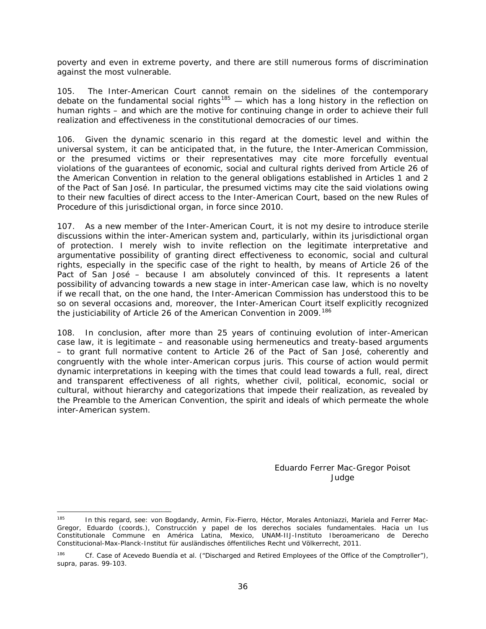poverty and even in extreme poverty, and there are still numerous forms of discrimination against the most vulnerable.

105. The Inter-American Court cannot remain on the sidelines of the contemporary debate on the fundamental social rights<sup>[185](#page-98-0)</sup> — which has a long history in the reflection on human rights – and which are the motive for continuing change in order to achieve their full realization and effectiveness in the constitutional democracies of our times.

106. Given the dynamic scenario in this regard at the domestic level and within the universal system, it can be anticipated that, in the future, the Inter-American Commission, or the presumed victims or their representatives may cite more forcefully eventual violations of the guarantees of economic, social and cultural rights derived from Article 26 of the American Convention in relation to the general obligations established in Articles 1 and 2 of the Pact of San José. In particular, the presumed victims may cite the said violations owing to their new faculties of direct access to the Inter-American Court, based on the new Rules of Procedure of this jurisdictional organ, in force since 2010.

107. As a new member of the Inter-American Court, it is not my desire to introduce sterile discussions within the inter-American system and, particularly, within its jurisdictional organ of protection. I merely wish to invite reflection on the legitimate interpretative and argumentative possibility of granting direct effectiveness to economic, social and cultural rights, especially in the specific case of the right to health, by means of Article 26 of the Pact of San José – because I am absolutely convinced of this. It represents a latent possibility of advancing towards a new stage in inter-American case law, which is no novelty if we recall that, on the one hand, the Inter-American Commission has understood this to be so on several occasions and, moreover, the Inter-American Court itself explicitly recognized the justiciability of Article 26 of the American Convention in 2009.<sup>[186](#page-98-1)</sup>

108. In conclusion, after more than 25 years of continuing evolution of inter-American case law, it is legitimate – and reasonable using hermeneutics and treaty-based arguments – to grant full normative content to Article 26 of the Pact of San José, coherently and congruently with the whole inter-American *corpus juris.* This course of action would permit dynamic interpretations in keeping with the times that could lead towards a full, real, direct and transparent effectiveness of all rights, whether civil, political, economic, social or cultural, without hierarchy and categorizations that impede their realization, as revealed by the Preamble to the American Convention, the spirit and ideals of which permeate the whole inter-American system.

> Eduardo Ferrer Mac-Gregor Poisot Judge

<span id="page-98-0"></span><sup>&</sup>lt;sup>185</sup> In this regard, see: von Bogdandy, Armin, Fix-Fierro, Héctor, Morales Antoniazzi, Mariela and Ferrer Mac-Gregor, Eduardo (coords.), *Construcción y papel de los derechos sociales fundamentales. Hacia* un Ius Constitutionale Commune *en América Latina*, Mexico, UNAM-IIJ-Instituto Iberoamericano de Derecho Constitucional-Max-Planck-Institut für ausländisches öffentiliches Recht und Völkerrecht, 2011.

<span id="page-98-1"></span><sup>186</sup> *Cf. Case of Acevedo Buendía et al. ("Discharged and Retired Employees of the Office of the Comptroller"), supra*, paras. 99-103.